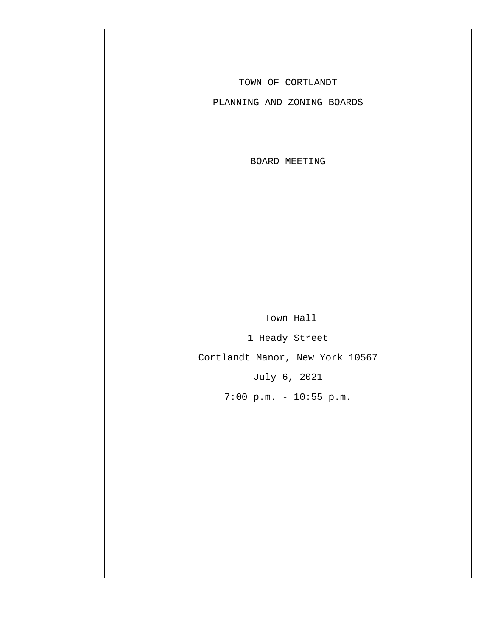TOWN OF CORTLANDT

PLANNING AND ZONING BOARDS

BOARD MEETING

 Town Hall 1 Heady Street

Cortlandt Manor, New York 10567

July 6, 2021

7:00 p.m. - 10:55 p.m.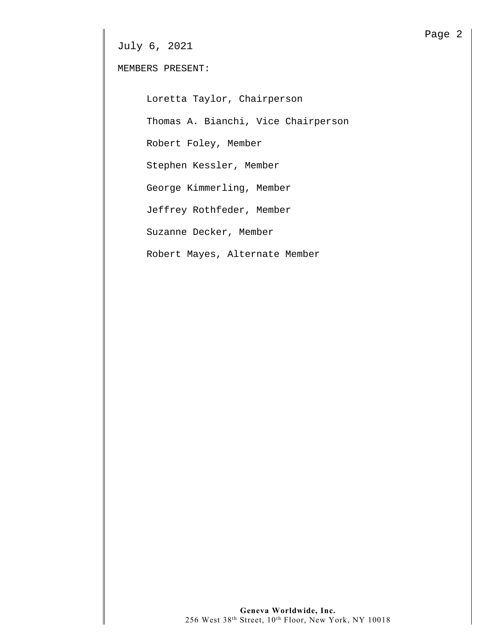MEMBERS PRESENT:

Loretta Taylor, Chairperson

Thomas A. Bianchi, Vice Chairperson

Robert Foley, Member

Stephen Kessler, Member

George Kimmerling, Member

Jeffrey Rothfeder, Member

Suzanne Decker, Member

Robert Mayes, Alternate Member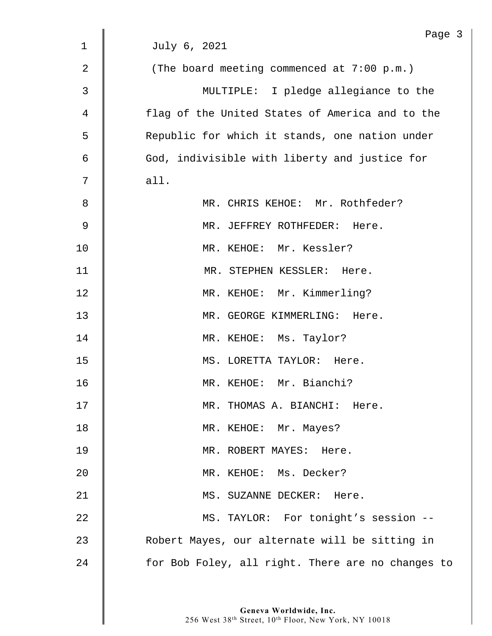|                | Page 3                                            |
|----------------|---------------------------------------------------|
| $\mathbf{1}$   | July 6, 2021                                      |
| $\overline{2}$ | (The board meeting commenced at $7:00$ p.m.)      |
| $\mathsf{3}$   | MULTIPLE: I pledge allegiance to the              |
| 4              | flag of the United States of America and to the   |
| 5              | Republic for which it stands, one nation under    |
| 6              | God, indivisible with liberty and justice for     |
| 7              | all.                                              |
| 8              | MR. CHRIS KEHOE: Mr. Rothfeder?                   |
| $\mathsf 9$    | MR. JEFFREY ROTHFEDER: Here.                      |
| 10             | MR. KEHOE: Mr. Kessler?                           |
| 11             | MR. STEPHEN KESSLER: Here.                        |
| 12             | MR. KEHOE: Mr. Kimmerling?                        |
| 13             | MR. GEORGE KIMMERLING: Here.                      |
| 14             | MR. KEHOE: Ms. Taylor?                            |
| 15             | MS. LORETTA TAYLOR: Here.                         |
| 16             | MR. KEHOE: Mr. Bianchi?                           |
| 17             | MR. THOMAS A. BIANCHI: Here.                      |
| 18             | MR. KEHOE: Mr. Mayes?                             |
| 19             | MR. ROBERT MAYES: Here.                           |
| 20             | MR. KEHOE: Ms. Decker?                            |
| 21             | MS. SUZANNE DECKER: Here.                         |
| 22             | MS. TAYLOR: For tonight's session --              |
| 23             | Robert Mayes, our alternate will be sitting in    |
| 24             | for Bob Foley, all right. There are no changes to |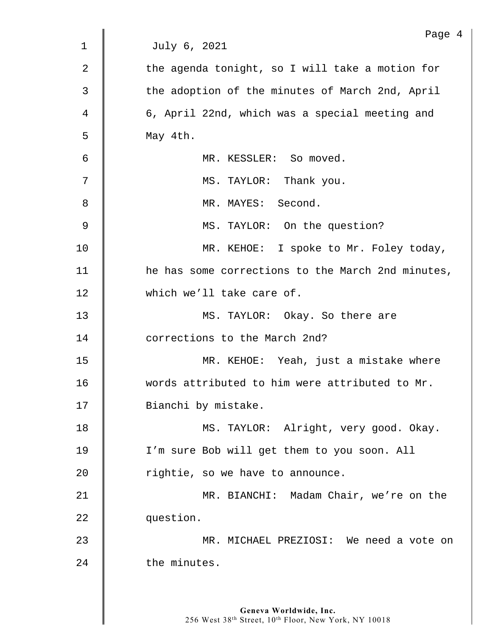|             | Page 4                                            |
|-------------|---------------------------------------------------|
| $\mathbf 1$ | July 6, 2021                                      |
| 2           | the agenda tonight, so I will take a motion for   |
| 3           | the adoption of the minutes of March 2nd, April   |
| 4           | 6, April 22nd, which was a special meeting and    |
| 5           | May 4th.                                          |
| 6           | MR. KESSLER: So moved.                            |
| 7           | MS. TAYLOR: Thank you.                            |
| 8           | MR. MAYES: Second.                                |
| 9           | MS. TAYLOR: On the question?                      |
| 10          | MR. KEHOE: I spoke to Mr. Foley today,            |
| 11          | he has some corrections to the March 2nd minutes, |
| 12          | which we'll take care of.                         |
| 13          | MS. TAYLOR: Okay. So there are                    |
| 14          | corrections to the March 2nd?                     |
| 15          | MR. KEHOE: Yeah, just a mistake where             |
| 16          | words attributed to him were attributed to Mr.    |
| 17          | Bianchi by mistake.                               |
| 18          | MS. TAYLOR: Alright, very good. Okay.             |
| 19          | I'm sure Bob will get them to you soon. All       |
| 20          | rightie, so we have to announce.                  |
| 21          | MR. BIANCHI: Madam Chair, we're on the            |
| 22          | question.                                         |
| 23          | MR. MICHAEL PREZIOSI: We need a vote on           |
| 24          | the minutes.                                      |
|             |                                                   |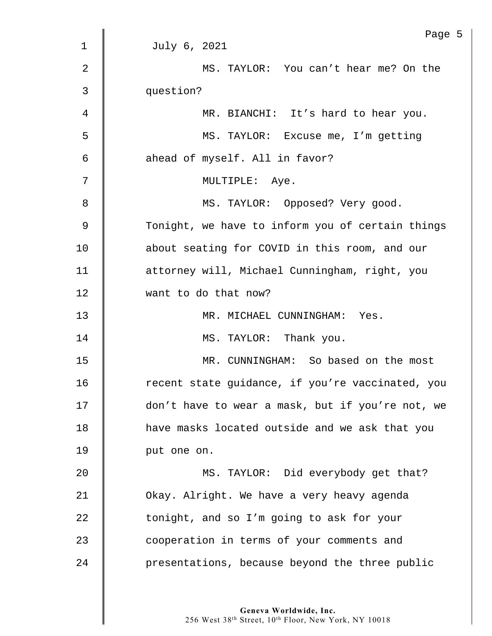|             | Page                                             |
|-------------|--------------------------------------------------|
| $\mathbf 1$ | July 6, 2021                                     |
| 2           | MS. TAYLOR: You can't hear me? On the            |
| 3           | question?                                        |
| 4           | MR. BIANCHI: It's hard to hear you.              |
| 5           | MS. TAYLOR: Excuse me, I'm getting               |
| 6           | ahead of myself. All in favor?                   |
| 7           | MULTIPLE: Aye.                                   |
| 8           | MS. TAYLOR: Opposed? Very good.                  |
| 9           | Tonight, we have to inform you of certain things |
| 10          | about seating for COVID in this room, and our    |
| 11          | attorney will, Michael Cunningham, right, you    |
| 12          | want to do that now?                             |
| 13          | MR. MICHAEL CUNNINGHAM: Yes.                     |
| 14          | MS. TAYLOR: Thank you.                           |
| 15          | MR. CUNNINGHAM: So based on the most             |
| 16          | recent state quidance, if you're vaccinated, you |
| 17          | don't have to wear a mask, but if you're not, we |
| 18          | have masks located outside and we ask that you   |
| 19          | put one on.                                      |
| 20          | MS. TAYLOR: Did everybody get that?              |
| 21          | Okay. Alright. We have a very heavy agenda       |
| 22          | tonight, and so I'm going to ask for your        |
| 23          | cooperation in terms of your comments and        |
| 24          | presentations, because beyond the three public   |
|             |                                                  |

 $5$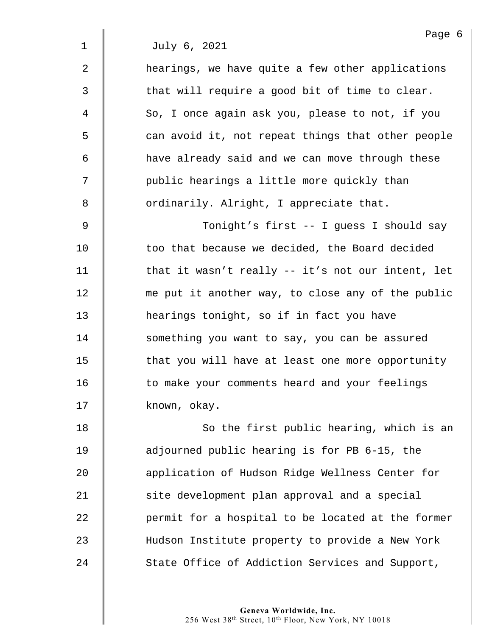2 | hearings, we have quite a few other applications  $3 \parallel$  that will require a good bit of time to clear. 4 So, I once again ask you, please to not, if you 5 s can avoid it, not repeat things that other people 6 | have already said and we can move through these 7 | public hearings a little more quickly than 8 **S** ordinarily. Alright, I appreciate that.

9 Tonight's first -- I guess I should say 10 **too that because we decided, the Board decided** 11  $\parallel$  that it wasn't really -- it's not our intent, let 12 me put it another way, to close any of the public 13 **hearings tonight, so if in fact you have** 14 | something you want to say, you can be assured 15 **that you will have at least one more opportunity** 16 | to make your comments heard and your feelings 17 known, okay.

18 || So the first public hearing, which is an 19 adjourned public hearing is for PB 6-15, the 20 **Quart Application of Hudson Ridge Wellness Center for**  $21$   $\parallel$  site development plan approval and a special 22 **permit for a hospital to be located at the former** 23 Hudson Institute property to provide a New York 24 State Office of Addiction Services and Support,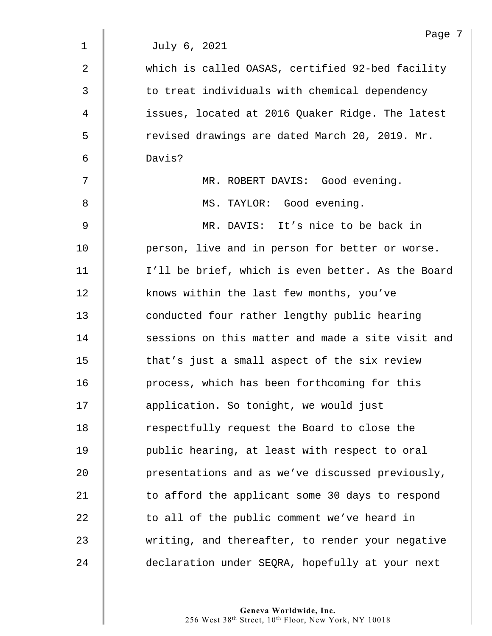|                | Page '                                            |
|----------------|---------------------------------------------------|
| $\mathbf 1$    | July 6, 2021                                      |
| $\overline{2}$ | which is called OASAS, certified 92-bed facility  |
| 3              | to treat individuals with chemical dependency     |
| 4              | issues, located at 2016 Quaker Ridge. The latest  |
| 5              | revised drawings are dated March 20, 2019. Mr.    |
| 6              | Davis?                                            |
| 7              | MR. ROBERT DAVIS: Good evening.                   |
| 8              | MS. TAYLOR: Good evening.                         |
| 9              | MR. DAVIS: It's nice to be back in                |
| 10             | person, live and in person for better or worse.   |
| 11             | I'll be brief, which is even better. As the Board |
| 12             | knows within the last few months, you've          |
| 13             | conducted four rather lengthy public hearing      |
| 14             | sessions on this matter and made a site visit and |
| 15             | that's just a small aspect of the six review      |
| 16             | process, which has been forthcoming for this      |
| 17             | application. So tonight, we would just            |
| 18             | respectfully request the Board to close the       |
| 19             | public hearing, at least with respect to oral     |
| 20             | presentations and as we've discussed previously,  |
| 21             | to afford the applicant some 30 days to respond   |
| 22             | to all of the public comment we've heard in       |
| 23             | writing, and thereafter, to render your negative  |
| 24             | declaration under SEQRA, hopefully at your next   |

 $\overline{7}$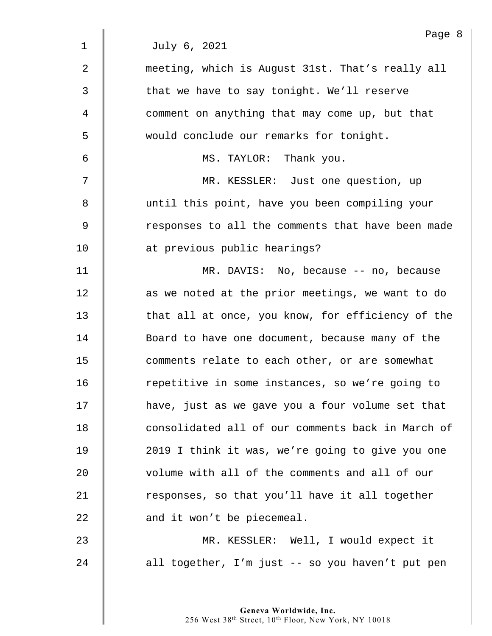|                | Page 8                                            |
|----------------|---------------------------------------------------|
| $\mathbf 1$    | July 6, 2021                                      |
| $\overline{a}$ | meeting, which is August 31st. That's really all  |
| 3              | that we have to say tonight. We'll reserve        |
| 4              | comment on anything that may come up, but that    |
| 5              | would conclude our remarks for tonight.           |
| 6              | MS. TAYLOR: Thank you.                            |
| 7              | MR. KESSLER: Just one question, up                |
| 8              | until this point, have you been compiling your    |
| 9              | responses to all the comments that have been made |
| 10             | at previous public hearings?                      |
| 11             | MR. DAVIS: No, because -- no, because             |
| 12             | as we noted at the prior meetings, we want to do  |
| 13             | that all at once, you know, for efficiency of the |
| 14             | Board to have one document, because many of the   |
| 15             | comments relate to each other, or are somewhat    |
| 16             | repetitive in some instances, so we're going to   |
| 17             | have, just as we gave you a four volume set that  |
| 18             | consolidated all of our comments back in March of |
| 19             | 2019 I think it was, we're going to give you one  |
| 20             | volume with all of the comments and all of our    |
| 21             | responses, so that you'll have it all together    |
| 22             | and it won't be piecemeal.                        |
| 23             | MR. KESSLER: Well, I would expect it              |
| 24             | all together, I'm just -- so you haven't put pen  |
|                |                                                   |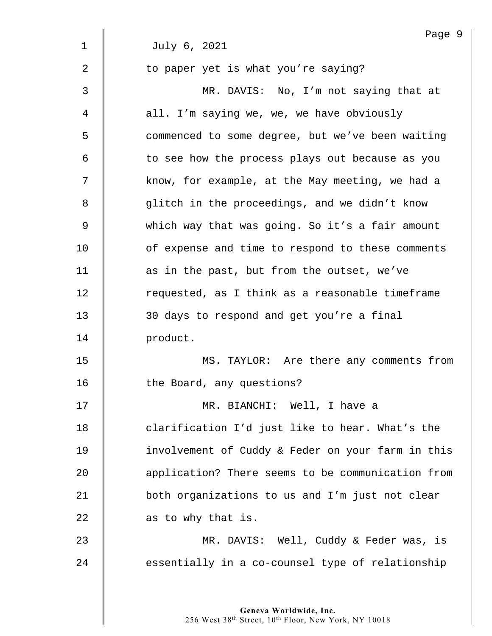|                | Page 9                                            |
|----------------|---------------------------------------------------|
| $\mathbf 1$    | July 6, 2021                                      |
| $\overline{2}$ | to paper yet is what you're saying?               |
| 3              | MR. DAVIS: No, I'm not saying that at             |
| 4              | all. I'm saying we, we, we have obviously         |
| 5              | commenced to some degree, but we've been waiting  |
| 6              | to see how the process plays out because as you   |
| 7              | know, for example, at the May meeting, we had a   |
| 8              | glitch in the proceedings, and we didn't know     |
| 9              | which way that was going. So it's a fair amount   |
| 10             | of expense and time to respond to these comments  |
| 11             | as in the past, but from the outset, we've        |
| 12             | requested, as I think as a reasonable timeframe   |
| 13             | 30 days to respond and get you're a final         |
| 14             | product.                                          |
| 15             | MS. TAYLOR: Are there any comments from           |
| 16             | the Board, any questions?                         |
| 17             | MR. BIANCHI: Well, I have a                       |
| 18             | clarification I'd just like to hear. What's the   |
| 19             | involvement of Cuddy & Feder on your farm in this |
| 20             | application? There seems to be communication from |
| 21             | both organizations to us and I'm just not clear   |
| 22             | as to why that is.                                |
| 23             | MR. DAVIS: Well, Cuddy & Feder was, is            |
| 24             | essentially in a co-counsel type of relationship  |
|                |                                                   |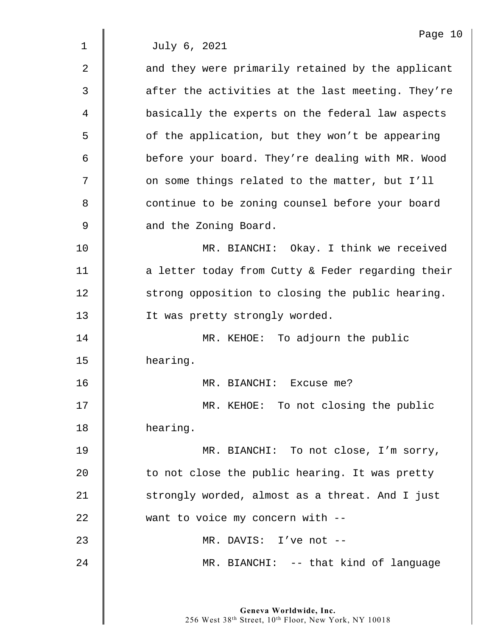| $\overline{2}$ | and they were primarily retained by the applicant |
|----------------|---------------------------------------------------|
| $\mathfrak{Z}$ | after the activities at the last meeting. They're |
| 4              | basically the experts on the federal law aspects  |
| 5              | of the application, but they won't be appearing   |
| 6              | before your board. They're dealing with MR. Wood  |
| 7              | on some things related to the matter, but I'll    |
| 8              | continue to be zoning counsel before your board   |
| 9              | and the Zoning Board.                             |
| 10             | MR. BIANCHI: Okay. I think we received            |
| 11             | a letter today from Cutty & Feder regarding their |
| 12             | strong opposition to closing the public hearing.  |
| 13             | It was pretty strongly worded.                    |
| 14             | MR. KEHOE: To adjourn the public                  |
| 15             | hearing.                                          |
| 16             | MR. BIANCHI: Excuse me?                           |
| 17             | MR. KEHOE: To not closing the public              |
| 18             | hearing.                                          |
| 19             | MR. BIANCHI: To not close, I'm sorry,             |
| 20             | to not close the public hearing. It was pretty    |
| 21             | strongly worded, almost as a threat. And I just   |
| 22             | want to voice my concern with --                  |
| 23             | MR. DAVIS: I've not --                            |
| 24             | MR. BIANCHI: -- that kind of language             |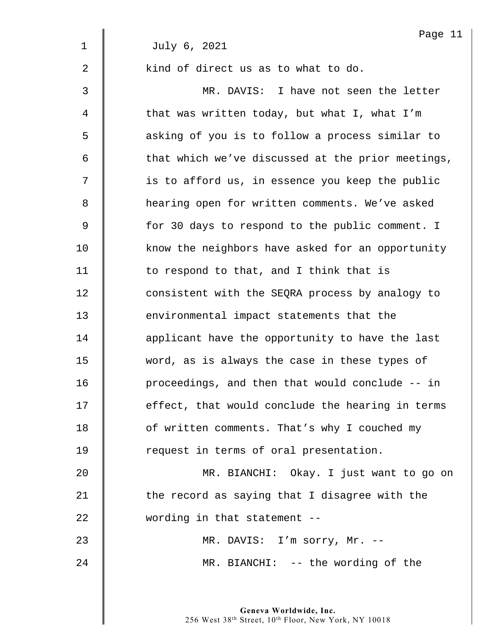|                | Page 11                                           |
|----------------|---------------------------------------------------|
| $\mathbf 1$    | July 6, 2021                                      |
| $\overline{a}$ | kind of direct us as to what to do.               |
| 3              | MR. DAVIS: I have not seen the letter             |
| 4              | that was written today, but what I, what I'm      |
| 5              | asking of you is to follow a process similar to   |
| 6              | that which we've discussed at the prior meetings, |
| 7              | is to afford us, in essence you keep the public   |
| 8              | hearing open for written comments. We've asked    |
| 9              | for 30 days to respond to the public comment. I   |
| 10             | know the neighbors have asked for an opportunity  |
| 11             | to respond to that, and I think that is           |
| 12             | consistent with the SEQRA process by analogy to   |
| 13             | environmental impact statements that the          |
| 14             | applicant have the opportunity to have the last   |
| 15             | word, as is always the case in these types of     |
| 16             | proceedings, and then that would conclude -- in   |
| 17             | effect, that would conclude the hearing in terms  |
| 18             | of written comments. That's why I couched my      |
| 19             | request in terms of oral presentation.            |
| 20             | MR. BIANCHI: Okay. I just want to go on           |
| 21             | the record as saying that I disagree with the     |
| 22             | wording in that statement --                      |
| 23             | MR. DAVIS: I'm sorry, Mr. --                      |
| 24             | MR. BIANCHI: -- the wording of the                |
|                |                                                   |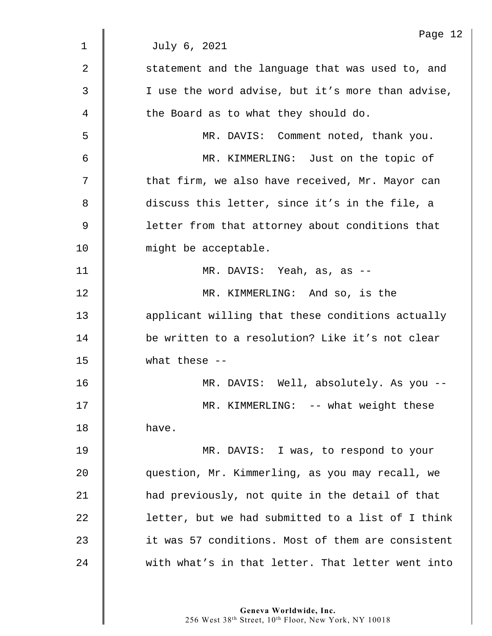|              | Page 12                                           |
|--------------|---------------------------------------------------|
| $\mathbf{1}$ | July 6, 2021                                      |
| 2            | statement and the language that was used to, and  |
| 3            | I use the word advise, but it's more than advise, |
| 4            | the Board as to what they should do.              |
| 5            | MR. DAVIS: Comment noted, thank you.              |
| 6            | MR. KIMMERLING: Just on the topic of              |
| 7            | that firm, we also have received, Mr. Mayor can   |
| 8            | discuss this letter, since it's in the file, a    |
| $\mathsf 9$  | letter from that attorney about conditions that   |
| 10           | might be acceptable.                              |
| 11           | MR. DAVIS: Yeah, as, as --                        |
| 12           | MR. KIMMERLING: And so, is the                    |
| 13           | applicant willing that these conditions actually  |
| 14           | be written to a resolution? Like it's not clear   |
| 15           | what these $--$                                   |
| 16           | MR. DAVIS: Well, absolutely. As you --            |
| 17           | MR. KIMMERLING: -- what weight these              |
| 18           | have.                                             |
| 19           | MR. DAVIS: I was, to respond to your              |
| 20           | question, Mr. Kimmerling, as you may recall, we   |
| 21           | had previously, not quite in the detail of that   |
| 22           | letter, but we had submitted to a list of I think |
| 23           | it was 57 conditions. Most of them are consistent |
| 24           | with what's in that letter. That letter went into |
|              |                                                   |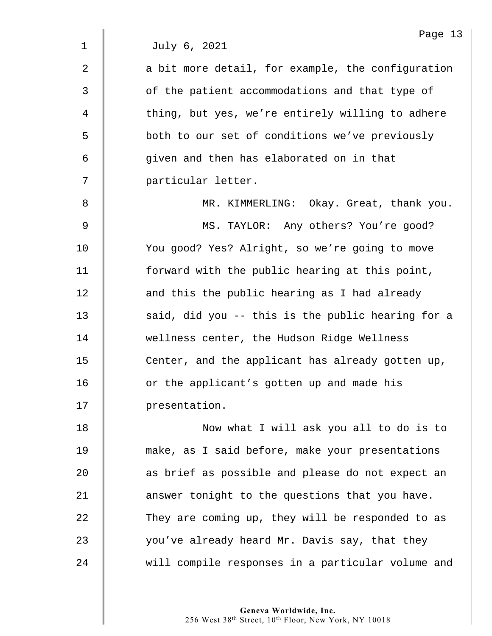Page 13 1 July 6, 2021  $2 \parallel$  a bit more detail, for example, the configuration 3 | of the patient accommodations and that type of 4  $\parallel$  thing, but yes, we're entirely willing to adhere 5 S both to our set of conditions we've previously 6 given and then has elaborated on in that 7 particular letter. 8 MR. KIMMERLING: Okay. Great, thank you. 9 MS. TAYLOR: Any others? You're good? 10 | You good? Yes? Alright, so we're going to move 11 | forward with the public hearing at this point, 12 **d** and this the public hearing as I had already 13  $\parallel$  said, did you -- this is the public hearing for a 14 Wellness center, the Hudson Ridge Wellness 15 **Center, and the applicant has already gotten up,** 16 | or the applicant's gotten up and made his 17 | presentation. 18 | Now what I will ask you all to do is to 19 make, as I said before, make your presentations 20 **as brief as possible and please do not expect an** 21 **answer** tonight to the questions that you have.  $22$   $\parallel$  They are coming up, they will be responded to as

23  $\parallel$  you've already heard Mr. Davis say, that they 24 We will compile responses in a particular volume and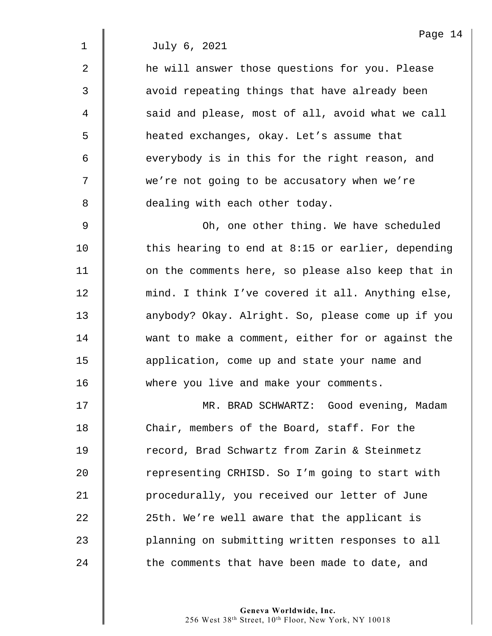2 **f** he will answer those questions for you. Please 3  $\parallel$  avoid repeating things that have already been 4 | said and please, most of all, avoid what we call 5 heated exchanges, okay. Let's assume that 6 everybody is in this for the right reason, and 7 | we're not going to be accusatory when we're 8 **dealing with each other today.** 

9 Oh, one other thing. We have scheduled 10 This hearing to end at 8:15 or earlier, depending 11 | on the comments here, so please also keep that in 12 | mind. I think I've covered it all. Anything else, 13 | anybody? Okay. Alright. So, please come up if you 14 want to make a comment, either for or against the 15 **deger** 15 **application, come up and state your name and** 16 **where you live and make your comments.** 

17 || MR. BRAD SCHWARTZ: Good evening, Madam 18 Chair, members of the Board, staff. For the 19 | record, Brad Schwartz from Zarin & Steinmetz 20 Tepresenting CRHISD. So I'm going to start with 21 | procedurally, you received our letter of June  $22$   $\parallel$  25th. We're well aware that the applicant is 23 | planning on submitting written responses to all  $24$   $\parallel$  the comments that have been made to date, and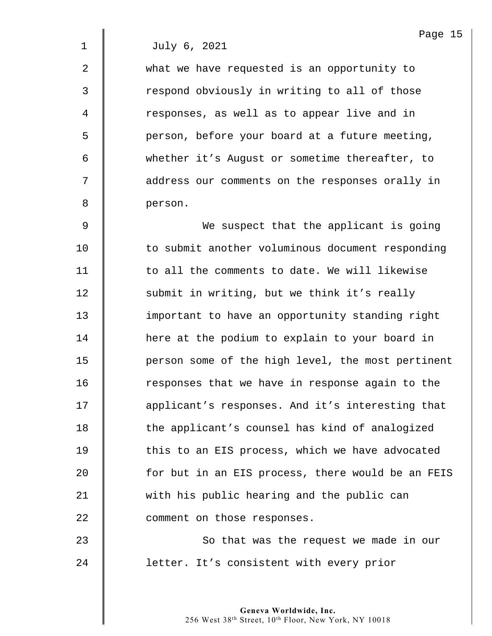2 what we have requested is an opportunity to 3 | The respond obviously in writing to all of those 4 | responses, as well as to appear live and in 5 | person, before your board at a future meeting, 6 whether it's August or sometime thereafter, to 7  $\parallel$  address our comments on the responses orally in 8 person.

9 We suspect that the applicant is going 10 **to submit another voluminous document responding** 11  $\parallel$  to all the comments to date. We will likewise 12 Submit in writing, but we think it's really 13 important to have an opportunity standing right 14 | here at the podium to explain to your board in 15 | person some of the high level, the most pertinent 16 The responses that we have in response again to the 17 | applicant's responses. And it's interesting that 18 | the applicant's counsel has kind of analogized 19 | this to an EIS process, which we have advocated 20 **for but in an EIS process, there would be an FEIS** 21 with his public hearing and the public can 22 **Comment** on those responses.

23 **So that was the request we made in our** 24 | letter. It's consistent with every prior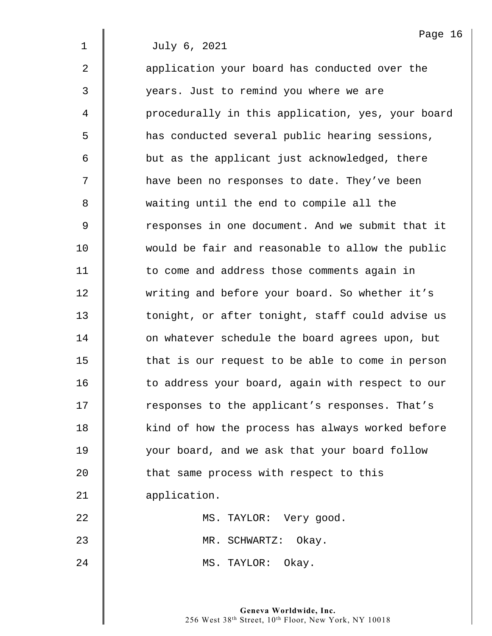2 | application your board has conducted over the 3 years. Just to remind you where we are 4 | procedurally in this application, yes, your board 5 has conducted several public hearing sessions, 6 | but as the applicant just acknowledged, there 7  $\parallel$  have been no responses to date. They've been 8 waiting until the end to compile all the 9 Sommarks in one document. And we submit that it 10 would be fair and reasonable to allow the public 11 | to come and address those comments again in 12 writing and before your board. So whether it's 13 | tonight, or after tonight, staff could advise us 14 **d** on whatever schedule the board agrees upon, but 15 | that is our request to be able to come in person 16 | to address your board, again with respect to our 17 | responses to the applicant's responses. That's 18 | kind of how the process has always worked before 19 your board, and we ask that your board follow 20 That same process with respect to this 21 | application. 22 | MS. TAYLOR: Very good. 23 | MR. SCHWARTZ: Okay.

24 || MS. TAYLOR: Okay.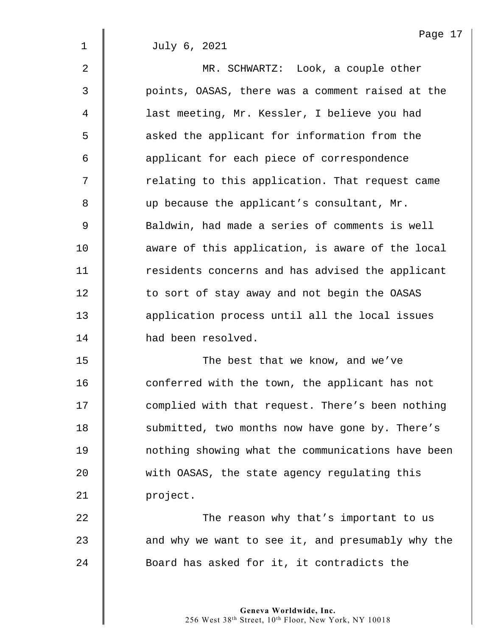2 MR. SCHWARTZ: Look, a couple other 3 points, OASAS, there was a comment raised at the 4 | last meeting, Mr. Kessler, I believe you had 5 S asked the applicant for information from the 6 **deg** applicant for each piece of correspondence  $7$   $\parallel$  relating to this application. That request came 8 up because the applicant's consultant, Mr. 9 Saldwin, had made a series of comments is well 10 **aware of this application, is aware of the local** 11 | residents concerns and has advised the applicant 12 | to sort of stay away and not begin the OASAS 13 | application process until all the local issues 14 had been resolved. 15 || The best that we know, and we've

16 | conferred with the town, the applicant has not 17 | complied with that request. There's been nothing 18 | submitted, two months now have gone by. There's 19 nothing showing what the communications have been 20 Weith OASAS, the state agency regulating this 21 project.

22 **The reason why that's important to us**  $23$  | and why we want to see it, and presumably why the 24 Soard has asked for it, it contradicts the

> **Geneva Worldwide, Inc.**  256 West 38th Street, 10th Floor, New York, NY 10018

Page 17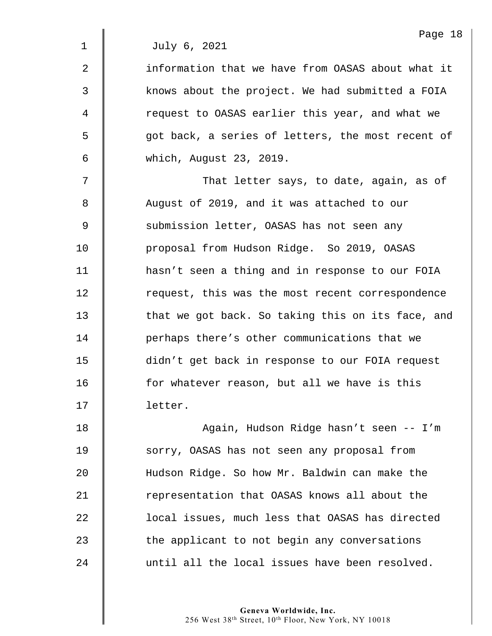2  $\parallel$  information that we have from OASAS about what it 3 xmows about the project. We had submitted a FOIA 4 | request to OASAS earlier this year, and what we 5 | qot back, a series of letters, the most recent of 6 which, August 23, 2019.

 $7 \parallel$  That letter says, to date, again, as of 8 August of 2019, and it was attached to our 9 Submission letter, OASAS has not seen any 10 **proposal from Hudson Ridge.** So 2019, OASAS 11 | hasn't seen a thing and in response to our FOIA 12 Tequest, this was the most recent correspondence 13 | that we got back. So taking this on its face, and 14 **| |** perhaps there's other communications that we 15 didn't get back in response to our FOIA request 16 **for whatever reason, but all we have is this** 17 letter.

18 Again, Hudson Ridge hasn't seen -- I'm 19 Sorry, OASAS has not seen any proposal from 20 Hudson Ridge. So how Mr. Baldwin can make the 21 Tepresentation that OASAS knows all about the 22 **lace 1** local issues, much less that OASAS has directed 23 The applicant to not begin any conversations 24 until all the local issues have been resolved.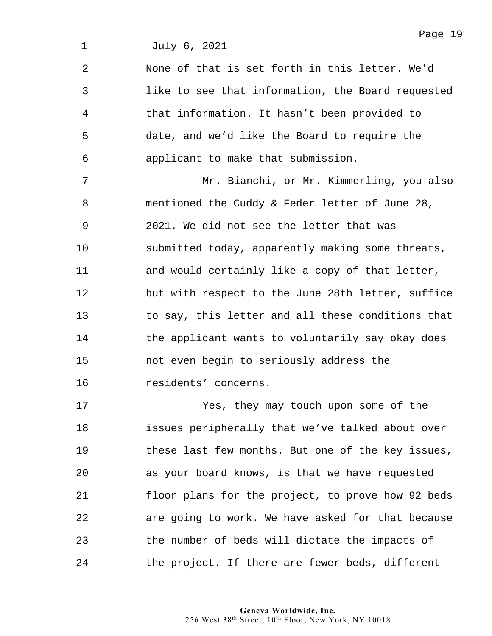|                | Page 19                                           |
|----------------|---------------------------------------------------|
| $\mathbf 1$    | July 6, 2021                                      |
| $\overline{2}$ | None of that is set forth in this letter. We'd    |
| 3              | like to see that information, the Board requested |
| 4              | that information. It hasn't been provided to      |
| 5              | date, and we'd like the Board to require the      |
| 6              | applicant to make that submission.                |
| 7              | Mr. Bianchi, or Mr. Kimmerling, you also          |
| 8              | mentioned the Cuddy & Feder letter of June 28,    |
| 9              | 2021. We did not see the letter that was          |
| 10             | submitted today, apparently making some threats,  |
| 11             | and would certainly like a copy of that letter,   |
| 12             | but with respect to the June 28th letter, suffice |
| 13             | to say, this letter and all these conditions that |
| 14             | the applicant wants to voluntarily say okay does  |
| 15             | not even begin to seriously address the           |
| 16             | residents' concerns.                              |
| 17             | Yes, they may touch upon some of the              |
| 18             | issues peripherally that we've talked about over  |
| 19             | these last few months. But one of the key issues, |
| 20             | as your board knows, is that we have requested    |
| 21             | floor plans for the project, to prove how 92 beds |
| 22             | are going to work. We have asked for that because |
| 23             | the number of beds will dictate the impacts of    |
| 24             | the project. If there are fewer beds, different   |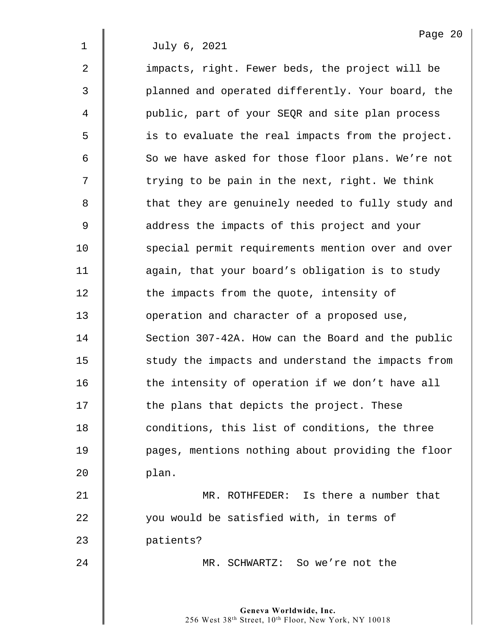2 | impacts, right. Fewer beds, the project will be 3 || planned and operated differently. Your board, the 4 | public, part of your SEQR and site plan process 5 is to evaluate the real impacts from the project. 6 So we have asked for those floor plans. We're not  $7 \parallel$  trying to be pain in the next, right. We think 8 || that they are genuinely needed to fully study and 9 || address the impacts of this project and your 10 Special permit requirements mention over and over 11 **deg** 11 again, that your board's obligation is to study 12 **the impacts from the quote, intensity of** 13 **J** operation and character of a proposed use, 14 Section 307-42A. How can the Board and the public 15 | study the impacts and understand the impacts from 16 **the intensity of operation if we don't have all**  $17$   $\parallel$  the plans that depicts the project. These 18 **decive** conditions, this list of conditions, the three 19 pages, mentions nothing about providing the floor  $20$  | plan.

21 | MR. ROTHFEDER: Is there a number that 22 you would be satisfied with, in terms of 23 **patients?** 

24 MR. SCHWARTZ: So we're not the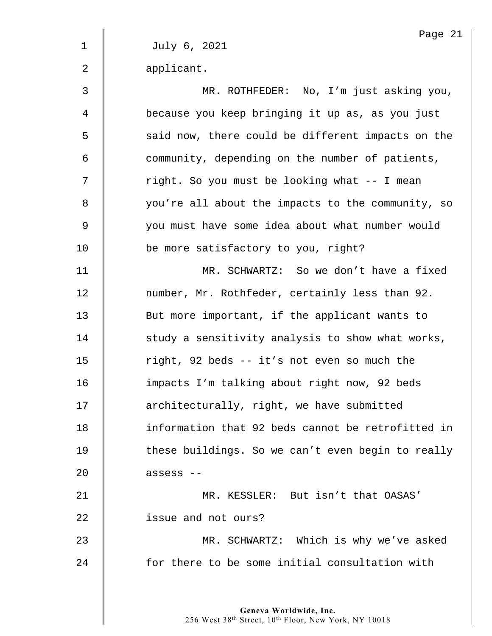Page 21 1 July 6, 2021 2 | applicant. 3 MR. ROTHFEDER: No, I'm just asking you, 4 because you keep bringing it up as, as you just 5 said now, there could be different impacts on the  $6$   $\parallel$  community, depending on the number of patients, 7 || right. So you must be looking what -- I mean 8 | vou're all about the impacts to the community, so 9 | vou must have some idea about what number would 10 **be more satisfactory to you, right?** 11 MR. SCHWARTZ: So we don't have a fixed 12 | number, Mr. Rothfeder, certainly less than 92. 13 | But more important, if the applicant wants to  $14$   $\parallel$  study a sensitivity analysis to show what works, 15 | right, 92 beds -- it's not even so much the 16 impacts I'm talking about right now, 92 beds 17 | architecturally, right, we have submitted 18 **information that 92 beds cannot be retrofitted in**  $19$   $\parallel$  these buildings. So we can't even begin to really  $20$   $\parallel$  assess  $-$ 21 WR. KESSLER: But isn't that OASAS' 22 | issue and not ours? 23 MR. SCHWARTZ: Which is why we've asked 24 **for there to be some initial consultation with**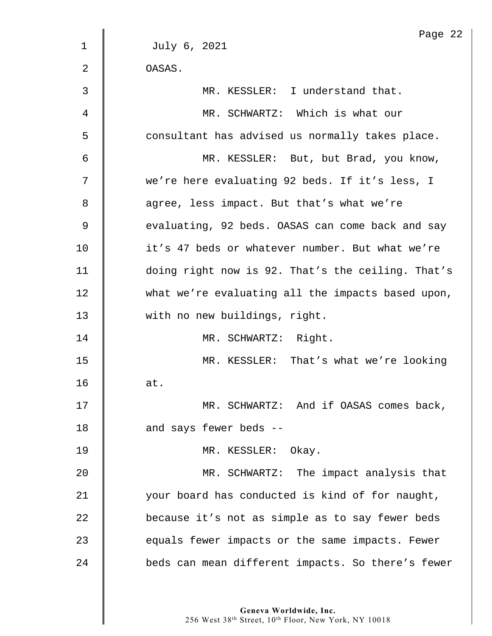|                | Page 22                                           |
|----------------|---------------------------------------------------|
| $\mathbf 1$    | July 6, 2021                                      |
| 2              | OASAS.                                            |
| 3              | MR. KESSLER: I understand that.                   |
| 4              | MR. SCHWARTZ: Which is what our                   |
| 5              | consultant has advised us normally takes place.   |
| 6              | MR. KESSLER: But, but Brad, you know,             |
| 7              | we're here evaluating 92 beds. If it's less, I    |
| 8              | agree, less impact. But that's what we're         |
| $\overline{9}$ | evaluating, 92 beds. OASAS can come back and say  |
| 10             | it's 47 beds or whatever number. But what we're   |
| 11             | doing right now is 92. That's the ceiling. That's |
| 12             | what we're evaluating all the impacts based upon, |
| 13             | with no new buildings, right.                     |
| 14             | MR. SCHWARTZ: Right.                              |
| 15             | MR. KESSLER: That's what we're looking            |
| 16             | at.                                               |
| 17             | MR. SCHWARTZ: And if OASAS comes back,            |
| 18             | and says fewer beds --                            |
| 19             | MR. KESSLER: Okay.                                |
| 20             | MR. SCHWARTZ: The impact analysis that            |
| 21             | your board has conducted is kind of for naught,   |
| 22             | because it's not as simple as to say fewer beds   |
| 23             | equals fewer impacts or the same impacts. Fewer   |
| 24             | beds can mean different impacts. So there's fewer |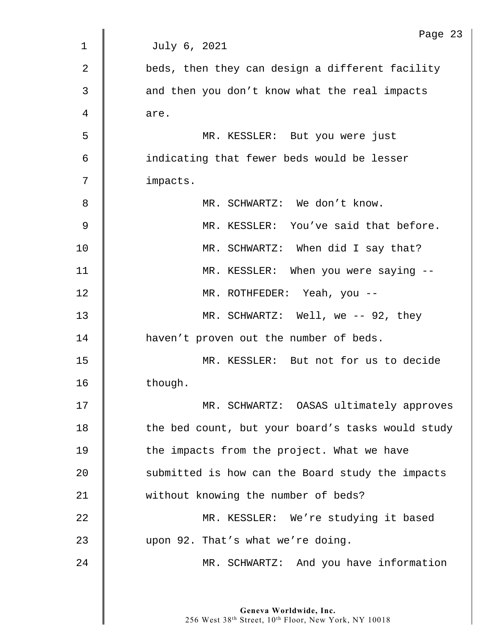|             | Page 23                                           |
|-------------|---------------------------------------------------|
| $\mathbf 1$ | July 6, 2021                                      |
| 2           | beds, then they can design a different facility   |
| 3           | and then you don't know what the real impacts     |
| 4           | are.                                              |
| 5           | MR. KESSLER: But you were just                    |
| 6           | indicating that fewer beds would be lesser        |
| 7           | impacts.                                          |
| 8           | MR. SCHWARTZ: We don't know.                      |
| 9           | MR. KESSLER: You've said that before.             |
| 10          | MR. SCHWARTZ: When did I say that?                |
| 11          | MR. KESSLER: When you were saying --              |
| 12          | MR. ROTHFEDER: Yeah, you --                       |
| 13          | MR. SCHWARTZ: Well, we -- 92, they                |
| 14          | haven't proven out the number of beds.            |
| 15          | MR. KESSLER: But not for us to decide             |
| 16          | though.                                           |
| 17          | MR. SCHWARTZ: OASAS ultimately approves           |
| 18          | the bed count, but your board's tasks would study |
| 19          | the impacts from the project. What we have        |
| 20          | submitted is how can the Board study the impacts  |
| 21          | without knowing the number of beds?               |
| 22          | MR. KESSLER: We're studying it based              |
| 23          | upon 92. That's what we're doing.                 |
| 24          | MR. SCHWARTZ: And you have information            |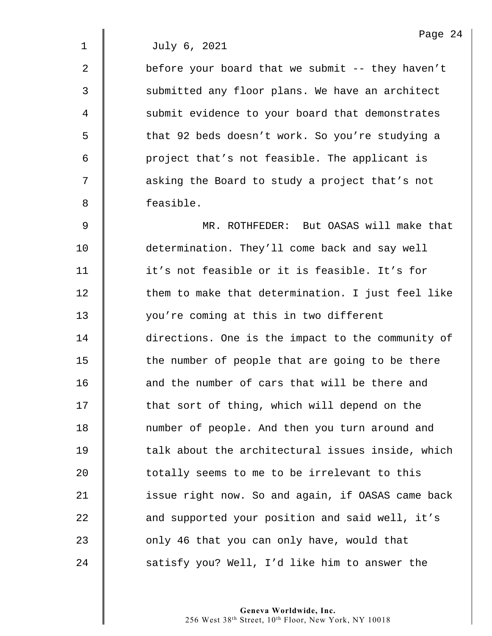2  $\parallel$  before your board that we submit -- they haven't 3 Submitted any floor plans. We have an architect 4 Submit evidence to your board that demonstrates 5 | that 92 beds doesn't work. So you're studying a 6 | project that's not feasible. The applicant is 7 || asking the Board to study a project that's not 8 **d** feasible.

9 MR. ROTHFEDER: But OASAS will make that 10 determination. They'll come back and say well 11 it's not feasible or it is feasible. It's for 12 Them to make that determination. I just feel like 13 you're coming at this in two different 14 directions. One is the impact to the community of  $15$   $\parallel$  the number of people that are going to be there 16 **d** and the number of cars that will be there and 17 | that sort of thing, which will depend on the 18 | number of people. And then you turn around and  $19$   $\parallel$  talk about the architectural issues inside, which 20  $\parallel$  totally seems to me to be irrelevant to this 21 | issue right now. So and again, if OASAS came back 22 **and supported your position and said well, it's** 23 **b** only 46 that you can only have, would that 24 Satisfy you? Well, I'd like him to answer the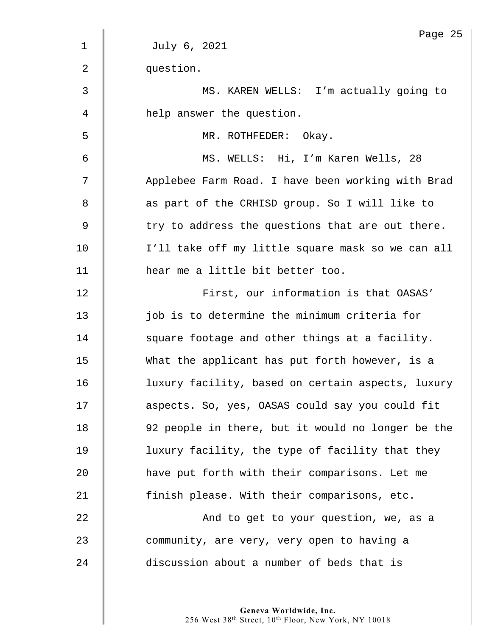|                | Page 2!                                           |
|----------------|---------------------------------------------------|
| $\mathbf{1}$   | July 6, 2021                                      |
| $\overline{2}$ | question.                                         |
| 3              | MS. KAREN WELLS: I'm actually going to            |
| 4              | help answer the question.                         |
| 5              | MR. ROTHFEDER: Okay.                              |
| 6              | MS. WELLS: Hi, I'm Karen Wells, 28                |
| 7              | Applebee Farm Road. I have been working with Brad |
| 8              | as part of the CRHISD group. So I will like to    |
| 9              | try to address the questions that are out there.  |
| 10             | I'll take off my little square mask so we can all |
| 11             | hear me a little bit better too.                  |
| 12             | First, our information is that OASAS'             |
| 13             | job is to determine the minimum criteria for      |
| 14             | square footage and other things at a facility.    |
| 15             | What the applicant has put forth however, is a    |
| 16             | luxury facility, based on certain aspects, luxury |
| 17             | aspects. So, yes, OASAS could say you could fit   |
| 18             | 92 people in there, but it would no longer be the |
| 19             | luxury facility, the type of facility that they   |
| 20             | have put forth with their comparisons. Let me     |
| 21             | finish please. With their comparisons, etc.       |
| 22             | And to get to your question, we, as a             |
| 23             | community, are very, very open to having a        |
| 24             | discussion about a number of beds that is         |
|                |                                                   |

Page 25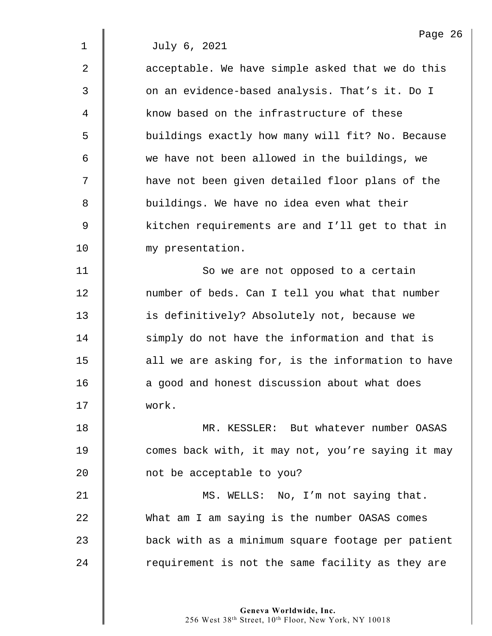$2 \parallel$  acceptable. We have simple asked that we do this 3 | On an evidence-based analysis. That's it. Do I 4 know based on the infrastructure of these 5 | buildings exactly how many will fit? No. Because 6 we have not been allowed in the buildings, we 7 | have not been given detailed floor plans of the 8 | buildings. We have no idea even what their 9 Solut 20 kitchen requirements are and I'll get to that in 10 my presentation.

11 | So we are not opposed to a certain 12 | number of beds. Can I tell you what that number 13 **is definitively?** Absolutely not, because we 14 simply do not have the information and that is  $15$  | all we are asking for, is the information to have 16 **a** a good and honest discussion about what does 17 work.

18 MR. KESSLER: But whatever number OASAS 19 **comes back with, it may not, you're saying it may** 20 **not be acceptable to you?** 

21 | MS. WELLS: No, I'm not saying that. 22 What am I am saying is the number OASAS comes 23 back with as a minimum square footage per patient  $24$  | requirement is not the same facility as they are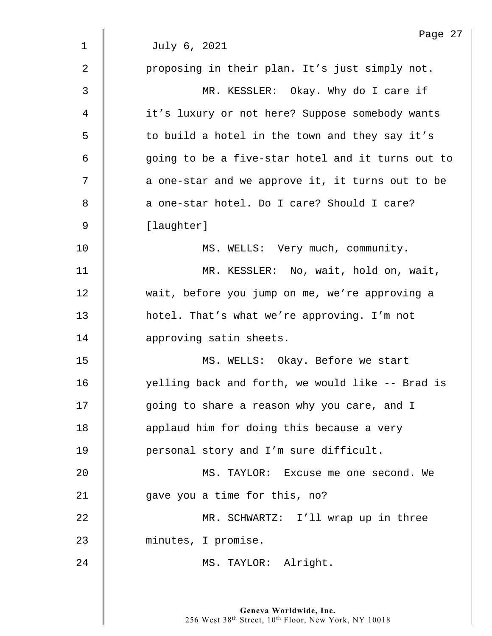|                | Page 27                                           |
|----------------|---------------------------------------------------|
| 1              | July 6, 2021                                      |
| $\overline{2}$ | proposing in their plan. It's just simply not.    |
| 3              | MR. KESSLER: Okay. Why do I care if               |
| 4              | it's luxury or not here? Suppose somebody wants   |
| 5              | to build a hotel in the town and they say it's    |
| 6              | going to be a five-star hotel and it turns out to |
| 7              | a one-star and we approve it, it turns out to be  |
| 8              | a one-star hotel. Do I care? Should I care?       |
| $\mathsf 9$    | [laughter]                                        |
| 10             | MS. WELLS: Very much, community.                  |
| 11             | MR. KESSLER: No, wait, hold on, wait,             |
| 12             | wait, before you jump on me, we're approving a    |
| 13             | hotel. That's what we're approving. I'm not       |
| 14             | approving satin sheets.                           |
| 15             | MS. WELLS: Okay. Before we start                  |
| 16             | yelling back and forth, we would like -- Brad is  |
| 17             | going to share a reason why you care, and I       |
| 18             | applaud him for doing this because a very         |
| 19             | personal story and I'm sure difficult.            |
| 20             | MS. TAYLOR: Excuse me one second. We              |
| 21             | gave you a time for this, no?                     |
| 22             | MR. SCHWARTZ: I'll wrap up in three               |
| 23             | minutes, I promise.                               |
| 24             | MS. TAYLOR: Alright.                              |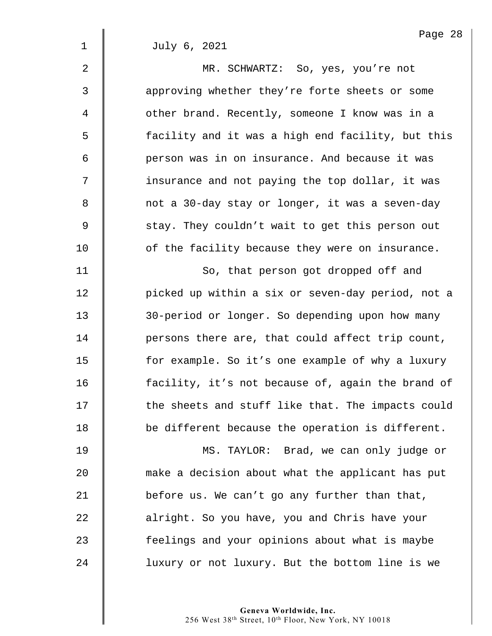| 2              | MR. SCHWARTZ: So, yes, you're not                 |
|----------------|---------------------------------------------------|
| 3              | approving whether they're forte sheets or some    |
| $\overline{4}$ | other brand. Recently, someone I know was in a    |
| 5              | facility and it was a high end facility, but this |
| 6              | person was in on insurance. And because it was    |
| 7              | insurance and not paying the top dollar, it was   |
| 8              | not a 30-day stay or longer, it was a seven-day   |
| 9              | stay. They couldn't wait to get this person out   |
| 10             | of the facility because they were on insurance.   |
| 11             | So, that person got dropped off and               |
| 12             | picked up within a six or seven-day period, not a |
| 13             | 30-period or longer. So depending upon how many   |
|                |                                                   |

14 **| persons there are, that could affect trip count,** 15 | for example. So it's one example of why a luxury 16 | facility, it's not because of, again the brand of 17 | the sheets and stuff like that. The impacts could 18 **be different because the operation is different.** 

19 MS. TAYLOR: Brad, we can only judge or **make a decision about what the applicant has put**  $\parallel$  before us. We can't go any further than that, **d** alright. So you have, you and Chris have your **feelings and your opinions about what is maybe** 24 | luxury or not luxury. But the bottom line is we

> **Geneva Worldwide, Inc.**  256 West 38th Street, 10th Floor, New York, NY 10018

Page 28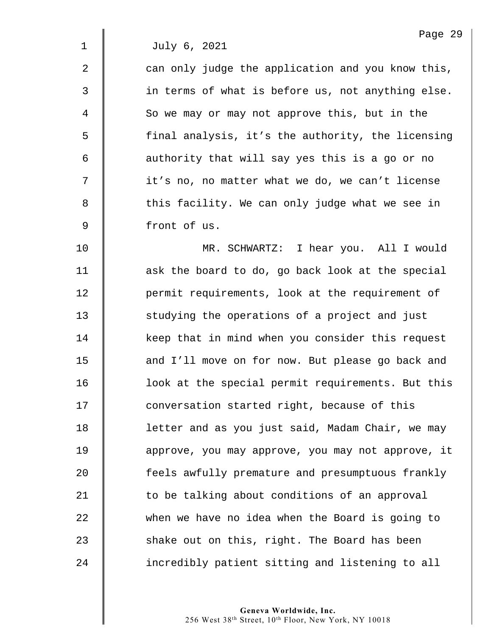$2 \parallel$  can only judge the application and you know this, 3 || in terms of what is before us, not anything else. 4 So we may or may not approve this, but in the 5 || final analysis, it's the authority, the licensing 6 | authority that will say yes this is a go or no 7 | it's no, no matter what we do, we can't license 8 || this facility. We can only judge what we see in 9 front of us.

10 MR. SCHWARTZ: I hear you. All I would 11 | ask the board to do, go back look at the special 12 **permit requirements, look at the requirement of** 13 Studying the operations of a project and just 14 xeep that in mind when you consider this request 15 | and I'll move on for now. But please go back and 16 **dec** look at the special permit requirements. But this 17 | conversation started right, because of this 18 | letter and as you just said, Madam Chair, we may 19 **duar** approve, you may approve, you may not approve, it 20 | feels awfully premature and presumptuous frankly 21  $\parallel$  to be talking about conditions of an approval 22 when we have no idea when the Board is going to  $23$   $\parallel$  shake out on this, right. The Board has been 24 **incredibly patient sitting and listening to all**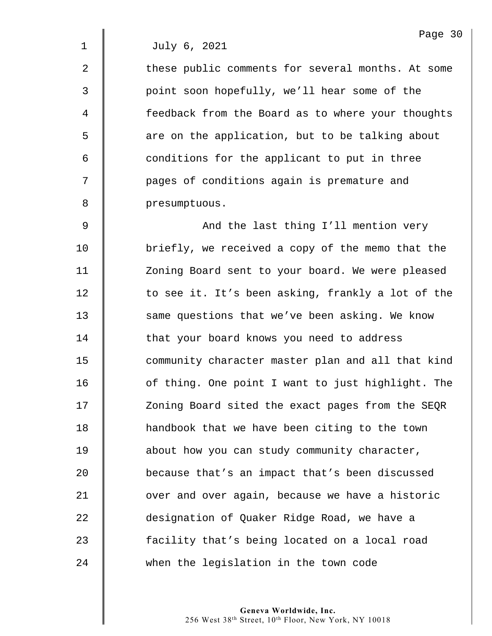2 The these public comments for several months. At some 3 || point soon hopefully, we'll hear some of the 4 feedback from the Board as to where your thoughts 5 | are on the application, but to be talking about  $6 \parallel$  conditions for the applicant to put in three 7 | pages of conditions again is premature and 8 **b** presumptuous.

9 | And the last thing I'll mention very 10 **briefly, we received a copy of the memo that the** 11 | Zoning Board sent to your board. We were pleased 12 | to see it. It's been asking, frankly a lot of the 13 Same questions that we've been asking. We know 14 | that your board knows you need to address 15 **deger** community character master plan and all that kind 16 **July 16** of thing. One point I want to just highlight. The 17 | Zoning Board sited the exact pages from the SEQR 18 | handbook that we have been citing to the town 19 **about** how you can study community character, 20 because that's an impact that's been discussed 21 **July 21** over and over again, because we have a historic 22 designation of Quaker Ridge Road, we have a 23 **facility that's being located on a local road** 24 when the legislation in the town code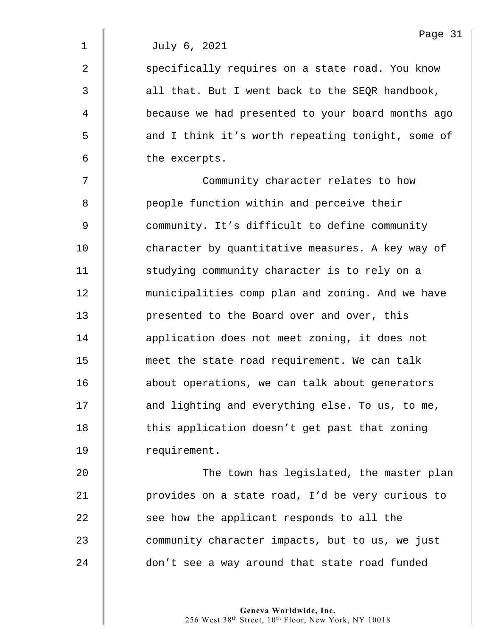2 Specifically requires on a state road. You know  $3 \parallel$  all that. But I went back to the SEQR handbook, 4 because we had presented to your board months ago 5 | and I think it's worth repeating tonight, some of  $6 \parallel$  the excerpts.

7 | Community character relates to how 8 **People function within and perceive their** 9 community. It's difficult to define community 10 **character by quantitative measures.** A key way of 11 | studying community character is to rely on a 12 **Municipalities comp plan and zoning. And we have** 13 **presented to the Board over and over, this** 14 **decive** application does not meet zoning, it does not 15 **meet the state road requirement.** We can talk 16 | about operations, we can talk about generators 17 | and lighting and everything else. To us, to me, 18 | this application doesn't get past that zoning 19 | requirement.

20 **The town has legislated, the master plan** 21 | provides on a state road, I'd be very curious to 22 see how the applicant responds to all the 23 community character impacts, but to us, we just 24 don't see a way around that state road funded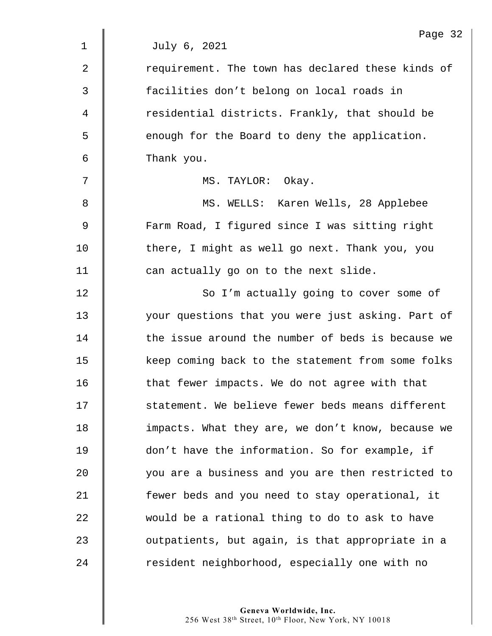|                | Page 32                                           |
|----------------|---------------------------------------------------|
| $\mathbf{1}$   | July 6, 2021                                      |
| $\overline{2}$ | requirement. The town has declared these kinds of |
| 3              | facilities don't belong on local roads in         |
| 4              | residential districts. Frankly, that should be    |
| 5              | enough for the Board to deny the application.     |
| 6              | Thank you.                                        |
| 7              | MS. TAYLOR: Okay.                                 |
| 8              | MS. WELLS: Karen Wells, 28 Applebee               |
| 9              | Farm Road, I figured since I was sitting right    |
| 10             | there, I might as well go next. Thank you, you    |
| 11             | can actually go on to the next slide.             |
| 12             | So I'm actually going to cover some of            |
| 13             | your questions that you were just asking. Part of |
| 14             | the issue around the number of beds is because we |
| 15             | keep coming back to the statement from some folks |
| 16             | that fewer impacts. We do not agree with that     |
| 17             | statement. We believe fewer beds means different  |
| 18             | impacts. What they are, we don't know, because we |
| 19             | don't have the information. So for example, if    |
| 20             | you are a business and you are then restricted to |
| 21             | fewer beds and you need to stay operational, it   |
| 22             | would be a rational thing to do to ask to have    |
| 23             | outpatients, but again, is that appropriate in a  |
| 24             | resident neighborhood, especially one with no     |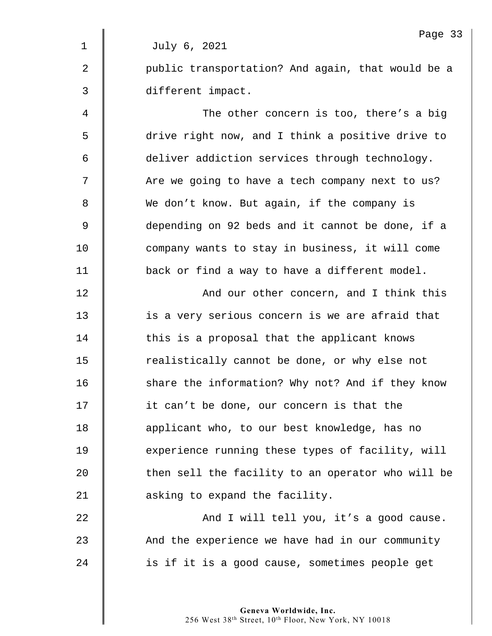|             | Page 33                                           |
|-------------|---------------------------------------------------|
| $\mathbf 1$ | July 6, 2021                                      |
| 2           | public transportation? And again, that would be a |
| 3           | different impact.                                 |
| 4           | The other concern is too, there's a big           |
| 5           | drive right now, and I think a positive drive to  |
| 6           | deliver addiction services through technology.    |
| 7           | Are we going to have a tech company next to us?   |
| 8           | We don't know. But again, if the company is       |
| 9           | depending on 92 beds and it cannot be done, if a  |
| 10          | company wants to stay in business, it will come   |
| 11          | back or find a way to have a different model.     |
| 12          | And our other concern, and I think this           |
| 13          | is a very serious concern is we are afraid that   |
| 14          | this is a proposal that the applicant knows       |
| 15          | realistically cannot be done, or why else not     |
| 16          | share the information? Why not? And if they know  |
| 17          | it can't be done, our concern is that the         |
| 18          | applicant who, to our best knowledge, has no      |
| 19          | experience running these types of facility, will  |
| 20          | then sell the facility to an operator who will be |
| 21          | asking to expand the facility.                    |
| 22          | And I will tell you, it's a good cause.           |
| 23          | And the experience we have had in our community   |
| 24          | is if it is a good cause, sometimes people get    |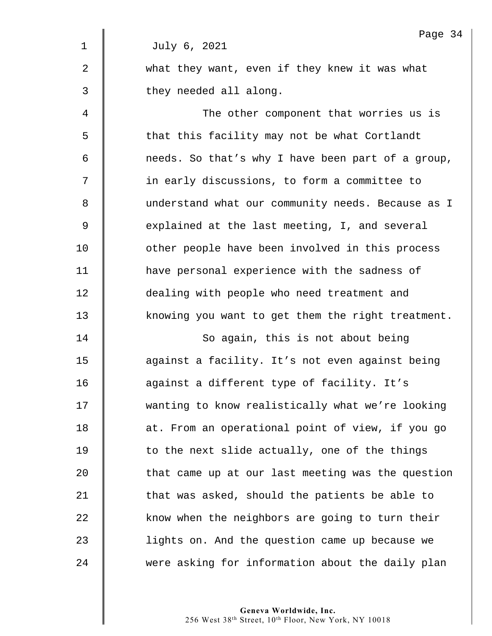|                | Page 34                                           |
|----------------|---------------------------------------------------|
| 1              | July 6, 2021                                      |
| $\overline{2}$ | what they want, even if they knew it was what     |
| 3              | they needed all along.                            |
| 4              | The other component that worries us is            |
| 5              | that this facility may not be what Cortlandt      |
| 6              | needs. So that's why I have been part of a group, |
| 7              | in early discussions, to form a committee to      |
| 8              | understand what our community needs. Because as I |
| 9              | explained at the last meeting, I, and several     |
| 10             | other people have been involved in this process   |
| 11             | have personal experience with the sadness of      |
| 12             | dealing with people who need treatment and        |
| 13             | knowing you want to get them the right treatment. |
| 14             | So again, this is not about being                 |
| 15             | against a facility. It's not even against being   |
| 16             | against a different type of facility. It's        |
| 17             | wanting to know realistically what we're looking  |
| 18             | at. From an operational point of view, if you go  |
| 19             | to the next slide actually, one of the things     |
| 20             | that came up at our last meeting was the question |
| 21             | that was asked, should the patients be able to    |
| 22             | know when the neighbors are going to turn their   |
| 23             | lights on. And the question came up because we    |
| 24             | were asking for information about the daily plan  |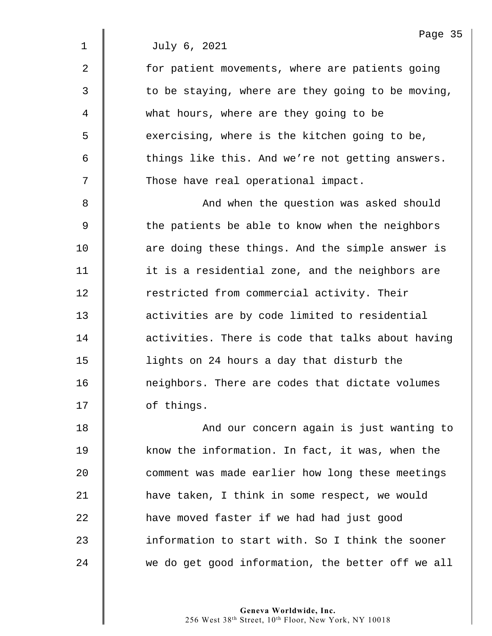2 | for patient movements, where are patients going  $3 \parallel$  to be staying, where are they going to be moving, 4 what hours, where are they going to be 5 S exercising, where is the kitchen going to be,  $6 \parallel$  things like this. And we're not getting answers. 7 | Those have real operational impact.

8 || And when the question was asked should 9 Solut the patients be able to know when the neighbors 10  $\parallel$  are doing these things. And the simple answer is 11 | it is a residential zone, and the neighbors are 12 Testricted from commercial activity. Their 13 **dece** activities are by code limited to residential 14 **dece** activities. There is code that talks about having 15 lights on 24 hours a day that disturb the 16 **n** neighbors. There are codes that dictate volumes 17 **J** of things.

18 || And our concern again is just wanting to 19 Know the information. In fact, it was, when the 20 **comment was made earlier how long these meetings** 21  $\parallel$  have taken, I think in some respect, we would 22 **have moved faster if we had had just good**  $23$   $\parallel$  information to start with. So I think the sooner 24 we do get good information, the better off we all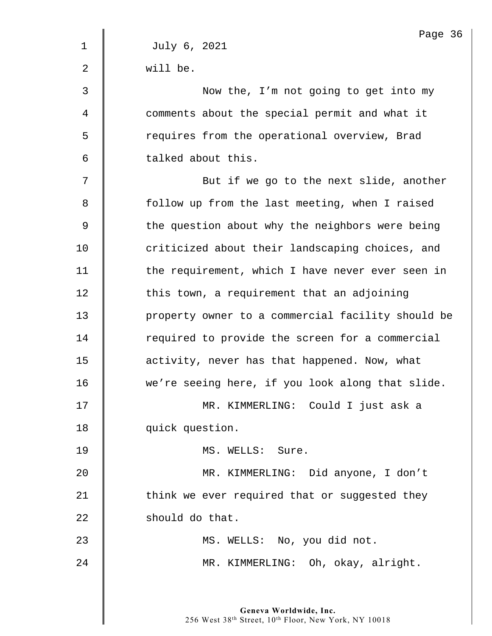|                | Page 36                                           |
|----------------|---------------------------------------------------|
| $\mathbf 1$    | July 6, 2021                                      |
| $\overline{2}$ | will be.                                          |
| 3              | Now the, I'm not going to get into my             |
| 4              | comments about the special permit and what it     |
| 5              | requires from the operational overview, Brad      |
| 6              | talked about this.                                |
| 7              | But if we go to the next slide, another           |
| 8              | follow up from the last meeting, when I raised    |
| 9              | the question about why the neighbors were being   |
| 10             | criticized about their landscaping choices, and   |
| 11             | the requirement, which I have never ever seen in  |
| 12             | this town, a requirement that an adjoining        |
| 13             | property owner to a commercial facility should be |
| 14             | required to provide the screen for a commercial   |
| 15             | activity, never has that happened. Now, what      |
| 16             | we're seeing here, if you look along that slide.  |
| 17             | MR. KIMMERLING: Could I just ask a                |
| 18             | quick question.                                   |
| 19             | MS. WELLS: Sure.                                  |
| 20             | MR. KIMMERLING: Did anyone, I don't               |
| 21             | think we ever required that or suggested they     |
| 22             | should do that.                                   |
| 23             | MS. WELLS: No, you did not.                       |
| 24             | MR. KIMMERLING: Oh, okay, alright.                |
|                |                                                   |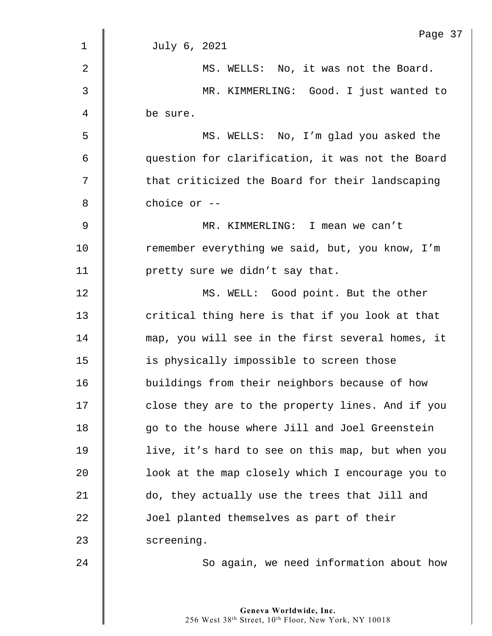| $\mathbf{1}$   | Page 37<br>July 6, 2021                          |
|----------------|--------------------------------------------------|
|                |                                                  |
| $\overline{2}$ | MS. WELLS: No, it was not the Board.             |
| 3              | MR. KIMMERLING: Good. I just wanted to           |
| 4              | be sure.                                         |
| 5              | MS. WELLS: No, I'm glad you asked the            |
| 6              | question for clarification, it was not the Board |
| 7              | that criticized the Board for their landscaping  |
| 8              | choice or --                                     |
| 9              | MR. KIMMERLING: I mean we can't                  |
| 10             | remember everything we said, but, you know, I'm  |
| 11             | pretty sure we didn't say that.                  |
| 12             | MS. WELL: Good point. But the other              |
| 13             | critical thing here is that if you look at that  |
| 14             | map, you will see in the first several homes, it |
| 15             | is physically impossible to screen those         |
| 16             | buildings from their neighbors because of how    |
| 17             | close they are to the property lines. And if you |
| 18             | go to the house where Jill and Joel Greenstein   |
| 19             | live, it's hard to see on this map, but when you |
| 20             | look at the map closely which I encourage you to |
| 21             | do, they actually use the trees that Jill and    |
| 22             | Joel planted themselves as part of their         |
| 23             | screening.                                       |
| 24             | So again, we need information about how          |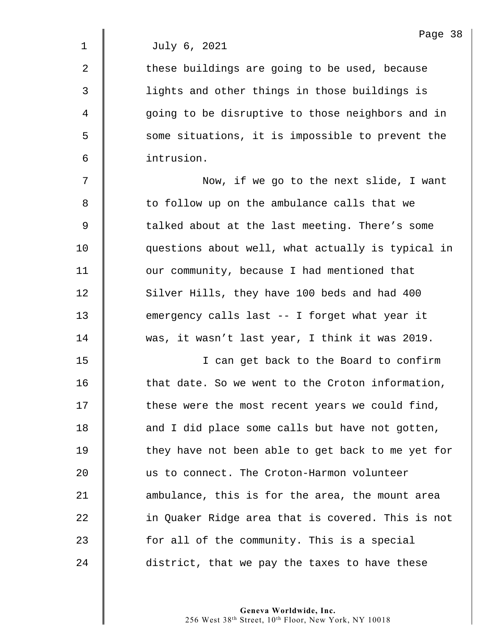2 | these buildings are going to be used, because 3 lights and other things in those buildings is 4 || going to be disruptive to those neighbors and in 5 S some situations, it is impossible to prevent the 6 intrusion.

7 Now, if we go to the next slide, I want 8 | to follow up on the ambulance calls that we 9  $\parallel$  talked about at the last meeting. There's some 10 questions about well, what actually is typical in 11 | our community, because I had mentioned that 12 Silver Hills, they have 100 beds and had 400 13 emergency calls last -- I forget what year it 14 was, it wasn't last year, I think it was 2019.

15 I can get back to the Board to confirm  $\parallel$  that date. So we went to the Croton information,  $\parallel$  these were the most recent years we could find, **and I did place some calls but have not gotten,**  $\parallel$  they have not been able to get back to me yet for 20 us to connect. The Croton-Harmon volunteer **ambulance, this is for the area, the mount area in Quaker Ridge area that is covered. This is not**  $\parallel$  for all of the community. This is a special 24 district, that we pay the taxes to have these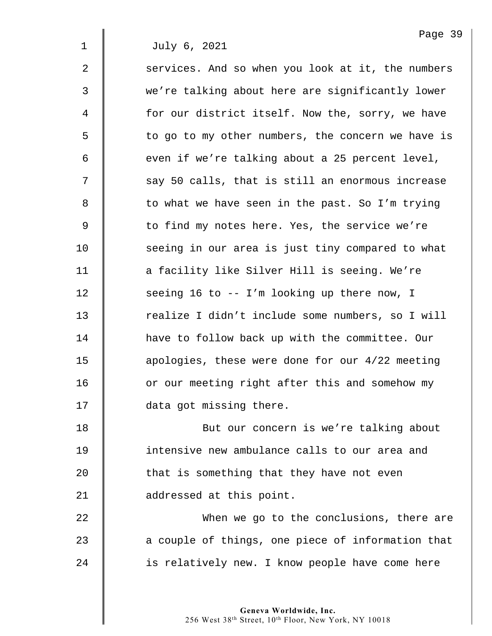2 Services. And so when you look at it, the numbers 3 we're talking about here are significantly lower 4 | for our district itself. Now the, sorry, we have 5 | to go to my other numbers, the concern we have is  $6 \parallel$  even if we're talking about a 25 percent level,  $7 \parallel$  say 50 calls, that is still an enormous increase 8 | to what we have seen in the past. So I'm trying 9 | to find my notes here. Yes, the service we're 10 | seeing in our area is just tiny compared to what 11 | a facility like Silver Hill is seeing. We're 12 | seeing 16 to -- I'm looking up there now, I 13 The realize I didn't include some numbers, so I will 14 **have to follow back up with the committee. Our** 15 **deg 15** apologies, these were done for our 4/22 meeting 16 | or our meeting right after this and somehow my 17 **data** got missing there.

**But our concern is we're talking about I** intensive new ambulance calls to our area and  $\parallel$  that is something that they have not even **d** addressed at this point.

22 **When we go to the conclusions, there are** 23 **a** couple of things, one piece of information that 24 | is relatively new. I know people have come here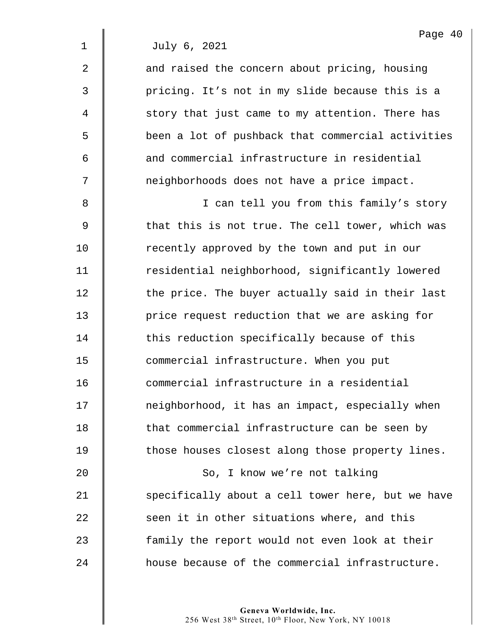2 | and raised the concern about pricing, housing 3 | pricing. It's not in my slide because this is a 4 | story that just came to my attention. There has 5 | been a lot of pushback that commercial activities 6  $\parallel$  and commercial infrastructure in residential 7 || meighborhoods does not have a price impact.

8 || I can tell you from this family's story 9  $\parallel$  that this is not true. The cell tower, which was 10 **Fig.** recently approved by the town and put in our 11 | residential neighborhood, significantly lowered  $12$   $\parallel$  the price. The buyer actually said in their last 13 **price request reduction that we are asking for** 14 This reduction specifically because of this 15 **Quart Light** commercial infrastructure. When you put 16 **commercial infrastructure in a residential** 17 | neighborhood, it has an impact, especially when 18 | that commercial infrastructure can be seen by 19 | those houses closest along those property lines. 20 | So, I know we're not talking 21 Specifically about a cell tower here, but we have 22  $\parallel$  seen it in other situations where, and this 23 | family the report would not even look at their

24 **h** house because of the commercial infrastructure.

**Geneva Worldwide, Inc.**  256 West 38th Street, 10th Floor, New York, NY 10018 Page 40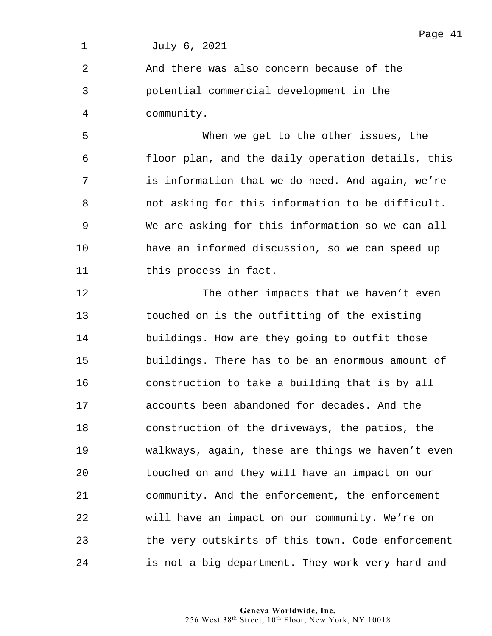|              | Page 41                                           |
|--------------|---------------------------------------------------|
| $\mathbf{1}$ | July 6, 2021                                      |
| 2            | And there was also concern because of the         |
| 3            | potential commercial development in the           |
| 4            | community.                                        |
| 5            | When we get to the other issues, the              |
| 6            | floor plan, and the daily operation details, this |
| 7            | is information that we do need. And again, we're  |
| 8            | not asking for this information to be difficult.  |
| $\mathsf 9$  | We are asking for this information so we can all  |
| 10           | have an informed discussion, so we can speed up   |
| 11           | this process in fact.                             |
| 12           | The other impacts that we haven't even            |
| 13           | touched on is the outfitting of the existing      |
| 14           | buildings. How are they going to outfit those     |
| 15           | buildings. There has to be an enormous amount of  |
| 16           | construction to take a building that is by all    |
| 17           | accounts been abandoned for decades. And the      |
| 18           | construction of the driveways, the patios, the    |
| 19           | walkways, again, these are things we haven't even |
| 20           | touched on and they will have an impact on our    |
| 21           | community. And the enforcement, the enforcement   |
| 22           | will have an impact on our community. We're on    |
| 23           | the very outskirts of this town. Code enforcement |
| 24           | is not a big department. They work very hard and  |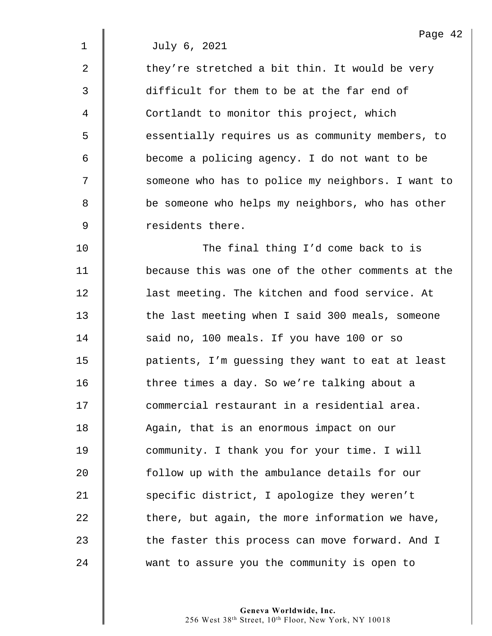2  $\parallel$  they're stretched a bit thin. It would be very 3 difficult for them to be at the far end of 4 | Cortlandt to monitor this project, which 5 | essentially requires us as community members, to 6 become a policing agency. I do not want to be 7 | Someone who has to police my neighbors. I want to 8 **be someone who helps my neighbors, who has other** 9 **9** residents there.

10 | The final thing I'd come back to is 11 because this was one of the other comments at the 12 **last meeting. The kitchen and food service. At** 13 The last meeting when I said 300 meals, someone 14 | said no, 100 meals. If you have 100 or so 15 | patients, I'm guessing they want to eat at least 16 There times a day. So we're talking about a 17  $\parallel$  commercial restaurant in a residential area. 18 | Again, that is an enormous impact on our 19 **community.** I thank you for your time. I will 20 **follow** up with the ambulance details for our 21 Specific district, I apologize they weren't  $22$   $\parallel$  there, but again, the more information we have, 23 The faster this process can move forward. And I 24 want to assure you the community is open to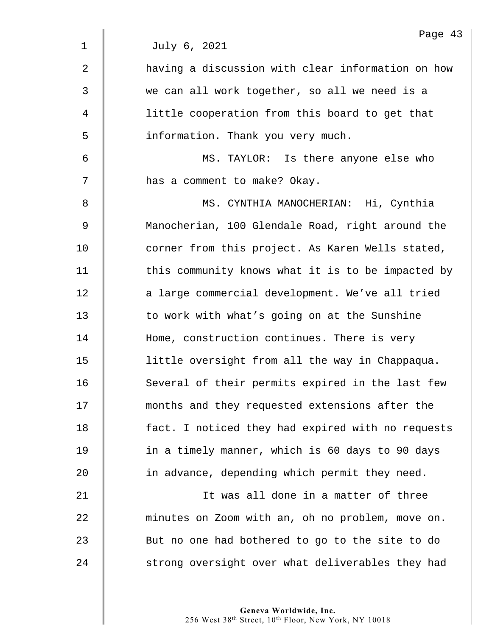|                | Page 43                                           |
|----------------|---------------------------------------------------|
| $\mathbf 1$    | July 6, 2021                                      |
| $\overline{a}$ | having a discussion with clear information on how |
| 3              | we can all work together, so all we need is a     |
| 4              | little cooperation from this board to get that    |
| 5              | information. Thank you very much.                 |
| 6              | MS. TAYLOR: Is there anyone else who              |
| 7              | has a comment to make? Okay.                      |
| 8              | MS. CYNTHIA MANOCHERIAN: Hi, Cynthia              |
| 9              | Manocherian, 100 Glendale Road, right around the  |
| 10             | corner from this project. As Karen Wells stated,  |
| 11             | this community knows what it is to be impacted by |
| 12             | a large commercial development. We've all tried   |
| 13             | to work with what's going on at the Sunshine      |
| 14             | Home, construction continues. There is very       |
| 15             | little oversight from all the way in Chappaqua.   |
| 16             | Several of their permits expired in the last few  |
| 17             | months and they requested extensions after the    |
| 18             | fact. I noticed they had expired with no requests |
| 19             | in a timely manner, which is 60 days to 90 days   |
| 20             | in advance, depending which permit they need.     |
| 21             | It was all done in a matter of three              |
| 22             | minutes on Zoom with an, oh no problem, move on.  |
| 23             | But no one had bothered to go to the site to do   |
| 24             | strong oversight over what deliverables they had  |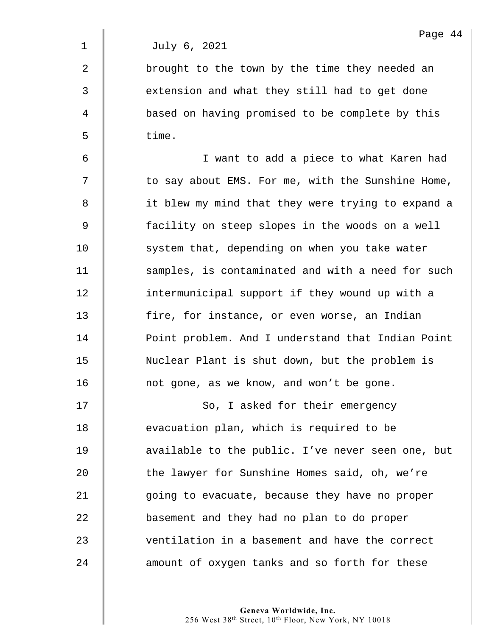2 | brought to the town by the time they needed an 3 | extension and what they still had to get done 4 | based on having promised to be complete by this  $5 \parallel$  time.

6 I want to add a piece to what Karen had 7 | to say about EMS. For me, with the Sunshine Home, 8 | it blew my mind that they were trying to expand a 9 facility on steep slopes in the woods on a well 10 **System that, depending on when you take water** 11 | samples, is contaminated and with a need for such 12 **intermunicipal support if they wound up with a** 13 | fire, for instance, or even worse, an Indian 14 **Point problem.** And I understand that Indian Point 15 Nuclear Plant is shut down, but the problem is  $16$  | not gone, as we know, and won't be gone.

17 | So, I asked for their emergency **evacuation plan, which is required to be d** available to the public. I've never seen one, but 20 The lawyer for Sunshine Homes said, oh, we're 21 | qoing to evacuate, because they have no proper **basement and they had no plan to do proper**  $\parallel$  ventilation in a basement and have the correct  $\parallel$  amount of oxygen tanks and so forth for these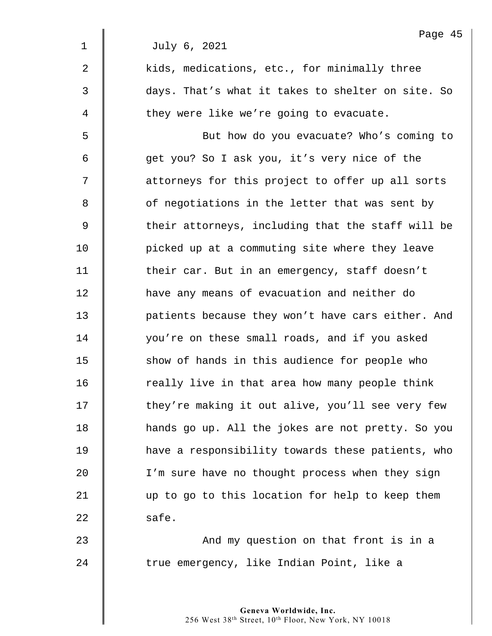|             | Page 45                                           |
|-------------|---------------------------------------------------|
| $\mathbf 1$ | July 6, 2021                                      |
| 2           | kids, medications, etc., for minimally three      |
| 3           | days. That's what it takes to shelter on site. So |
| 4           | they were like we're going to evacuate.           |
| 5           | But how do you evacuate? Who's coming to          |
| 6           | get you? So I ask you, it's very nice of the      |
| 7           | attorneys for this project to offer up all sorts  |
| 8           | of negotiations in the letter that was sent by    |
| 9           | their attorneys, including that the staff will be |
| 10          | picked up at a commuting site where they leave    |
| 11          | their car. But in an emergency, staff doesn't     |
| 12          | have any means of evacuation and neither do       |
| 13          | patients because they won't have cars either. And |
| 14          | you're on these small roads, and if you asked     |
| 15          | show of hands in this audience for people who     |
| 16          | really live in that area how many people think    |
| 17          | they're making it out alive, you'll see very few  |
| 18          | hands go up. All the jokes are not pretty. So you |
| 19          | have a responsibility towards these patients, who |
| 20          | I'm sure have no thought process when they sign   |
| 21          | up to go to this location for help to keep them   |
| 22          | safe.                                             |
| 23          | And my question on that front is in a             |
| 24          | true emergency, like Indian Point, like a         |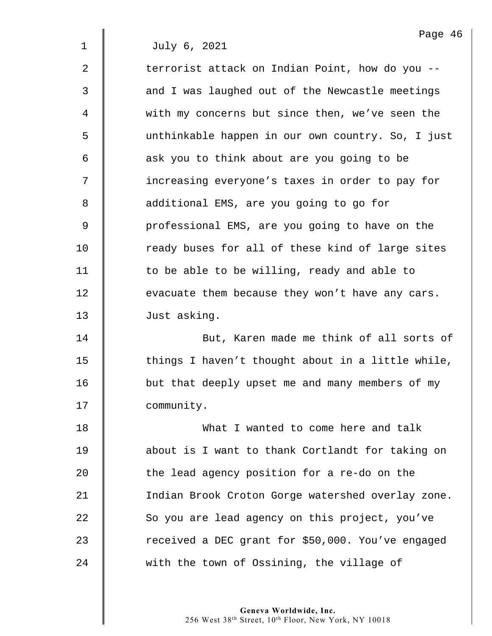$2 \parallel$  terrorist attack on Indian Point, how do you --3  $\parallel$  and I was laughed out of the Newcastle meetings 4 with my concerns but since then, we've seen the 5 unthinkable happen in our own country. So, I just 6 | ask you to think about are you going to be 7  $\parallel$  increasing everyone's taxes in order to pay for 8 **d** additional EMS, are you going to go for 9 | professional EMS, are you going to have on the 10 Teady buses for all of these kind of large sites 11 | to be able to be willing, ready and able to  $12$   $\parallel$  evacuate them because they won't have any cars. 13 | Just asking.

14 **But, Karen made me think of all sorts of** 15  $\parallel$  things I haven't thought about in a little while, 16 | but that deeply upset me and many members of my 17 | community.

18 What I wanted to come here and talk 19 about is I want to thank Cortlandt for taking on 20 **the lead agency position for a re-do on the** 21 | Indian Brook Croton Gorge watershed overlay zone. 22 So you are lead agency on this project, you've 23 The received a DEC grant for \$50,000. You've engaged 24 with the town of Ossining, the village of

> **Geneva Worldwide, Inc.**  256 West 38th Street, 10th Floor, New York, NY 10018

Page 46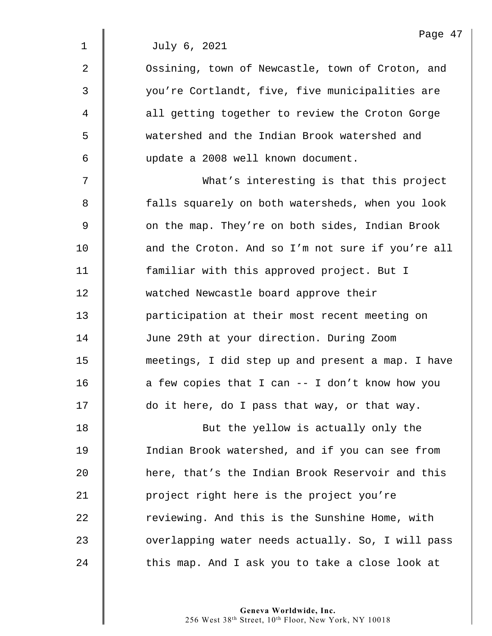|                | Page 4                                            |
|----------------|---------------------------------------------------|
| $\mathbf{1}$   | July 6, 2021                                      |
| $\overline{2}$ | Ossining, town of Newcastle, town of Croton, and  |
| 3              | you're Cortlandt, five, five municipalities are   |
| 4              | all getting together to review the Croton Gorge   |
| 5              | watershed and the Indian Brook watershed and      |
| 6              | update a 2008 well known document.                |
| 7              | What's interesting is that this project           |
| 8              | falls squarely on both watersheds, when you look  |
| 9              | on the map. They're on both sides, Indian Brook   |
| 10             | and the Croton. And so I'm not sure if you're all |
| 11             | familiar with this approved project. But I        |
| 12             | watched Newcastle board approve their             |
| 13             | participation at their most recent meeting on     |
| 14             | June 29th at your direction. During Zoom          |
| 15             | meetings, I did step up and present a map. I have |
| 16             | a few copies that I can -- I don't know how you   |
| 17             | do it here, do I pass that way, or that way.      |
| 18             | But the yellow is actually only the               |
| 19             | Indian Brook watershed, and if you can see from   |
| 20             | here, that's the Indian Brook Reservoir and this  |
| 21             | project right here is the project you're          |
| 22             | reviewing. And this is the Sunshine Home, with    |
| 23             | overlapping water needs actually. So, I will pass |
| 24             | this map. And I ask you to take a close look at   |

Page 47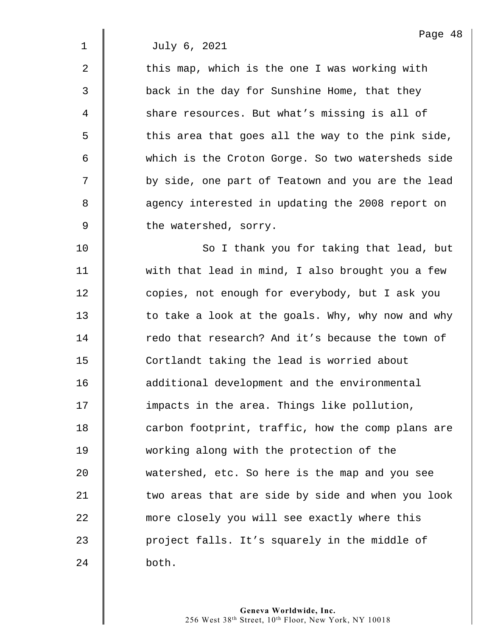$2 \parallel$  this map, which is the one I was working with 3 back in the day for Sunshine Home, that they 4 Share resources. But what's missing is all of  $5 \parallel$  this area that goes all the way to the pink side, 6 which is the Croton Gorge. So two watersheds side 7 | by side, one part of Teatown and you are the lead 8 **8** agency interested in updating the 2008 report on  $9 \parallel$  the watershed, sorry.

10 | So I thank you for taking that lead, but 11 | with that lead in mind, I also brought you a few 12 **duar 12** copies, not enough for everybody, but I ask you  $13$  to take a look at the goals. Why, why now and why 14 The redo that research? And it's because the town of 15 | Cortlandt taking the lead is worried about 16 **d** additional development and the environmental 17 | impacts in the area. Things like pollution, 18 | carbon footprint, traffic, how the comp plans are 19 working along with the protection of the 20 watershed, etc. So here is the map and you see  $21$   $\parallel$  two areas that are side by side and when you look 22 more closely you will see exactly where this 23 | project falls. It's squarely in the middle of  $24$  both.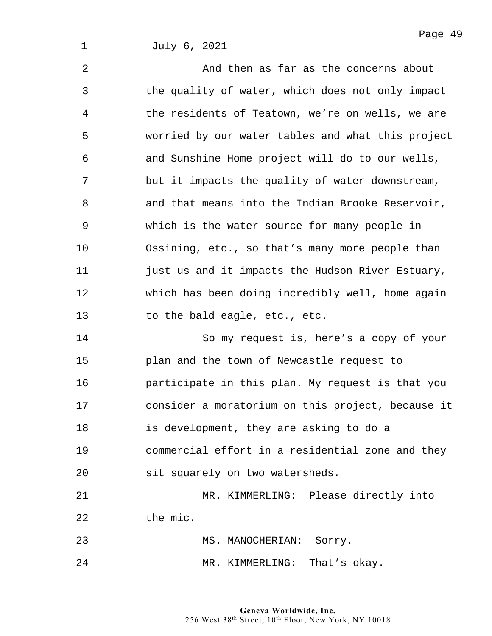2 And then as far as the concerns about 3 The quality of water, which does not only impact 4  $\parallel$  the residents of Teatown, we're on wells, we are 5 worried by our water tables and what this project  $6$  | and Sunshine Home project will do to our wells,  $7 \parallel$  but it impacts the quality of water downstream, 8  $\parallel$  and that means into the Indian Brooke Reservoir, 9 which is the water source for many people in 10 **Ossining, etc., so that's many more people than** 11 | just us and it impacts the Hudson River Estuary, 12 which has been doing incredibly well, home again 13 **to the bald eagle, etc., etc.** 14 | So my request is, here's a copy of your

15 | plan and the town of Newcastle request to 16 | participate in this plan. My request is that you 17 | consider a moratorium on this project, because it 18 **is development, they are asking to do a** 19 **I** commercial effort in a residential zone and they 20 | sit squarely on two watersheds.

21 | MR. KIMMERLING: Please directly into  $22 \parallel$  the mic.

23 || MS. MANOCHERIAN: Sorry. 24 MR. KIMMERLING: That's okay.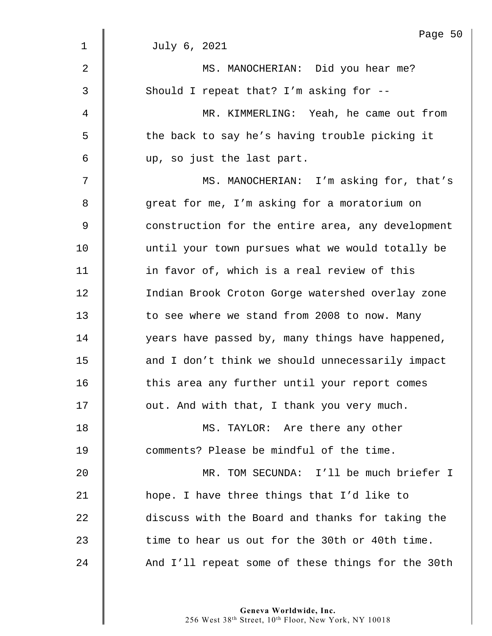|                | Page 50                                           |
|----------------|---------------------------------------------------|
| $\mathbf 1$    | July 6, 2021                                      |
| $\overline{2}$ | MS. MANOCHERIAN: Did you hear me?                 |
| 3              | Should I repeat that? I'm asking for --           |
| 4              | MR. KIMMERLING: Yeah, he came out from            |
| 5              | the back to say he's having trouble picking it    |
| 6              | up, so just the last part.                        |
| 7              | MS. MANOCHERIAN: I'm asking for, that's           |
| 8              | great for me, I'm asking for a moratorium on      |
| $\mathsf 9$    | construction for the entire area, any development |
| 10             | until your town pursues what we would totally be  |
| 11             | in favor of, which is a real review of this       |
| 12             | Indian Brook Croton Gorge watershed overlay zone  |
| 13             | to see where we stand from 2008 to now. Many      |
| 14             | years have passed by, many things have happened,  |
| 15             | and I don't think we should unnecessarily impact  |
| 16             | this area any further until your report comes     |
| 17             | out. And with that, I thank you very much.        |
| 18             | MS. TAYLOR: Are there any other                   |
| 19             | comments? Please be mindful of the time.          |
| 20             | MR. TOM SECUNDA: I'll be much briefer I           |
| 21             | hope. I have three things that I'd like to        |
| 22             | discuss with the Board and thanks for taking the  |
| 23             | time to hear us out for the 30th or 40th time.    |
| 24             | And I'll repeat some of these things for the 30th |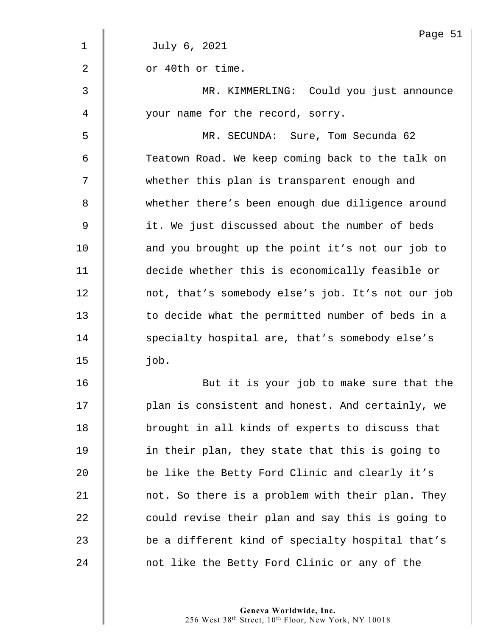|    | Page 51                                           |
|----|---------------------------------------------------|
| 1  | July 6, 2021                                      |
| 2  | or 40th or time.                                  |
| 3  | MR. KIMMERLING: Could you just announce           |
| 4  | your name for the record, sorry.                  |
| 5  | MR. SECUNDA: Sure, Tom Secunda 62                 |
| 6  | Teatown Road. We keep coming back to the talk on  |
| 7  | whether this plan is transparent enough and       |
| 8  | whether there's been enough due diligence around  |
| 9  | it. We just discussed about the number of beds    |
| 10 | and you brought up the point it's not our job to  |
| 11 | decide whether this is economically feasible or   |
| 12 | not, that's somebody else's job. It's not our job |
| 13 | to decide what the permitted number of beds in a  |
| 14 | specialty hospital are, that's somebody else's    |
| 15 | job.                                              |
| 16 | But it is your job to make sure that the          |
| 17 | plan is consistent and honest. And certainly, we  |
| 18 | brought in all kinds of experts to discuss that   |
| 19 | in their plan, they state that this is going to   |
| 20 | be like the Betty Ford Clinic and clearly it's    |
| 21 | not. So there is a problem with their plan. They  |
| 22 | could revise their plan and say this is going to  |
| 23 | be a different kind of specialty hospital that's  |
| 24 | not like the Betty Ford Clinic or any of the      |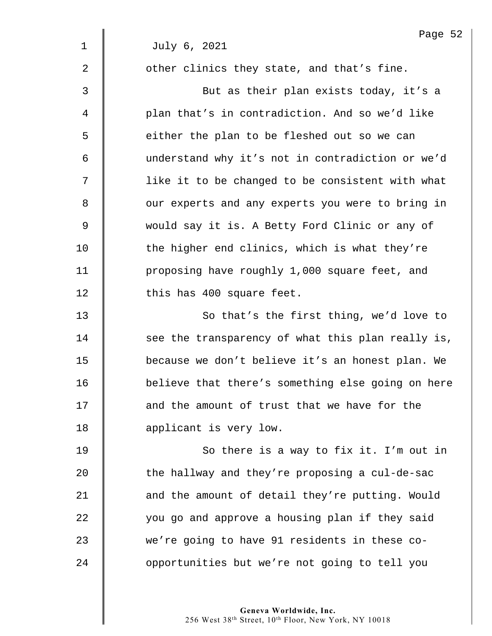|             | Page 52                                           |
|-------------|---------------------------------------------------|
| $\mathbf 1$ | July 6, 2021                                      |
| 2           | other clinics they state, and that's fine.        |
| 3           | But as their plan exists today, it's a            |
| 4           | plan that's in contradiction. And so we'd like    |
| 5           | either the plan to be fleshed out so we can       |
| 6           | understand why it's not in contradiction or we'd  |
| 7           | like it to be changed to be consistent with what  |
| 8           | our experts and any experts you were to bring in  |
| 9           | would say it is. A Betty Ford Clinic or any of    |
| 10          | the higher end clinics, which is what they're     |
| 11          | proposing have roughly 1,000 square feet, and     |
| 12          | this has 400 square feet.                         |
| 13          | So that's the first thing, we'd love to           |
| 14          | see the transparency of what this plan really is, |
| 15          | because we don't believe it's an honest plan. We  |
| 16          | believe that there's something else going on here |
| 17          | and the amount of trust that we have for the      |
| 18          | applicant is very low.                            |
| 19          | So there is a way to fix it. I'm out in           |
| 20          | the hallway and they're proposing a cul-de-sac    |
| 21          | and the amount of detail they're putting. Would   |
| 22          | you go and approve a housing plan if they said    |
| 23          | we're going to have 91 residents in these co-     |

24 | opportunities but we're not going to tell you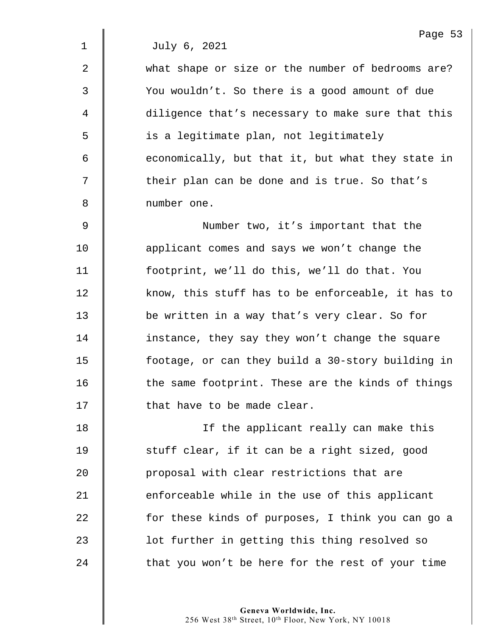2 what shape or size or the number of bedrooms are? 3 You wouldn't. So there is a good amount of due 4 diligence that's necessary to make sure that this 5 | is a legitimate plan, not legitimately  $6 \parallel$  economically, but that it, but what they state in 7  $\parallel$  their plan can be done and is true. So that's 8 | number one. 9 || Number two, it's important that the 10 **applicant comes and says we won't change the** 11 footprint, we'll do this, we'll do that. You 12 know, this stuff has to be enforceable, it has to 13 be written in a way that's very clear. So for 14 | instance, they say they won't change the square 15 footage, or can they build a 30-story building in  $16$   $\parallel$  the same footprint. These are the kinds of things 17 | that have to be made clear. 18 If the applicant really can make this 19 | stuff clear, if it can be a right sized, good 20 **deg** proposal with clear restrictions that are 21  $\parallel$  enforceable while in the use of this applicant

22 **for these kinds of purposes, I think you can go a** 23 | lot further in getting this thing resolved so  $24$  | that you won't be here for the rest of your time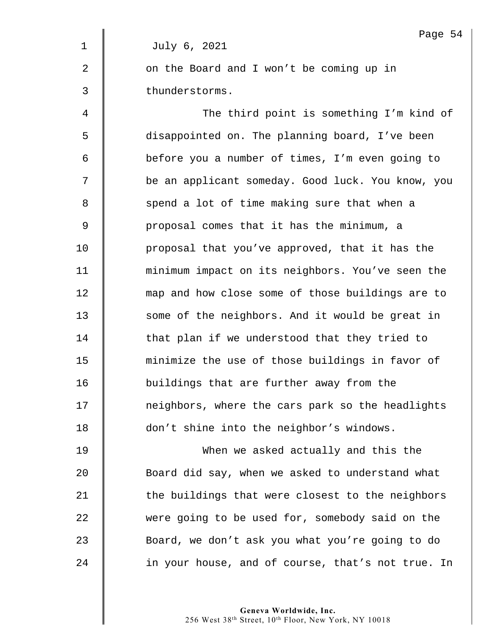|                | Page 54                                           |
|----------------|---------------------------------------------------|
| $\mathbf 1$    | July 6, 2021                                      |
| 2              | on the Board and I won't be coming up in          |
| 3              | thunderstorms.                                    |
| $\overline{4}$ | The third point is something I'm kind of          |
| 5              | disappointed on. The planning board, I've been    |
| 6              | before you a number of times, I'm even going to   |
| 7              | be an applicant someday. Good luck. You know, you |
| 8              | spend a lot of time making sure that when a       |
| 9              | proposal comes that it has the minimum, a         |
| 10             | proposal that you've approved, that it has the    |
| 11             | minimum impact on its neighbors. You've seen the  |
| 12             | map and how close some of those buildings are to  |
| 13             | some of the neighbors. And it would be great in   |
| 14             | that plan if we understood that they tried to     |
| 15             | minimize the use of those buildings in favor of   |
| 16             | buildings that are further away from the          |
| 17             | neighbors, where the cars park so the headlights  |
| 18             | don't shine into the neighbor's windows.          |
|                |                                                   |

19 | When we asked actually and this the 20 Soard did say, when we asked to understand what  $21$   $\parallel$  the buildings that were closest to the neighbors 22 were going to be used for, somebody said on the 23 **Board, we don't ask you what you're going to do** 24 **in** your house, and of course, that's not true. In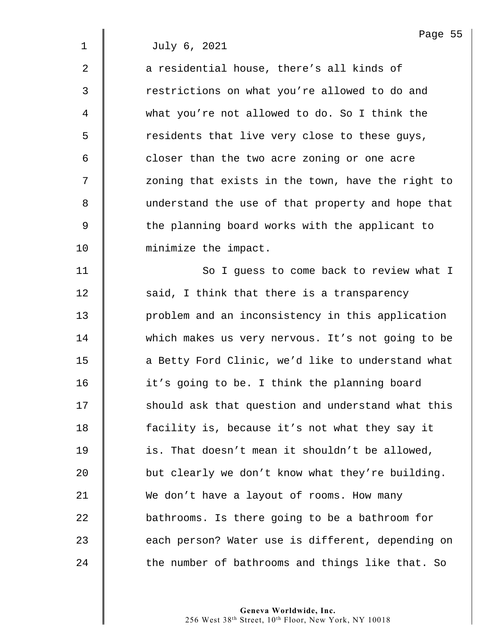$2 \parallel$  a residential house, there's all kinds of 3 | Testrictions on what you're allowed to do and 4 what you're not allowed to do. So I think the 5 S residents that live very close to these guys,  $6 \parallel$  closer than the two acre zoning or one acre 7 | zoning that exists in the town, have the right to 8 understand the use of that property and hope that 9 Solut the planning board works with the applicant to 10 minimize the impact.

11 | So I guess to come back to review what I  $\parallel$  said, I think that there is a transparency **problem and an inconsistency in this application** 14 which makes us very nervous. It's not going to be **d** a Betty Ford Clinic, we'd like to understand what **i** it's going to be. I think the planning board 17 | should ask that question and understand what this **facility is, because it's not what they say it is.** That doesn't mean it shouldn't be allowed,  $\parallel$  but clearly we don't know what they're building. 21 We don't have a layout of rooms. How many **bathrooms.** Is there going to be a bathroom for 23 | each person? Water use is different, depending on  $\parallel$  the number of bathrooms and things like that. So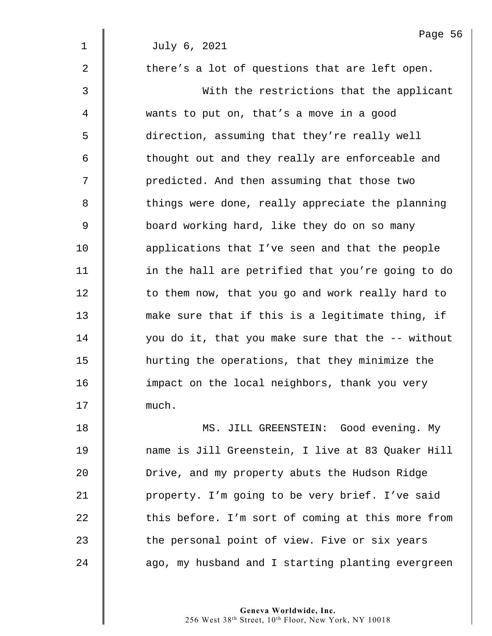$2 \parallel$  there's a lot of questions that are left open.

3 With the restrictions that the applicant 4 wants to put on, that's a move in a good 5 direction, assuming that they're really well 6 | thought out and they really are enforceable and 7 | predicted. And then assuming that those two 8 things were done, really appreciate the planning 9 | board working hard, like they do on so many 10 **deg** applications that I've seen and that the people 11 | in the hall are petrified that you're going to do 12 | to them now, that you go and work really hard to 13 make sure that if this is a legitimate thing, if 14 you do it, that you make sure that the -- without 15 hurting the operations, that they minimize the 16 **impact on the local neighbors, thank you very** 17 | much.

18 MS. JILL GREENSTEIN: Good evening. My 19 name is Jill Greenstein, I live at 83 Quaker Hill 20 **Drive, and my property abuts the Hudson Ridge** 21 | property. I'm going to be very brief. I've said  $22$   $\parallel$  this before. I'm sort of coming at this more from 23 The personal point of view. Five or six years 24 | ago, my husband and I starting planting evergreen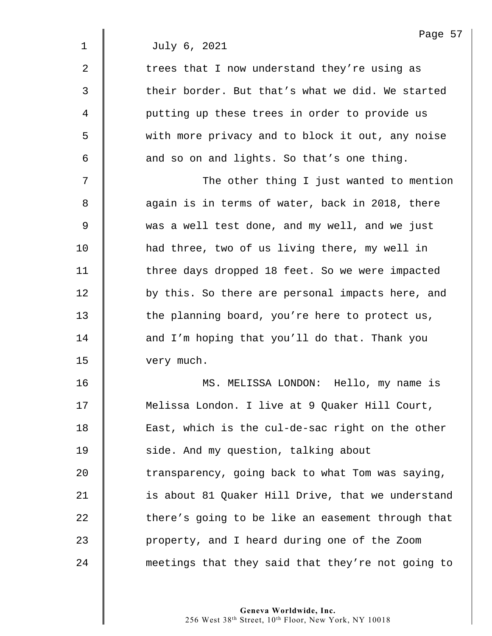$2 \parallel$  trees that I now understand they're using as  $3$   $\parallel$  their border. But that's what we did. We started 4 | putting up these trees in order to provide us 5 with more privacy and to block it out, any noise  $6 \parallel$  and so on and lights. So that's one thing.

7 The other thing I just wanted to mention 8  $\parallel$  again is in terms of water, back in 2018, there 9 was a well test done, and my well, and we just 10 **had three, two of us living there, my well in** 11 | three days dropped 18 feet. So we were impacted 12 **by this.** So there are personal impacts here, and 13 The planning board, you're here to protect us, 14 **d** and I'm hoping that you'll do that. Thank you 15 **very much.** 

16 MS. MELISSA LONDON: Hello, my name is 17 | Melissa London. I live at 9 Quaker Hill Court, 18 | East, which is the cul-de-sac right on the other 19 | side. And my question, talking about  $20$   $\parallel$  transparency, going back to what Tom was saying, 21 | is about 81 Quaker Hill Drive, that we understand 22 There's going to be like an easement through that 23 | property, and I heard during one of the Zoom 24 meetings that they said that they're not going to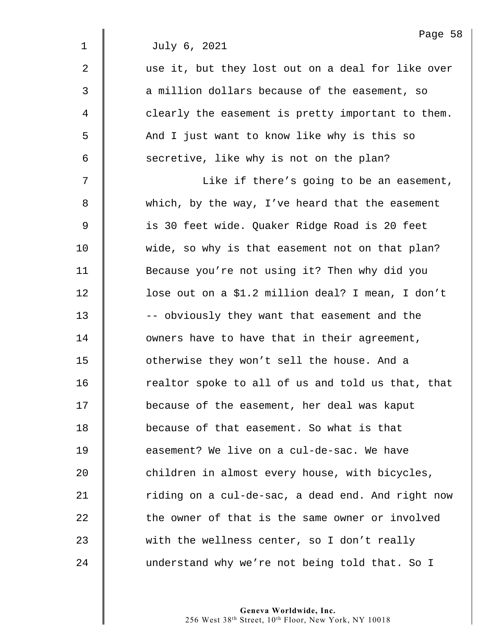|             | Page 58                                           |
|-------------|---------------------------------------------------|
| $\mathbf 1$ | July 6, 2021                                      |
| 2           | use it, but they lost out on a deal for like over |
| 3           | a million dollars because of the easement, so     |
| 4           | clearly the easement is pretty important to them. |
| 5           | And I just want to know like why is this so       |
| 6           | secretive, like why is not on the plan?           |
| 7           | Like if there's going to be an easement,          |
| 8           | which, by the way, I've heard that the easement   |
| 9           | is 30 feet wide. Quaker Ridge Road is 20 feet     |
| 10          | wide, so why is that easement not on that plan?   |
| 11          | Because you're not using it? Then why did you     |
| 12          | lose out on a \$1.2 million deal? I mean, I don't |
| 13          | -- obviously they want that easement and the      |
| 14          | owners have to have that in their agreement,      |
| 15          | otherwise they won't sell the house. And a        |
| 16          | realtor spoke to all of us and told us that, that |
| 17          | because of the easement, her deal was kaput       |
| 18          | because of that easement. So what is that         |
| 19          | easement? We live on a cul-de-sac. We have        |
| 20          | children in almost every house, with bicycles,    |
| 21          | riding on a cul-de-sac, a dead end. And right now |
| 22          | the owner of that is the same owner or involved   |
| 23          | with the wellness center, so I don't really       |
| 24          | understand why we're not being told that. So I    |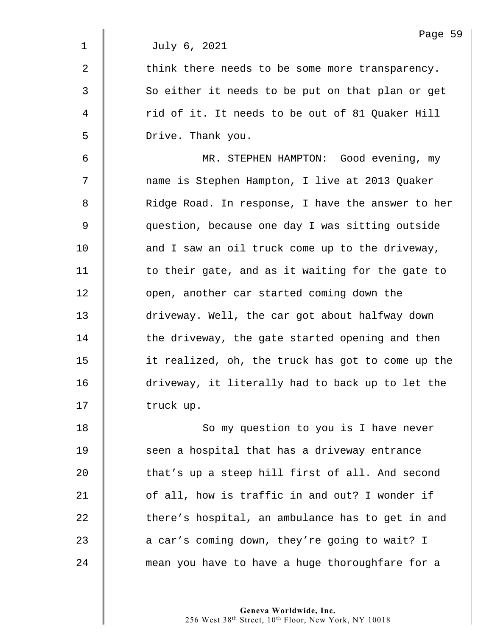|                | Page 59                                           |
|----------------|---------------------------------------------------|
| $\mathbf 1$    | July 6, 2021                                      |
| $\overline{2}$ | think there needs to be some more transparency.   |
| 3              | So either it needs to be put on that plan or get  |
| 4              | rid of it. It needs to be out of 81 Quaker Hill   |
| 5              | Drive. Thank you.                                 |
| 6              | MR. STEPHEN HAMPTON: Good evening, my             |
| 7              | name is Stephen Hampton, I live at 2013 Quaker    |
| 8              | Ridge Road. In response, I have the answer to her |
| 9              | question, because one day I was sitting outside   |
| 10             | and I saw an oil truck come up to the driveway,   |
| 11             | to their gate, and as it waiting for the gate to  |
| 12             | open, another car started coming down the         |
| 13             | driveway. Well, the car got about halfway down    |
| 14             | the driveway, the gate started opening and then   |
| 15             | it realized, oh, the truck has got to come up the |
| 16             | driveway, it literally had to back up to let the  |
| 17             | truck up.                                         |
| 18             | So my question to you is I have never             |
| 19             | seen a hospital that has a driveway entrance      |
| 20             | that's up a steep hill first of all. And second   |
| 21             | of all, how is traffic in and out? I wonder if    |
| 22             | there's hospital, an ambulance has to get in and  |
| 23             | a car's coming down, they're going to wait? I     |
| 24             | mean you have to have a huge thoroughfare for a   |
|                |                                                   |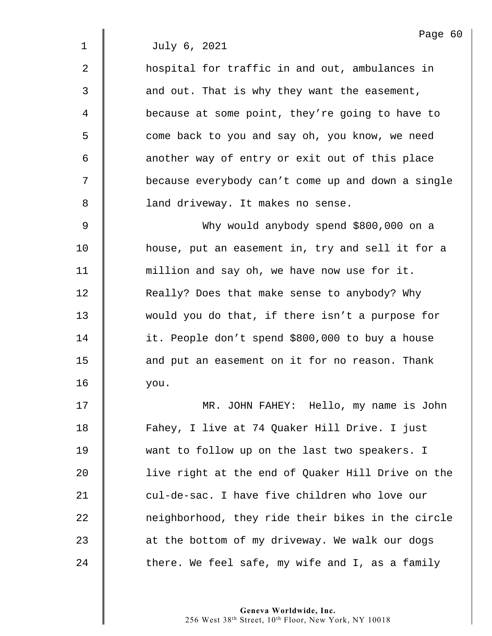2 **dec** hospital for traffic in and out, ambulances in 3 | and out. That is why they want the easement, 4 **d** because at some point, they're going to have to 5 | come back to you and say oh, you know, we need 6 another way of entry or exit out of this place 7 because everybody can't come up and down a single 8 | land driveway. It makes no sense.

9 Why would anybody spend \$800,000 on a 10 **house, put an easement in, try and sell it for a** 11 | million and say oh, we have now use for it. 12 **Number 12 Seam** Really? Does that make sense to anybody? Why 13 would you do that, if there isn't a purpose for 14 it. People don't spend \$800,000 to buy a house 15 **deg 15** and put an easement on it for no reason. Thank 16 you.

17 MR. JOHN FAHEY: Hello, my name is John 18 | Fahey, I live at 74 Quaker Hill Drive. I just 19 Want to follow up on the last two speakers. I 20 live right at the end of Quaker Hill Drive on the 21 cul-de-sac. I have five children who love our 22 neighborhood, they ride their bikes in the circle 23 | at the bottom of my driveway. We walk our dogs  $24$  | there. We feel safe, my wife and I, as a family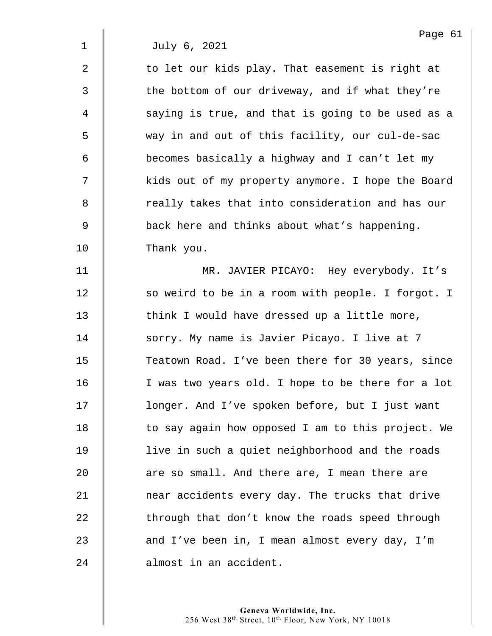$2 \parallel$  to let our kids play. That easement is right at  $3 \parallel$  the bottom of our driveway, and if what they're 4 | saying is true, and that is going to be used as a 5 way in and out of this facility, our cul-de-sac 6 **becomes basically a highway and I can't let my** 7 | kids out of my property anymore. I hope the Board 8 | The really takes that into consideration and has our 9 Solution back here and thinks about what's happening. 10 Thank you.

11 MR. JAVIER PICAYO: Hey everybody. It's 12 | so weird to be in a room with people. I forgot. I 13 **think I would have dressed up a little more**, 14 | sorry. My name is Javier Picayo. I live at 7 15 Teatown Road. I've been there for 30 years, since 16 | I was two years old. I hope to be there for a lot 17 | longer. And I've spoken before, but I just want  $18$   $\parallel$  to say again how opposed I am to this project. We 19 | live in such a quiet neighborhood and the roads  $20$   $\parallel$  are so small. And there are, I mean there are 21 **near accidents every day. The trucks that drive** 22 through that don't know the roads speed through 23 and I've been in, I mean almost every day, I'm 24 | almost in an accident.

> **Geneva Worldwide, Inc.**  256 West 38th Street, 10th Floor, New York, NY 10018

Page 61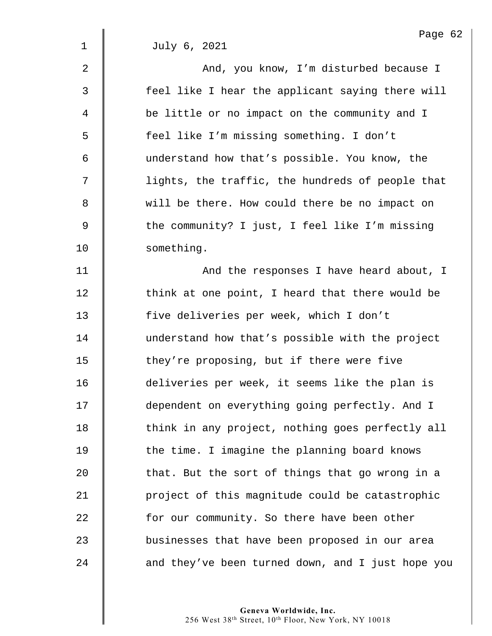|                | Page 62                                           |
|----------------|---------------------------------------------------|
| $\mathbf 1$    | July 6, 2021                                      |
| $\overline{2}$ | And, you know, I'm disturbed because I            |
| 3              | feel like I hear the applicant saying there will  |
| 4              | be little or no impact on the community and I     |
| 5              | feel like I'm missing something. I don't          |
| 6              | understand how that's possible. You know, the     |
| 7              | lights, the traffic, the hundreds of people that  |
| 8              | will be there. How could there be no impact on    |
| $\mathsf 9$    | the community? I just, I feel like I'm missing    |
| 10             | something.                                        |
| 11             | And the responses I have heard about, I           |
| 12             | think at one point, I heard that there would be   |
| 13             | five deliveries per week, which I don't           |
| 14             | understand how that's possible with the project   |
| 15             | they're proposing, but if there were five         |
| 16             | deliveries per week, it seems like the plan is    |
| 17             | dependent on everything going perfectly. And I    |
| 18             | think in any project, nothing goes perfectly all  |
| 19             | the time. I imagine the planning board knows      |
| 20             | that. But the sort of things that go wrong in a   |
| 21             | project of this magnitude could be catastrophic   |
| 22             | for our community. So there have been other       |
| 23             | businesses that have been proposed in our area    |
| 24             | and they've been turned down, and I just hope you |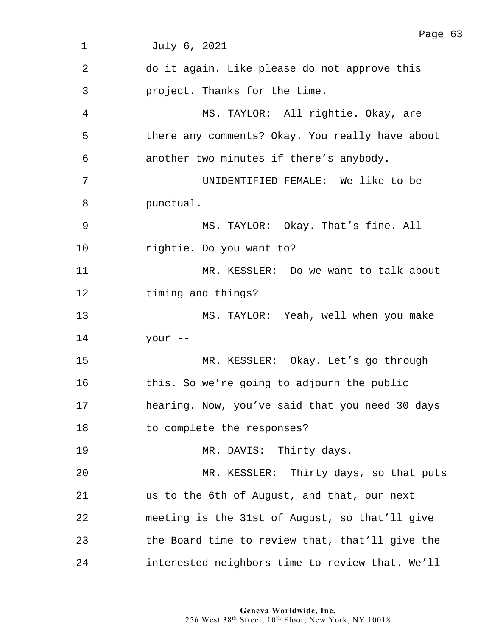|                | Page 63                                         |
|----------------|-------------------------------------------------|
| 1              | July 6, 2021                                    |
| $\overline{2}$ | do it again. Like please do not approve this    |
| 3              | project. Thanks for the time.                   |
| 4              | MS. TAYLOR: All rightie. Okay, are              |
| 5              | there any comments? Okay. You really have about |
| 6              | another two minutes if there's anybody.         |
| 7              | UNIDENTIFIED FEMALE: We like to be              |
| 8              | punctual.                                       |
| 9              | MS. TAYLOR: Okay. That's fine. All              |
| 10             | rightie. Do you want to?                        |
| 11             | MR. KESSLER: Do we want to talk about           |
| 12             | timing and things?                              |
| 13             | MS. TAYLOR: Yeah, well when you make            |
| 14             | your --                                         |
| 15             | MR. KESSLER: Okay. Let's go through             |
| 16             | this. So we're going to adjourn the public      |
| 17             | hearing. Now, you've said that you need 30 days |
| 18             | to complete the responses?                      |
| 19             | MR. DAVIS: Thirty days.                         |
| 20             | MR. KESSLER: Thirty days, so that puts          |
| 21             | us to the 6th of August, and that, our next     |
| 22             | meeting is the 31st of August, so that'll give  |
| 23             | the Board time to review that, that'll give the |
| 24             | interested neighbors time to review that. We'll |
|                |                                                 |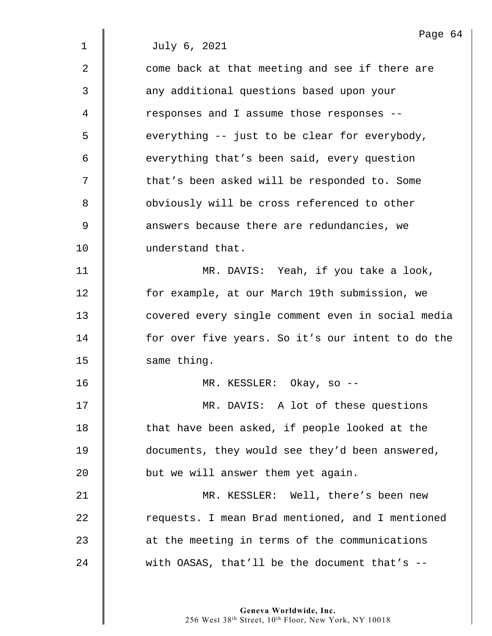| Page 64                                           |
|---------------------------------------------------|
| July 6, 2021                                      |
| come back at that meeting and see if there are    |
| any additional questions based upon your          |
| responses and I assume those responses --         |
| everything -- just to be clear for everybody,     |
| everything that's been said, every question       |
| that's been asked will be responded to. Some      |
| obviously will be cross referenced to other       |
| answers because there are redundancies, we        |
| understand that.                                  |
| MR. DAVIS: Yeah, if you take a look,              |
| for example, at our March 19th submission, we     |
| covered every single comment even in social media |
| for over five years. So it's our intent to do the |
| same thing.                                       |
| MR. KESSLER: $Okay$ , so --                       |
| MR. DAVIS: A lot of these questions               |
| that have been asked, if people looked at the     |
| documents, they would see they'd been answered,   |
| but we will answer them yet again.                |
| MR. KESSLER: Well, there's been new               |
| requests. I mean Brad mentioned, and I mentioned  |
| at the meeting in terms of the communications     |
| with OASAS, that'll be the document that's $-$    |
|                                                   |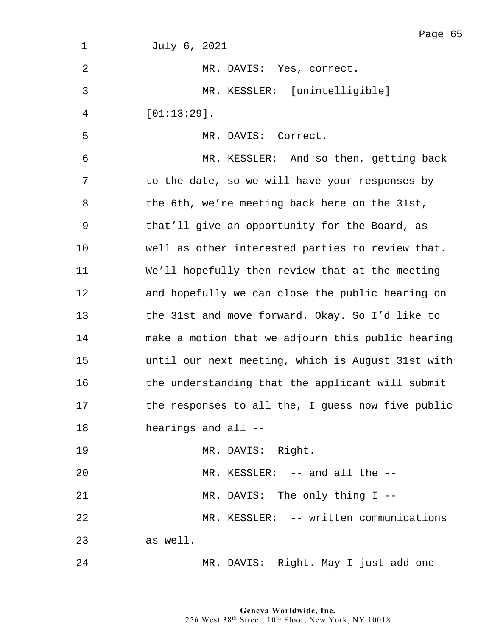|                | Page 65                                           |
|----------------|---------------------------------------------------|
| 1              | July 6, 2021                                      |
| $\overline{2}$ | MR. DAVIS: Yes, correct.                          |
| 3              | MR. KESSLER: [unintelligible]                     |
| $\overline{4}$ | $[01:13:29]$ .                                    |
| 5              | MR. DAVIS: Correct.                               |
| 6              | MR. KESSLER: And so then, getting back            |
| 7              | to the date, so we will have your responses by    |
| 8              | the 6th, we're meeting back here on the 31st,     |
| 9              | that'll give an opportunity for the Board, as     |
| 10             | well as other interested parties to review that.  |
| 11             | We'll hopefully then review that at the meeting   |
| 12             | and hopefully we can close the public hearing on  |
| 13             | the 31st and move forward. Okay. So I'd like to   |
| 14             | make a motion that we adjourn this public hearing |
| 15             | until our next meeting, which is August 31st with |
| 16             | the understanding that the applicant will submit  |
| 17             | the responses to all the, I guess now five public |
| 18             | hearings and all --                               |
| 19             | MR. DAVIS: Right.                                 |
| 20             | MR. KESSLER: -- and all the --                    |
| 21             | MR. DAVIS: The only thing I --                    |
| 22             | MR. KESSLER: -- written communications            |
| 23             | as well.                                          |
| 24             | MR. DAVIS: Right. May I just add one              |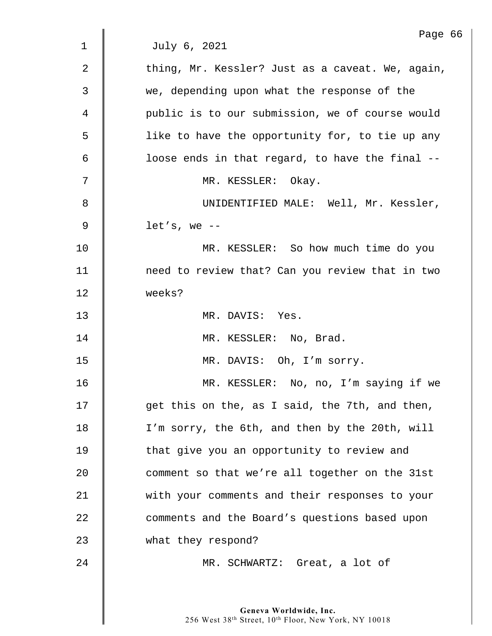|    | Page 66                                          |
|----|--------------------------------------------------|
| 1  | July 6, 2021                                     |
| 2  | thing, Mr. Kessler? Just as a caveat. We, again, |
| 3  | we, depending upon what the response of the      |
| 4  | public is to our submission, we of course would  |
| 5  | like to have the opportunity for, to tie up any  |
| 6  | loose ends in that regard, to have the final --  |
| 7  | MR. KESSLER: Okay.                               |
| 8  | UNIDENTIFIED MALE: Well, Mr. Kessler,            |
| 9  | $let's, we --$                                   |
| 10 | MR. KESSLER: So how much time do you             |
| 11 | need to review that? Can you review that in two  |
| 12 | weeks?                                           |
| 13 | MR. DAVIS: Yes.                                  |
| 14 | MR. KESSLER: No, Brad.                           |
| 15 | MR. DAVIS: Oh, I'm sorry.                        |
| 16 | MR. KESSLER: No, no, I'm saying if we            |
| 17 | get this on the, as I said, the 7th, and then,   |
| 18 | I'm sorry, the 6th, and then by the 20th, will   |
| 19 | that give you an opportunity to review and       |
| 20 | comment so that we're all together on the 31st   |
| 21 | with your comments and their responses to your   |
| 22 | comments and the Board's questions based upon    |
| 23 | what they respond?                               |
| 24 | MR. SCHWARTZ: Great, a lot of                    |
|    |                                                  |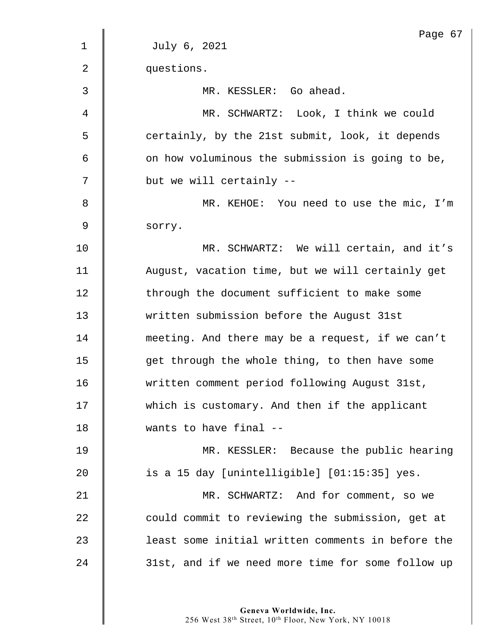|                | Page 67                                           |
|----------------|---------------------------------------------------|
| $\mathbf{1}$   | July 6, 2021                                      |
| $\overline{2}$ | questions.                                        |
| 3              | MR. KESSLER: Go ahead.                            |
| 4              | MR. SCHWARTZ: Look, I think we could              |
| 5              | certainly, by the 21st submit, look, it depends   |
| 6              | on how voluminous the submission is going to be,  |
| 7              | but we will certainly --                          |
| 8              | MR. KEHOE: You need to use the mic, I'm           |
| $\mathsf 9$    | sorry.                                            |
| 10             | MR. SCHWARTZ: We will certain, and it's           |
| 11             | August, vacation time, but we will certainly get  |
| 12             | through the document sufficient to make some      |
| 13             | written submission before the August 31st         |
| 14             | meeting. And there may be a request, if we can't  |
| 15             | get through the whole thing, to then have some    |
| 16             | written comment period following August 31st,     |
| 17             | which is customary. And then if the applicant     |
| 18             | wants to have final --                            |
| 19             | MR. KESSLER: Because the public hearing           |
| 20             | is a 15 day [unintelligible] [01:15:35] yes.      |
| 21             | MR. SCHWARTZ: And for comment, so we              |
| 22             | could commit to reviewing the submission, get at  |
| 23             | least some initial written comments in before the |
| 24             | 31st, and if we need more time for some follow up |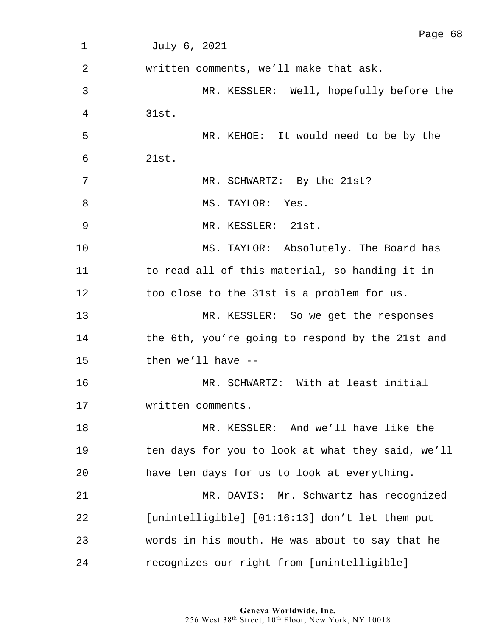|    | Page 68                                           |
|----|---------------------------------------------------|
| 1  | July 6, 2021                                      |
| 2  | written comments, we'll make that ask.            |
| 3  | MR. KESSLER: Well, hopefully before the           |
| 4  | 31st.                                             |
| 5  | MR. KEHOE: It would need to be by the             |
| 6  | 21st.                                             |
| 7  | MR. SCHWARTZ: By the 21st?                        |
| 8  | MS. TAYLOR: Yes.                                  |
| 9  | MR. KESSLER: 21st.                                |
| 10 | MS. TAYLOR: Absolutely. The Board has             |
| 11 | to read all of this material, so handing it in    |
| 12 | too close to the 31st is a problem for us.        |
| 13 | MR. KESSLER: So we get the responses              |
| 14 | the 6th, you're going to respond by the 21st and  |
| 15 | then we'll have $-$                               |
| 16 | MR. SCHWARTZ: With at least initial               |
| 17 | written comments.                                 |
| 18 | MR. KESSLER: And we'll have like the              |
| 19 | ten days for you to look at what they said, we'll |
| 20 | have ten days for us to look at everything.       |
| 21 | MR. DAVIS: Mr. Schwartz has recognized            |
| 22 | [unintelligible] [01:16:13] don't let them put    |
| 23 | words in his mouth. He was about to say that he   |
| 24 | recognizes our right from [unintelligible]        |
|    |                                                   |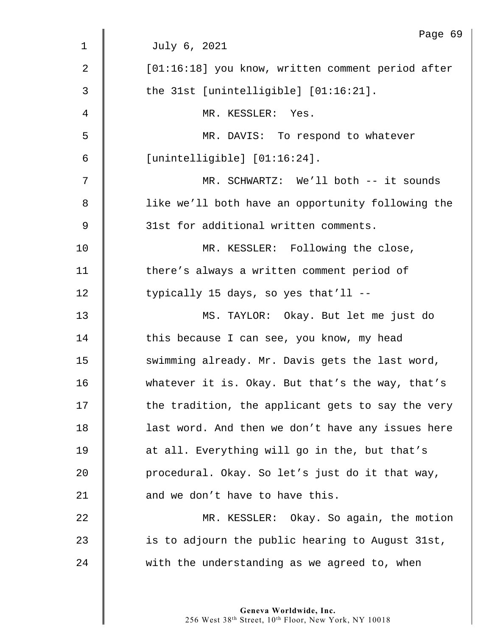|    | Page 69                                           |
|----|---------------------------------------------------|
| 1  | July 6, 2021                                      |
| 2  | [01:16:18] you know, written comment period after |
| 3  | the $31st$ [unintelligible] $[01:16:21]$ .        |
| 4  | MR. KESSLER: Yes.                                 |
| 5  | MR. DAVIS: To respond to whatever                 |
| 6  | [unintelligible] [01:16:24].                      |
| 7  | MR. SCHWARTZ: We'll both -- it sounds             |
| 8  | like we'll both have an opportunity following the |
| 9  | 31st for additional written comments.             |
| 10 | MR. KESSLER: Following the close,                 |
| 11 | there's always a written comment period of        |
| 12 | typically 15 days, so yes that'll --              |
| 13 | MS. TAYLOR: Okay. But let me just do              |
| 14 | this because I can see, you know, my head         |
| 15 | swimming already. Mr. Davis gets the last word,   |
| 16 | whatever it is. Okay. But that's the way, that's  |
| 17 | the tradition, the applicant gets to say the very |
| 18 | last word. And then we don't have any issues here |
| 19 | at all. Everything will go in the, but that's     |
| 20 | procedural. Okay. So let's just do it that way,   |
| 21 | and we don't have to have this.                   |
| 22 | MR. KESSLER: Okay. So again, the motion           |
| 23 | is to adjourn the public hearing to August 31st,  |
| 24 | with the understanding as we agreed to, when      |
|    |                                                   |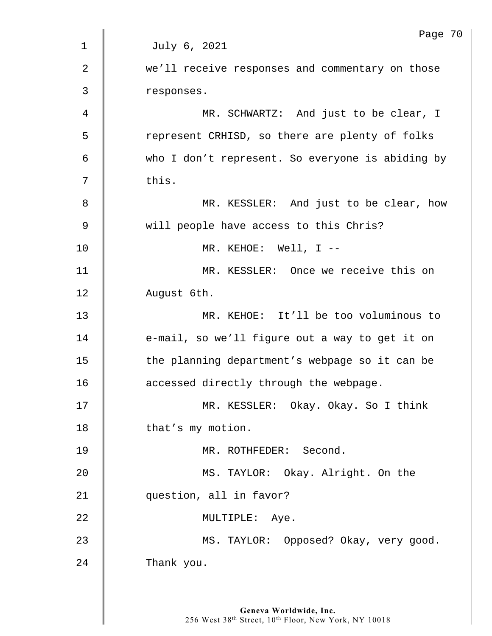|                | Page 70                                          |
|----------------|--------------------------------------------------|
| $\mathbf 1$    | July 6, 2021                                     |
| $\overline{2}$ | we'll receive responses and commentary on those  |
| 3              | responses.                                       |
| 4              | MR. SCHWARTZ: And just to be clear, I            |
| 5              | represent CRHISD, so there are plenty of folks   |
| 6              | who I don't represent. So everyone is abiding by |
| 7              | this.                                            |
| 8              | MR. KESSLER: And just to be clear, how           |
| $\mathsf 9$    | will people have access to this Chris?           |
| 10             | MR. KEHOE: Well, $I$ --                          |
| 11             | MR. KESSLER: Once we receive this on             |
| 12             | August 6th.                                      |
| 13             | MR. KEHOE: It'll be too voluminous to            |
| 14             | e-mail, so we'll figure out a way to get it on   |
| 15             | the planning department's webpage so it can be   |
| 16             | accessed directly through the webpage.           |
| 17             | MR. KESSLER: Okay. Okay. So I think              |
| 18             | that's my motion.                                |
| 19             | MR. ROTHFEDER: Second.                           |
| 20             | MS. TAYLOR: Okay. Alright. On the                |
| 21             | question, all in favor?                          |
| 22             | MULTIPLE: Aye.                                   |
| 23             | MS. TAYLOR: Opposed? Okay, very good.            |
| 24             | Thank you.                                       |
|                |                                                  |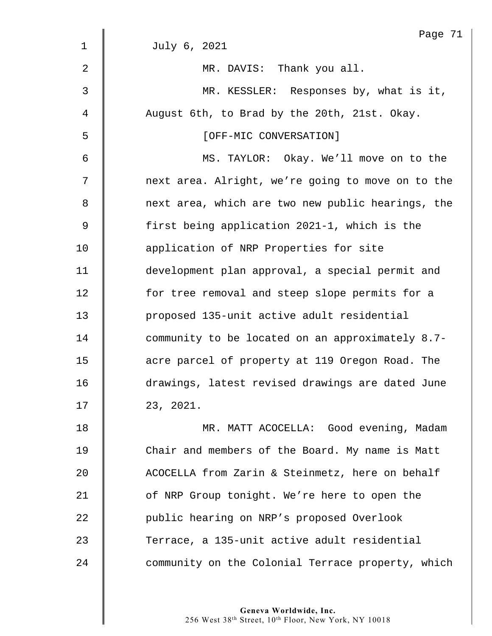|             | Page 71                                           |
|-------------|---------------------------------------------------|
| $\mathbf 1$ | July 6, 2021                                      |
| 2           | MR. DAVIS: Thank you all.                         |
| 3           | MR. KESSLER: Responses by, what is it,            |
| 4           | August 6th, to Brad by the 20th, 21st. Okay.      |
| 5           | [OFF-MIC CONVERSATION]                            |
| 6           | MS. TAYLOR: Okay. We'll move on to the            |
| 7           | next area. Alright, we're going to move on to the |
| 8           | next area, which are two new public hearings, the |
| 9           | first being application 2021-1, which is the      |
| 10          | application of NRP Properties for site            |
| 11          | development plan approval, a special permit and   |
| 12          | for tree removal and steep slope permits for a    |
| 13          | proposed 135-unit active adult residential        |
| 14          | community to be located on an approximately 8.7-  |
| 15          | acre parcel of property at 119 Oregon Road. The   |
| 16          | drawings, latest revised drawings are dated June  |
| 17          | 23, 2021.                                         |
| 18          | MR. MATT ACOCELLA: Good evening, Madam            |
| 19          | Chair and members of the Board. My name is Matt   |
| 20          | ACOCELLA from Zarin & Steinmetz, here on behalf   |
| 21          | of NRP Group tonight. We're here to open the      |
| 22          | public hearing on NRP's proposed Overlook         |
| 23          | Terrace, a 135-unit active adult residential      |
| 24          | community on the Colonial Terrace property, which |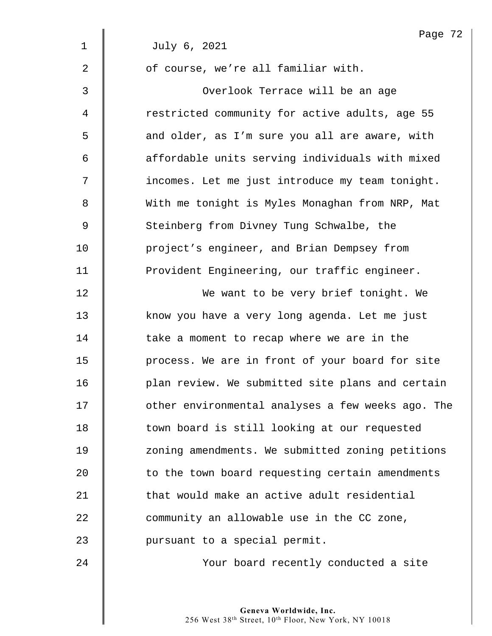|             | Page 72                                           |
|-------------|---------------------------------------------------|
| $\mathbf 1$ | July 6, 2021                                      |
| 2           | of course, we're all familiar with.               |
| 3           | Overlook Terrace will be an age                   |
| 4           | restricted community for active adults, age 55    |
| 5           | and older, as I'm sure you all are aware, with    |
| 6           | affordable units serving individuals with mixed   |
| 7           | incomes. Let me just introduce my team tonight.   |
| 8           | With me tonight is Myles Monaghan from NRP, Mat   |
| 9           | Steinberg from Divney Tung Schwalbe, the          |
| 10          | project's engineer, and Brian Dempsey from        |
| 11          | Provident Engineering, our traffic engineer.      |
| 12          | We want to be very brief tonight. We              |
| 13          | know you have a very long agenda. Let me just     |
| 14          | take a moment to recap where we are in the        |
| 15          | process. We are in front of your board for site   |
| 16          | plan review. We submitted site plans and certain  |
| 17          | other environmental analyses a few weeks ago. The |
| 18          | town board is still looking at our requested      |
| 19          | zoning amendments. We submitted zoning petitions  |
| 20          | to the town board requesting certain amendments   |
| 21          | that would make an active adult residential       |
| 22          | community an allowable use in the CC zone,        |
| 23          | pursuant to a special permit.                     |
| 24          | Your board recently conducted a site              |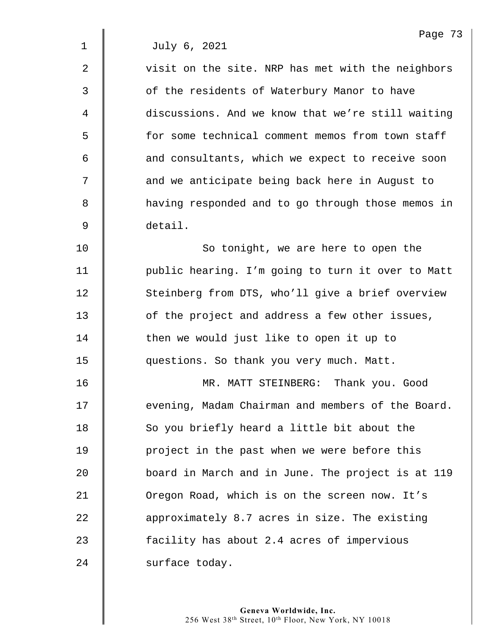2  $\parallel$  visit on the site. NRP has met with the neighbors 3 | of the residents of Waterbury Manor to have 4 discussions. And we know that we're still waiting 5 | for some technical comment memos from town staff 6 **deg is and consultants, which we expect to receive soon** 7 | and we anticipate being back here in August to 8 **f** having responded and to go through those memos in 9 detail.

10 | So tonight, we are here to open the 11 | public hearing. I'm going to turn it over to Matt 12 Steinberg from DTS, who'll give a brief overview 13 **deg is a locat of the project and address a few other issues,** 14 | then we would just like to open it up to 15 **questions.** So thank you very much. Matt.

16 MR. MATT STEINBERG: Thank you. Good 17  $\parallel$  evening, Madam Chairman and members of the Board. 18 | So you briefly heard a little bit about the 19 **| |** project in the past when we were before this 20 board in March and in June. The project is at 119 21 | Oregon Road, which is on the screen now. It's 22 **a** approximately 8.7 acres in size. The existing 23 **facility has about 2.4 acres of impervious** 24 surface today.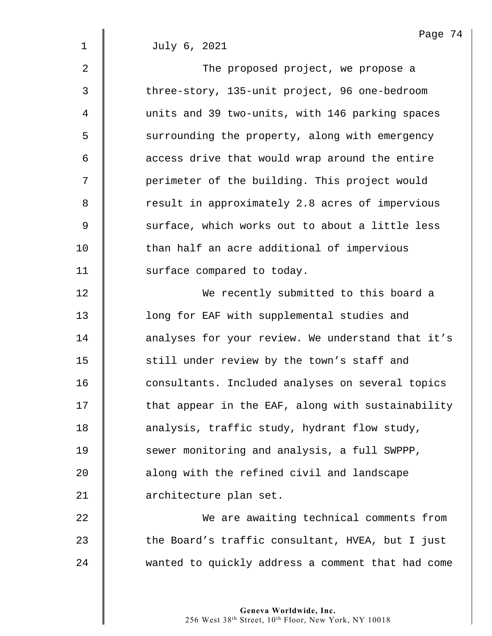2 **I** The proposed project, we propose a 3 | three-story, 135-unit project, 96 one-bedroom 4 | units and 39 two-units, with 146 parking spaces 5 S surrounding the property, along with emergency  $6 \parallel$  access drive that would wrap around the entire 7 | perimeter of the building. This project would 8 The result in approximately 2.8 acres of impervious 9 Surface, which works out to about a little less 10 Than half an acre additional of impervious 11 Surface compared to today.

12 We recently submitted to this board a 13 **lacks** long for EAF with supplemental studies and 14 | analyses for your review. We understand that it's 15 | still under review by the town's staff and 16 consultants. Included analyses on several topics 17 | that appear in the EAF, along with sustainability 18 **analysis, traffic study, hydrant flow study,** 19 Sewer monitoring and analysis, a full SWPPP, 20 **a** along with the refined civil and landscape 21 architecture plan set.

22 We are awaiting technical comments from  $23$   $\parallel$  the Board's traffic consultant, HVEA, but I just 24 wanted to quickly address a comment that had come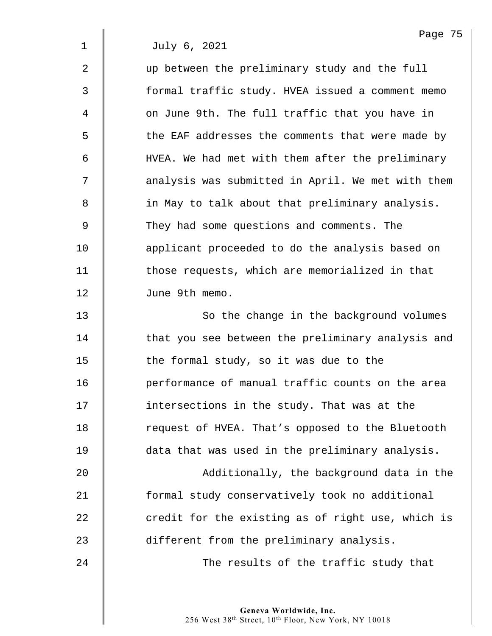2 w ap between the preliminary study and the full 3 | formal traffic study. HVEA issued a comment memo 4 on June 9th. The full traffic that you have in 5 | the EAF addresses the comments that were made by 6 HVEA. We had met with them after the preliminary 7  $\parallel$  analysis was submitted in April. We met with them 8 **in May to talk about that preliminary analysis.** 9 They had some questions and comments. The 10 **deg** applicant proceeded to do the analysis based on 11 | those requests, which are memorialized in that 12 June 9th memo.

13 **So the change in the background volumes** 14 | that you see between the preliminary analysis and 15  $\parallel$  the formal study, so it was due to the 16 | performance of manual traffic counts on the area 17 **I** intersections in the study. That was at the 18 Tequest of HVEA. That's opposed to the Bluetooth 19 data that was used in the preliminary analysis.

20 Additionally, the background data in the **formal study conservatively took no additional**   $\parallel$  credit for the existing as of right use, which is **different from the preliminary analysis.** 

24 **The results of the traffic study that**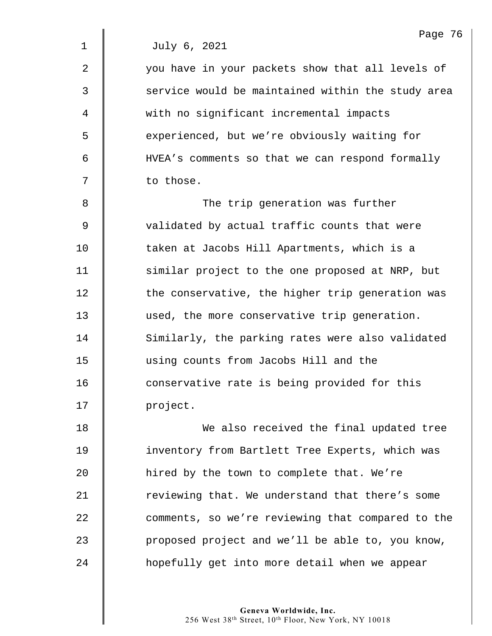2 | vou have in your packets show that all levels of 3  $\parallel$  service would be maintained within the study area 4 with no significant incremental impacts 5 S experienced, but we're obviously waiting for 6 HVEA's comments so that we can respond formally  $7 \parallel$  to those.

8 The trip generation was further 9 | validated by actual traffic counts that were 10 **taken at Jacobs Hill Apartments, which is a** 11 | similar project to the one proposed at NRP, but  $12$   $\parallel$  the conservative, the higher trip generation was 13 used, the more conservative trip generation. 14 Similarly, the parking rates were also validated 15 using counts from Jacobs Hill and the 16 **conservative rate is being provided for this** 17 | project.

18 | We also received the final updated tree 19 | inventory from Bartlett Tree Experts, which was 20 | hired by the town to complete that. We're 21 The viewing that. We understand that there's some 22 comments, so we're reviewing that compared to the  $23$  | proposed project and we'll be able to, you know, 24 **folly** get into more detail when we appear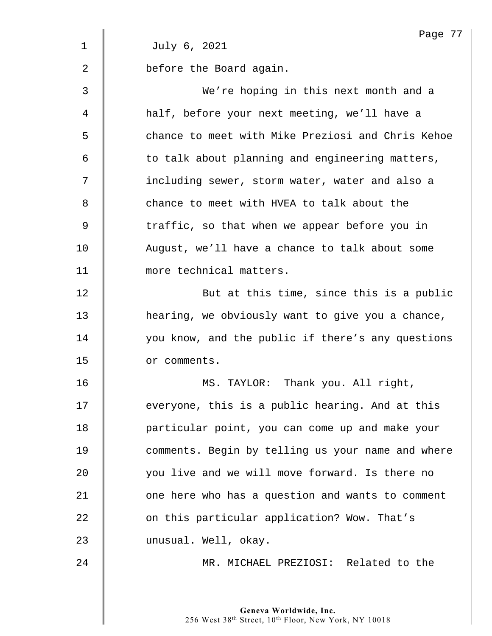|                | Page 77                                           |
|----------------|---------------------------------------------------|
| $\mathbf 1$    | July 6, 2021                                      |
| $\overline{2}$ | before the Board again.                           |
| 3              | We're hoping in this next month and a             |
| 4              | half, before your next meeting, we'll have a      |
| 5              | chance to meet with Mike Preziosi and Chris Kehoe |
| 6              | to talk about planning and engineering matters,   |
| 7              | including sewer, storm water, water and also a    |
| 8              | chance to meet with HVEA to talk about the        |
| 9              | traffic, so that when we appear before you in     |
| 10             | August, we'll have a chance to talk about some    |
| 11             | more technical matters.                           |
| 12             | But at this time, since this is a public          |
| 13             | hearing, we obviously want to give you a chance,  |
| 14             | you know, and the public if there's any questions |
| 15             | or comments.                                      |
| 16             | MS. TAYLOR: Thank you. All right,                 |
| 17             | everyone, this is a public hearing. And at this   |
| 18             | particular point, you can come up and make your   |
| 19             | comments. Begin by telling us your name and where |
| 20             | you live and we will move forward. Is there no    |
| 21             | one here who has a question and wants to comment  |
| 22             | on this particular application? Wow. That's       |
| 23             | unusual. Well, okay.                              |
| 24             | MR. MICHAEL PREZIOSI: Related to the              |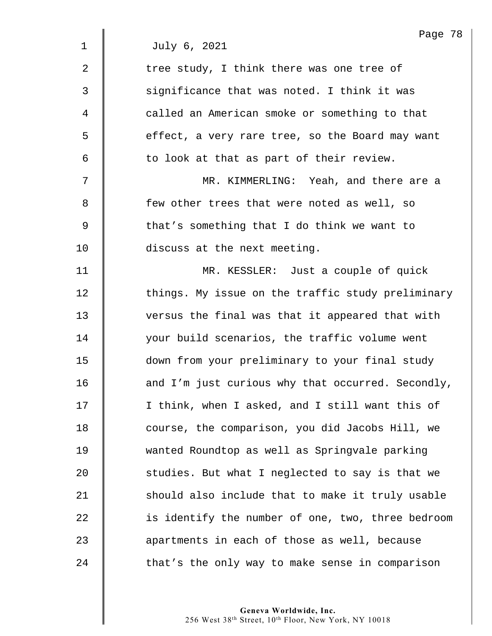|                | Page 78                                           |
|----------------|---------------------------------------------------|
| $\mathbf{1}$   | July 6, 2021                                      |
| $\overline{2}$ | tree study, I think there was one tree of         |
| 3              | significance that was noted. I think it was       |
| 4              | called an American smoke or something to that     |
| 5              | effect, a very rare tree, so the Board may want   |
| 6              | to look at that as part of their review.          |
| 7              | MR. KIMMERLING: Yeah, and there are a             |
| 8              | few other trees that were noted as well, so       |
| $\mathsf 9$    | that's something that I do think we want to       |
| 10             | discuss at the next meeting.                      |
| 11             | MR. KESSLER: Just a couple of quick               |
| 12             | things. My issue on the traffic study preliminary |
| 13             | versus the final was that it appeared that with   |
| 14             | your build scenarios, the traffic volume went     |
| 15             | down from your preliminary to your final study    |
| 16             | and I'm just curious why that occurred. Secondly, |
| 17             | I think, when I asked, and I still want this of   |
| 18             | course, the comparison, you did Jacobs Hill, we   |
| 19             | wanted Roundtop as well as Springvale parking     |
| 20             | studies. But what I neglected to say is that we   |
| 21             | should also include that to make it truly usable  |
| 22             | is identify the number of one, two, three bedroom |
| 23             | apartments in each of those as well, because      |
| 24             | that's the only way to make sense in comparison   |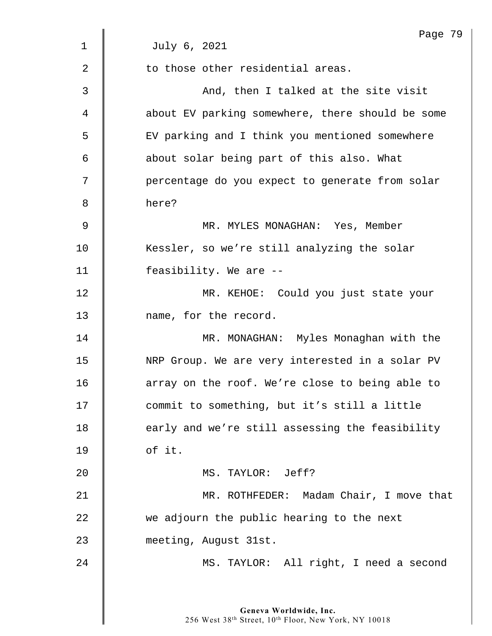|    | Page 79                                          |
|----|--------------------------------------------------|
| 1  | July 6, 2021                                     |
| 2  | to those other residential areas.                |
| 3  | And, then I talked at the site visit             |
| 4  | about EV parking somewhere, there should be some |
| 5  | EV parking and I think you mentioned somewhere   |
| 6  | about solar being part of this also. What        |
| 7  | percentage do you expect to generate from solar  |
| 8  | here?                                            |
| 9  | MR. MYLES MONAGHAN: Yes, Member                  |
| 10 | Kessler, so we're still analyzing the solar      |
| 11 | feasibility. We are --                           |
| 12 | MR. KEHOE: Could you just state your             |
| 13 | name, for the record.                            |
| 14 | MR. MONAGHAN: Myles Monaghan with the            |
| 15 | NRP Group. We are very interested in a solar PV  |
| 16 | array on the roof. We're close to being able to  |
| 17 | commit to something, but it's still a little     |
| 18 | early and we're still assessing the feasibility  |
| 19 | of it.                                           |
| 20 | MS. TAYLOR: Jeff?                                |
| 21 | MR. ROTHFEDER: Madam Chair, I move that          |
| 22 | we adjourn the public hearing to the next        |
| 23 | meeting, August 31st.                            |
| 24 | MS. TAYLOR: All right, I need a second           |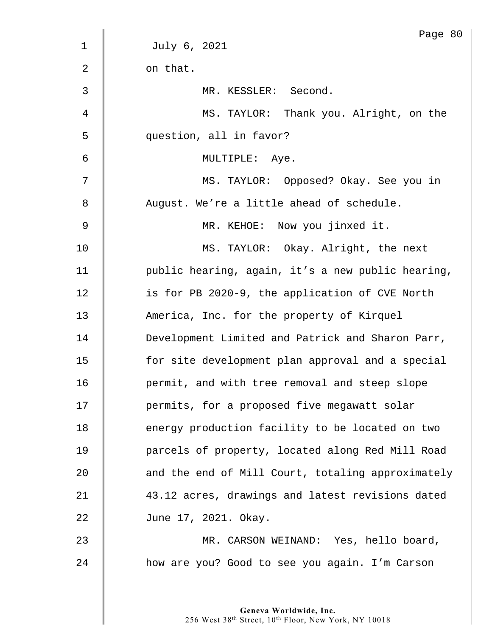|                | Page 80                                           |
|----------------|---------------------------------------------------|
| $\mathbf 1$    | July 6, 2021                                      |
| $\overline{2}$ | on that.                                          |
| 3              | MR. KESSLER: Second.                              |
| 4              | MS. TAYLOR: Thank you. Alright, on the            |
| 5              | question, all in favor?                           |
| 6              | MULTIPLE: Aye.                                    |
| 7              | MS. TAYLOR: Opposed? Okay. See you in             |
| 8              | August. We're a little ahead of schedule.         |
| 9              | MR. KEHOE: Now you jinxed it.                     |
| 10             | MS. TAYLOR: Okay. Alright, the next               |
| 11             | public hearing, again, it's a new public hearing, |
| 12             | is for PB 2020-9, the application of CVE North    |
| 13             | America, Inc. for the property of Kirquel         |
| 14             | Development Limited and Patrick and Sharon Parr,  |
| 15             | for site development plan approval and a special  |
| 16             | permit, and with tree removal and steep slope     |
| 17             | permits, for a proposed five megawatt solar       |
| 18             | energy production facility to be located on two   |
| 19             | parcels of property, located along Red Mill Road  |
| 20             | and the end of Mill Court, totaling approximately |
| 21             | 43.12 acres, drawings and latest revisions dated  |
| 22             | June 17, 2021. Okay.                              |
| 23             | MR. CARSON WEINAND: Yes, hello board,             |
| 24             | how are you? Good to see you again. I'm Carson    |
|                |                                                   |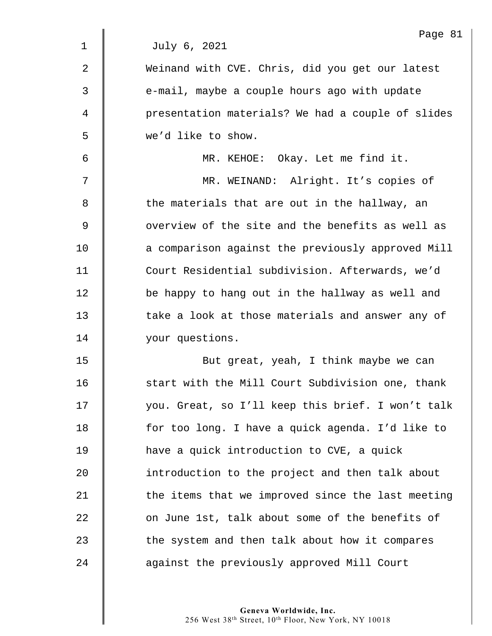| Page 8<br>July 6, 2021                            |
|---------------------------------------------------|
|                                                   |
| Weinand with CVE. Chris, did you get our latest   |
| e-mail, maybe a couple hours ago with update      |
| presentation materials? We had a couple of slides |
| we'd like to show.                                |
| MR. KEHOE: Okay. Let me find it.                  |
| MR. WEINAND: Alright. It's copies of              |
| the materials that are out in the hallway, an     |
| overview of the site and the benefits as well as  |
| a comparison against the previously approved Mill |
| Court Residential subdivision. Afterwards, we'd   |
| be happy to hang out in the hallway as well and   |
| take a look at those materials and answer any of  |
| your questions.                                   |
| But great, yeah, I think maybe we can             |
| start with the Mill Court Subdivision one, thank  |
| you. Great, so I'll keep this brief. I won't talk |
| for too long. I have a quick agenda. I'd like to  |
| have a quick introduction to CVE, a quick         |
| introduction to the project and then talk about   |
| the items that we improved since the last meeting |
| on June 1st, talk about some of the benefits of   |
| the system and then talk about how it compares    |
| against the previously approved Mill Court        |
|                                                   |

 $81$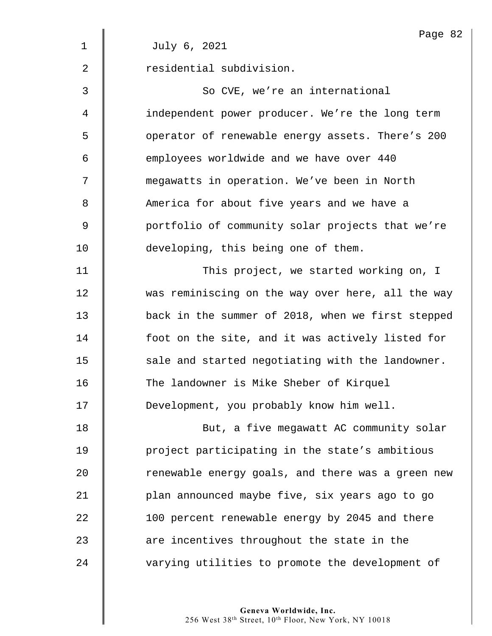|                | Page 82                                           |
|----------------|---------------------------------------------------|
| $\mathbf 1$    | July 6, 2021                                      |
| $\overline{2}$ | residential subdivision.                          |
| 3              | So CVE, we're an international                    |
| 4              | independent power producer. We're the long term   |
| 5              | operator of renewable energy assets. There's 200  |
| 6              | employees worldwide and we have over 440          |
| 7              | megawatts in operation. We've been in North       |
| 8              | America for about five years and we have a        |
| 9              | portfolio of community solar projects that we're  |
| 10             | developing, this being one of them.               |
| 11             | This project, we started working on, I            |
| 12             | was reminiscing on the way over here, all the way |
| 13             | back in the summer of 2018, when we first stepped |
| 14             | foot on the site, and it was actively listed for  |
| 15             | sale and started negotiating with the landowner.  |
| 16             | The landowner is Mike Sheber of Kirquel           |
| 17             | Development, you probably know him well.          |
| 18             | But, a five megawatt AC community solar           |
| 19             | project participating in the state's ambitious    |
| 20             | renewable energy goals, and there was a green new |
| 21             | plan announced maybe five, six years ago to go    |
| 22             | 100 percent renewable energy by 2045 and there    |
| 23             | are incentives throughout the state in the        |
| 24             | varying utilities to promote the development of   |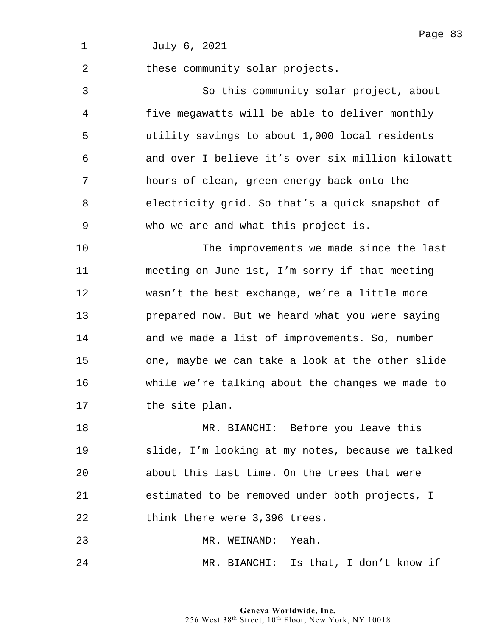|                | Page 83                                           |
|----------------|---------------------------------------------------|
| $\mathbf 1$    | July 6, 2021                                      |
| $\overline{2}$ | these community solar projects.                   |
| 3              | So this community solar project, about            |
| 4              | five megawatts will be able to deliver monthly    |
| 5              | utility savings to about 1,000 local residents    |
| 6              | and over I believe it's over six million kilowatt |
| 7              | hours of clean, green energy back onto the        |
| 8              | electricity grid. So that's a quick snapshot of   |
| 9              | who we are and what this project is.              |
| 10             | The improvements we made since the last           |
| 11             | meeting on June 1st, I'm sorry if that meeting    |
| 12             | wasn't the best exchange, we're a little more     |
| 13             | prepared now. But we heard what you were saying   |
| 14             | and we made a list of improvements. So, number    |
| 15             | one, maybe we can take a look at the other slide  |
| 16             | while we're talking about the changes we made to  |
| 17             | the site plan.                                    |
| 18             | MR. BIANCHI: Before you leave this                |
| 19             | slide, I'm looking at my notes, because we talked |
| 20             | about this last time. On the trees that were      |
| 21             | estimated to be removed under both projects, I    |
| 22             | think there were 3,396 trees.                     |
| 23             | MR. WEINAND: Yeah.                                |
| 24             | MR. BIANCHI: Is that, I don't know if             |
|                |                                                   |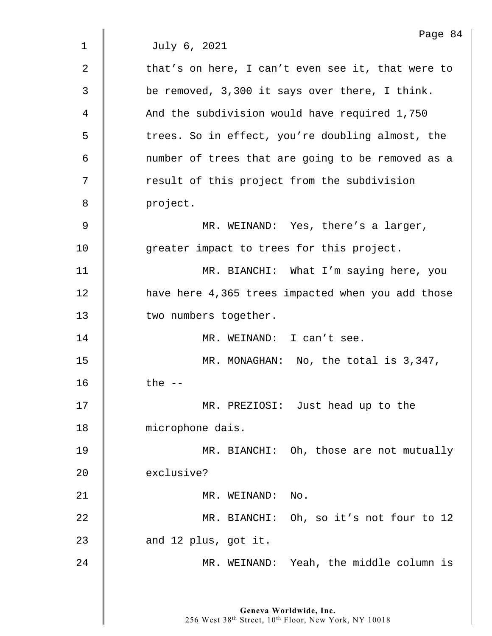Page 84 1 July 6, 2021  $2 \parallel$  that's on here, I can't even see it, that were to 3 Solut be removed, 3,300 it says over there, I think. 4 And the subdivision would have required 1,750 5 | trees. So in effect, you're doubling almost, the 6 | mumber of trees that are going to be removed as a 7 | result of this project from the subdivision 8 | project. 9 MR. WEINAND: Yes, there's a larger, 10 | greater impact to trees for this project. 11 | MR. BIANCHI: What I'm saying here, you 12 | have here 4,365 trees impacted when you add those 13 | two numbers together. 14 | MR. WEINAND: I can't see. 15 | MR. MONAGHAN: No, the total is 3,347,  $16$   $\parallel$  the  $-$ 17 | MR. PREZIOSI: Just head up to the 18 | microphone dais. 19 **MR. BIANCHI:** Oh, those are not mutually 20 exclusive? 21 || MR. WEINAND: No. 22 MR. BIANCHI: Oh, so it's not four to 12  $23$  | and 12 plus, got it. 24 MR. WEINAND: Yeah, the middle column is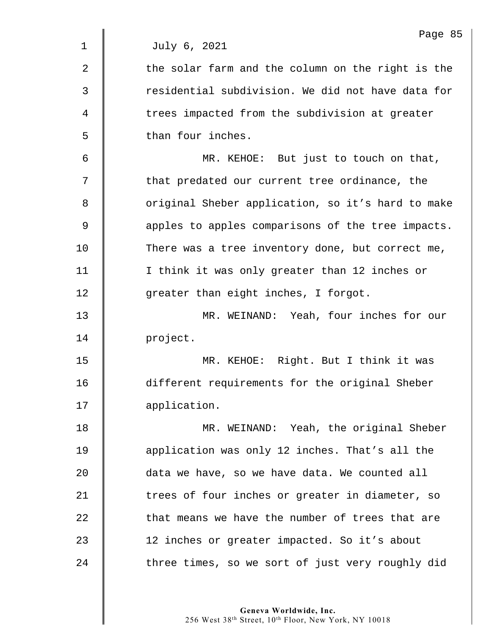$2 \parallel$  the solar farm and the column on the right is the 3  $\parallel$  residential subdivision. We did not have data for 4 The trees impacted from the subdivision at greater 5 | than four inches.

6 MR. KEHOE: But just to touch on that, 7 | that predated our current tree ordinance, the 8 | Original Sheber application, so it's hard to make 9  $\parallel$  apples to apples comparisons of the tree impacts. 10 There was a tree inventory done, but correct me, 11 | I think it was only greater than 12 inches or 12 **qreater than eight inches, I forgot.** 

13 MR. WEINAND: Yeah, four inches for our 14 project.

15 MR. KEHOE: Right. But I think it was 16 different requirements for the original Sheber 17 | application.

18 MR. WEINAND: Yeah, the original Sheber 19 **dege** application was only 12 inches. That's all the 20 data we have, so we have data. We counted all 21 | trees of four inches or greater in diameter, so  $22$   $\parallel$  that means we have the number of trees that are 23 | 12 inches or greater impacted. So it's about 24 There times, so we sort of just very roughly did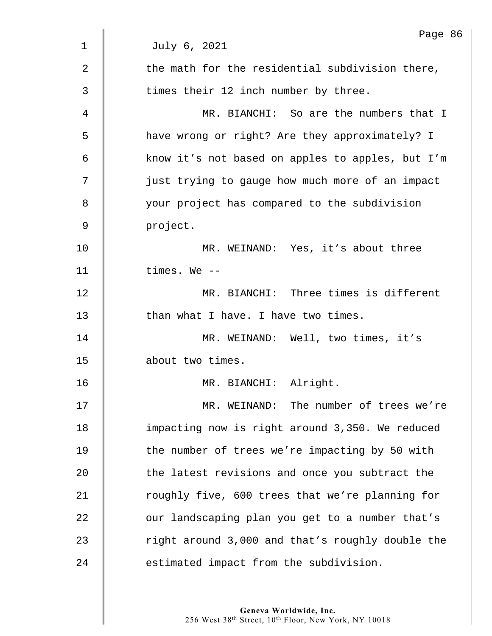| $\mathbf 1$    | Page 86<br>July 6, 2021                          |
|----------------|--------------------------------------------------|
|                |                                                  |
| $\overline{2}$ | the math for the residential subdivision there,  |
| 3              | times their 12 inch number by three.             |
| 4              | MR. BIANCHI: So are the numbers that I           |
| 5              | have wrong or right? Are they approximately? I   |
| 6              | know it's not based on apples to apples, but I'm |
| 7              | just trying to gauge how much more of an impact  |
| 8              | your project has compared to the subdivision     |
| 9              | project.                                         |
| 10             | MR. WEINAND: Yes, it's about three               |
| 11             | times. We --                                     |
| 12             | MR. BIANCHI: Three times is different            |
| 13             | than what I have. I have two times.              |
| 14             | MR. WEINAND: Well, two times, it's               |
| 15             | about two times.                                 |
| 16             | MR. BIANCHI: Alright.                            |
| 17             | MR. WEINAND: The number of trees we're           |
| 18             | impacting now is right around 3,350. We reduced  |
| 19             | the number of trees we're impacting by 50 with   |
| 20             | the latest revisions and once you subtract the   |
| 21             | roughly five, 600 trees that we're planning for  |
| 22             | our landscaping plan you get to a number that's  |
| 23             | right around 3,000 and that's roughly double the |
| 24             | estimated impact from the subdivision.           |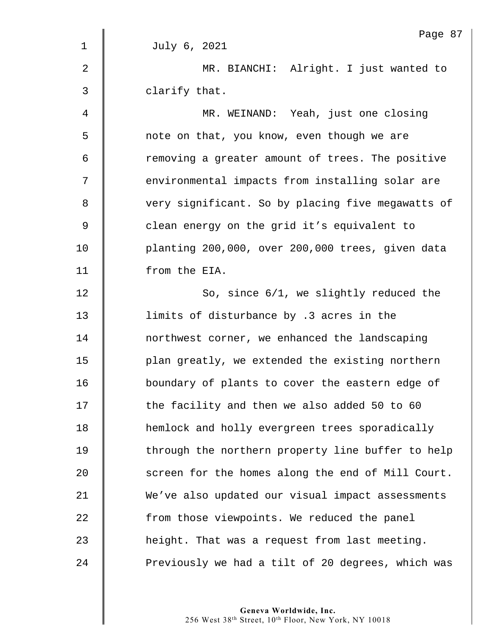|                | Page 87                                           |
|----------------|---------------------------------------------------|
| $\mathbf 1$    | July 6, 2021                                      |
| $\overline{2}$ | MR. BIANCHI: Alright. I just wanted to            |
| 3              | clarify that.                                     |
| 4              | MR. WEINAND: Yeah, just one closing               |
| 5              | note on that, you know, even though we are        |
| 6              | removing a greater amount of trees. The positive  |
| 7              | environmental impacts from installing solar are   |
| 8              | very significant. So by placing five megawatts of |
| 9              | clean energy on the grid it's equivalent to       |
| 10             | planting 200,000, over 200,000 trees, given data  |
| 11             | from the EIA.                                     |
| 12             | So, since 6/1, we slightly reduced the            |
| 13             | limits of disturbance by .3 acres in the          |
| 14             | northwest corner, we enhanced the landscaping     |
| 15             | plan greatly, we extended the existing northern   |
| 16             | boundary of plants to cover the eastern edge of   |
| 17             | the facility and then we also added 50 to 60      |
| 18             | hemlock and holly evergreen trees sporadically    |
| 19             | through the northern property line buffer to help |
| 20             | screen for the homes along the end of Mill Court. |
| 21             | We've also updated our visual impact assessments  |
| 22             | from those viewpoints. We reduced the panel       |
| 23             | height. That was a request from last meeting.     |
| 24             | Previously we had a tilt of 20 degrees, which was |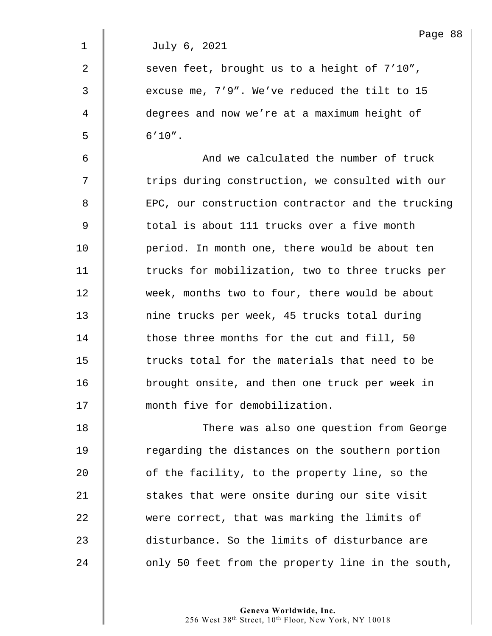| Page | 88 |
|------|----|
|------|----|

2  $\parallel$  seven feet, brought us to a height of 7'10", 3  $\parallel$  excuse me, 7'9". We've reduced the tilt to 15 4 degrees and now we're at a maximum height of  $5 \t\t 6'10''.$ 

6 || And we calculated the number of truck  $7 \parallel$  trips during construction, we consulted with our 8 EPC, our construction contractor and the trucking 9 | total is about 111 trucks over a five month 10 **period.** In month one, there would be about ten 11 | trucks for mobilization, two to three trucks per 12 week, months two to four, there would be about 13 mine trucks per week, 45 trucks total during 14 those three months for the cut and fill, 50 15  $\parallel$  trucks total for the materials that need to be 16 brought onsite, and then one truck per week in 17 | month five for demobilization.

18 | There was also one question from George 19 The regarding the distances on the southern portion 20 **b** of the facility, to the property line, so the 21 Stakes that were onsite during our site visit 22 were correct, that was marking the limits of 23 disturbance. So the limits of disturbance are  $24$  | only 50 feet from the property line in the south,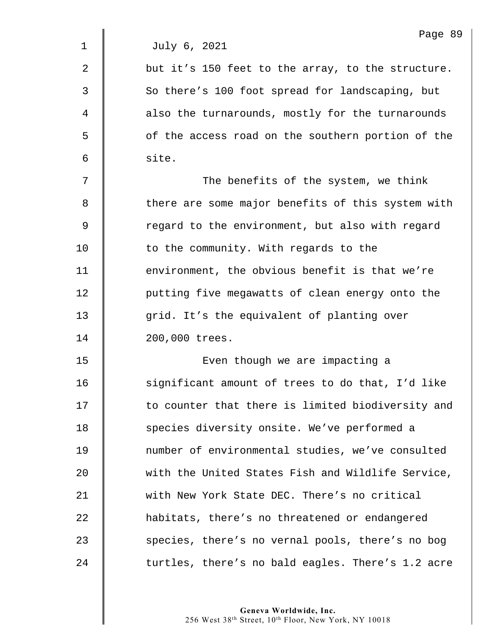$2 \parallel$  but it's 150 feet to the array, to the structure. 3 So there's 100 foot spread for landscaping, but 4 also the turnarounds, mostly for the turnarounds 5 | of the access road on the southern portion of the  $6 \parallel$  site.

7 || The benefits of the system, we think 8 there are some major benefits of this system with 9 | Tegard to the environment, but also with regard 10 **to the community. With regards to the** 11 | environment, the obvious benefit is that we're 12 | putting five megawatts of clean energy onto the 13 grid. It's the equivalent of planting over 14 | 200,000 trees.

15 | Even though we are impacting a 16 | significant amount of trees to do that, I'd like 17 | to counter that there is limited biodiversity and 18 | species diversity onsite. We've performed a 19 number of environmental studies, we've consulted 20 with the United States Fish and Wildlife Service, 21 Weith New York State DEC. There's no critical 22 **h** habitats, there's no threatened or endangered 23 Species, there's no vernal pools, there's no bog 24 Turtles, there's no bald eagles. There's 1.2 acre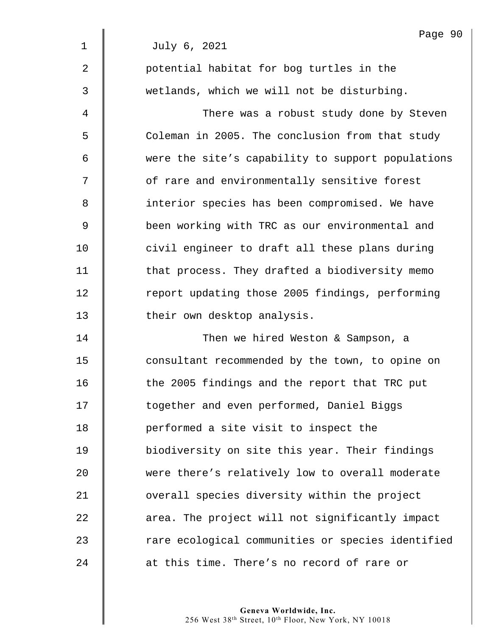|             | Page 90                                           |
|-------------|---------------------------------------------------|
| $\mathbf 1$ | July 6, 2021                                      |
| 2           | potential habitat for bog turtles in the          |
| 3           | wetlands, which we will not be disturbing.        |
| 4           | There was a robust study done by Steven           |
| 5           | Coleman in 2005. The conclusion from that study   |
| 6           | were the site's capability to support populations |
| 7           | of rare and environmentally sensitive forest      |
| 8           | interior species has been compromised. We have    |
| $\mathsf 9$ | been working with TRC as our environmental and    |
| 10          | civil engineer to draft all these plans during    |
| 11          | that process. They drafted a biodiversity memo    |
| 12          | report updating those 2005 findings, performing   |
| 13          | their own desktop analysis.                       |
| 14          | Then we hired Weston & Sampson, a                 |
| 15          | consultant recommended by the town, to opine on   |
| 16          | the 2005 findings and the report that TRC put     |
| 17          | together and even performed, Daniel Biggs         |
| 18          | performed a site visit to inspect the             |
| 19          | biodiversity on site this year. Their findings    |
| 20          | were there's relatively low to overall moderate   |
| 21          | overall species diversity within the project      |
| 22          | area. The project will not significantly impact   |
| 23          | rare ecological communities or species identified |
| 24          | at this time. There's no record of rare or        |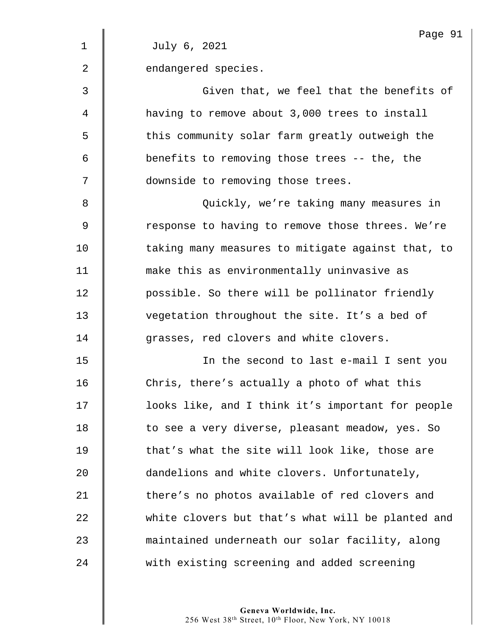|                | Page 91                                           |
|----------------|---------------------------------------------------|
| $\mathbf 1$    | July 6, 2021                                      |
| $\overline{2}$ | endangered species.                               |
| 3              | Given that, we feel that the benefits of          |
| 4              | having to remove about 3,000 trees to install     |
| 5              | this community solar farm greatly outweigh the    |
| 6              | benefits to removing those trees -- the, the      |
| 7              | downside to removing those trees.                 |
| 8              | Quickly, we're taking many measures in            |
| 9              | response to having to remove those threes. We're  |
| 10             | taking many measures to mitigate against that, to |
| 11             | make this as environmentally uninvasive as        |
| 12             | possible. So there will be pollinator friendly    |
| 13             | vegetation throughout the site. It's a bed of     |
| 14             | grasses, red clovers and white clovers.           |
| 15             | In the second to last e-mail I sent you           |
| 16             | Chris, there's actually a photo of what this      |
| 17             | looks like, and I think it's important for people |
| 18             | to see a very diverse, pleasant meadow, yes. So   |
| 19             | that's what the site will look like, those are    |
| 20             | dandelions and white clovers. Unfortunately,      |
| 21             | there's no photos available of red clovers and    |
| 22             | white clovers but that's what will be planted and |
| 23             | maintained underneath our solar facility, along   |
| 24             | with existing screening and added screening       |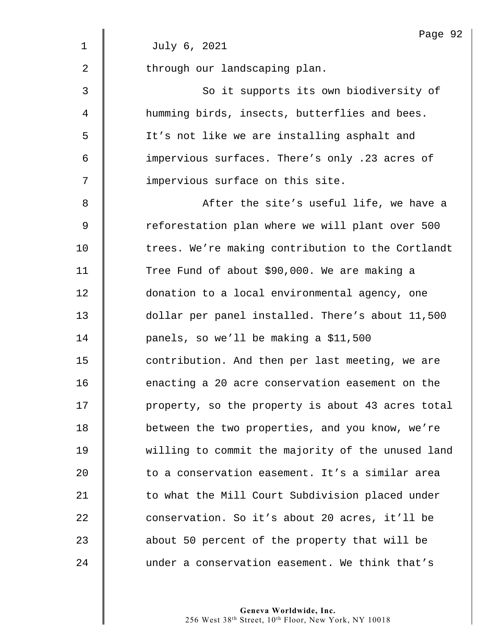|                | Page 92                                           |
|----------------|---------------------------------------------------|
| $\mathbf 1$    | July 6, 2021                                      |
| $\overline{2}$ | through our landscaping plan.                     |
| 3              | So it supports its own biodiversity of            |
| 4              | humming birds, insects, butterflies and bees.     |
| 5              | It's not like we are installing asphalt and       |
| 6              | impervious surfaces. There's only .23 acres of    |
| 7              | impervious surface on this site.                  |
| 8              | After the site's useful life, we have a           |
| 9              | reforestation plan where we will plant over 500   |
| 10             | trees. We're making contribution to the Cortlandt |
| 11             | Tree Fund of about \$90,000. We are making a      |
| 12             | donation to a local environmental agency, one     |
| 13             | dollar per panel installed. There's about 11,500  |
| 14             | panels, so we'll be making a \$11,500             |
| 15             | contribution. And then per last meeting, we are   |
| 16             | enacting a 20 acre conservation easement on the   |
| 17             | property, so the property is about 43 acres total |
| 18             | between the two properties, and you know, we're   |
| 19             | willing to commit the majority of the unused land |
| 20             | to a conservation easement. It's a similar area   |
| 21             | to what the Mill Court Subdivision placed under   |
| 22             | conservation. So it's about 20 acres, it'll be    |
| 23             | about 50 percent of the property that will be     |
| 24             | under a conservation easement. We think that's    |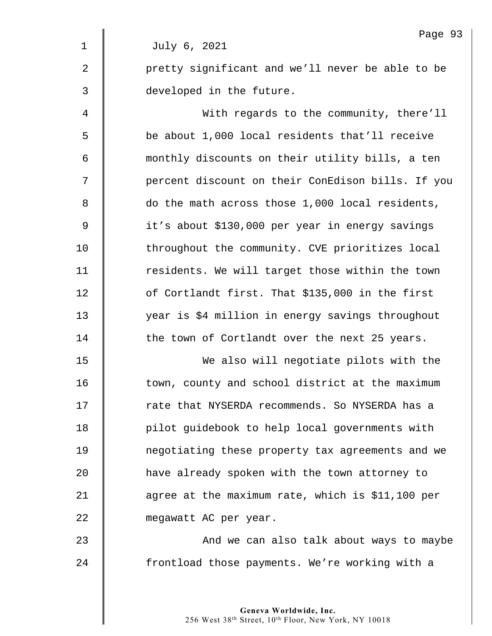|                | Page 93                                           |
|----------------|---------------------------------------------------|
| $\mathbf 1$    | July 6, 2021                                      |
| $\overline{2}$ | pretty significant and we'll never be able to be  |
| 3              | developed in the future.                          |
| 4              | With regards to the community, there'll           |
| 5              | be about 1,000 local residents that'll receive    |
| 6              | monthly discounts on their utility bills, a ten   |
| 7              | percent discount on their ConEdison bills. If you |
| 8              | do the math across those 1,000 local residents,   |
| 9              | it's about \$130,000 per year in energy savings   |
| 10             | throughout the community. CVE prioritizes local   |
| 11             | residents. We will target those within the town   |
| 12             | of Cortlandt first. That \$135,000 in the first   |
| 13             | year is \$4 million in energy savings throughout  |
| 14             | the town of Cortlandt over the next 25 years.     |
| 15             | We also will negotiate pilots with the            |
| 16             | town, county and school district at the maximum   |
| 17             | rate that NYSERDA recommends. So NYSERDA has a    |
| 18             | pilot guidebook to help local governments with    |
| 19             | negotiating these property tax agreements and we  |
| 20             | have already spoken with the town attorney to     |
| 21             | agree at the maximum rate, which is \$11,100 per  |
| 22             | megawatt AC per year.                             |
| 23             | And we can also talk about ways to maybe          |
| 24             | frontload those payments. We're working with a    |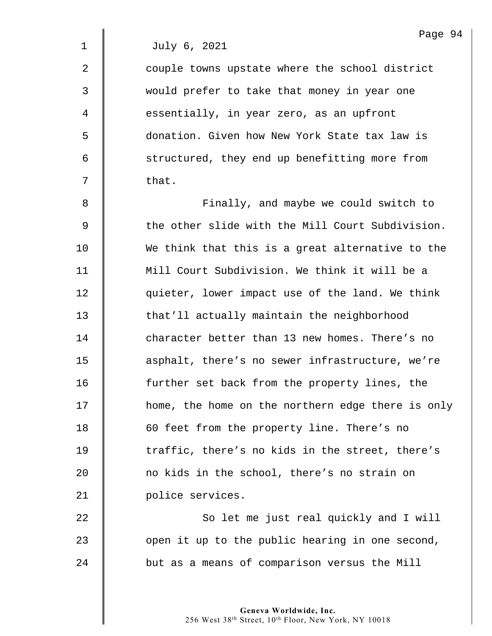2 **Quart 2** couple towns upstate where the school district 3 would prefer to take that money in year one 4 | essentially, in year zero, as an upfront 5 donation. Given how New York State tax law is 6 Structured, they end up benefitting more from  $7 \parallel$  that.

8 **Finally, and maybe we could switch to** 9 Solut the other slide with the Mill Court Subdivision. 10 We think that this is a great alternative to the 11 Mill Court Subdivision. We think it will be a 12  $\parallel$  quieter, lower impact use of the land. We think 13 **that'll actually maintain the neighborhood** 14 character better than 13 new homes. There's no 15 **deg is asphalt, there's no sewer infrastructure, we're** 16 **further set back from the property lines, the** 17 | home, the home on the northern edge there is only 18 **60** feet from the property line. There's no 19 The traffic, there's no kids in the street, there's 20 **no kids in the school, there's no strain on** 21 | police services.

22 So let me just real quickly and I will  $23$  | open it up to the public hearing in one second, 24 but as a means of comparison versus the Mill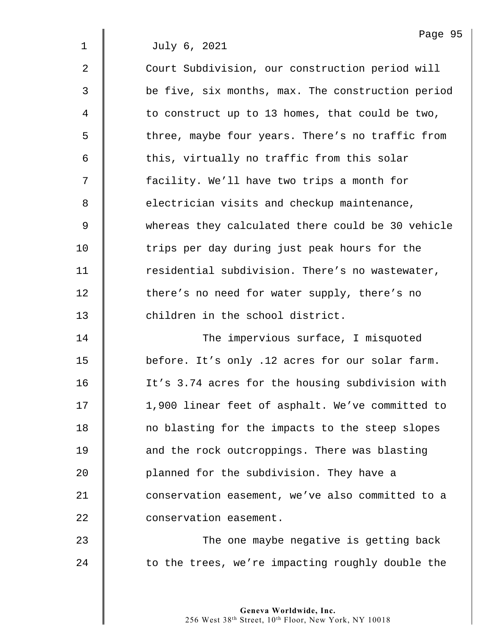2 Court Subdivision, our construction period will 3 be five, six months, max. The construction period  $4 \parallel$  to construct up to 13 homes, that could be two, 5 The three, maybe four years. There's no traffic from  $6$   $\parallel$  this, virtually no traffic from this solar 7  $\parallel$  facility. We'll have two trips a month for 8 electrician visits and checkup maintenance, 9 whereas they calculated there could be 30 vehicle 10 The trips per day during just peak hours for the 11 | residential subdivision. There's no wastewater, 12 there's no need for water supply, there's no 13 **decimal** children in the school district. 14 The impervious surface, I misquoted

**before.** It's only .12 acres for our solar farm. 16 It's 3.74 acres for the housing subdivision with 17 | 1,900 linear feet of asphalt. We've committed to 18 | no blasting for the impacts to the steep slopes **d** and the rock outcroppings. There was blasting **planned for the subdivision. They have a d** conservation easement, we've also committed to a **Conservation easement.** 

23 | The one maybe negative is getting back  $24$   $\parallel$  to the trees, we're impacting roughly double the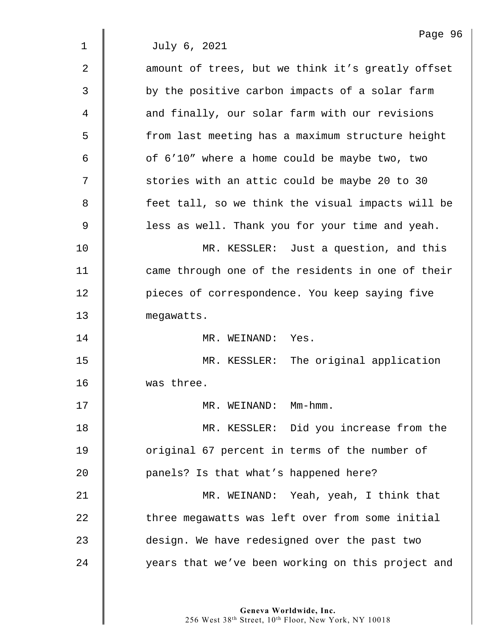Page 96 1 July 6, 2021 2 | amount of trees, but we think it's greatly offset 3 || by the positive carbon impacts of a solar farm 4 **d** and finally, our solar farm with our revisions 5 from last meeting has a maximum structure height  $6 \parallel$  of  $6'10''$  where a home could be maybe two, two 7 | stories with an attic could be maybe 20 to 30 8 feet tall, so we think the visual impacts will be 9 | less as well. Thank you for your time and yeah. 10 MR. KESSLER: Just a question, and this 11 | came through one of the residents in one of their 12 | pieces of correspondence. You keep saying five 13 megawatts. 14 MR. WEINAND: Yes. 15 | MR. KESSLER: The original application 16 was three. 17 || MR. WEINAND: Mm-hmm. 18 | MR. KESSLER: Did you increase from the 19 **J** original 67 percent in terms of the number of 20 **Quare** 20 **panels?** Is that what's happened here? 21 MR. WEINAND: Yeah, yeah, I think that 22 three megawatts was left over from some initial 23 design. We have redesigned over the past two 24 | vears that we've been working on this project and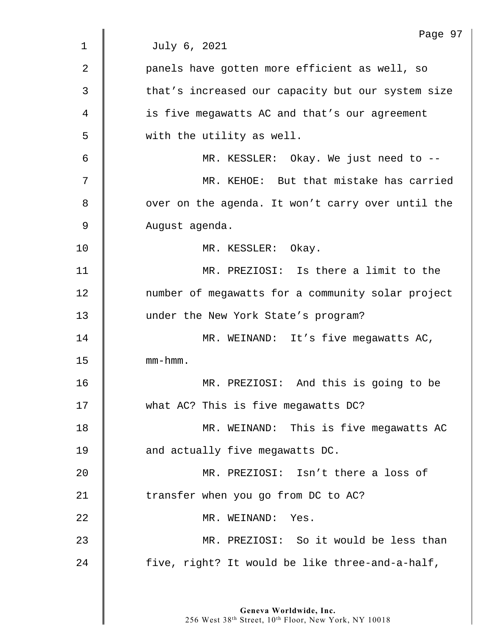| Page 97                                           |
|---------------------------------------------------|
| July 6, 2021                                      |
| panels have gotten more efficient as well, so     |
| that's increased our capacity but our system size |
| is five megawatts AC and that's our agreement     |
| with the utility as well.                         |
| MR. KESSLER: Okay. We just need to --             |
| MR. KEHOE: But that mistake has carried           |
| over on the agenda. It won't carry over until the |
| August agenda.                                    |
| MR. KESSLER: Okay.                                |
| MR. PREZIOSI: Is there a limit to the             |
| number of megawatts for a community solar project |
| under the New York State's program?               |
| MR. WEINAND: It's five megawatts AC,              |
| $mm - hmm$ .                                      |
| MR. PREZIOSI: And this is going to be             |
| what AC? This is five megawatts DC?               |
| MR. WEINAND: This is five megawatts AC            |
| and actually five megawatts DC.                   |
| MR. PREZIOSI: Isn't there a loss of               |
| transfer when you go from DC to AC?               |
| MR. WEINAND: Yes.                                 |
| MR. PREZIOSI: So it would be less than            |
| five, right? It would be like three-and-a-half,   |
|                                                   |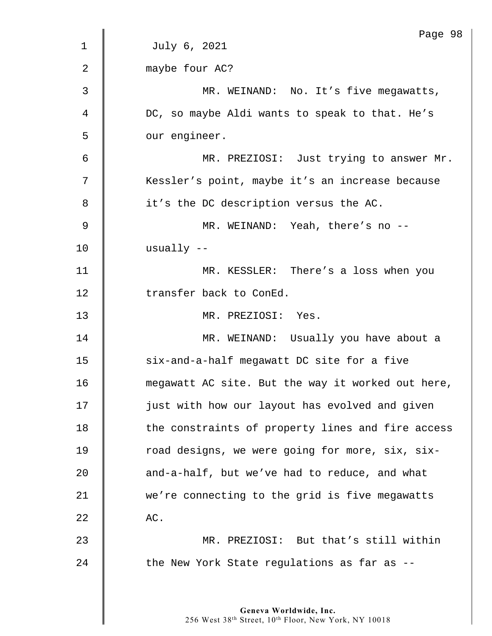|             | Page 98                                           |
|-------------|---------------------------------------------------|
| $\mathbf 1$ | July 6, 2021                                      |
| 2           | maybe four AC?                                    |
| 3           | MR. WEINAND: No. It's five megawatts,             |
| 4           | DC, so maybe Aldi wants to speak to that. He's    |
| 5           | our engineer.                                     |
| 6           | MR. PREZIOSI: Just trying to answer Mr.           |
| 7           | Kessler's point, maybe it's an increase because   |
| 8           | it's the DC description versus the AC.            |
| 9           | MR. WEINAND: Yeah, there's no --                  |
| 10          | usually $--$                                      |
| 11          | MR. KESSLER: There's a loss when you              |
| 12          | transfer back to ConEd.                           |
| 13          | MR. PREZIOSI: Yes.                                |
| 14          | MR. WEINAND: Usually you have about a             |
| 15          | six-and-a-half megawatt DC site for a five        |
| 16          | megawatt AC site. But the way it worked out here, |
| 17          | just with how our layout has evolved and given    |
| 18          | the constraints of property lines and fire access |
| 19          | road designs, we were going for more, six, six-   |
| 20          | and-a-half, but we've had to reduce, and what     |
| 21          | we're connecting to the grid is five megawatts    |
| 22          | AC.                                               |
| 23          | MR. PREZIOSI: But that's still within             |
| 24          | the New York State regulations as far as --       |
|             |                                                   |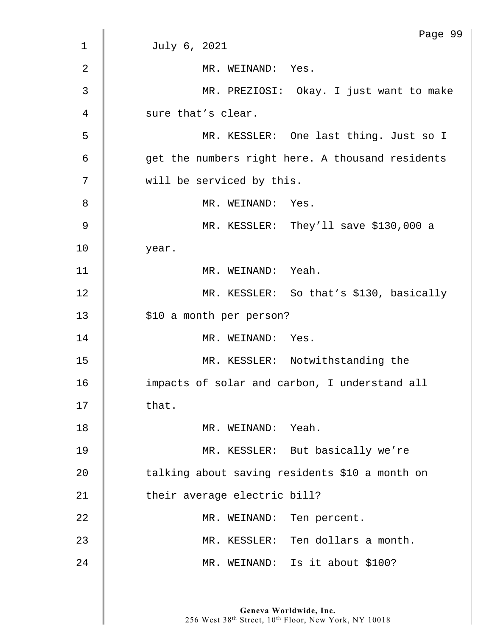| Page 99                                          |
|--------------------------------------------------|
| July 6, 2021                                     |
| MR. WEINAND: Yes.                                |
| MR. PREZIOSI: Okay. I just want to make          |
| sure that's clear.                               |
| MR. KESSLER: One last thing. Just so I           |
| get the numbers right here. A thousand residents |
| will be serviced by this.                        |
| MR. WEINAND: Yes.                                |
| MR. KESSLER: They'll save \$130,000 a            |
| year.                                            |
| MR. WEINAND: Yeah.                               |
| MR. KESSLER: So that's \$130, basically          |
| \$10 a month per person?                         |
| MR. WEINAND: Yes.                                |
| MR. KESSLER: Notwithstanding the                 |
| impacts of solar and carbon, I understand all    |
| that.                                            |
| MR. WEINAND: Yeah.                               |
| MR. KESSLER: But basically we're                 |
| talking about saving residents \$10 a month on   |
| their average electric bill?                     |
| MR. WEINAND: Ten percent.                        |
| MR. KESSLER: Ten dollars a month.                |
| MR. WEINAND: Is it about \$100?                  |
|                                                  |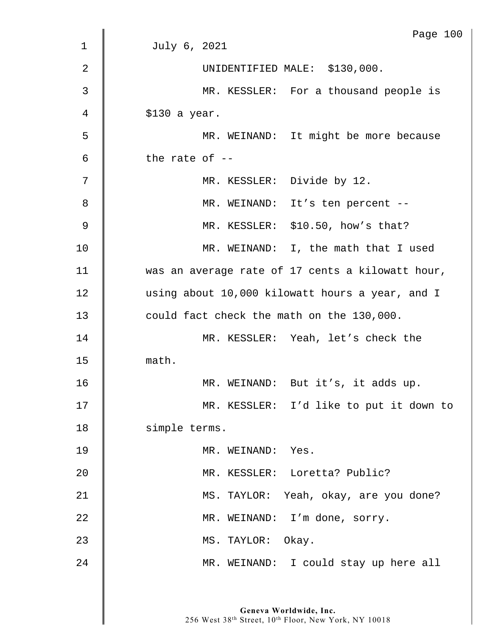|             | Page 100                                         |
|-------------|--------------------------------------------------|
| $\mathbf 1$ | July 6, 2021                                     |
| 2           | UNIDENTIFIED MALE: \$130,000.                    |
| 3           | MR. KESSLER: For a thousand people is            |
| 4           | $$130$ a year.                                   |
| 5           | MR. WEINAND: It might be more because            |
| 6           | the rate of $-$                                  |
| 7           | MR. KESSLER: Divide by 12.                       |
| 8           | MR. WEINAND: It's ten percent --                 |
| 9           | MR. KESSLER: \$10.50, how's that?                |
| 10          | MR. WEINAND: I, the math that I used             |
| 11          | was an average rate of 17 cents a kilowatt hour, |
| 12          | using about 10,000 kilowatt hours a year, and I  |
| 13          | could fact check the math on the 130,000.        |
| 14          | MR. KESSLER: Yeah, let's check the               |
| 15          | math.                                            |
| 16          | MR. WEINAND: But it's, it adds up.               |
| 17          | MR. KESSLER: I'd like to put it down to          |
| 18          | simple terms.                                    |
| 19          | MR. WEINAND: Yes.                                |
| 20          | MR. KESSLER: Loretta? Public?                    |
| 21          | MS. TAYLOR: Yeah, okay, are you done?            |
| 22          | MR. WEINAND: I'm done, sorry.                    |
| 23          | MS. TAYLOR: Okay.                                |
| 24          | MR. WEINAND: I could stay up here all            |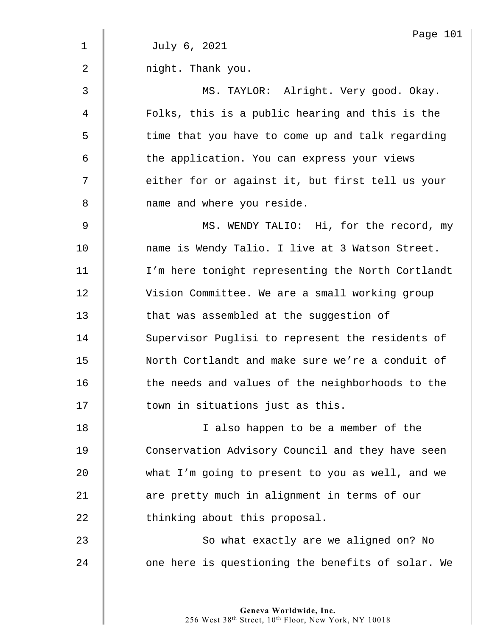|                | Page 101                                          |
|----------------|---------------------------------------------------|
| $\mathbf 1$    | July 6, 2021                                      |
| $\overline{2}$ | night. Thank you.                                 |
| 3              | MS. TAYLOR: Alright. Very good. Okay.             |
| $\overline{4}$ | Folks, this is a public hearing and this is the   |
| 5              | time that you have to come up and talk regarding  |
| 6              | the application. You can express your views       |
| 7              | either for or against it, but first tell us your  |
| 8              | name and where you reside.                        |
| 9              | MS. WENDY TALIO: Hi, for the record, my           |
| 10             | name is Wendy Talio. I live at 3 Watson Street.   |
| 11             | I'm here tonight representing the North Cortlandt |
| 12             | Vision Committee. We are a small working group    |
| 13             | that was assembled at the suggestion of           |
| 14             | Supervisor Puglisi to represent the residents of  |
| 15             | North Cortlandt and make sure we're a conduit of  |
| 16             | the needs and values of the neighborhoods to the  |
| 17             | town in situations just as this.                  |
| 18             | I also happen to be a member of the               |
| 19             | Conservation Advisory Council and they have seen  |
| 20             | what I'm going to present to you as well, and we  |
| 21             | are pretty much in alignment in terms of our      |
| 22             | thinking about this proposal.                     |
| 23             | So what exactly are we aligned on? No             |
| 24             | one here is questioning the benefits of solar. We |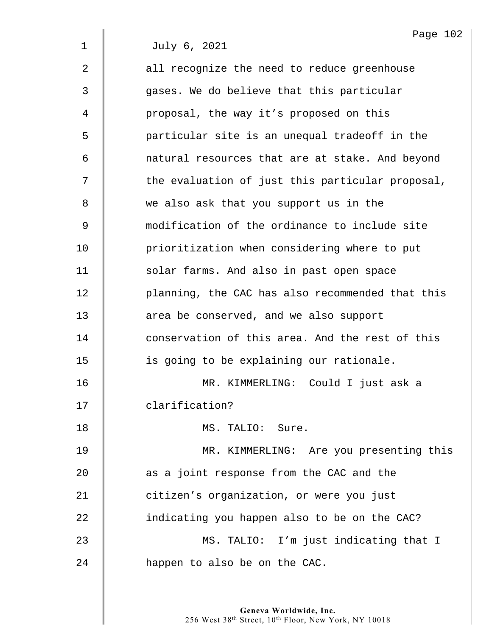2  $\parallel$  all recognize the need to reduce greenhouse 3 gases. We do believe that this particular 4 | proposal, the way it's proposed on this 5 | particular site is an unequal tradeoff in the 6 | natural resources that are at stake. And beyond 7 | the evaluation of just this particular proposal, 8 we also ask that you support us in the 9 modification of the ordinance to include site 10 **prioritization when considering where to put** 11 | solar farms. And also in past open space 12 | planning, the CAC has also recommended that this 13 **axea be conserved, and we also support** 14 conservation of this area. And the rest of this 15 | is going to be explaining our rationale. 16 MR. KIMMERLING: Could I just ask a 17 | clarification? 18 MS. TALIO: Sure. 19 | MR. KIMMERLING: Are you presenting this  $20$   $\parallel$  as a joint response from the CAC and the 21 **d** citizen's organization, or were you just  $22$   $\parallel$  indicating you happen also to be on the CAC? 23 MS. TALIO: I'm just indicating that I 24 **happen** to also be on the CAC.

> **Geneva Worldwide, Inc.**  256 West 38th Street, 10th Floor, New York, NY 10018

Page 102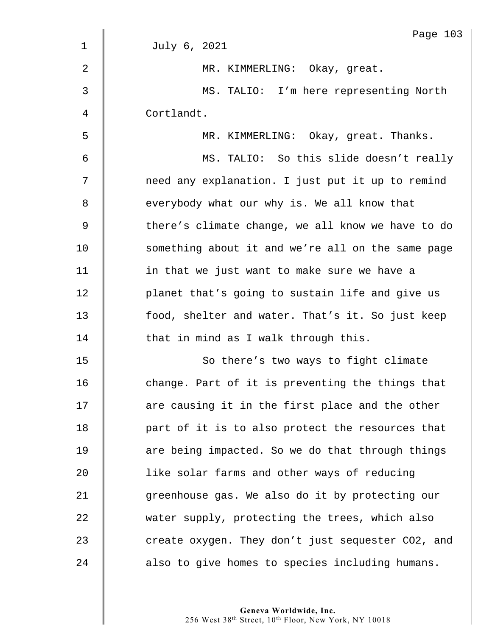|                | Page 103                                          |
|----------------|---------------------------------------------------|
| $\mathbf{1}$   | July 6, 2021                                      |
| $\overline{2}$ | MR. KIMMERLING: Okay, great.                      |
| 3              | MS. TALIO: I'm here representing North            |
| 4              | Cortlandt.                                        |
| 5              | MR. KIMMERLING: Okay, great. Thanks.              |
| 6              | MS. TALIO: So this slide doesn't really           |
| 7              | need any explanation. I just put it up to remind  |
| 8              | everybody what our why is. We all know that       |
| $\mathsf 9$    | there's climate change, we all know we have to do |
| 10             | something about it and we're all on the same page |
| 11             | in that we just want to make sure we have a       |
| 12             | planet that's going to sustain life and give us   |
| 13             | food, shelter and water. That's it. So just keep  |
| 14             | that in mind as I walk through this.              |
| 15             | So there's two ways to fight climate              |
| 16             | change. Part of it is preventing the things that  |
| 17             | are causing it in the first place and the other   |
| 18             | part of it is to also protect the resources that  |
| 19             | are being impacted. So we do that through things  |
| 20             | like solar farms and other ways of reducing       |
| 21             | greenhouse gas. We also do it by protecting our   |
| 22             | water supply, protecting the trees, which also    |
| 23             | create oxygen. They don't just sequester CO2, and |
| 24             | also to give homes to species including humans.   |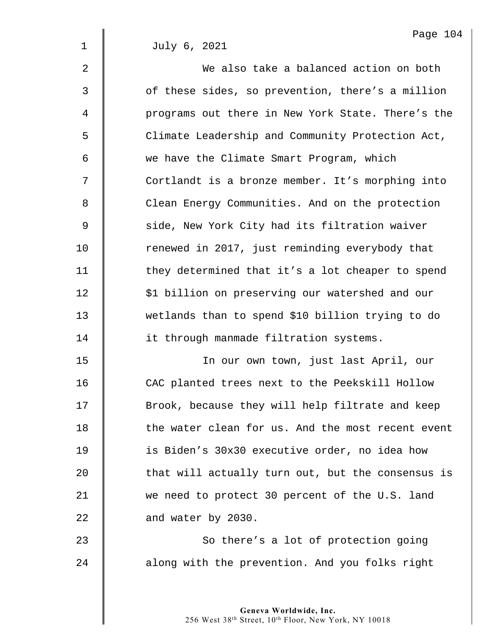Page 104

1 July 6, 2021

| $\overline{2}$ | We also take a balanced action on both            |
|----------------|---------------------------------------------------|
| $\mathfrak{Z}$ | of these sides, so prevention, there's a million  |
| 4              | programs out there in New York State. There's the |
| 5              | Climate Leadership and Community Protection Act,  |
| 6              | we have the Climate Smart Program, which          |
| 7              | Cortlandt is a bronze member. It's morphing into  |
| 8              | Clean Energy Communities. And on the protection   |
| $\mathsf 9$    | side, New York City had its filtration waiver     |
| 10             | renewed in 2017, just reminding everybody that    |
| 11             | they determined that it's a lot cheaper to spend  |
| 12             | \$1 billion on preserving our watershed and our   |
| 13             | wetlands than to spend \$10 billion trying to do  |
| 14             | it through manmade filtration systems.            |
| 15             | In our own town, just last April, our             |
| 16             | CAC planted trees next to the Peekskill Hollow    |
| 17             | Brook, because they will help filtrate and keep   |
| 18             | the water clean for us. And the most recent event |
| 19             | is Biden's 30x30 executive order, no idea how     |
| 20             | that will actually turn out, but the consensus is |
| 21             | we need to protect 30 percent of the U.S. land    |
| 22             | and water by 2030.                                |
| 23             | So there's a lot of protection going              |
| 24             | along with the prevention. And you folks right    |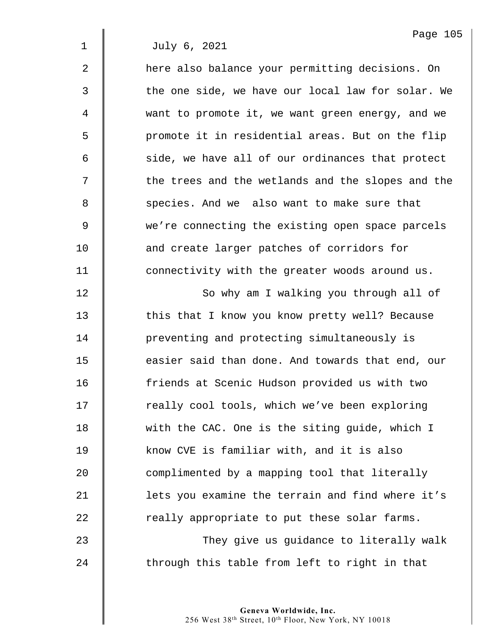2  $\parallel$  here also balance your permitting decisions. On 3 | the one side, we have our local law for solar. We 4 | want to promote it, we want green energy, and we 5 || promote it in residential areas. But on the flip  $6$   $\parallel$  side, we have all of our ordinances that protect 7 | the trees and the wetlands and the slopes and the 8 Some Species. And we also want to make sure that 9 we're connecting the existing open space parcels 10 **and create larger patches of corridors for** 11 **dege** connectivity with the greater woods around us. 12 | So why am I walking you through all of 13 This that I know you know pretty well? Because 14 **preventing and protecting simultaneously is** 15 **easier said than done. And towards that end, our** 16 **f**riends at Scenic Hudson provided us with two 17 | really cool tools, which we've been exploring 18 With the CAC. One is the siting guide, which I 19 Xnow CVE is familiar with, and it is also  $20$   $\parallel$  complimented by a mapping tool that literally 21  $\parallel$  lets you examine the terrain and find where it's 22  $\parallel$  really appropriate to put these solar farms. 23 | They give us guidance to literally walk

> **Geneva Worldwide, Inc.**  256 West 38th Street, 10th Floor, New York, NY 10018

 $24$   $\parallel$  through this table from left to right in that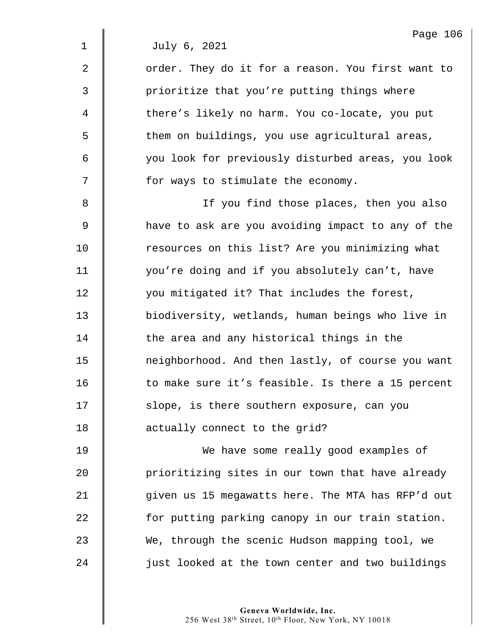2 | order. They do it for a reason. You first want to 3 || prioritize that you're putting things where 4 there's likely no harm. You co-locate, you put 5 | them on buildings, you use agricultural areas, 6 you look for previously disturbed areas, you look 7 | for ways to stimulate the economy.

8 || If you find those places, then you also 9 have to ask are you avoiding impact to any of the 10 Tesources on this list? Are you minimizing what 11 | you're doing and if you absolutely can't, have 12 | vou mitigated it? That includes the forest, 13 biodiversity, wetlands, human beings who live in 14 The area and any historical things in the 15 | neighborhood. And then lastly, of course you want 16 Theorrow to make sure it's feasible. Is there a 15 percent 17 | slope, is there southern exposure, can you 18 **d** actually connect to the grid?

19 We have some really good examples of 20 **prioritizing sites in our town that have already** 21 | qiven us 15 megawatts here. The MTA has RFP'd out 22 **for putting parking canopy in our train station.** 23 We, through the scenic Hudson mapping tool, we 24 | just looked at the town center and two buildings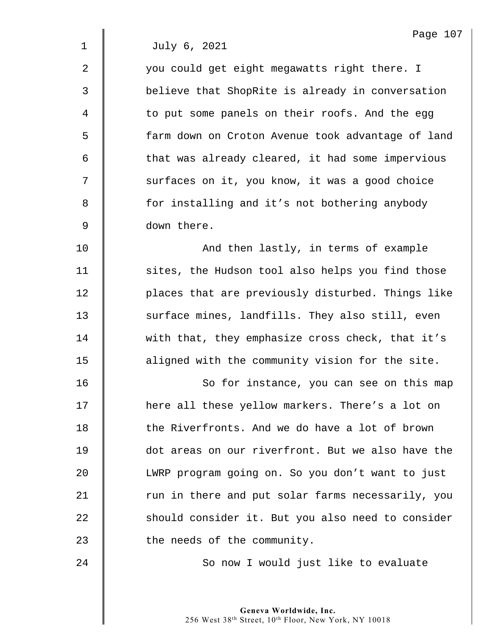2 | vou could get eight megawatts right there. I 3 believe that ShopRite is already in conversation 4 | to put some panels on their roofs. And the egg 5 farm down on Croton Avenue took advantage of land  $6$   $\parallel$  that was already cleared, it had some impervious 7 | surfaces on it, you know, it was a good choice 8 **for installing and it's not bothering anybody** 9 down there.

10 | And then lastly, in terms of example 11 | sites, the Hudson tool also helps you find those 12 **d** places that are previously disturbed. Things like 13 Surface mines, landfills. They also still, even 14 with that, they emphasize cross check, that it's 15 | aligned with the community vision for the site.

16 || So for instance, you can see on this map 17 | here all these yellow markers. There's a lot on 18 **the Riverfronts. And we do have a lot of brown** 19 **dot areas on our riverfront.** But we also have the 20 LWRP program going on. So you don't want to just 21 Trun in there and put solar farms necessarily, you 22 Should consider it. But you also need to consider 23 **the needs of the community.** 

24 | So now I would just like to evaluate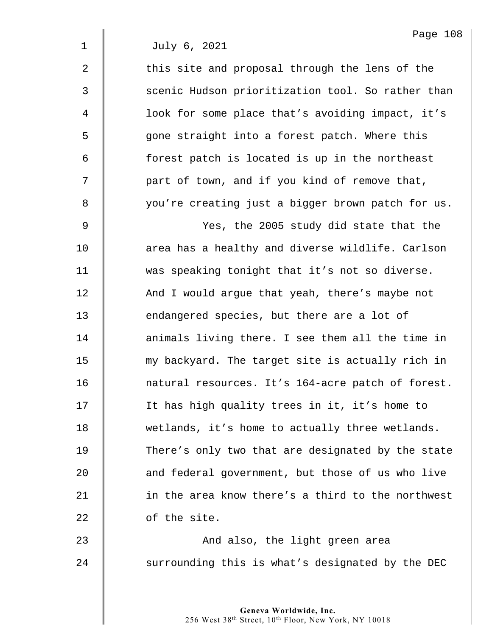$2 \parallel$  this site and proposal through the lens of the 3  $\parallel$  scenic Hudson prioritization tool. So rather than 4 | look for some place that's avoiding impact, it's 5 s one straight into a forest patch. Where this  $6$  | forest patch is located is up in the northeast 7 | part of town, and if you kind of remove that, 8 | vou're creating just a bigger brown patch for us.

9 Yes, the 2005 study did state that the 10  $\parallel$  area has a healthy and diverse wildlife. Carlson 11 | was speaking tonight that it's not so diverse. 12 And I would argue that yeah, there's maybe not 13 **endangered species, but there are a lot of** 14 | animals living there. I see them all the time in 15 my backyard. The target site is actually rich in 16 **natural resources.** It's 164-acre patch of forest. 17 | It has high quality trees in it, it's home to 18 | wetlands, it's home to actually three wetlands. 19 There's only two that are designated by the state 20 **and federal government, but those of us who live** 21 **in the area know there's a third to the northwest** 22 | of the site.

23 **And also, the light green area**  $24$   $\parallel$  surrounding this is what's designated by the DEC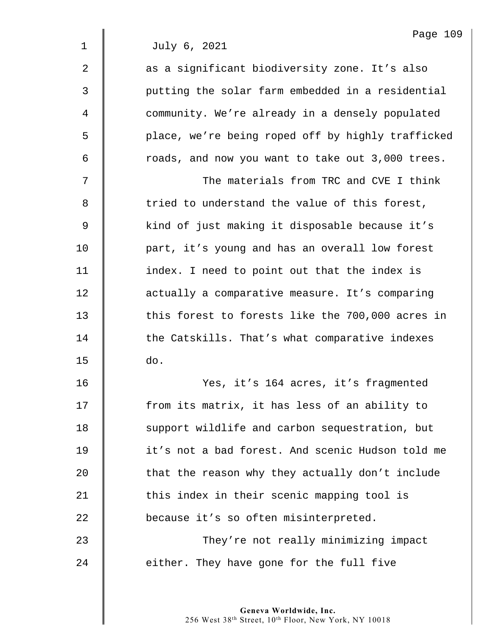| $\overline{2}$ | as a significant biodiversity zone. It's also     |
|----------------|---------------------------------------------------|
| 3              | putting the solar farm embedded in a residential  |
| 4              | community. We're already in a densely populated   |
| 5              | place, we're being roped off by highly trafficked |
| 6              | roads, and now you want to take out 3,000 trees.  |
| 7              | The materials from TRC and CVE I think            |
| 8              | tried to understand the value of this forest,     |
| $\mathsf 9$    | kind of just making it disposable because it's    |
| 10             | part, it's young and has an overall low forest    |
| 11             | index. I need to point out that the index is      |
| 12             | actually a comparative measure. It's comparing    |
| 13             | this forest to forests like the 700,000 acres in  |
| 14             | the Catskills. That's what comparative indexes    |
| 15             | do.                                               |
| 16             | Yes, it's 164 acres, it's fragmented              |
| 17             | from its matrix, it has less of an ability to     |
| 18             | support wildlife and carbon sequestration, but    |
| 19             | it's not a bad forest. And scenic Hudson told me  |
| 20             | that the reason why they actually don't include   |
| 21             | this index in their scenic mapping tool is        |
| 22             | because it's so often misinterpreted.             |
| 23             | They're not really minimizing impact              |
| 24             | either. They have gone for the full five          |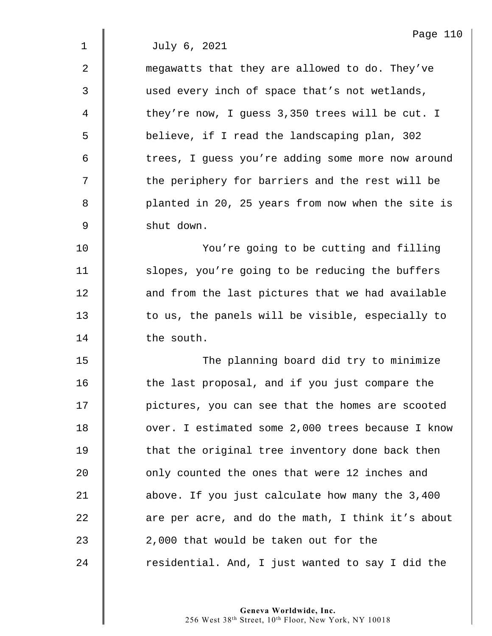2 **M** megawatts that they are allowed to do. They've 3  $\parallel$  used every inch of space that's not wetlands, 4 they're now, I guess 3,350 trees will be cut. I 5 S believe, if I read the landscaping plan, 302 6 | trees, I guess you're adding some more now around  $7 \parallel$  the periphery for barriers and the rest will be 8 | planted in 20, 25 years from now when the site is 9 shut down.

10 | You're going to be cutting and filling 11 | slopes, you're going to be reducing the buffers 12 | and from the last pictures that we had available 13 | to us, the panels will be visible, especially to 14 **the south.** 

15 | The planning board did try to minimize 16 | the last proposal, and if you just compare the 17 | pictures, you can see that the homes are scooted 18 | over. I estimated some 2,000 trees because I know  $19$   $\parallel$  that the original tree inventory done back then 20 **deg 10** only counted the ones that were 12 inches and 21 above. If you just calculate how many the 3,400 22  $\parallel$  are per acre, and do the math, I think it's about 23 2.000 that would be taken out for the  $24$  | residential. And, I just wanted to say I did the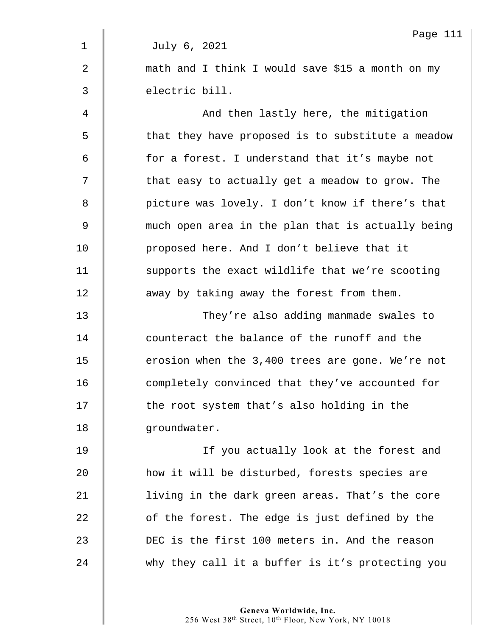|                | Page 111                                          |
|----------------|---------------------------------------------------|
| 1              | July 6, 2021                                      |
| $\overline{2}$ | math and I think I would save \$15 a month on my  |
| 3              | electric bill.                                    |
| 4              | And then lastly here, the mitigation              |
| 5              | that they have proposed is to substitute a meadow |
| 6              | for a forest. I understand that it's maybe not    |
| 7              | that easy to actually get a meadow to grow. The   |
| 8              | picture was lovely. I don't know if there's that  |
| 9              | much open area in the plan that is actually being |
| 10             | proposed here. And I don't believe that it        |
| 11             | supports the exact wildlife that we're scooting   |
| 12             | away by taking away the forest from them.         |
| 13             | They're also adding manmade swales to             |
| 14             | counteract the balance of the runoff and the      |
| 15             | erosion when the 3,400 trees are gone. We're not  |
| 16             | completely convinced that they've accounted for   |
| 17             | the root system that's also holding in the        |
| 18             | groundwater.                                      |
| 19             | If you actually look at the forest and            |
| 20             | how it will be disturbed, forests species are     |
| 21             | living in the dark green areas. That's the core   |
| 22             | of the forest. The edge is just defined by the    |
| 23             | DEC is the first 100 meters in. And the reason    |
| 24             | why they call it a buffer is it's protecting you  |
|                |                                                   |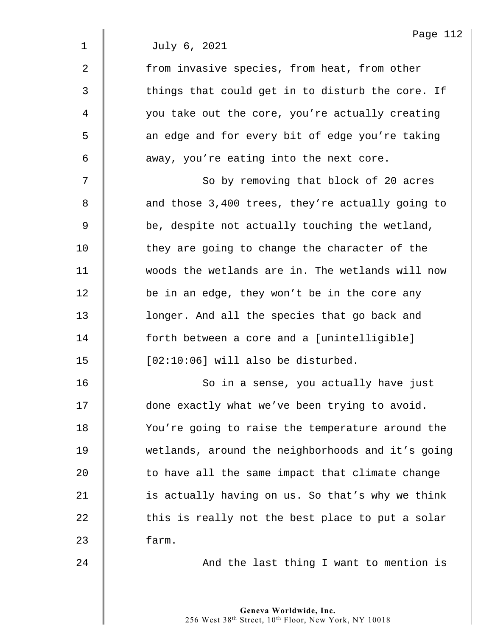2 | from invasive species, from heat, from other  $3 \parallel$  things that could get in to disturb the core. If 4 | vou take out the core, you're actually creating 5 || an edge and for every bit of edge you're taking  $6 \parallel$  away, you're eating into the next core.

7 | So by removing that block of 20 acres 8 and those 3,400 trees, they're actually going to  $9 \parallel$  be, despite not actually touching the wetland, 10 They are going to change the character of the 11 woods the wetlands are in. The wetlands will now 12 **be in an edge, they won't be in the core any** 13 **lack** longer. And all the species that go back and 14 forth between a core and a [unintelligible]  $15$  | [02:10:06] will also be disturbed.

16 | So in a sense, you actually have just 17  $\parallel$  done exactly what we've been trying to avoid. 18 You're going to raise the temperature around the 19 wetlands, around the neighborhoods and it's going  $20$   $\parallel$  to have all the same impact that climate change 21  $\parallel$  is actually having on us. So that's why we think  $22$   $\parallel$  this is really not the best place to put a solar 23 Farm.

24 | And the last thing I want to mention is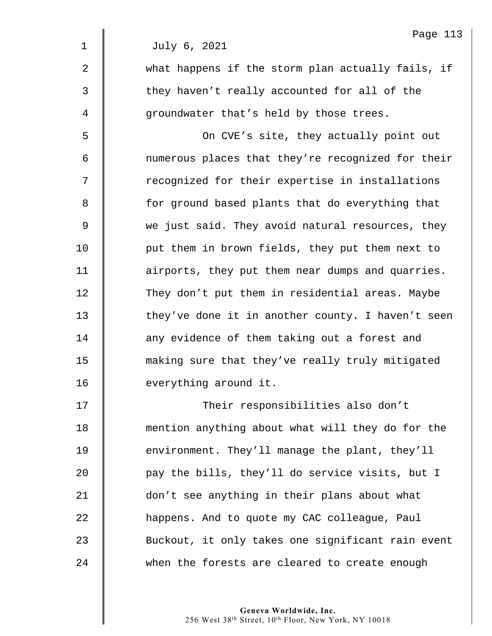|                | Page 113                                          |
|----------------|---------------------------------------------------|
| $\mathbf 1$    | July 6, 2021                                      |
| $\overline{2}$ | what happens if the storm plan actually fails, if |
| 3              | they haven't really accounted for all of the      |
| 4              | groundwater that's held by those trees.           |
| 5              | On CVE's site, they actually point out            |
| 6              | numerous places that they're recognized for their |
| 7              | recognized for their expertise in installations   |
| 8              | for ground based plants that do everything that   |
| 9              | we just said. They avoid natural resources, they  |
| 10             | put them in brown fields, they put them next to   |
| 11             | airports, they put them near dumps and quarries.  |
| 12             | They don't put them in residential areas. Maybe   |
| 13             | they've done it in another county. I haven't seen |
| 14             | any evidence of them taking out a forest and      |
| 15             | making sure that they've really truly mitigated   |
| 16             | everything around it.                             |
| 17             | Their responsibilities also don't                 |
| 18             | mention anything about what will they do for the  |
| 19             | environment. They'll manage the plant, they'll    |
| 20             | pay the bills, they'll do service visits, but I   |
| 21             | don't see anything in their plans about what      |
|                |                                                   |

22 **happens.** And to quote my CAC colleague, Paul 23 Suckout, it only takes one significant rain event 24 when the forests are cleared to create enough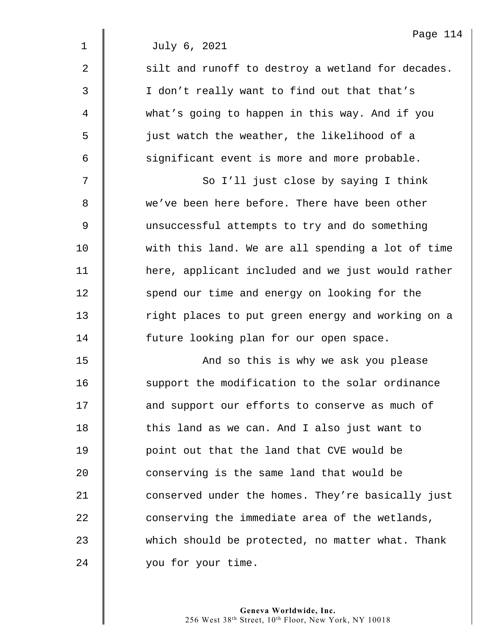$2 \parallel$  silt and runoff to destroy a wetland for decades. 3 || I don't really want to find out that that's 4 what's going to happen in this way. And if you 5 just watch the weather, the likelihood of a  $6 \parallel$  significant event is more and more probable.

7 || So I'll just close by saying I think 8 we've been here before. There have been other 9 unsuccessful attempts to try and do something 10 with this land. We are all spending a lot of time 11 | here, applicant included and we just would rather 12 Spend our time and energy on looking for the 13 The right places to put green energy and working on a 14 | future looking plan for our open space.

15 | November 2015 And so this is why we ask you please 16 Support the modification to the solar ordinance 17 **and support our efforts to conserve as much of** 18 | this land as we can. And I also just want to 19 | point out that the land that CVE would be  $20$   $\parallel$  conserving is the same land that would be 21 **Conserved under the homes. They're basically just** 22 conserving the immediate area of the wetlands, 23 which should be protected, no matter what. Thank 24 vou for your time.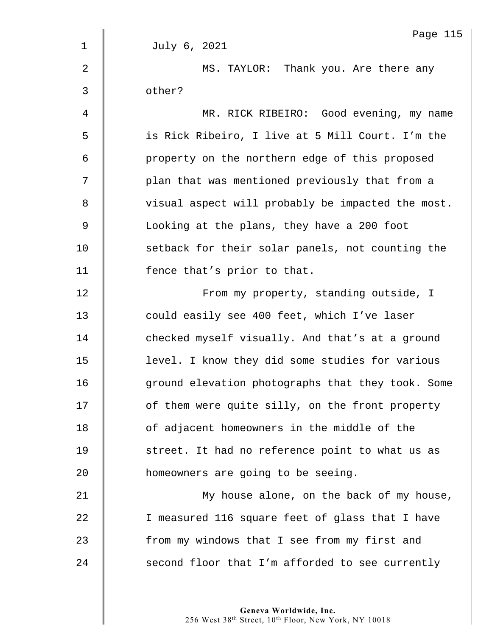|                | Page 115                                          |
|----------------|---------------------------------------------------|
| $\mathbf 1$    | July 6, 2021                                      |
| $\overline{2}$ | MS. TAYLOR: Thank you. Are there any              |
| 3              | other?                                            |
| 4              | MR. RICK RIBEIRO: Good evening, my name           |
| 5              | is Rick Ribeiro, I live at 5 Mill Court. I'm the  |
| 6              | property on the northern edge of this proposed    |
| 7              | plan that was mentioned previously that from a    |
| 8              | visual aspect will probably be impacted the most. |
| $\mathsf 9$    | Looking at the plans, they have a 200 foot        |
| 10             | setback for their solar panels, not counting the  |
| 11             | fence that's prior to that.                       |
| 12             | From my property, standing outside, I             |
| 13             | could easily see 400 feet, which I've laser       |
| 14             | checked myself visually. And that's at a ground   |
| 15             | level. I know they did some studies for various   |
| 16             | ground elevation photographs that they took. Some |
| 17             | of them were quite silly, on the front property   |
| 18             | of adjacent homeowners in the middle of the       |
| 19             | street. It had no reference point to what us as   |
| 20             | homeowners are going to be seeing.                |
| 21             | My house alone, on the back of my house,          |
| 22             | I measured 116 square feet of glass that I have   |
| 23             | from my windows that I see from my first and      |
| 24             | second floor that I'm afforded to see currently   |
|                |                                                   |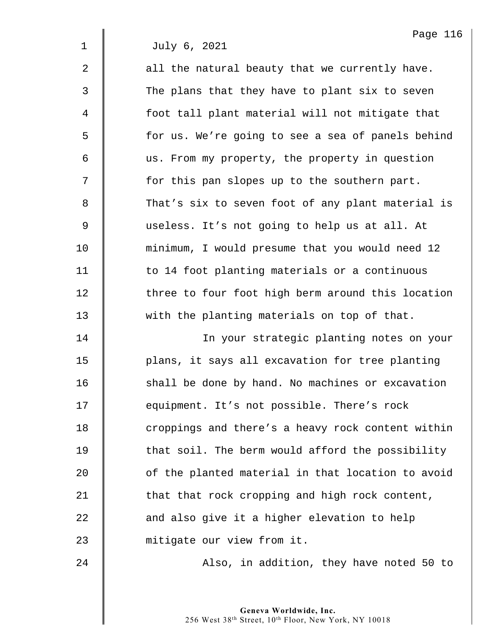$2 \parallel$  all the natural beauty that we currently have. 3 The plans that they have to plant six to seven 4 foot tall plant material will not mitigate that 5 | for us. We're going to see a sea of panels behind 6 us. From my property, the property in question 7 | for this pan slopes up to the southern part. 8 That's six to seven foot of any plant material is 9 useless. It's not going to help us at all. At 10 minimum, I would presume that you would need 12 11 | to 14 foot planting materials or a continuous 12 | three to four foot high berm around this location 13 with the planting materials on top of that.

14 In your strategic planting notes on your 15 | plans, it says all excavation for tree planting 16 **South** shall be done by hand. No machines or excavation 17 **equipment.** It's not possible. There's rock 18 | croppings and there's a heavy rock content within  $19$   $\parallel$  that soil. The berm would afford the possibility  $20$  |  $\Box$  of the planted material in that location to avoid 21  $\parallel$  that that rock cropping and high rock content, 22  $\parallel$  and also give it a higher elevation to help 23 mitigate our view from it.

24 **Also, in addition, they have noted 50 to**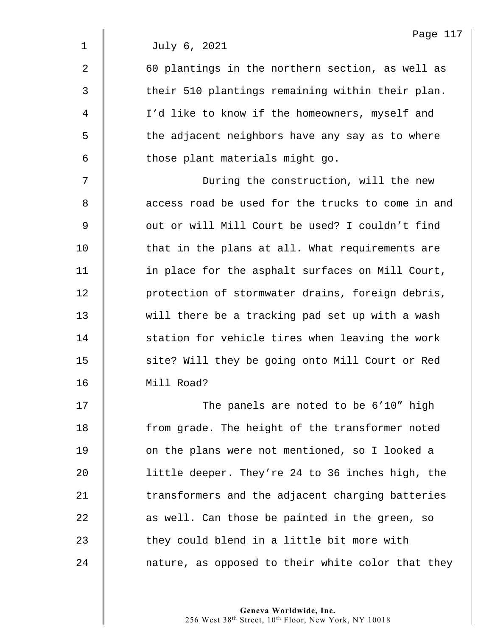2 | 60 plantings in the northern section, as well as  $3 \parallel$  their 510 plantings remaining within their plan. 4 | I'd like to know if the homeowners, myself and 5  $\parallel$  the adjacent neighbors have any say as to where  $6$   $\parallel$  those plant materials might go.

7 || During the construction, will the new 8 || access road be used for the trucks to come in and 9 | Out or will Mill Court be used? I couldn't find 10 That in the plans at all. What requirements are 11 | in place for the asphalt surfaces on Mill Court, 12 | protection of stormwater drains, foreign debris, 13 will there be a tracking pad set up with a wash 14 Station for vehicle tires when leaving the work 15 | site? Will they be going onto Mill Court or Red 16 Mill Road?

17 | The panels are noted to be 6'10" high 18 | from grade. The height of the transformer noted 19 **d** on the plans were not mentioned, so I looked a 20 little deeper. They're 24 to 36 inches high, the  $21$   $\parallel$  transformers and the adjacent charging batteries  $22$   $\parallel$  as well. Can those be painted in the green, so 23  $\parallel$  they could blend in a little bit more with 24 | nature, as opposed to their white color that they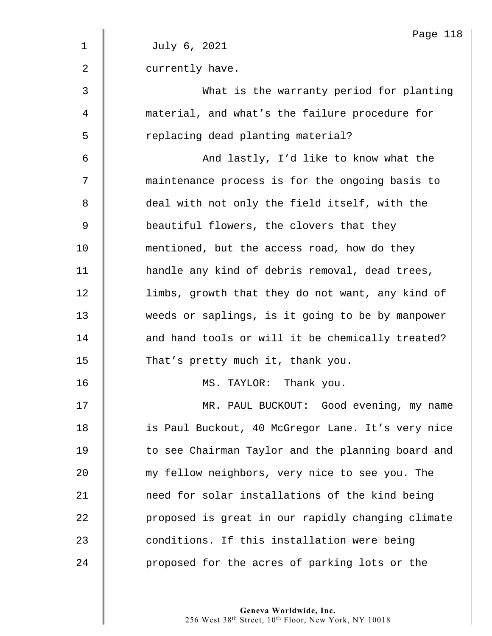|             | Page 118                                          |
|-------------|---------------------------------------------------|
| $\mathbf 1$ | July 6, 2021                                      |
| 2           | currently have.                                   |
| 3           | What is the warranty period for planting          |
| 4           | material, and what's the failure procedure for    |
| 5           | replacing dead planting material?                 |
| 6           | And lastly, I'd like to know what the             |
| 7           | maintenance process is for the ongoing basis to   |
| 8           | deal with not only the field itself, with the     |
| 9           | beautiful flowers, the clovers that they          |
| 10          | mentioned, but the access road, how do they       |
| 11          | handle any kind of debris removal, dead trees,    |
| 12          | limbs, growth that they do not want, any kind of  |
| 13          | weeds or saplings, is it going to be by manpower  |
| 14          | and hand tools or will it be chemically treated?  |
| 15          | That's pretty much it, thank you.                 |
| 16          | MS. TAYLOR: Thank you.                            |
| 17          | MR. PAUL BUCKOUT: Good evening, my name           |
| 18          | is Paul Buckout, 40 McGregor Lane. It's very nice |
| 19          | to see Chairman Taylor and the planning board and |
| 20          | my fellow neighbors, very nice to see you. The    |
| 21          | need for solar installations of the kind being    |
| 22          | proposed is great in our rapidly changing climate |
| 23          | conditions. If this installation were being       |
| 24          | proposed for the acres of parking lots or the     |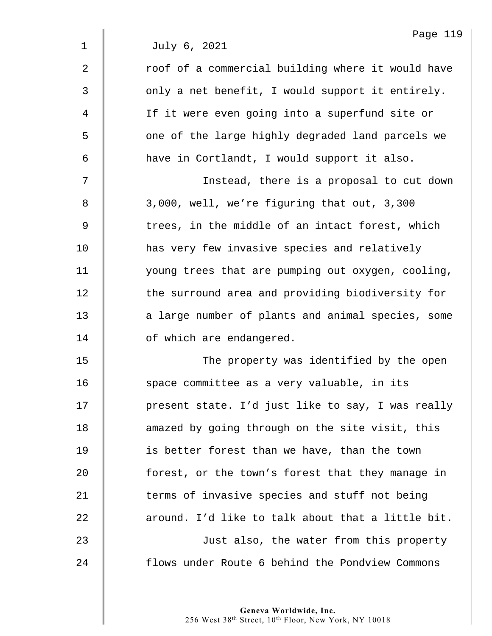|                | Page 119                                          |
|----------------|---------------------------------------------------|
| $\mathbf 1$    | July 6, 2021                                      |
| $\overline{2}$ | roof of a commercial building where it would have |
| 3              | only a net benefit, I would support it entirely.  |
| 4              | If it were even going into a superfund site or    |
| 5              | one of the large highly degraded land parcels we  |
| 6              | have in Cortlandt, I would support it also.       |
| 7              | Instead, there is a proposal to cut down          |
| 8              | 3,000, well, we're figuring that out, 3,300       |
| $\mathsf 9$    | trees, in the middle of an intact forest, which   |
| 10             | has very few invasive species and relatively      |
| 11             | young trees that are pumping out oxygen, cooling, |
| 12             | the surround area and providing biodiversity for  |
| 13             | a large number of plants and animal species, some |
| 14             | of which are endangered.                          |
| 15             | The property was identified by the open           |
| 16             | space committee as a very valuable, in its        |
| 17             | present state. I'd just like to say, I was really |
| 18             | amazed by going through on the site visit, this   |
| 19             | is better forest than we have, than the town      |
| 20             | forest, or the town's forest that they manage in  |
| 21             | terms of invasive species and stuff not being     |
| 22             | around. I'd like to talk about that a little bit. |
| 23             | Just also, the water from this property           |
| 24             | flows under Route 6 behind the Pondview Commons   |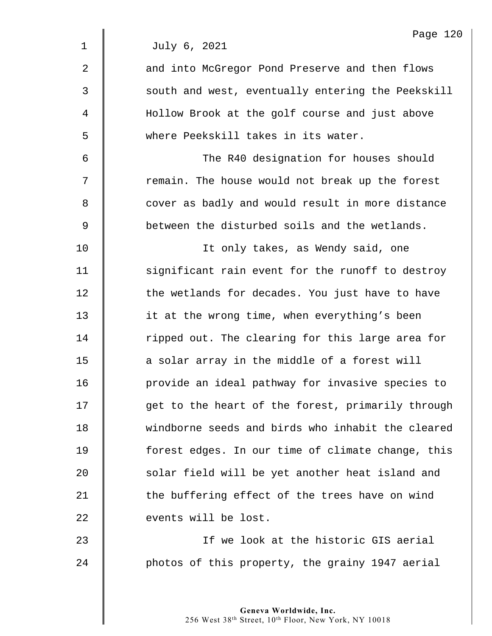|             | Page 120                                          |
|-------------|---------------------------------------------------|
| $\mathbf 1$ | July 6, 2021                                      |
| 2           | and into McGregor Pond Preserve and then flows    |
| 3           | south and west, eventually entering the Peekskill |
| 4           | Hollow Brook at the golf course and just above    |
| 5           | where Peekskill takes in its water.               |
| 6           | The R40 designation for houses should             |
| 7           | remain. The house would not break up the forest   |
| 8           | cover as badly and would result in more distance  |
| 9           | between the disturbed soils and the wetlands.     |
| 10          | It only takes, as Wendy said, one                 |
| 11          | significant rain event for the runoff to destroy  |
| 12          | the wetlands for decades. You just have to have   |
| 13          | it at the wrong time, when everything's been      |
| 14          | ripped out. The clearing for this large area for  |
| 15          | a solar array in the middle of a forest will      |
| 16          | provide an ideal pathway for invasive species to  |
| 17          | get to the heart of the forest, primarily through |
| 18          | windborne seeds and birds who inhabit the cleared |
| 19          | forest edges. In our time of climate change, this |
| 20          | solar field will be yet another heat island and   |
| 21          | the buffering effect of the trees have on wind    |
| 22          | events will be lost.                              |
| 23          | If we look at the historic GIS aerial             |
| 24          | photos of this property, the grainy 1947 aerial   |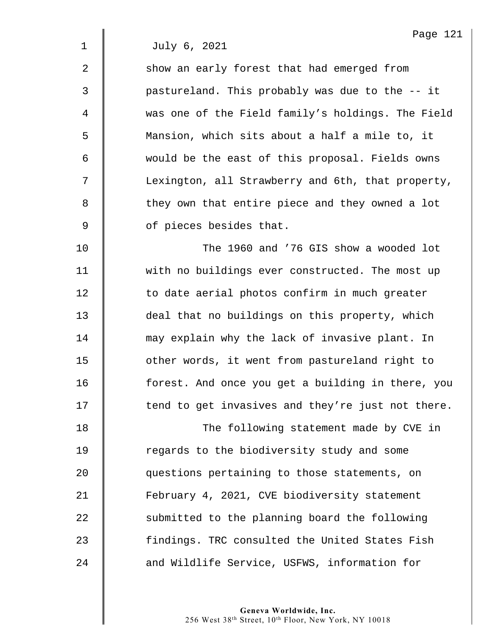Page 121

1 July 6, 2021

| $\overline{2}$ | show an early forest that had emerged from        |
|----------------|---------------------------------------------------|
| $\overline{3}$ | pastureland. This probably was due to the -- it   |
| $\overline{4}$ | was one of the Field family's holdings. The Field |
| 5              | Mansion, which sits about a half a mile to, it    |
| 6              | would be the east of this proposal. Fields owns   |
| 7              | Lexington, all Strawberry and 6th, that property, |
| 8              | they own that entire piece and they owned a lot   |
| 9              | of pieces besides that.                           |
|                |                                                   |

10 || The 1960 and '76 GIS show a wooded lot 11 | with no buildings ever constructed. The most up 12 | to date aerial photos confirm in much greater 13 deal that no buildings on this property, which 14 may explain why the lack of invasive plant. In 15 | other words, it went from pastureland right to 16 | forest. And once you get a building in there, you  $17$   $\parallel$  tend to get invasives and they're just not there.

18 | The following statement made by CVE in 19 **I** regards to the biodiversity study and some 20 questions pertaining to those statements, on 21 | February 4, 2021, CVE biodiversity statement  $22$   $\parallel$  submitted to the planning board the following 23 | findings. TRC consulted the United States Fish 24 **and Wildlife Service, USFWS, information for**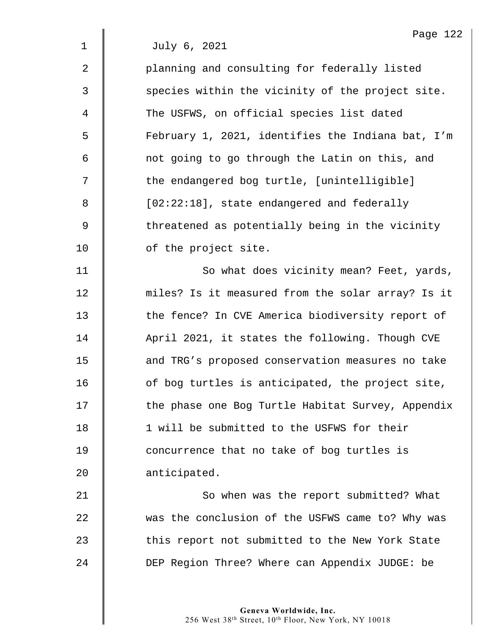2 || planning and consulting for federally listed 3 Secies within the vicinity of the project site. 4 The USFWS, on official species list dated 5 | February 1, 2021, identifies the Indiana bat, I'm 6 | not going to go through the Latin on this, and 7 || the endangered bog turtle, [unintelligible] 8 | [02:22:18], state endangered and federally 9 Solut threatened as potentially being in the vicinity 10 **d** of the project site. 11 | So what does vicinity mean? Feet, yards,

12 miles? Is it measured from the solar array? Is it 13 The fence? In CVE America biodiversity report of 14 | April 2021, it states the following. Though CVE 15 **deg 15** and TRG's proposed conservation measures no take  $16$   $\parallel$  of bog turtles is anticipated, the project site, 17 | the phase one Bog Turtle Habitat Survey, Appendix 18  $\parallel$  1 will be submitted to the USFWS for their 19 **concurrence that no take of bog turtles is** 20 | anticipated.

21 | So when was the report submitted? What 22 was the conclusion of the USFWS came to? Why was 23 This report not submitted to the New York State 24 DEP Region Three? Where can Appendix JUDGE: be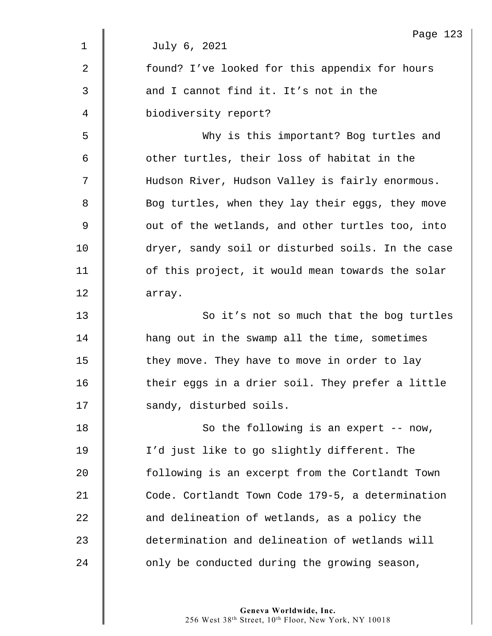| Page 123                                          |
|---------------------------------------------------|
| July 6, 2021                                      |
| found? I've looked for this appendix for hours    |
| and I cannot find it. It's not in the             |
| biodiversity report?                              |
| Why is this important? Bog turtles and            |
| other turtles, their loss of habitat in the       |
| Hudson River, Hudson Valley is fairly enormous.   |
| Bog turtles, when they lay their eggs, they move  |
| out of the wetlands, and other turtles too, into  |
| dryer, sandy soil or disturbed soils. In the case |
| of this project, it would mean towards the solar  |
| array.                                            |
| So it's not so much that the bog turtles          |
| hang out in the swamp all the time, sometimes     |
| they move. They have to move in order to lay      |
| their eggs in a drier soil. They prefer a little  |
| sandy, disturbed soils.                           |
| So the following is an expert -- now,             |
| I'd just like to go slightly different. The       |
| following is an excerpt from the Cortlandt Town   |
| Code. Cortlandt Town Code 179-5, a determination  |
| and delineation of wetlands, as a policy the      |
| determination and delineation of wetlands will    |
| only be conducted during the growing season,      |
|                                                   |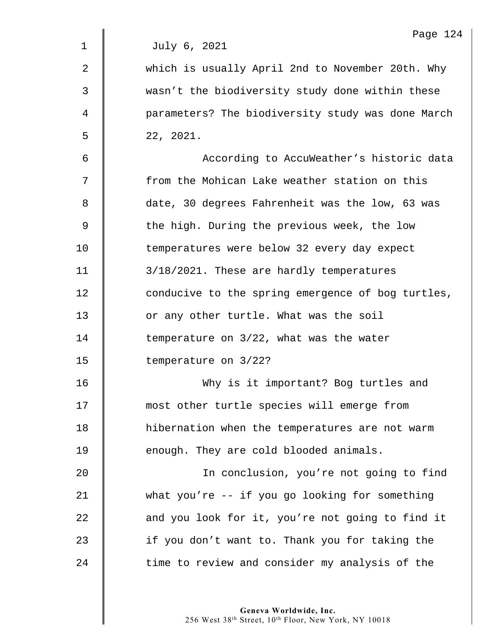|              | Page 124                                          |
|--------------|---------------------------------------------------|
| $\mathbf{1}$ | July 6, 2021                                      |
| 2            | which is usually April 2nd to November 20th. Why  |
| 3            | wasn't the biodiversity study done within these   |
| 4            | parameters? The biodiversity study was done March |
| 5            | 22, 2021.                                         |
| 6            | According to AccuWeather's historic data          |
| 7            | from the Mohican Lake weather station on this     |
| 8            | date, 30 degrees Fahrenheit was the low, 63 was   |
| 9            | the high. During the previous week, the low       |
| 10           | temperatures were below 32 every day expect       |
| 11           | 3/18/2021. These are hardly temperatures          |
| 12           | conducive to the spring emergence of bog turtles, |
| 13           | or any other turtle. What was the soil            |
| 14           | temperature on 3/22, what was the water           |
| 15           | temperature on 3/22?                              |
| 16           | Why is it important? Bog turtles and              |
| 17           | most other turtle species will emerge from        |
| 18           | hibernation when the temperatures are not warm    |
| 19           | enough. They are cold blooded animals.            |
| $20$         | In conclusion, you're not going to find           |
| 21           | what you're -- if you go looking for something    |
| 22           | and you look for it, you're not going to find it  |
| 23           | if you don't want to. Thank you for taking the    |
| 24           | time to review and consider my analysis of the    |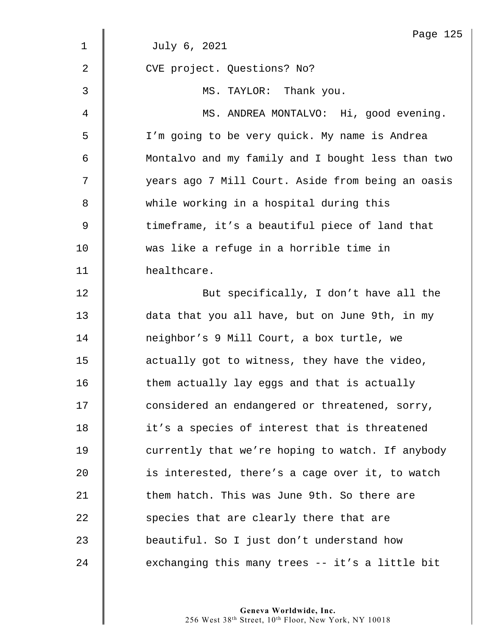|    | Page 125                                          |
|----|---------------------------------------------------|
| 1  | July 6, 2021                                      |
| 2  | CVE project. Questions? No?                       |
| 3  | MS. TAYLOR: Thank you.                            |
| 4  | MS. ANDREA MONTALVO: Hi, good evening.            |
| 5  | I'm going to be very quick. My name is Andrea     |
| 6  | Montalvo and my family and I bought less than two |
| 7  | years ago 7 Mill Court. Aside from being an oasis |
| 8  | while working in a hospital during this           |
| 9  | timeframe, it's a beautiful piece of land that    |
| 10 | was like a refuge in a horrible time in           |
| 11 | healthcare.                                       |
| 12 | But specifically, I don't have all the            |
| 13 | data that you all have, but on June 9th, in my    |
| 14 | neighbor's 9 Mill Court, a box turtle, we         |
| 15 | actually got to witness, they have the video,     |
| 16 | them actually lay eggs and that is actually       |
| 17 | considered an endangered or threatened, sorry,    |
| 18 | it's a species of interest that is threatened     |
| 19 | currently that we're hoping to watch. If anybody  |
| 20 | is interested, there's a cage over it, to watch   |
| 21 | them hatch. This was June 9th. So there are       |
| 22 | species that are clearly there that are           |
| 23 | beautiful. So I just don't understand how         |
| 24 | exchanging this many trees -- it's a little bit   |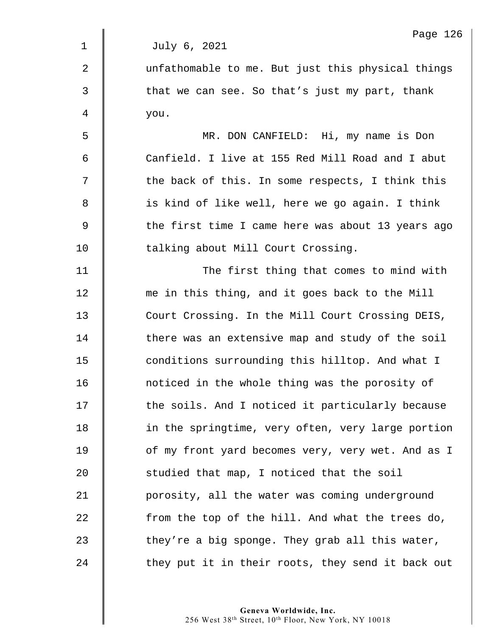1 July 6, 2021 2  $\parallel$  unfathomable to me. But just this physical things  $3 \parallel$  that we can see. So that's just my part, thank 4 you. 5 MR. DON CANFIELD: Hi, my name is Don 6 Canfield. I live at 155 Red Mill Road and I abut  $7 \parallel$  the back of this. In some respects, I think this 8 | is kind of like well, here we go again. I think 9 Solut the first time I came here was about 13 years ago 10 | talking about Mill Court Crossing. 11 | The first thing that comes to mind with 12 me in this thing, and it goes back to the Mill 13 Court Crossing. In the Mill Court Crossing DEIS, 14 There was an extensive map and study of the soil 15 conditions surrounding this hilltop. And what I 16 **noticed in the whole thing was the porosity of** 17 | the soils. And I noticed it particularly because 18 | in the springtime, very often, very large portion 19 | of my front yard becomes very, very wet. And as I 20 **Studied that map, I noticed that the soil** 21 **porosity, all the water was coming underground** 22  $\parallel$  from the top of the hill. And what the trees do, 23  $\parallel$  they're a big sponge. They grab all this water, 24 They put it in their roots, they send it back out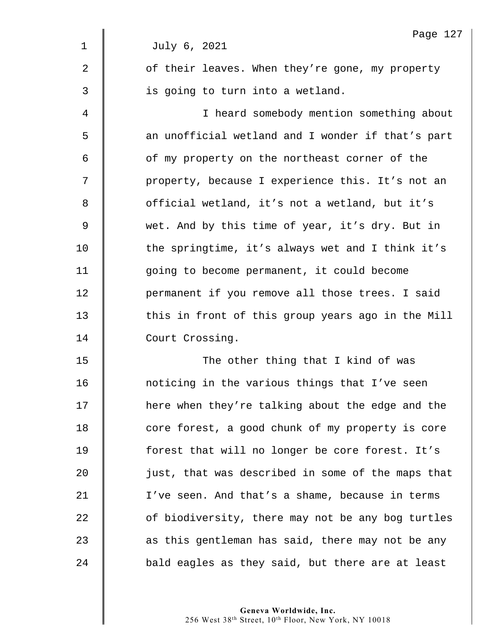|                | Page 127                                          |
|----------------|---------------------------------------------------|
| $\mathbf 1$    | July 6, 2021                                      |
| $\overline{2}$ | of their leaves. When they're gone, my property   |
| 3              | is going to turn into a wetland.                  |
| 4              | I heard somebody mention something about          |
| 5              | an unofficial wetland and I wonder if that's part |
| 6              | of my property on the northeast corner of the     |
| 7              | property, because I experience this. It's not an  |
| 8              | official wetland, it's not a wetland, but it's    |
| 9              | wet. And by this time of year, it's dry. But in   |
| 10             | the springtime, it's always wet and I think it's  |
| 11             | going to become permanent, it could become        |
| 12             | permanent if you remove all those trees. I said   |
| 13             | this in front of this group years ago in the Mill |
| 14             | Court Crossing.                                   |
| 15             | The other thing that I kind of was                |
| 16             | noticing in the various things that I've seen     |
| 17             | here when they're talking about the edge and the  |
| 18             | core forest, a good chunk of my property is core  |
| 19             | forest that will no longer be core forest. It's   |
| 20             | just, that was described in some of the maps that |
| 21             | I've seen. And that's a shame, because in terms   |
| 22             | of biodiversity, there may not be any bog turtles |
| 23             | as this gentleman has said, there may not be any  |
| 24             | bald eagles as they said, but there are at least  |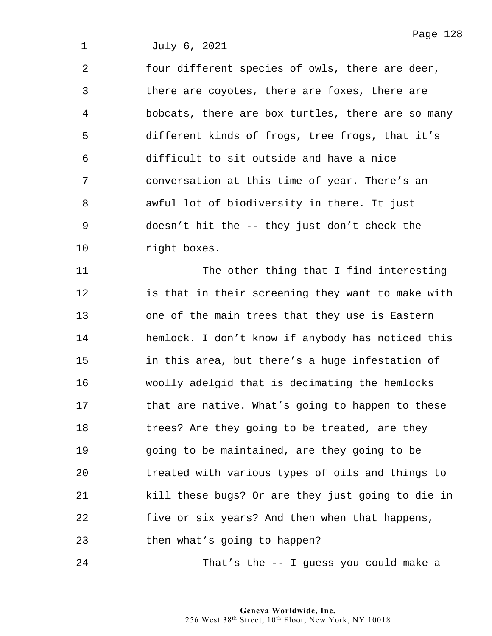2  $\parallel$  four different species of owls, there are deer, 3 There are coyotes, there are foxes, there are 4 | bobcats, there are box turtles, there are so many 5 different kinds of frogs, tree frogs, that it's 6 difficult to sit outside and have a nice 7  $\parallel$  conversation at this time of year. There's an 8 we awful lot of biodiversity in there. It just 9 doesn't hit the -- they just don't check the 10 | right boxes.

11 | The other thing that I find interesting 12 | is that in their screening they want to make with 13 **decive** 13 one of the main trees that they use is Eastern 14 | hemlock. I don't know if anybody has noticed this 15 | in this area, but there's a huge infestation of 16 woolly adelgid that is decimating the hemlocks 17 | that are native. What's going to happen to these 18 | trees? Are they going to be treated, are they 19 | going to be maintained, are they going to be 20 | treated with various types of oils and things to 21 | kill these bugs? Or are they just going to die in 22 five or six years? And then when that happens, 23 | then what's going to happen?

24 **That's the -- I quess you could make a** 

Page 128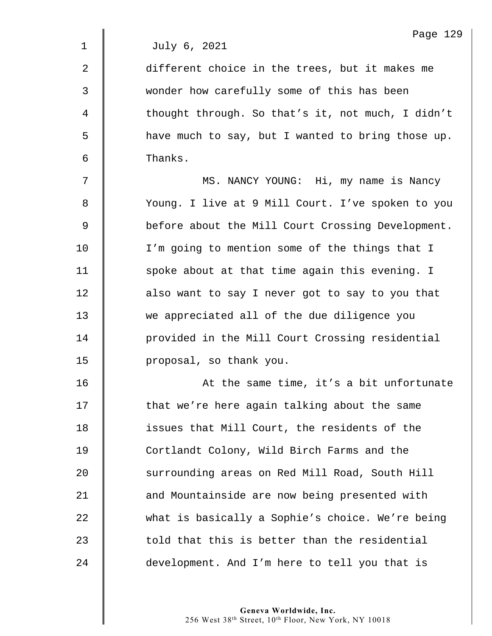2 different choice in the trees, but it makes me 3 wonder how carefully some of this has been 4 thought through. So that's it, not much, I didn't 5 have much to say, but I wanted to bring those up. 6 Thanks.

7 MS. NANCY YOUNG: Hi, my name is Nancy 8 | Young. I live at 9 Mill Court. I've spoken to you 9 Solut the Mill Court Crossing Development. 10 I'm going to mention some of the things that I 11  $\parallel$  spoke about at that time again this evening. I 12 | also want to say I never got to say to you that 13 we appreciated all of the due diligence you 14 | provided in the Mill Court Crossing residential 15 | proposal, so thank you.

16 | At the same time, it's a bit unfortunate 17 | that we're here again talking about the same 18 **d** issues that Mill Court, the residents of the 19 **Number 2** Cortlandt Colony, Wild Birch Farms and the 20 Surrounding areas on Red Mill Road, South Hill 21 **deciver 1** and Mountainside are now being presented with 22 what is basically a Sophie's choice. We're being  $23$   $\parallel$  told that this is better than the residential 24 development. And I'm here to tell you that is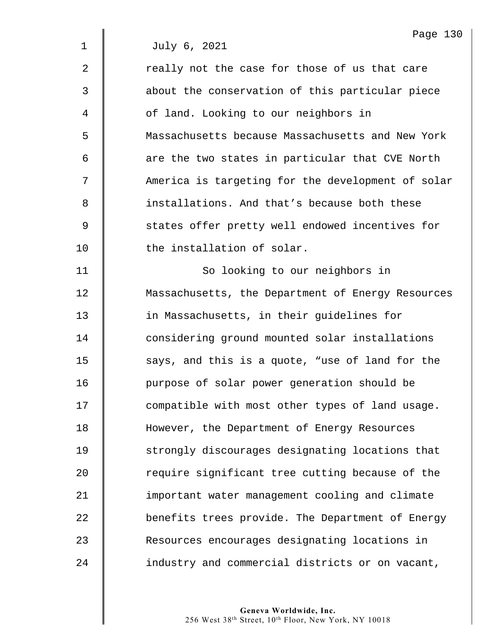|                | Page 13                                             |
|----------------|-----------------------------------------------------|
| $\mathbf 1$    | July 6, 2021                                        |
| $\overline{2}$ | really not the case for those of us that care       |
| 3              | about the conservation of this particular piece     |
| 4              | of land. Looking to our neighbors in                |
| 5              | Massachusetts because Massachusetts and New York    |
| 6              | are the two states in particular that CVE North     |
| 7              | America is targeting for the development of solar   |
| 8              | installations. And that's because both these        |
| 9              | states offer pretty well endowed incentives for     |
| 10             | the installation of solar.                          |
| 11             | So looking to our neighbors in                      |
| 12             | Massachusetts, the Department of Energy Resources   |
| 13             | in Massachusetts, in their guidelines for           |
| 14             | considering ground mounted solar installations      |
| 15             | says, and this is a quote, "use of land for the     |
| 16             | purpose of solar power generation should be         |
| 17             | compatible with most other types of land usage.     |
| 18             | However, the Department of Energy Resources         |
| 19             | strongly discourages designating locations that     |
| 20             | require significant tree cutting because of the     |
| $\bigcap$      | <u>a del anti-del del ados nomen a compresto de</u> |

21 | important water management cooling and climate 22 **benefits trees provide.** The Department of Energy 23 Resources encourages designating locations in 24 **industry and commercial districts or on vacant,** 

> **Geneva Worldwide, Inc.**  256 West 38th Street, 10th Floor, New York, NY 10018

Page 130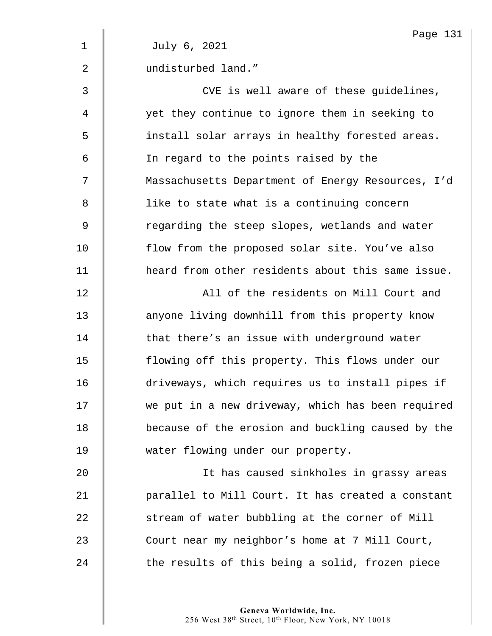|             | Page 131                                          |
|-------------|---------------------------------------------------|
| $\mathbf 1$ | July 6, 2021                                      |
| 2           | undisturbed land."                                |
| 3           | CVE is well aware of these guidelines,            |
| 4           | yet they continue to ignore them in seeking to    |
| 5           | install solar arrays in healthy forested areas.   |
| 6           | In regard to the points raised by the             |
| 7           | Massachusetts Department of Energy Resources, I'd |
| 8           | like to state what is a continuing concern        |
| 9           | regarding the steep slopes, wetlands and water    |
| 10          | flow from the proposed solar site. You've also    |
| 11          | heard from other residents about this same issue. |
| 12          | All of the residents on Mill Court and            |
| 13          | anyone living downhill from this property know    |
| 14          | that there's an issue with underground water      |
| 15          | flowing off this property. This flows under our   |
| 16          | driveways, which requires us to install pipes if  |
| 17          | we put in a new driveway, which has been required |
| 18          | because of the erosion and buckling caused by the |
| 19          | water flowing under our property.                 |
| 20          | It has caused sinkholes in grassy areas           |
| 21          | parallel to Mill Court. It has created a constant |
| 22          | stream of water bubbling at the corner of Mill    |
| 23          | Court near my neighbor's home at 7 Mill Court,    |
| 24          | the results of this being a solid, frozen piece   |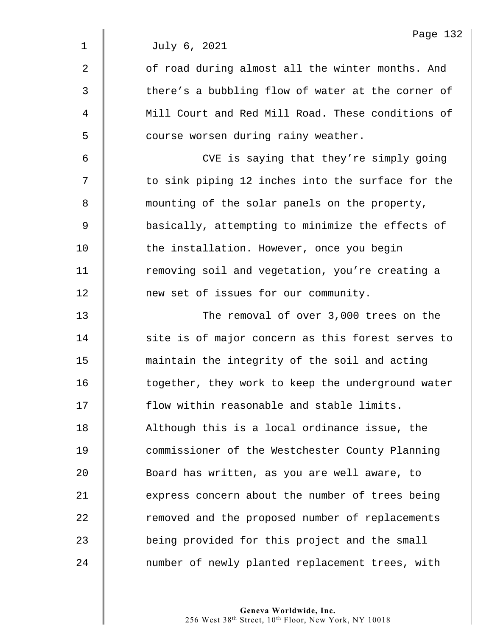2 || of road during almost all the winter months. And 3 | there's a bubbling flow of water at the corner of 4  $\parallel$  Mill Court and Red Mill Road. These conditions of 5 | course worsen during rainy weather.

6 CVE is saying that they're simply going 7 | to sink piping 12 inches into the surface for the 8 **mounting of the solar panels on the property,** 9 basically, attempting to minimize the effects of 10 **the installation. However, once you begin** 11 | removing soil and vegetation, you're creating a 12 **1** new set of issues for our community.

13 **The removal of over 3,000 trees on the** 14 Site is of major concern as this forest serves to 15 maintain the integrity of the soil and acting 16 | together, they work to keep the underground water 17 **flow within reasonable and stable limits.** 18 | Although this is a local ordinance issue, the 19 **Commissioner of the Westchester County Planning** 20 **Board has written, as you are well aware, to** 21 express concern about the number of trees being 22 The removed and the proposed number of replacements 23 **being provided for this project and the small** 24 mumber of newly planted replacement trees, with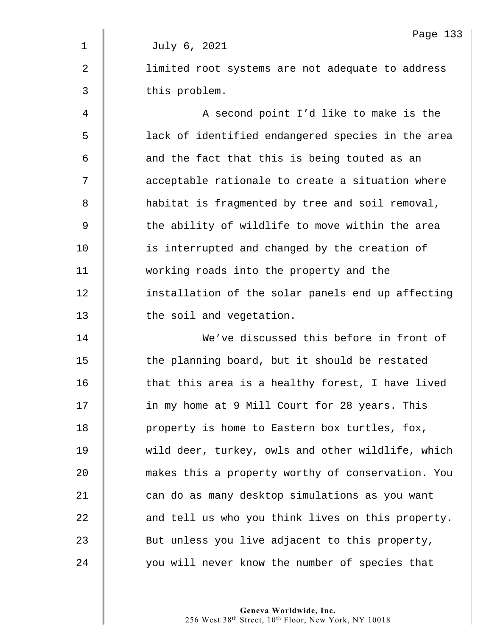|             | Page 133                                          |
|-------------|---------------------------------------------------|
| $\mathbf 1$ | July 6, 2021                                      |
| 2           | limited root systems are not adequate to address  |
| 3           | this problem.                                     |
| 4           | A second point I'd like to make is the            |
| 5           | lack of identified endangered species in the area |
| 6           | and the fact that this is being touted as an      |
| 7           | acceptable rationale to create a situation where  |
| 8           | habitat is fragmented by tree and soil removal,   |
| 9           | the ability of wildlife to move within the area   |
| 10          | is interrupted and changed by the creation of     |
| 11          | working roads into the property and the           |
| 12          | installation of the solar panels end up affecting |
| 13          | the soil and vegetation.                          |
| 14          | We've discussed this before in front of           |
| 15          | the planning board, but it should be restated     |
| 16          | that this area is a healthy forest, I have lived  |
| 17          | in my home at 9 Mill Court for 28 years. This     |
| 18          | property is home to Eastern box turtles, fox,     |
| 19          | wild deer, turkey, owls and other wildlife, which |
| 20          | makes this a property worthy of conservation. You |
| 21          | can do as many desktop simulations as you want    |
| 22          | and tell us who you think lives on this property. |
| 23          | But unless you live adjacent to this property,    |
| 24          | you will never know the number of species that    |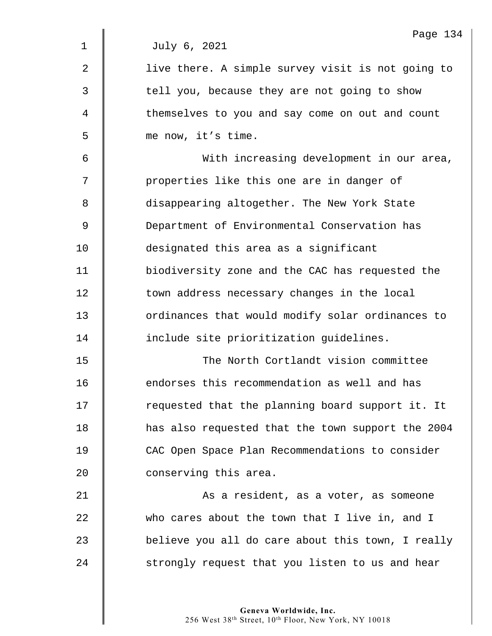|             | Page 134                                          |
|-------------|---------------------------------------------------|
| $\mathbf 1$ | July 6, 2021                                      |
| 2           | live there. A simple survey visit is not going to |
| 3           | tell you, because they are not going to show      |
| 4           | themselves to you and say come on out and count   |
| 5           | me now, it's time.                                |
| 6           | With increasing development in our area,          |
| 7           | properties like this one are in danger of         |
| 8           | disappearing altogether. The New York State       |
| 9           | Department of Environmental Conservation has      |
| 10          | designated this area as a significant             |
| 11          | biodiversity zone and the CAC has requested the   |
| 12          | town address necessary changes in the local       |
| 13          | ordinances that would modify solar ordinances to  |
| 14          | include site prioritization guidelines.           |
| 15          | The North Cortlandt vision committee              |
| 16          | endorses this recommendation as well and has      |
| 17          | requested that the planning board support it. It  |
| 18          | has also requested that the town support the 2004 |
| 19          | CAC Open Space Plan Recommendations to consider   |
| 20          | conserving this area.                             |
| 21          | As a resident, as a voter, as someone             |
| 22          | who cares about the town that I live in, and I    |
| 23          | believe you all do care about this town, I really |
| 24          | strongly request that you listen to us and hear   |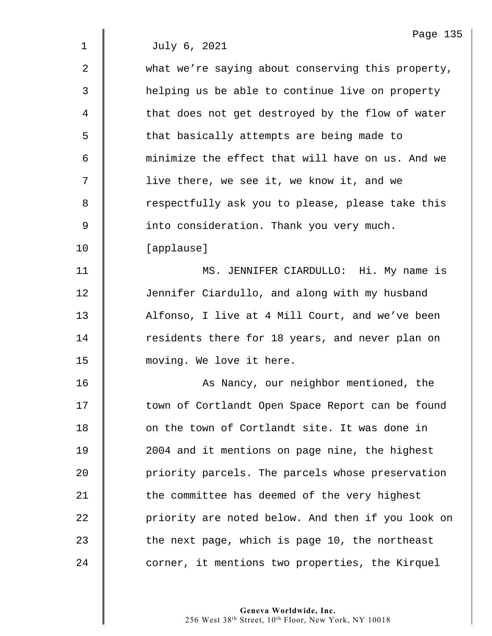| $\overline{2}$ | what we're saying about conserving this property, |
|----------------|---------------------------------------------------|
| 3              | helping us be able to continue live on property   |
| $\overline{4}$ | that does not get destroyed by the flow of water  |
| 5              | that basically attempts are being made to         |
| 6              | minimize the effect that will have on us. And we  |
| 7              | live there, we see it, we know it, and we         |
| 8              | respectfully ask you to please, please take this  |
| 9              | into consideration. Thank you very much.          |
| 10             | [applause]                                        |
| 11             | MS. JENNIFER CIARDULLO: Hi. My name is            |
| 12             | Jennifer Ciardullo, and along with my husband     |
| 13             | Alfonso, I live at 4 Mill Court, and we've been   |
| 14             | residents there for 18 years, and never plan on   |
| 15             | moving. We love it here.                          |
| 16             | As Nancy, our neighbor mentioned, the             |
| 17             | town of Cortlandt Open Space Report can be found  |
| 18             | on the town of Cortlandt site. It was done in     |
| 19             | 2004 and it mentions on page nine, the highest    |
| 20             | priority parcels. The parcels whose preservation  |
| 21             | the committee has deemed of the very highest      |
| 22             | priority are noted below. And then if you look on |
| 23             | the next page, which is page 10, the northeast    |
| 24             | corner, it mentions two properties, the Kirquel   |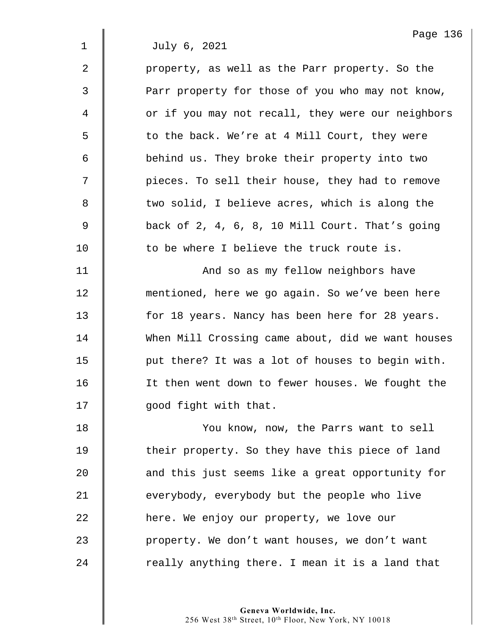2 | property, as well as the Parr property. So the 3 | Parr property for those of you who may not know, 4 | or if you may not recall, they were our neighbors 5 | to the back. We're at 4 Mill Court, they were 6 | behind us. They broke their property into two 7 | pieces. To sell their house, they had to remove 8 U two solid, I believe acres, which is along the 9 back of 2, 4, 6, 8, 10 Mill Court. That's going  $10$   $\parallel$  to be where I believe the truck route is.

11 | And so as my fellow neighbors have 12 | mentioned, here we go again. So we've been here 13 **for 18 years. Nancy has been here for 28 years.** 14 When Mill Crossing came about, did we want houses 15  $\parallel$  put there? It was a lot of houses to begin with. 16 It then went down to fewer houses. We fought the 17 | good fight with that.

18 | You know, now, the Parrs want to sell 19 Their property. So they have this piece of land 20 **d** and this just seems like a great opportunity for 21  $\parallel$  everybody, everybody but the people who live 22 **h**ere. We enjoy our property, we love our 23 | property. We don't want houses, we don't want  $24$  | really anything there. I mean it is a land that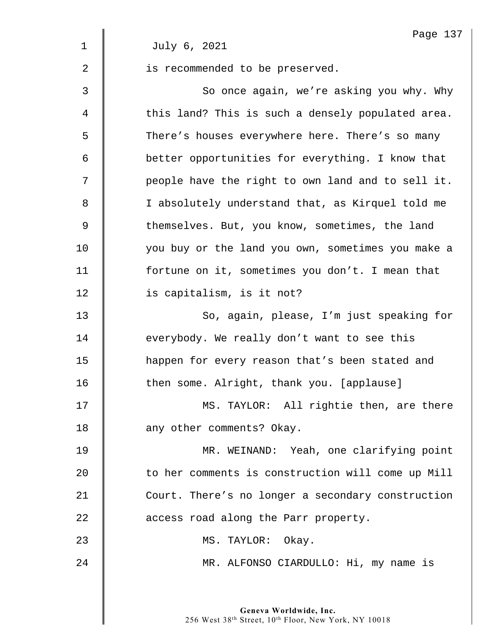|                | Page 137                                          |
|----------------|---------------------------------------------------|
| $\mathbf 1$    | July 6, 2021                                      |
| $\overline{2}$ | is recommended to be preserved.                   |
| 3              | So once again, we're asking you why. Why          |
| 4              | this land? This is such a densely populated area. |
| 5              | There's houses everywhere here. There's so many   |
| 6              | better opportunities for everything. I know that  |
| 7              | people have the right to own land and to sell it. |
| 8              | I absolutely understand that, as Kirquel told me  |
| 9              | themselves. But, you know, sometimes, the land    |
| 10             | you buy or the land you own, sometimes you make a |
| 11             | fortune on it, sometimes you don't. I mean that   |
| 12             | is capitalism, is it not?                         |
| 13             | So, again, please, I'm just speaking for          |
| 14             | everybody. We really don't want to see this       |
| 15             | happen for every reason that's been stated and    |
| 16             | then some. Alright, thank you. [applause]         |
| 17             | MS. TAYLOR: All rightie then, are there           |
| 18             | any other comments? Okay.                         |
| 19             | MR. WEINAND: Yeah, one clarifying point           |
| 20             | to her comments is construction will come up Mill |
| 21             | Court. There's no longer a secondary construction |
| 22             | access road along the Parr property.              |
| 23             | MS. TAYLOR: Okay.                                 |
| 24             | MR. ALFONSO CIARDULLO: Hi, my name is             |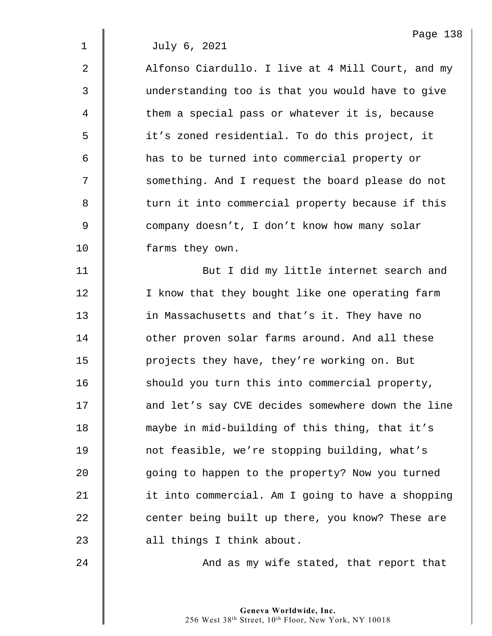| 2              | Alfonso Ciardullo. I live at 4 Mill Court, and my |
|----------------|---------------------------------------------------|
| 3              | understanding too is that you would have to give  |
| 4              | them a special pass or whatever it is, because    |
| 5              | it's zoned residential. To do this project, it    |
| 6              | has to be turned into commercial property or      |
| 7              | something. And I request the board please do not  |
| $\,8\,$        | turn it into commercial property because if this  |
| $\overline{9}$ | company doesn't, I don't know how many solar      |
| 10             | farms they own.                                   |
| 11             | But I did my little internet search and           |
| 12             | I know that they bought like one operating farm   |
| 13             | in Massachusetts and that's it. They have no      |
| 14             | other proven solar farms around. And all these    |
| 15             | projects they have, they're working on. But       |
| 16             | should you turn this into commercial property,    |
| 17             | and let's say CVE decides somewhere down the line |
| 18             | maybe in mid-building of this thing, that it's    |
| 19             | not feasible, we're stopping building, what's     |
| 20             | going to happen to the property? Now you turned   |
| 21             | it into commercial. Am I going to have a shopping |
| 22             | center being built up there, you know? These are  |
| 23             | all things I think about.                         |
|                |                                                   |

 $24$   $\parallel$  And as my wife stated, that report that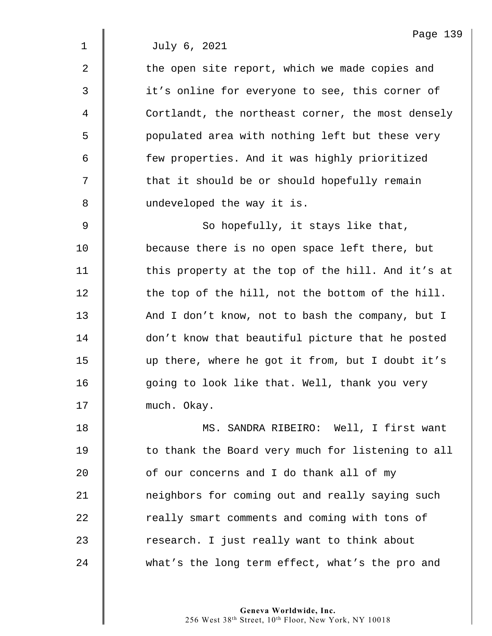| Page | 120 |
|------|-----|
|------|-----|

 $2 \parallel$  the open site report, which we made copies and 3  $\parallel$  it's online for everyone to see, this corner of 4 Cortlandt, the northeast corner, the most densely 5 | populated area with nothing left but these very 6 | few properties. And it was highly prioritized  $7 \parallel$  that it should be or should hopefully remain 8 | undeveloped the way it is.  $9 \parallel$  So hopefully, it stays like that, 10 **because there is no open space left there, but** 11  $\parallel$  this property at the top of the hill. And it's at  $12$   $\parallel$  the top of the hill, not the bottom of the hill. 13 And I don't know, not to bash the company, but I 14 | don't know that beautiful picture that he posted 15 up there, where he got it from, but I doubt it's 16 | going to look like that. Well, thank you very 17 | much. Okay. 18 | MS. SANDRA RIBEIRO: Well, I first want 19 | to thank the Board very much for listening to all  $20$   $\parallel$  of our concerns and I do thank all of my 21 | neighbors for coming out and really saying such 22 Teally smart comments and coming with tons of 23 x research. I just really want to think about

24 what's the long term effect, what's the pro and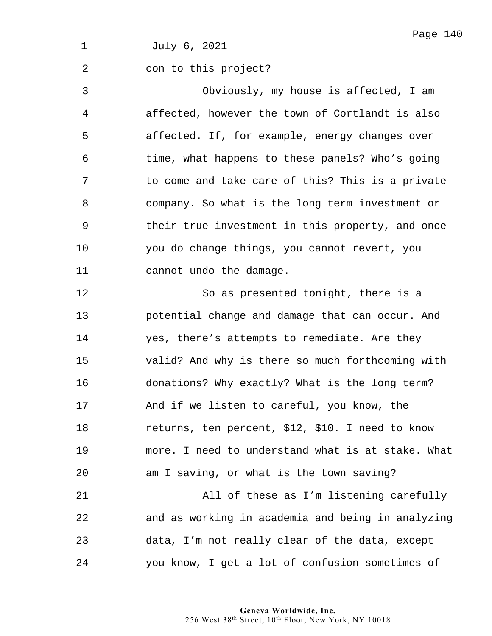|                | Page 140                                          |
|----------------|---------------------------------------------------|
| 1              | July 6, 2021                                      |
| $\overline{2}$ | con to this project?                              |
| 3              | Obviously, my house is affected, I am             |
| 4              | affected, however the town of Cortlandt is also   |
| 5              | affected. If, for example, energy changes over    |
| 6              | time, what happens to these panels? Who's going   |
| 7              | to come and take care of this? This is a private  |
| 8              | company. So what is the long term investment or   |
| 9              | their true investment in this property, and once  |
| 10             | you do change things, you cannot revert, you      |
| 11             | cannot undo the damage.                           |
| 12             | So as presented tonight, there is a               |
| 13             | potential change and damage that can occur. And   |
| 14             | yes, there's attempts to remediate. Are they      |
| 15             | valid? And why is there so much forthcoming with  |
| 16             | donations? Why exactly? What is the long term?    |
| 17             | And if we listen to careful, you know, the        |
| 18             | returns, ten percent, \$12, \$10. I need to know  |
| 19             | more. I need to understand what is at stake. What |
| 20             | am I saving, or what is the town saving?          |
| 21             | All of these as I'm listening carefully           |
| 22             | and as working in academia and being in analyzing |
| 23             | data, I'm not really clear of the data, except    |
| 24             | you know, I get a lot of confusion sometimes of   |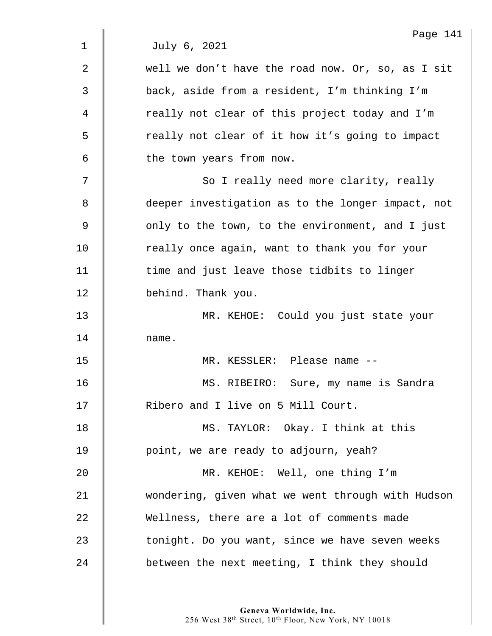|             | Page 141                                          |
|-------------|---------------------------------------------------|
| $\mathbf 1$ | July 6, 2021                                      |
| 2           | well we don't have the road now. Or, so, as I sit |
| 3           | back, aside from a resident, I'm thinking I'm     |
| 4           | really not clear of this project today and I'm    |
| 5           | really not clear of it how it's going to impact   |
| 6           | the town years from now.                          |
| 7           | So I really need more clarity, really             |
| 8           | deeper investigation as to the longer impact, not |
| 9           | only to the town, to the environment, and I just  |
| 10          | really once again, want to thank you for your     |
| 11          | time and just leave those tidbits to linger       |
| 12          | behind. Thank you.                                |
| 13          | MR. KEHOE: Could you just state your              |
| 14          | name.                                             |
| 15          | MR. KESSLER: Please name --                       |
| 16          | MS. RIBEIRO:<br>Sure, my name is Sandra           |
| 17          | Ribero and I live on 5 Mill Court.                |
| 18          | MS. TAYLOR: Okay. I think at this                 |
| 19          | point, we are ready to adjourn, yeah?             |
| 20          | MR. KEHOE: Well, one thing I'm                    |
| 21          | wondering, given what we went through with Hudson |
| 22          | Wellness, there are a lot of comments made        |
| 23          | tonight. Do you want, since we have seven weeks   |
| 24          | between the next meeting, I think they should     |
|             |                                                   |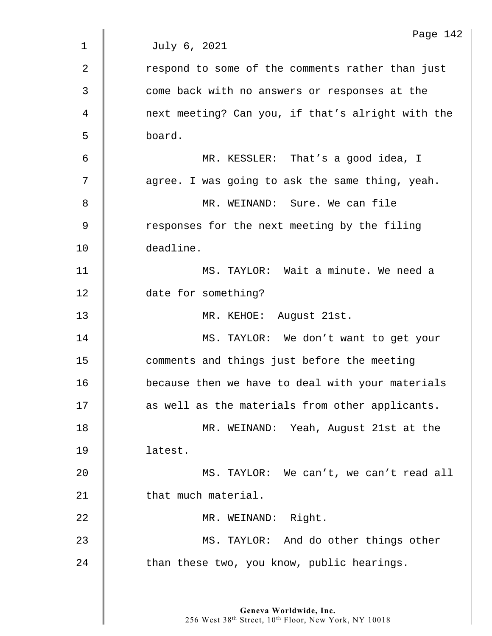|             | Page 142                                          |
|-------------|---------------------------------------------------|
| $\mathbf 1$ | July 6, 2021                                      |
| 2           | respond to some of the comments rather than just  |
| 3           | come back with no answers or responses at the     |
| 4           | next meeting? Can you, if that's alright with the |
| 5           | board.                                            |
| 6           | MR. KESSLER: That's a good idea, I                |
| 7           | agree. I was going to ask the same thing, yeah.   |
| 8           | MR. WEINAND: Sure. We can file                    |
| $\mathsf 9$ | responses for the next meeting by the filing      |
| 10          | deadline.                                         |
| 11          | MS. TAYLOR: Wait a minute. We need a              |
| 12          | date for something?                               |
| 13          | MR. KEHOE: August 21st.                           |
| 14          | MS. TAYLOR: We don't want to get your             |
| 15          | comments and things just before the meeting       |
| 16          | because then we have to deal with your materials  |
| 17          | as well as the materials from other applicants.   |
| 18          | MR. WEINAND: Yeah, August 21st at the             |
| 19          | latest.                                           |
| 20          | MS. TAYLOR: We can't, we can't read all           |
| 21          | that much material.                               |
| 22          | MR. WEINAND: Right.                               |
| 23          | MS. TAYLOR: And do other things other             |
| 24          | than these two, you know, public hearings.        |
|             |                                                   |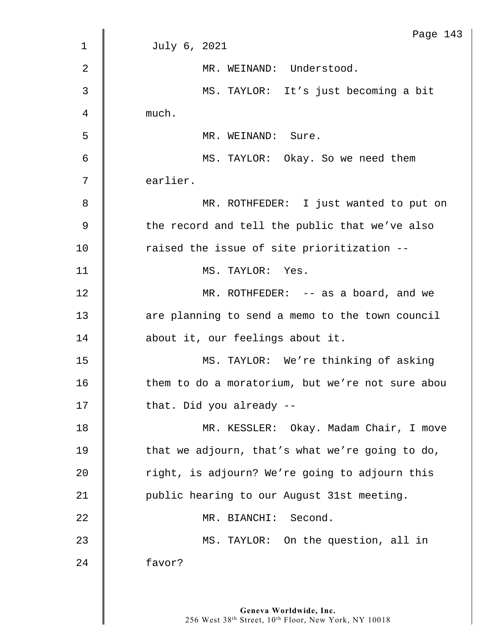|                | Page 143                                         |
|----------------|--------------------------------------------------|
| $\mathbf 1$    | July 6, 2021                                     |
| $\overline{2}$ | MR. WEINAND: Understood.                         |
| 3              | MS. TAYLOR: It's just becoming a bit             |
| 4              | much.                                            |
| 5              | MR. WEINAND: Sure.                               |
| 6              | MS. TAYLOR: Okay. So we need them                |
| 7              | earlier.                                         |
| 8              | MR. ROTHFEDER: I just wanted to put on           |
| $\mathsf 9$    | the record and tell the public that we've also   |
| 10             | raised the issue of site prioritization --       |
| 11             | MS. TAYLOR: Yes.                                 |
| 12             | MR. ROTHFEDER: $-$ as a board, and we            |
| 13             | are planning to send a memo to the town council  |
| 14             | about it, our feelings about it.                 |
| 15             | MS. TAYLOR: We're thinking of asking             |
| 16             | them to do a moratorium, but we're not sure abou |
| 17             | that. Did you already --                         |
| 18             | MR. KESSLER: Okay. Madam Chair, I move           |
| 19             | that we adjourn, that's what we're going to do,  |
| 20             | right, is adjourn? We're going to adjourn this   |
| 21             | public hearing to our August 31st meeting.       |
| 22             | MR. BIANCHI: Second.                             |
| 23             | MS. TAYLOR: On the question, all in              |
| 24             | favor?                                           |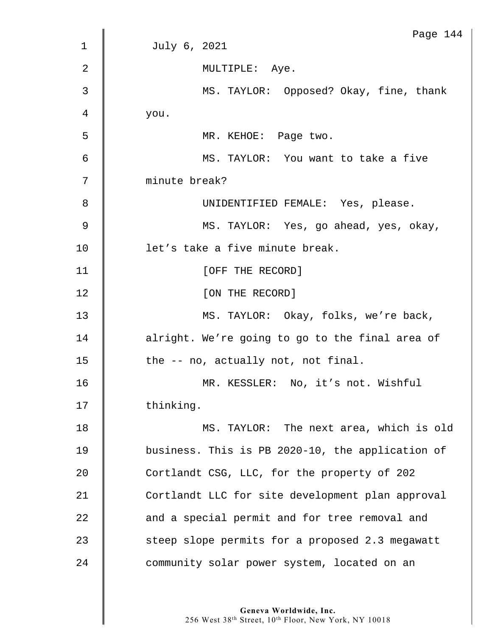|    | Page 144                                         |
|----|--------------------------------------------------|
| 1  | July 6, 2021                                     |
| 2  | MULTIPLE: Aye.                                   |
| 3  | MS. TAYLOR: Opposed? Okay, fine, thank           |
| 4  | you.                                             |
| 5  | MR. KEHOE: Page two.                             |
| 6  | MS. TAYLOR: You want to take a five              |
| 7  | minute break?                                    |
| 8  | UNIDENTIFIED FEMALE: Yes, please.                |
| 9  | MS. TAYLOR: Yes, go ahead, yes, okay,            |
| 10 | let's take a five minute break.                  |
| 11 | [OFF THE RECORD]                                 |
| 12 | [ON THE RECORD]                                  |
| 13 | MS. TAYLOR: Okay, folks, we're back,             |
| 14 | alright. We're going to go to the final area of  |
| 15 | the -- no, actually not, not final.              |
| 16 | MR. KESSLER: No, it's not. Wishful               |
| 17 | thinking.                                        |
| 18 | MS. TAYLOR: The next area, which is old          |
| 19 | business. This is PB 2020-10, the application of |
| 20 | Cortlandt CSG, LLC, for the property of 202      |
| 21 | Cortlandt LLC for site development plan approval |
| 22 | and a special permit and for tree removal and    |
| 23 | steep slope permits for a proposed 2.3 megawatt  |
| 24 | community solar power system, located on an      |
|    |                                                  |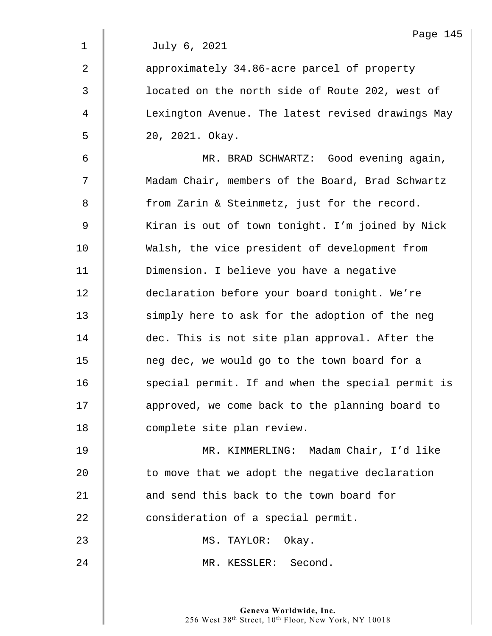|              | Page 145                                          |
|--------------|---------------------------------------------------|
| $\mathbf 1$  | July 6, 2021                                      |
| 2            | approximately 34.86-acre parcel of property       |
| $\mathsf{3}$ | located on the north side of Route 202, west of   |
| 4            | Lexington Avenue. The latest revised drawings May |
| 5            | 20, 2021. Okay.                                   |
| 6            | MR. BRAD SCHWARTZ: Good evening again,            |
| 7            | Madam Chair, members of the Board, Brad Schwartz  |
| 8            | from Zarin & Steinmetz, just for the record.      |
| 9            | Kiran is out of town tonight. I'm joined by Nick  |
| 10           | Walsh, the vice president of development from     |
| 11           | Dimension. I believe you have a negative          |
| 12           | declaration before your board tonight. We're      |
| 13           | simply here to ask for the adoption of the neg    |
| 14           | dec. This is not site plan approval. After the    |
| 15           | neg dec, we would go to the town board for a      |
| 16           | special permit. If and when the special permit is |
| 17           | approved, we come back to the planning board to   |
| 18           | complete site plan review.                        |
| 19           | MR. KIMMERLING: Madam Chair, I'd like             |
| 20           | to move that we adopt the negative declaration    |
| 21           | and send this back to the town board for          |
| 22           | consideration of a special permit.                |
| 23           | MS. TAYLOR: Okay.                                 |
| 24           | MR. KESSLER: Second.                              |
|              |                                                   |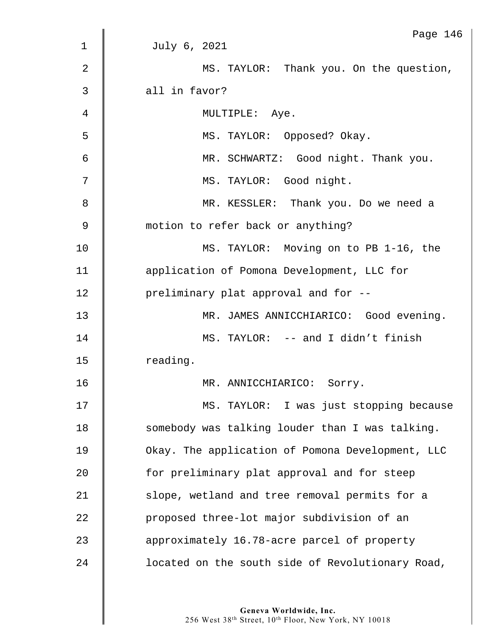|                | Page 146                                         |
|----------------|--------------------------------------------------|
| $\mathbf 1$    | July 6, 2021                                     |
| $\overline{2}$ | MS. TAYLOR: Thank you. On the question,          |
| 3              | all in favor?                                    |
| 4              | MULTIPLE: Aye.                                   |
| 5              | MS. TAYLOR: Opposed? Okay.                       |
| 6              | MR. SCHWARTZ: Good night. Thank you.             |
| 7              | MS. TAYLOR: Good night.                          |
| 8              | MR. KESSLER: Thank you. Do we need a             |
| $\mathsf 9$    | motion to refer back or anything?                |
| 10             | MS. TAYLOR: Moving on to PB 1-16, the            |
| 11             | application of Pomona Development, LLC for       |
| 12             | preliminary plat approval and for --             |
| 13             | MR. JAMES ANNICCHIARICO: Good evening.           |
| 14             | MS. TAYLOR: -- and I didn't finish               |
| 15             | reading.                                         |
| 16             | MR. ANNICCHIARICO:<br>Sorry.                     |
| 17             | MS. TAYLOR: I was just stopping because          |
| 18             | somebody was talking louder than I was talking.  |
| 19             | Okay. The application of Pomona Development, LLC |
| 20             | for preliminary plat approval and for steep      |
| 21             | slope, wetland and tree removal permits for a    |
| 22             | proposed three-lot major subdivision of an       |
| 23             | approximately 16.78-acre parcel of property      |
| 24             | located on the south side of Revolutionary Road, |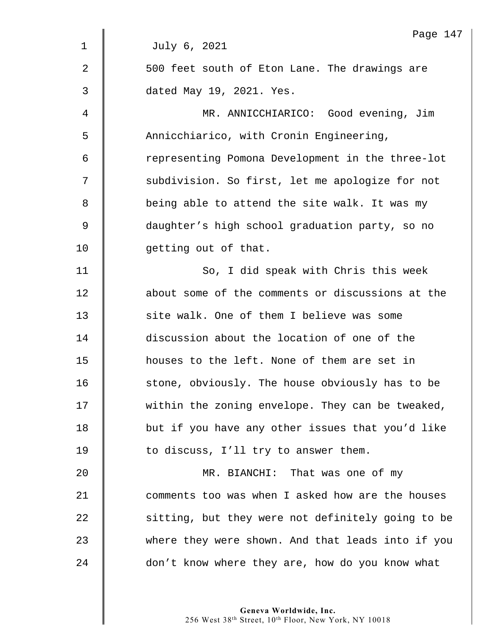|                | Page 147                                          |
|----------------|---------------------------------------------------|
| $\mathbf 1$    | July 6, 2021                                      |
| $\overline{2}$ | 500 feet south of Eton Lane. The drawings are     |
| 3              | dated May 19, 2021. Yes.                          |
| 4              | MR. ANNICCHIARICO: Good evening, Jim              |
| 5              | Annicchiarico, with Cronin Engineering,           |
| 6              | representing Pomona Development in the three-lot  |
| 7              | subdivision. So first, let me apologize for not   |
| 8              | being able to attend the site walk. It was my     |
| $\mathsf 9$    | daughter's high school graduation party, so no    |
| 10             | getting out of that.                              |
| 11             | So, I did speak with Chris this week              |
| 12             | about some of the comments or discussions at the  |
| 13             | site walk. One of them I believe was some         |
| 14             | discussion about the location of one of the       |
| 15             | houses to the left. None of them are set in       |
| 16             | stone, obviously. The house obviously has to be   |
| 17             | within the zoning envelope. They can be tweaked,  |
| 18             | but if you have any other issues that you'd like  |
| 19             | to discuss, I'll try to answer them.              |
| 20             | MR. BIANCHI: That was one of my                   |
| 21             | comments too was when I asked how are the houses  |
| 22             | sitting, but they were not definitely going to be |
| 23             | where they were shown. And that leads into if you |
| 24             | don't know where they are, how do you know what   |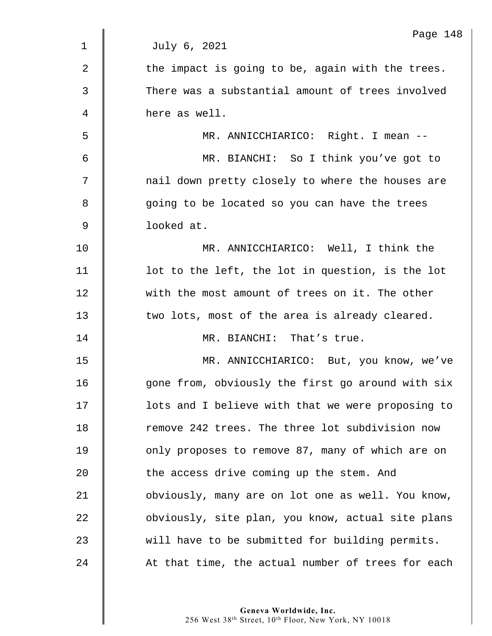|                | Page 148                                          |
|----------------|---------------------------------------------------|
| 1              | July 6, 2021                                      |
| $\overline{2}$ | the impact is going to be, again with the trees.  |
| $\mathfrak{Z}$ | There was a substantial amount of trees involved  |
| 4              | here as well.                                     |
| 5              | MR. ANNICCHIARICO: Right. I mean --               |
| 6              | MR. BIANCHI: So I think you've got to             |
| 7              | nail down pretty closely to where the houses are  |
| 8              | going to be located so you can have the trees     |
| $\mathsf 9$    | looked at.                                        |
| 10             | MR. ANNICCHIARICO: Well, I think the              |
| 11             | lot to the left, the lot in question, is the lot  |
| 12             | with the most amount of trees on it. The other    |
| 13             | two lots, most of the area is already cleared.    |
| 14             | MR. BIANCHI: That's true.                         |
| 15             | MR. ANNICCHIARICO: But, you know, we've           |
| 16             | gone from, obviously the first go around with six |
| 17             | lots and I believe with that we were proposing to |
| 18             | remove 242 trees. The three lot subdivision now   |
| 19             | only proposes to remove 87, many of which are on  |
| 20             | the access drive coming up the stem. And          |
| 21             | obviously, many are on lot one as well. You know, |
| 22             | obviously, site plan, you know, actual site plans |
| 23             | will have to be submitted for building permits.   |
| 24             | At that time, the actual number of trees for each |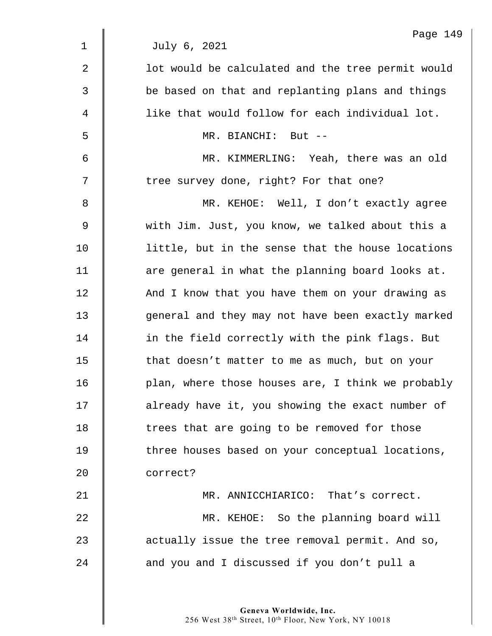|             | Page 149                                          |
|-------------|---------------------------------------------------|
| $\mathbf 1$ | July 6, 2021                                      |
| 2           | lot would be calculated and the tree permit would |
| 3           | be based on that and replanting plans and things  |
| 4           | like that would follow for each individual lot.   |
| 5           | MR. BIANCHI: But --                               |
| 6           | MR. KIMMERLING: Yeah, there was an old            |
| 7           | tree survey done, right? For that one?            |
| 8           | MR. KEHOE: Well, I don't exactly agree            |
| 9           | with Jim. Just, you know, we talked about this a  |
| 10          | little, but in the sense that the house locations |
| 11          | are general in what the planning board looks at.  |
| 12          | And I know that you have them on your drawing as  |
| 13          | general and they may not have been exactly marked |
| 14          | in the field correctly with the pink flags. But   |
| 15          | that doesn't matter to me as much, but on your    |
| 16          | plan, where those houses are, I think we probably |
| 17          | already have it, you showing the exact number of  |
| 18          | trees that are going to be removed for those      |
| 19          | three houses based on your conceptual locations,  |
| 20          | correct?                                          |
| 21          | MR. ANNICCHIARICO: That's correct.                |
| 22          | MR. KEHOE: So the planning board will             |
| 23          | actually issue the tree removal permit. And so,   |
| 24          | and you and I discussed if you don't pull a       |
|             |                                                   |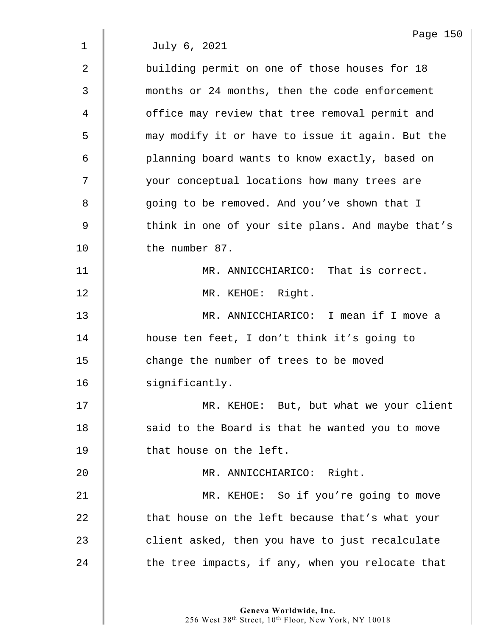1 July 6, 2021

2 Soulding permit on one of those houses for 18 3 months or 24 months, then the code enforcement 4 | office may review that tree removal permit and 5 may modify it or have to issue it again. But the 6 planning board wants to know exactly, based on 7  $\parallel$  your conceptual locations how many trees are 8 | qoing to be removed. And you've shown that I 9 Solut in one of your site plans. And maybe that's 10 | the number 87. 11 | MR. ANNICCHIARICO: That is correct. 12 || MR. KEHOE: Right. 13 MR. ANNICCHIARICO: I mean if I move a 14 house ten feet, I don't think it's going to 15 **deg 15** change the number of trees to be moved 16 significantly. 17 | MR. KEHOE: But, but what we your client 18 | said to the Board is that he wanted you to move 19 **that house on the left.** 20 MR. ANNICCHIARICO: Right. 21 | MR. KEHOE: So if you're going to move 22 **that house on the left because that's what your** 23 client asked, then you have to just recalculate  $24$   $\parallel$  the tree impacts, if any, when you relocate that

> **Geneva Worldwide, Inc.**  256 West 38th Street, 10th Floor, New York, NY 10018

Page 150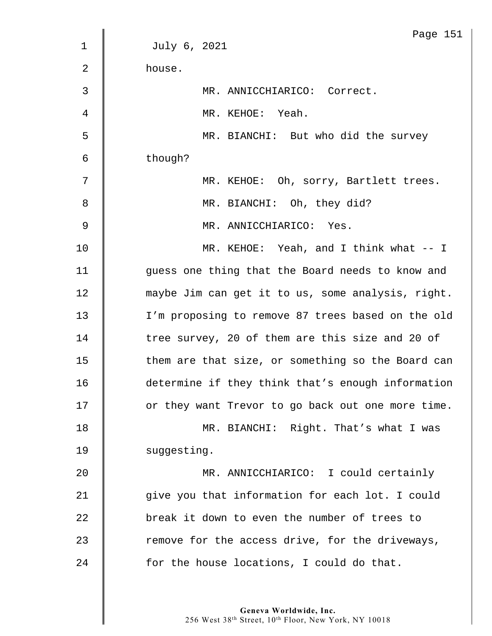|             | Page 151                                          |
|-------------|---------------------------------------------------|
| $\mathbf 1$ | July 6, 2021                                      |
| 2           | house.                                            |
| 3           | MR. ANNICCHIARICO: Correct.                       |
| 4           | MR. KEHOE: Yeah.                                  |
| 5           | MR. BIANCHI: But who did the survey               |
| 6           | though?                                           |
| 7           | MR. KEHOE: Oh, sorry, Bartlett trees.             |
| 8           | MR. BIANCHI: Oh, they did?                        |
| 9           | MR. ANNICCHIARICO: Yes.                           |
| 10          | MR. KEHOE: Yeah, and I think what -- I            |
| 11          | guess one thing that the Board needs to know and  |
| 12          | maybe Jim can get it to us, some analysis, right. |
| 13          | I'm proposing to remove 87 trees based on the old |
| 14          | tree survey, 20 of them are this size and 20 of   |
| 15          | them are that size, or something so the Board can |
| 16          | determine if they think that's enough information |
| 17          | or they want Trevor to go back out one more time. |
| 18          | MR. BIANCHI: Right. That's what I was             |
| 19          | suggesting.                                       |
| 20          | MR. ANNICCHIARICO: I could certainly              |
| 21          | give you that information for each lot. I could   |
| 22          | break it down to even the number of trees to      |
| 23          | remove for the access drive, for the driveways,   |
| 24          | for the house locations, I could do that.         |
|             |                                                   |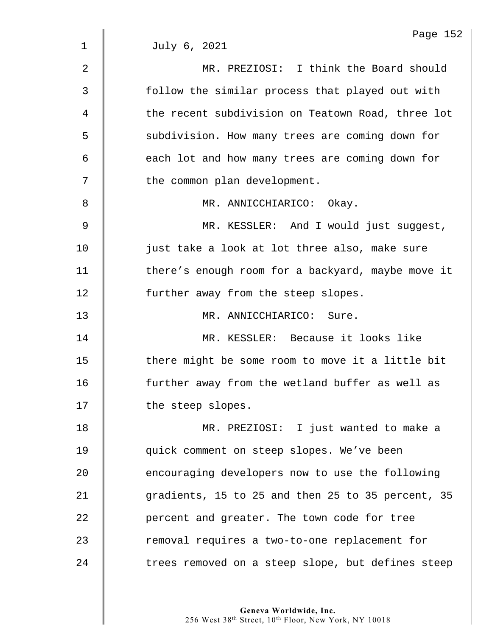|             | Page 152                                          |
|-------------|---------------------------------------------------|
| $\mathbf 1$ | July 6, 2021                                      |
| 2           | MR. PREZIOSI: I think the Board should            |
| 3           | follow the similar process that played out with   |
| 4           | the recent subdivision on Teatown Road, three lot |
| 5           | subdivision. How many trees are coming down for   |
| 6           | each lot and how many trees are coming down for   |
| 7           | the common plan development.                      |
| 8           | MR. ANNICCHIARICO: Okay.                          |
| 9           | MR. KESSLER: And I would just suggest,            |
| 10          | just take a look at lot three also, make sure     |
| 11          | there's enough room for a backyard, maybe move it |
| 12          | further away from the steep slopes.               |
| 13          | MR. ANNICCHIARICO: Sure.                          |
| 14          | MR. KESSLER: Because it looks like                |
| 15          | there might be some room to move it a little bit  |
| 16          | further away from the wetland buffer as well as   |
| 17          | the steep slopes.                                 |
| 18          | MR. PREZIOSI: I just wanted to make a             |
| 19          | quick comment on steep slopes. We've been         |
| 20          | encouraging developers now to use the following   |
| 21          | gradients, 15 to 25 and then 25 to 35 percent, 35 |
| 22          | percent and greater. The town code for tree       |
| 23          | removal requires a two-to-one replacement for     |
| 24          | trees removed on a steep slope, but defines steep |
|             |                                                   |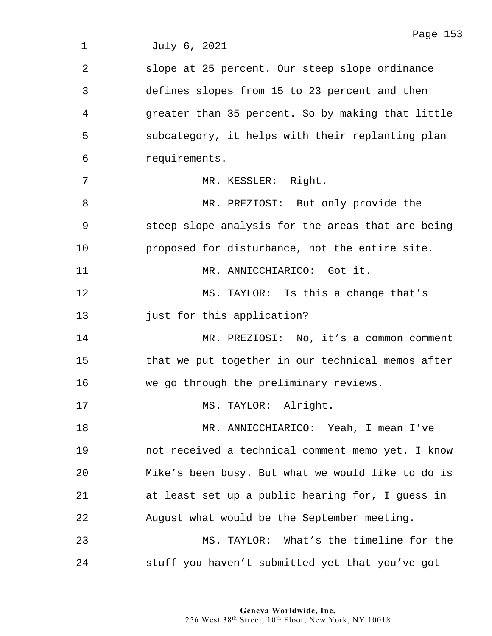|             | Page 153                                          |
|-------------|---------------------------------------------------|
| 1           | July 6, 2021                                      |
| 2           | slope at 25 percent. Our steep slope ordinance    |
| 3           | defines slopes from 15 to 23 percent and then     |
| 4           | greater than 35 percent. So by making that little |
| 5           | subcategory, it helps with their replanting plan  |
| 6           | requirements.                                     |
| 7           | MR. KESSLER: Right.                               |
| 8           | MR. PREZIOSI: But only provide the                |
| $\mathsf 9$ | steep slope analysis for the areas that are being |
| 10          | proposed for disturbance, not the entire site.    |
| 11          | MR. ANNICCHIARICO: Got it.                        |
| 12          | MS. TAYLOR: Is this a change that's               |
| 13          | just for this application?                        |
| 14          | MR. PREZIOSI: No, it's a common comment           |
| 15          | that we put together in our technical memos after |
| 16          | we go through the preliminary reviews.            |
| 17          | MS. TAYLOR: Alright.                              |
| 18          | MR. ANNICCHIARICO: Yeah, I mean I've              |
| 19          | not received a technical comment memo yet. I know |
| 20          | Mike's been busy. But what we would like to do is |
| 21          | at least set up a public hearing for, I guess in  |
| 22          | August what would be the September meeting.       |
| 23          | MS. TAYLOR: What's the timeline for the           |
| 24          | stuff you haven't submitted yet that you've got   |
|             |                                                   |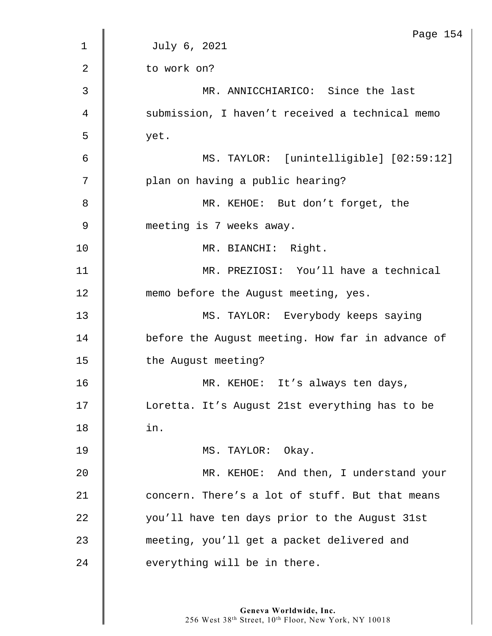|                | Page 154                                         |
|----------------|--------------------------------------------------|
| $\mathbf 1$    | July 6, 2021                                     |
| $\overline{2}$ | to work on?                                      |
| 3              | MR. ANNICCHIARICO: Since the last                |
| 4              | submission, I haven't received a technical memo  |
| 5              | yet.                                             |
| 6              | MS. TAYLOR: [unintelligible] [02:59:12]          |
| 7              | plan on having a public hearing?                 |
| 8              | MR. KEHOE: But don't forget, the                 |
| 9              | meeting is 7 weeks away.                         |
| 10             | MR. BIANCHI: Right.                              |
| 11             | MR. PREZIOSI: You'll have a technical            |
| 12             | memo before the August meeting, yes.             |
| 13             | MS. TAYLOR: Everybody keeps saying               |
| 14             | before the August meeting. How far in advance of |
| 15             | the August meeting?                              |
| 16             | MR. KEHOE: It's always ten days,                 |
| 17             | Loretta. It's August 21st everything has to be   |
| 18             | in.                                              |
| 19             | MS. TAYLOR: Okay.                                |
| 20             | MR. KEHOE: And then, I understand your           |
| 21             | concern. There's a lot of stuff. But that means  |
| 22             | you'll have ten days prior to the August 31st    |
| 23             | meeting, you'll get a packet delivered and       |
| 24             | everything will be in there.                     |
|                |                                                  |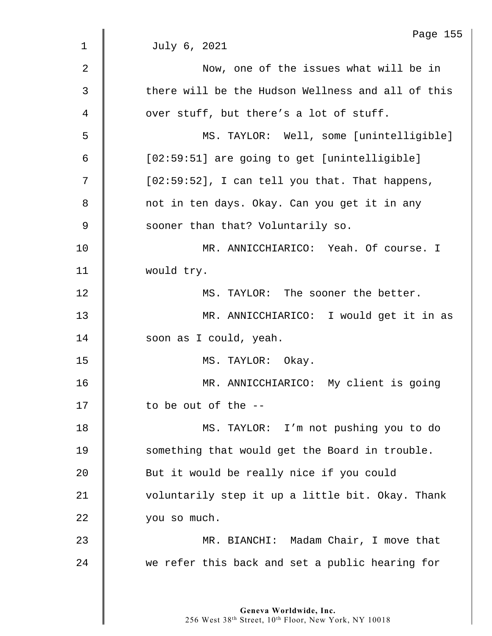|    | Page 155                                          |
|----|---------------------------------------------------|
| 1  | July 6, 2021                                      |
| 2  | Now, one of the issues what will be in            |
| 3  | there will be the Hudson Wellness and all of this |
| 4  | over stuff, but there's a lot of stuff.           |
| 5  | MS. TAYLOR: Well, some [unintelligible]           |
| 6  | [02:59:51] are going to get [unintelligible]      |
| 7  | [02:59:52], I can tell you that. That happens,    |
| 8  | not in ten days. Okay. Can you get it in any      |
| 9  | sooner than that? Voluntarily so.                 |
| 10 | MR. ANNICCHIARICO: Yeah. Of course. I             |
| 11 | would try.                                        |
| 12 | MS. TAYLOR: The sooner the better.                |
| 13 | MR. ANNICCHIARICO: I would get it in as           |
| 14 | soon as I could, yeah.                            |
| 15 | MS. TAYLOR: Okay.                                 |
| 16 | MR. ANNICCHIARICO: My client is going             |
| 17 | to be out of the --                               |
| 18 | MS. TAYLOR: I'm not pushing you to do             |
| 19 | something that would get the Board in trouble.    |
| 20 | But it would be really nice if you could          |
| 21 | voluntarily step it up a little bit. Okay. Thank  |
| 22 | you so much.                                      |
| 23 | MR. BIANCHI: Madam Chair, I move that             |
| 24 | we refer this back and set a public hearing for   |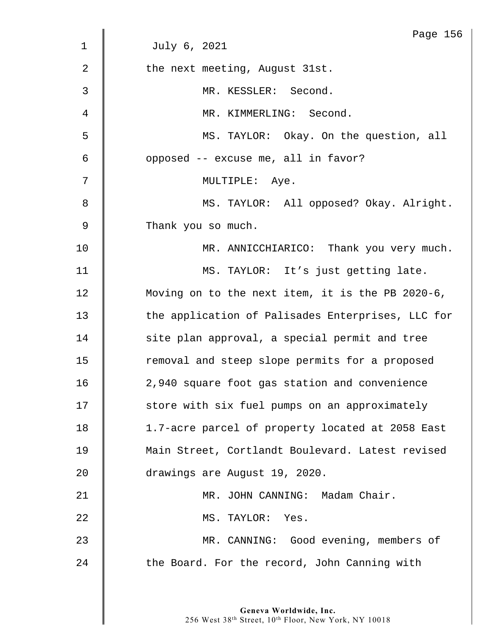|                | Page 156                                          |
|----------------|---------------------------------------------------|
| 1              | July 6, 2021                                      |
| $\overline{2}$ | the next meeting, August 31st.                    |
| 3              | MR. KESSLER: Second.                              |
| 4              | MR. KIMMERLING: Second.                           |
| 5              | MS. TAYLOR: Okay. On the question, all            |
| 6              | opposed -- excuse me, all in favor?               |
| 7              | MULTIPLE: Aye.                                    |
| 8              | MS. TAYLOR: All opposed? Okay. Alright.           |
| 9              | Thank you so much.                                |
| 10             | MR. ANNICCHIARICO: Thank you very much.           |
| 11             | MS. TAYLOR: It's just getting late.               |
| 12             | Moving on to the next item, it is the PB 2020-6,  |
| 13             | the application of Palisades Enterprises, LLC for |
| 14             | site plan approval, a special permit and tree     |
| 15             | removal and steep slope permits for a proposed    |
| 16             | 2,940 square foot gas station and convenience     |
| 17             | store with six fuel pumps on an approximately     |
| 18             | 1.7-acre parcel of property located at 2058 East  |
| 19             | Main Street, Cortlandt Boulevard. Latest revised  |
| 20             | drawings are August 19, 2020.                     |
| 21             | MR. JOHN CANNING: Madam Chair.                    |
| 22             | MS. TAYLOR: Yes.                                  |
| 23             | MR. CANNING: Good evening, members of             |
| 24             | the Board. For the record, John Canning with      |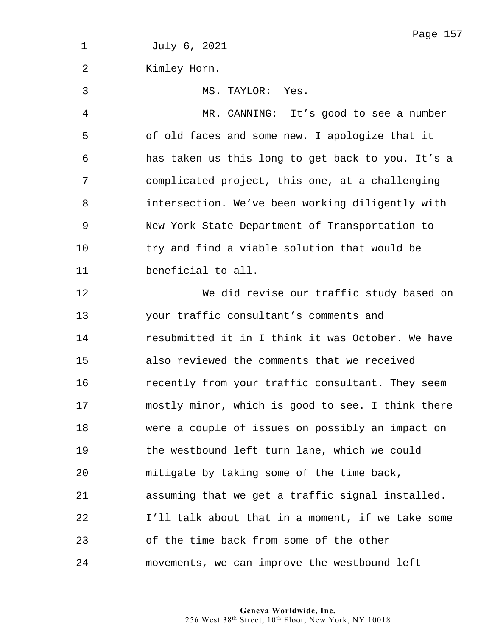|                | Page 157                                          |
|----------------|---------------------------------------------------|
| $\mathbf 1$    | July 6, 2021                                      |
| $\overline{2}$ | Kimley Horn.                                      |
| 3              | MS. TAYLOR: Yes.                                  |
| 4              | MR. CANNING: It's good to see a number            |
| 5              | of old faces and some new. I apologize that it    |
| 6              | has taken us this long to get back to you. It's a |
| 7              | complicated project, this one, at a challenging   |
| 8              | intersection. We've been working diligently with  |
| 9              | New York State Department of Transportation to    |
| 10             | try and find a viable solution that would be      |
| 11             | beneficial to all.                                |
| 12             | We did revise our traffic study based on          |
| 13             | your traffic consultant's comments and            |
| 14             | resubmitted it in I think it was October. We have |
| 15             | also reviewed the comments that we received       |
| 16             | recently from your traffic consultant. They seem  |
| 17             | mostly minor, which is good to see. I think there |
| 18             | were a couple of issues on possibly an impact on  |
| 19             | the westbound left turn lane, which we could      |
| 20             | mitigate by taking some of the time back,         |
| 21             | assuming that we get a traffic signal installed.  |
| 22             | I'll talk about that in a moment, if we take some |
| 23             | of the time back from some of the other           |
| 24             | movements, we can improve the westbound left      |
|                |                                                   |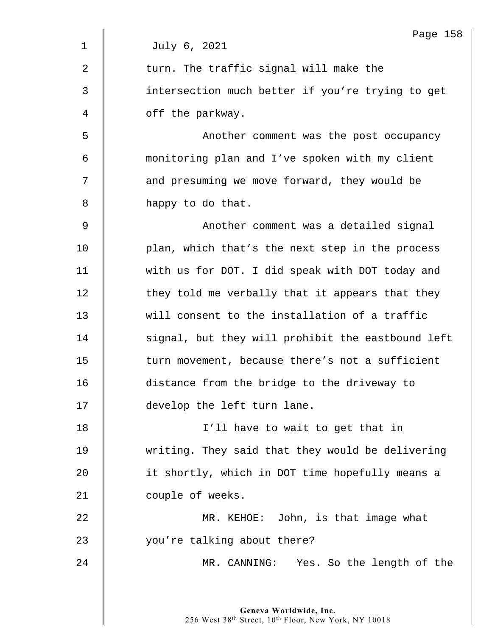|                | Page 158                                          |
|----------------|---------------------------------------------------|
| 1              | July 6, 2021                                      |
| $\overline{2}$ | turn. The traffic signal will make the            |
| 3              | intersection much better if you're trying to get  |
| 4              | off the parkway.                                  |
| 5              | Another comment was the post occupancy            |
| 6              | monitoring plan and I've spoken with my client    |
| 7              | and presuming we move forward, they would be      |
| 8              | happy to do that.                                 |
| 9              | Another comment was a detailed signal             |
| 10             | plan, which that's the next step in the process   |
| 11             | with us for DOT. I did speak with DOT today and   |
| 12             | they told me verbally that it appears that they   |
| 13             | will consent to the installation of a traffic     |
| 14             | signal, but they will prohibit the eastbound left |
| 15             | turn movement, because there's not a sufficient   |
| 16             | distance from the bridge to the driveway to       |
| 17             | develop the left turn lane.                       |
| 18             | I'll have to wait to get that in                  |
| 19             | writing. They said that they would be delivering  |
| 20             | it shortly, which in DOT time hopefully means a   |
| 21             | couple of weeks.                                  |
| 22             | MR. KEHOE: John, is that image what               |
| 23             | you're talking about there?                       |
| 24             | MR. CANNING: Yes. So the length of the            |
|                |                                                   |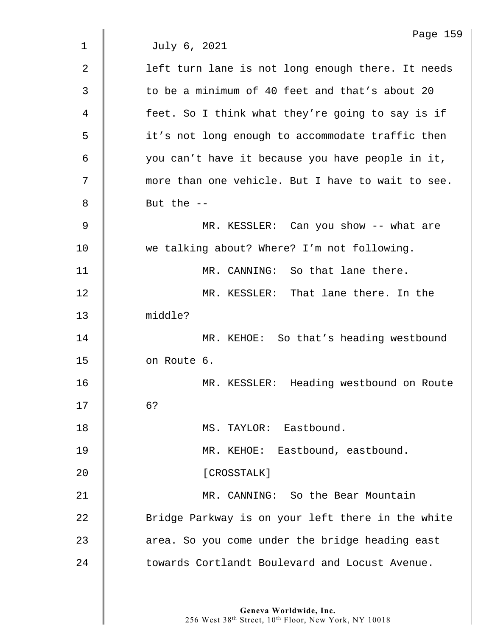|                | Page 159                                          |
|----------------|---------------------------------------------------|
| 1              | July 6, 2021                                      |
| $\overline{2}$ | left turn lane is not long enough there. It needs |
| 3              | to be a minimum of 40 feet and that's about 20    |
| 4              | feet. So I think what they're going to say is if  |
| 5              | it's not long enough to accommodate traffic then  |
| 6              | you can't have it because you have people in it,  |
| 7              | more than one vehicle. But I have to wait to see. |
| 8              | But the $-$                                       |
| 9              | MR. KESSLER: Can you show -- what are             |
| 10             | we talking about? Where? I'm not following.       |
| 11             | MR. CANNING: So that lane there.                  |
| 12             | MR. KESSLER: That lane there. In the              |
| 13             | middle?                                           |
| 14             | MR. KEHOE: So that's heading westbound            |
| 15             | on Route 6.                                       |
| 16             | MR. KESSLER: Heading westbound on Route           |
| 17             | 6?                                                |
| 18             | MS. TAYLOR: Eastbound.                            |
| 19             | MR. KEHOE: Eastbound, eastbound.                  |
| 20             | [CROSSTALK]                                       |
| 21             | MR. CANNING: So the Bear Mountain                 |
| 22             | Bridge Parkway is on your left there in the white |
| 23             | area. So you come under the bridge heading east   |
| 24             | towards Cortlandt Boulevard and Locust Avenue.    |
|                |                                                   |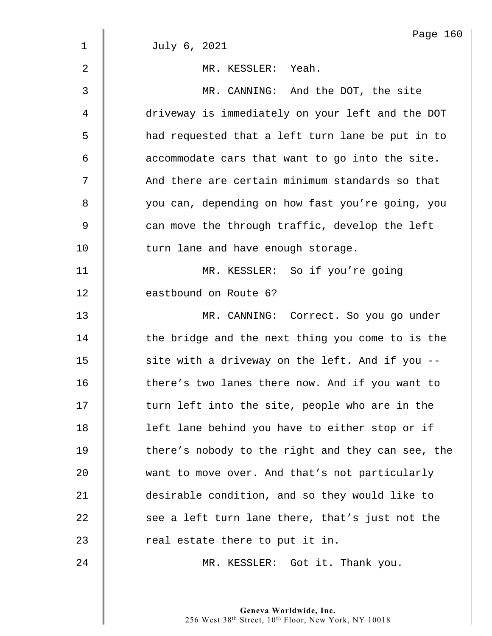|                | Page 160                                          |
|----------------|---------------------------------------------------|
| $\mathbf 1$    | July 6, 2021                                      |
| $\overline{2}$ | MR. KESSLER: Yeah.                                |
| 3              | MR. CANNING: And the DOT, the site                |
| 4              | driveway is immediately on your left and the DOT  |
| 5              | had requested that a left turn lane be put in to  |
| 6              | accommodate cars that want to go into the site.   |
| 7              | And there are certain minimum standards so that   |
| 8              | you can, depending on how fast you're going, you  |
| $\mathsf 9$    | can move the through traffic, develop the left    |
| 10             | turn lane and have enough storage.                |
| 11             | MR. KESSLER: So if you're going                   |
| 12             | eastbound on Route 6?                             |
| 13             | MR. CANNING: Correct. So you go under             |
| 14             | the bridge and the next thing you come to is the  |
| 15             | site with a driveway on the left. And if you --   |
| 16             | there's two lanes there now. And if you want to   |
| 17             | turn left into the site, people who are in the    |
| 18             | left lane behind you have to either stop or if    |
| 19             | there's nobody to the right and they can see, the |
| 20             | want to move over. And that's not particularly    |
| 21             | desirable condition, and so they would like to    |
| 22             | see a left turn lane there, that's just not the   |
| 23             | real estate there to put it in.                   |
| 24             | MR. KESSLER: Got it. Thank you.                   |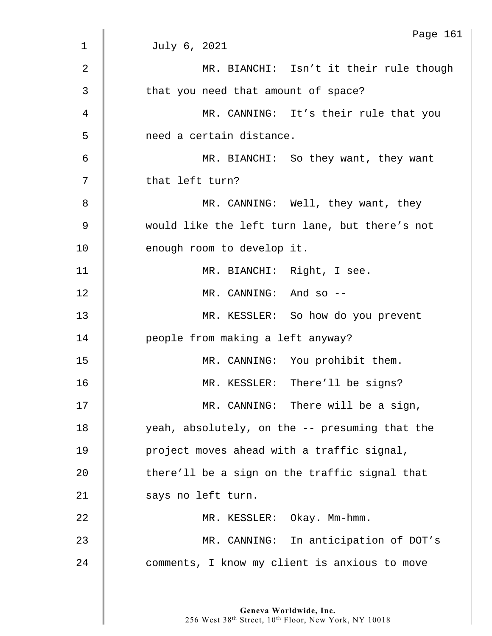|                | Page 161                                       |
|----------------|------------------------------------------------|
| $\mathbf 1$    | July 6, 2021                                   |
| $\overline{2}$ | MR. BIANCHI: Isn't it their rule though        |
| 3              | that you need that amount of space?            |
| 4              | MR. CANNING: It's their rule that you          |
| 5              | need a certain distance.                       |
| 6              | MR. BIANCHI: So they want, they want           |
| 7              | that left turn?                                |
| 8              | MR. CANNING: Well, they want, they             |
| $\mathsf 9$    | would like the left turn lane, but there's not |
| 10             | enough room to develop it.                     |
| 11             | MR. BIANCHI: Right, I see.                     |
| 12             | MR. CANNING: And so --                         |
| 13             | MR. KESSLER: So how do you prevent             |
| 14             | people from making a left anyway?              |
| 15             | MR. CANNING: You prohibit them.                |
| 16             | MR. KESSLER: There'll be signs?                |
| 17             | MR. CANNING: There will be a sign,             |
| 18             | yeah, absolutely, on the -- presuming that the |
| 19             | project moves ahead with a traffic signal,     |
| 20             | there'll be a sign on the traffic signal that  |
| 21             | says no left turn.                             |
| 22             | MR. KESSLER: Okay. Mm-hmm.                     |
| 23             | MR. CANNING: In anticipation of DOT's          |
| 24             | comments, I know my client is anxious to move  |
|                |                                                |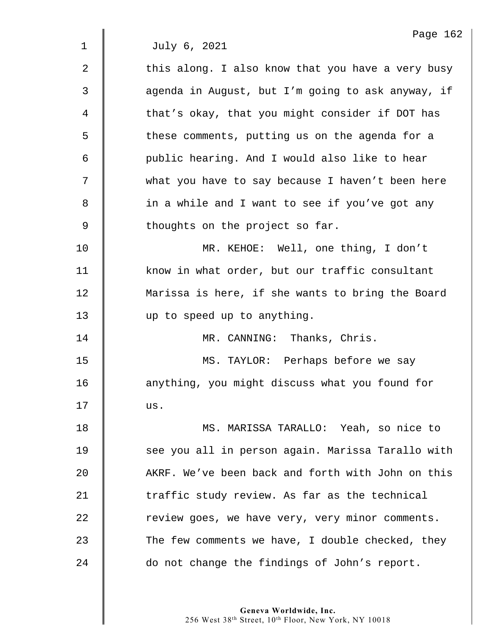Page 162 1 July 6, 2021  $2 \parallel$  this along. I also know that you have a very busy 3 | aqenda in August, but I'm going to ask anyway, if 4 | that's okay, that you might consider if DOT has 5 S these comments, putting us on the agenda for a 6 | public hearing. And I would also like to hear 7 what you have to say because I haven't been here 8 | in a while and I want to see if you've got any  $9 \parallel$  thoughts on the project so far. 10 MR. KEHOE: Well, one thing, I don't 11 | know in what order, but our traffic consultant 12 Marissa is here, if she wants to bring the Board 13 up to speed up to anything. 14 MR. CANNING: Thanks, Chris. 15 | MS. TAYLOR: Perhaps before we say 16 | anything, you might discuss what you found for  $17$   $\parallel$  us. 18 MS. MARISSA TARALLO: Yeah, so nice to 19 | see you all in person again. Marissa Tarallo with 20 AKRF. We've been back and forth with John on this 21  $\parallel$  traffic study review. As far as the technical 22 The veriew goes, we have very, very minor comments.  $23$  | The few comments we have, I double checked, they 24 do not change the findings of John's report.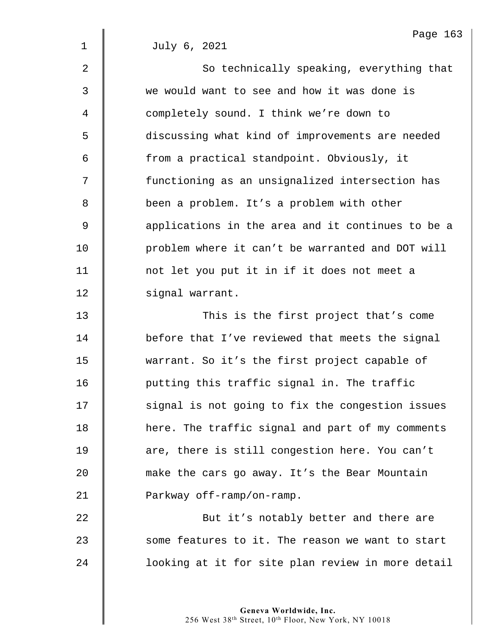1 July 6, 2021

 $2 \parallel$  So technically speaking, everything that 3 we would want to see and how it was done is 4 completely sound. I think we're down to 5 discussing what kind of improvements are needed 6 | from a practical standpoint. Obviously, it 7 | functioning as an unsignalized intersection has 8 **been a problem.** It's a problem with other  $9$   $\parallel$  applications in the area and it continues to be a 10 | problem where it can't be warranted and DOT will 11 | not let you put it in if it does not meet a 12 | signal warrant. 13 This is the first project that's come

**d** before that I've reviewed that meets the signal 15 warrant. So it's the first project capable of **putting this traffic signal in. The traffic** 17 | signal is not going to fix the congestion issues 18 | here. The traffic signal and part of my comments **d** are, there is still congestion here. You can't **make the cars go away. It's the Bear Mountain Parkway off-ramp/on-ramp.** 

22 **But it's notably better and there are**  $23$   $\parallel$  some features to it. The reason we want to start 24 **d** looking at it for site plan review in more detail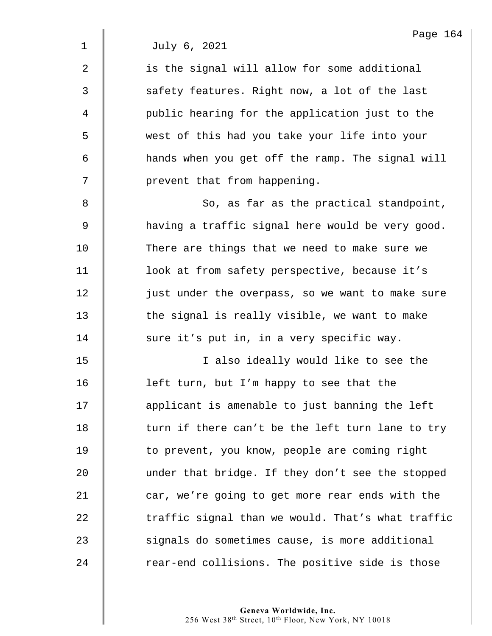1 July 6, 2021

2  $\parallel$  is the signal will allow for some additional  $3 \parallel$  safety features. Right now, a lot of the last 4 public hearing for the application just to the 5 west of this had you take your life into your 6 hands when you get off the ramp. The signal will 7 | prevent that from happening.

8 || So, as far as the practical standpoint, 9 **A** having a traffic signal here would be very good. 10 There are things that we need to make sure we 11 | look at from safety perspective, because it's 12 | just under the overpass, so we want to make sure  $13$   $\parallel$  the signal is really visible, we want to make 14 sure it's put in, in a very specific way.

15 || I also ideally would like to see the 16 | left turn, but I'm happy to see that the 17 | applicant is amenable to just banning the left  $18$   $\parallel$  turn if there can't be the left turn lane to try 19 | to prevent, you know, people are coming right 20 under that bridge. If they don't see the stopped 21 car, we're going to get more rear ends with the 22  $\parallel$  traffic signal than we would. That's what traffic 23 signals do sometimes cause, is more additional  $24$   $\parallel$  rear-end collisions. The positive side is those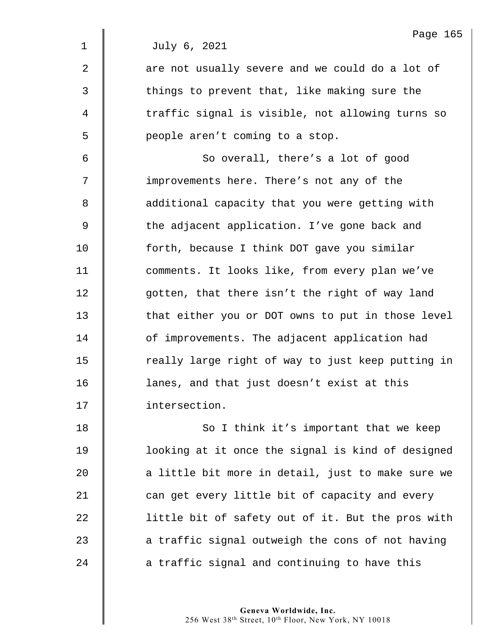|                | Page 165                                          |
|----------------|---------------------------------------------------|
| $\mathbf{1}$   | July 6, 2021                                      |
| $\overline{2}$ | are not usually severe and we could do a lot of   |
| 3              | things to prevent that, like making sure the      |
| 4              | traffic signal is visible, not allowing turns so  |
| 5              | people aren't coming to a stop.                   |
| 6              | So overall, there's a lot of good                 |
| 7              | improvements here. There's not any of the         |
| 8              | additional capacity that you were getting with    |
| $\mathsf 9$    | the adjacent application. I've gone back and      |
| 10             | forth, because I think DOT gave you similar       |
| 11             | comments. It looks like, from every plan we've    |
| 12             | gotten, that there isn't the right of way land    |
| 13             | that either you or DOT owns to put in those level |
| 14             | of improvements. The adjacent application had     |
| 15             | really large right of way to just keep putting in |
| 16             | lanes, and that just doesn't exist at this        |
| 17             | intersection.                                     |
| 18             | So I think it's important that we keep            |
| 19             | looking at it once the signal is kind of designed |
| 20             | a little bit more in detail, just to make sure we |
| 21             | can get every little bit of capacity and every    |
| 22             | little bit of safety out of it. But the pros with |
| 23             | a traffic signal outweigh the cons of not having  |
| 24             | a traffic signal and continuing to have this      |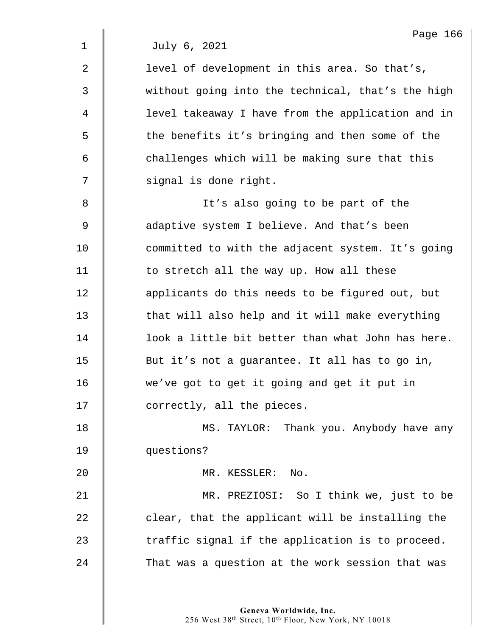1 July 6, 2021

| $\overline{2}$ | level of development in this area. So that's,     |
|----------------|---------------------------------------------------|
| $\mathfrak{Z}$ | without going into the technical, that's the high |
| 4              | level takeaway I have from the application and in |
| 5              | the benefits it's bringing and then some of the   |
| 6              | challenges which will be making sure that this    |
| 7              | signal is done right.                             |
| 8              | It's also going to be part of the                 |
| $\mathsf 9$    | adaptive system I believe. And that's been        |
| 10             | committed to with the adjacent system. It's going |
| 11             | to stretch all the way up. How all these          |
| 12             | applicants do this needs to be figured out, but   |
| 13             | that will also help and it will make everything   |
| 14             | look a little bit better than what John has here. |
| 15             | But it's not a guarantee. It all has to go in,    |
| 16             | we've got to get it going and get it put in       |
| 17             | correctly, all the pieces.                        |
| 18             | MS. TAYLOR: Thank you. Anybody have any           |
| 19             | questions?                                        |
| 20             | MR. KESSLER: No.                                  |
| 21             | MR. PREZIOSI: So I think we, just to be           |
| 22             | clear, that the applicant will be installing the  |
| 23             | traffic signal if the application is to proceed.  |
| 24             | That was a question at the work session that was  |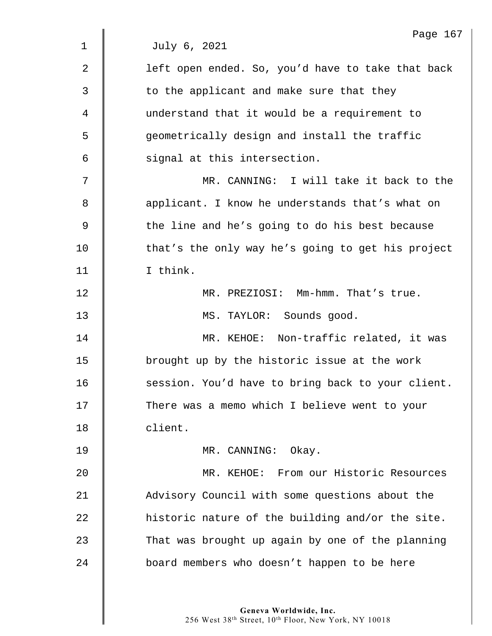|             | Page 167                                          |
|-------------|---------------------------------------------------|
| $\mathbf 1$ | July 6, 2021                                      |
| 2           | left open ended. So, you'd have to take that back |
| 3           | to the applicant and make sure that they          |
| 4           | understand that it would be a requirement to      |
| 5           | geometrically design and install the traffic      |
| 6           | signal at this intersection.                      |
| 7           | MR. CANNING: I will take it back to the           |
| 8           | applicant. I know he understands that's what on   |
| $\mathsf 9$ | the line and he's going to do his best because    |
| 10          | that's the only way he's going to get his project |
| 11          | I think.                                          |
| 12          | MR. PREZIOSI: Mm-hmm. That's true.                |
| 13          | MS. TAYLOR: Sounds good.                          |
| 14          | MR. KEHOE: Non-traffic related, it was            |
| 15          | brought up by the historic issue at the work      |
| 16          | session. You'd have to bring back to your client. |
| 17          | There was a memo which I believe went to your     |
| 18          | client.                                           |
| 19          | MR. CANNING: Okay.                                |
| 20          | MR. KEHOE: From our Historic Resources            |
| 21          | Advisory Council with some questions about the    |
| 22          | historic nature of the building and/or the site.  |
| 23          | That was brought up again by one of the planning  |
| 24          | board members who doesn't happen to be here       |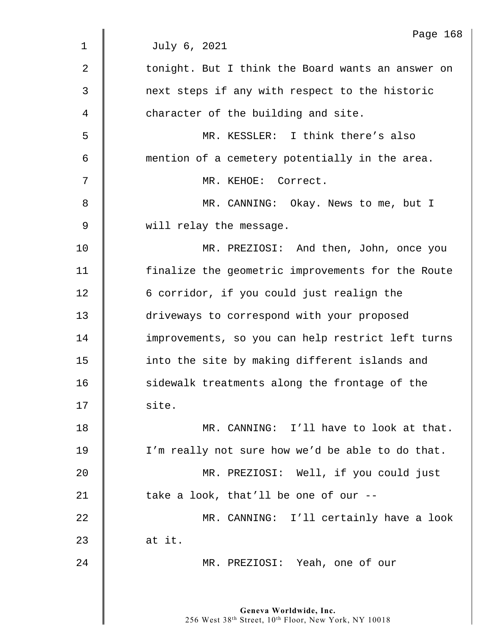|                | Page 168                                          |
|----------------|---------------------------------------------------|
| $\mathbf 1$    | July 6, 2021                                      |
| $\overline{2}$ | tonight. But I think the Board wants an answer on |
| 3              | next steps if any with respect to the historic    |
| 4              | character of the building and site.               |
| 5              | MR. KESSLER: I think there's also                 |
| 6              | mention of a cemetery potentially in the area.    |
| 7              | MR. KEHOE: Correct.                               |
| 8              | MR. CANNING: Okay. News to me, but I              |
| $\mathsf 9$    | will relay the message.                           |
| 10             | MR. PREZIOSI: And then, John, once you            |
| 11             | finalize the geometric improvements for the Route |
| 12             | 6 corridor, if you could just realign the         |
| 13             | driveways to correspond with your proposed        |
| 14             | improvements, so you can help restrict left turns |
| 15             | into the site by making different islands and     |
| 16             | sidewalk treatments along the frontage of the     |
| 17             | site.                                             |
| 18             | MR. CANNING: I'll have to look at that.           |
| 19             | I'm really not sure how we'd be able to do that.  |
| 20             | MR. PREZIOSI: Well, if you could just             |
| 21             | take a look, that'll be one of our --             |
| 22             | MR. CANNING: I'll certainly have a look           |
| 23             | at it.                                            |
| 24             | MR. PREZIOSI: Yeah, one of our                    |
|                |                                                   |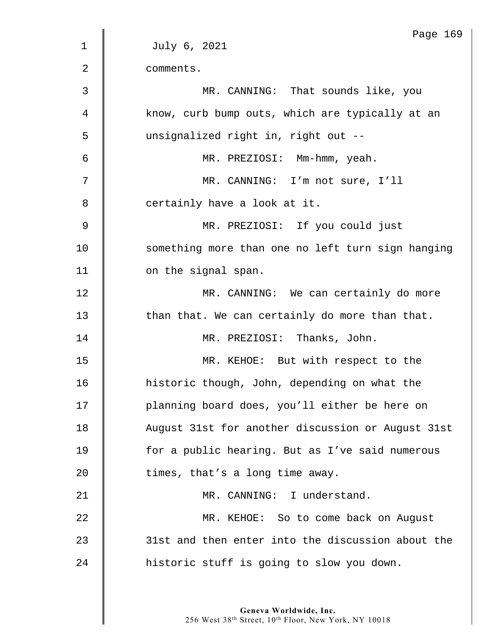|                | Page 169                                          |
|----------------|---------------------------------------------------|
| 1              | July 6, 2021                                      |
| $\overline{2}$ | comments.                                         |
| 3              | MR. CANNING: That sounds like, you                |
| 4              | know, curb bump outs, which are typically at an   |
| 5              | unsignalized right in, right out --               |
| 6              | MR. PREZIOSI: Mm-hmm, yeah.                       |
| 7              | MR. CANNING: I'm not sure, I'll                   |
| 8              | certainly have a look at it.                      |
| 9              | MR. PREZIOSI: If you could just                   |
| 10             | something more than one no left turn sign hanging |
| 11             | on the signal span.                               |
| 12             | MR. CANNING: We can certainly do more             |
| 13             | than that. We can certainly do more than that.    |
| 14             | MR. PREZIOSI: Thanks, John.                       |
| 15             | MR. KEHOE: But with respect to the                |
| 16             | historic though, John, depending on what the      |
| 17             | planning board does, you'll either be here on     |
| 18             | August 31st for another discussion or August 31st |
| 19             | for a public hearing. But as I've said numerous   |
| 20             | times, that's a long time away.                   |
| 21             | MR. CANNING: I understand.                        |
| 22             | MR. KEHOE: So to come back on August              |
| 23             | 31st and then enter into the discussion about the |
| 24             | historic stuff is going to slow you down.         |
|                |                                                   |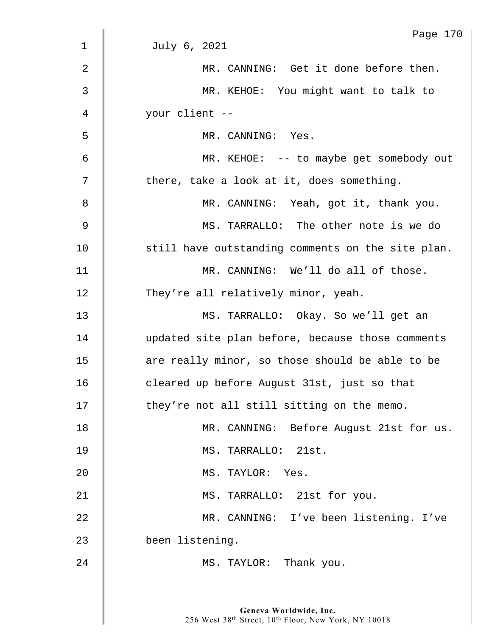|             | Page 170                                          |
|-------------|---------------------------------------------------|
| $\mathbf 1$ | July 6, 2021                                      |
| 2           | MR. CANNING: Get it done before then.             |
| 3           | MR. KEHOE: You might want to talk to              |
| 4           | your client --                                    |
| 5           | MR. CANNING: Yes.                                 |
| 6           | MR. KEHOE: -- to maybe get somebody out           |
| 7           | there, take a look at it, does something.         |
| 8           | MR. CANNING: Yeah, got it, thank you.             |
| 9           | MS. TARRALLO: The other note is we do             |
| 10          | still have outstanding comments on the site plan. |
| 11          | MR. CANNING: We'll do all of those.               |
| 12          | They're all relatively minor, yeah.               |
| 13          | MS. TARRALLO: Okay. So we'll get an               |
| 14          | updated site plan before, because those comments  |
| 15          | are really minor, so those should be able to be   |
| 16          | cleared up before August 31st, just so that       |
| 17          | they're not all still sitting on the memo.        |
| 18          | MR. CANNING: Before August 21st for us.           |
| 19          | MS. TARRALLO: 21st.                               |
| 20          | MS. TAYLOR: Yes.                                  |
| 21          | MS. TARRALLO: 21st for you.                       |
| 22          | MR. CANNING: I've been listening. I've            |
| 23          | been listening.                                   |
| 24          | MS. TAYLOR: Thank you.                            |
|             |                                                   |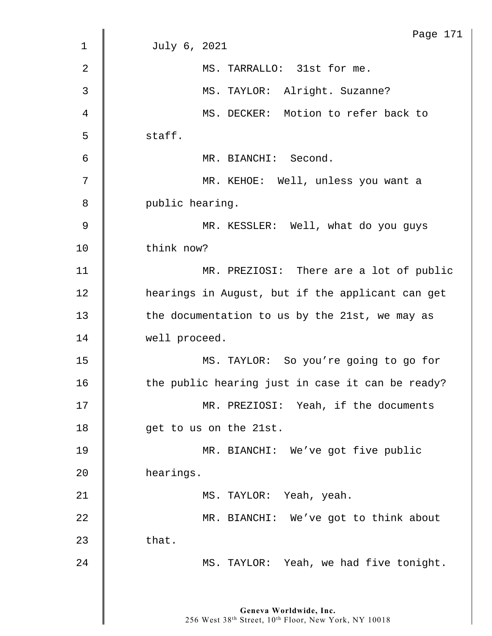|                | Page 171                                         |
|----------------|--------------------------------------------------|
| 1              | July 6, 2021                                     |
| $\overline{2}$ | MS. TARRALLO: 31st for me.                       |
| 3              | MS. TAYLOR: Alright. Suzanne?                    |
| 4              | MS. DECKER: Motion to refer back to              |
| 5              | staff.                                           |
| 6              | MR. BIANCHI: Second.                             |
| 7              | MR. KEHOE: Well, unless you want a               |
| 8              | public hearing.                                  |
| $\overline{9}$ | MR. KESSLER: Well, what do you guys              |
| 10             | think now?                                       |
| 11             | MR. PREZIOSI: There are a lot of public          |
| 12             | hearings in August, but if the applicant can get |
| 13             | the documentation to us by the 21st, we may as   |
| 14             | well proceed.                                    |
| 15             | MS. TAYLOR: So you're going to go for            |
| 16             | the public hearing just in case it can be ready? |
| 17             | MR. PREZIOSI: Yeah, if the documents             |
| 18             | get to us on the 21st.                           |
| 19             | MR. BIANCHI: We've got five public               |
| 20             | hearings.                                        |
| 21             | MS. TAYLOR: Yeah, yeah.                          |
| 22             | MR. BIANCHI: We've got to think about            |
| 23             | that.                                            |
| 24             | MS. TAYLOR: Yeah, we had five tonight.           |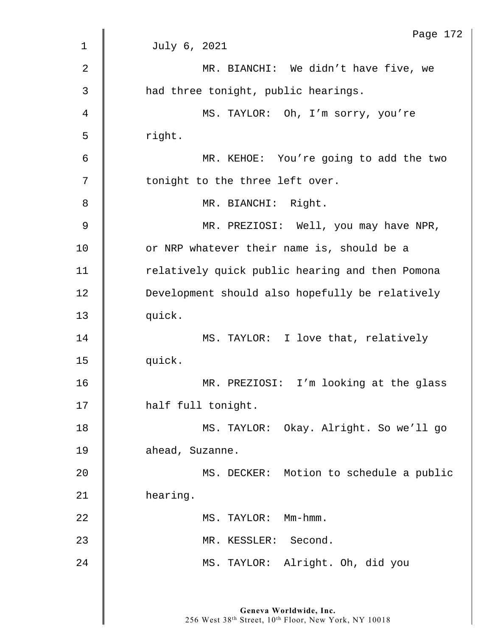|             | Page 172                                        |
|-------------|-------------------------------------------------|
| $\mathbf 1$ | July 6, 2021                                    |
| 2           | MR. BIANCHI: We didn't have five, we            |
| 3           | had three tonight, public hearings.             |
| 4           | MS. TAYLOR: Oh, I'm sorry, you're               |
| 5           | right.                                          |
| 6           | MR. KEHOE: You're going to add the two          |
| 7           | tonight to the three left over.                 |
| 8           | MR. BIANCHI: Right.                             |
| 9           | MR. PREZIOSI: Well, you may have NPR,           |
| 10          | or NRP whatever their name is, should be a      |
| 11          | relatively quick public hearing and then Pomona |
| 12          | Development should also hopefully be relatively |
| 13          | quick.                                          |
| 14          | MS. TAYLOR: I love that, relatively             |
| 15          | quick.                                          |
| 16          | MR. PREZIOSI: I'm looking at the glass          |
| 17          | half full tonight.                              |
| 18          | MS. TAYLOR: Okay. Alright. So we'll go          |
| 19          | ahead, Suzanne.                                 |
| 20          | MS. DECKER: Motion to schedule a public         |
| 21          | hearing.                                        |
| 22          | MS. TAYLOR: Mm-hmm.                             |
| 23          | MR. KESSLER: Second.                            |
| 24          | MS. TAYLOR: Alright. Oh, did you                |
|             |                                                 |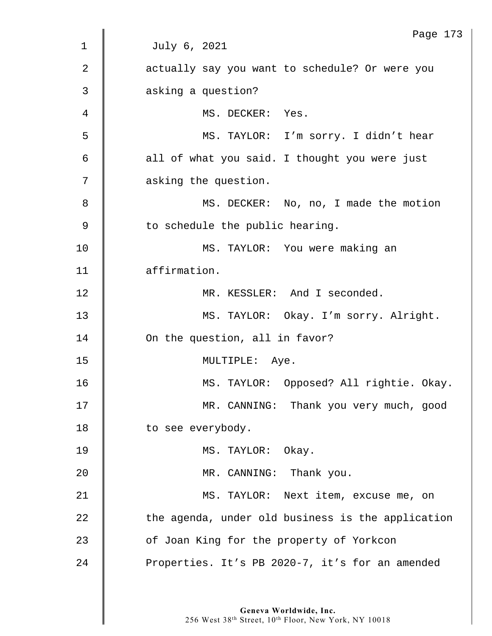| Page 173                                          |
|---------------------------------------------------|
| July 6, 2021                                      |
| actually say you want to schedule? Or were you    |
| asking a question?                                |
| MS. DECKER: Yes.                                  |
| MS. TAYLOR: I'm sorry. I didn't hear              |
| all of what you said. I thought you were just     |
| asking the question.                              |
| MS. DECKER: No, no, I made the motion             |
| to schedule the public hearing.                   |
| MS. TAYLOR: You were making an                    |
| affirmation.                                      |
| MR. KESSLER: And I seconded.                      |
| MS. TAYLOR: Okay. I'm sorry. Alright.             |
| On the question, all in favor?                    |
| MULTIPLE: Aye.                                    |
| MS. TAYLOR: Opposed? All rightie. Okay.           |
| MR. CANNING: Thank you very much, good            |
| to see everybody.                                 |
| MS. TAYLOR: Okay.                                 |
| MR. CANNING: Thank you.                           |
| MS. TAYLOR: Next item, excuse me, on              |
| the agenda, under old business is the application |
| of Joan King for the property of Yorkcon          |
| Properties. It's PB 2020-7, it's for an amended   |
|                                                   |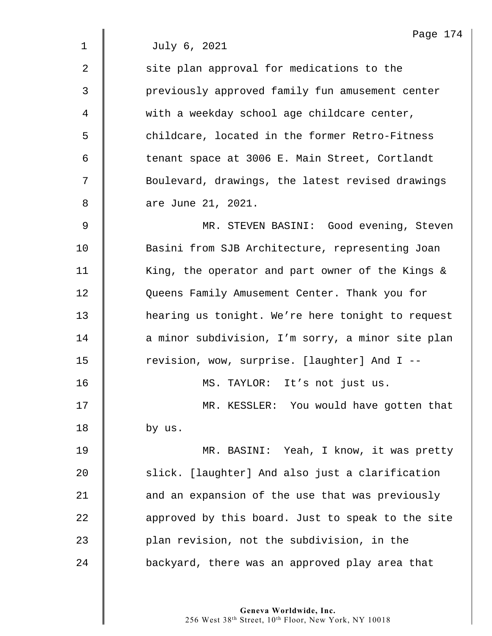| July 6, 2021 |  |
|--------------|--|
|              |  |

| $\overline{2}$ | site plan approval for medications to the        |
|----------------|--------------------------------------------------|
| 3              | previously approved family fun amusement center  |
| $\overline{4}$ | with a weekday school age childcare center,      |
| 5              | childcare, located in the former Retro-Fitness   |
| 6              | tenant space at 3006 E. Main Street, Cortlandt   |
| 7              | Boulevard, drawings, the latest revised drawings |
| 8              | are June 21, 2021.                               |
|                |                                                  |

9 MR. STEVEN BASINI: Good evening, Steven 10 Sasini from SJB Architecture, representing Joan 11 | King, the operator and part owner of the Kings & 12 **Queens Family Amusement Center. Thank you for** 13 | hearing us tonight. We're here tonight to request 14 | a minor subdivision, I'm sorry, a minor site plan 15 | revision, wow, surprise. [laughter] And I --

16 || MS. TAYLOR: It's not just us.

17 | MR. KESSLER: You would have gotten that  $18$  by us.

19 | MR. BASINI: Yeah, I know, it was pretty 20 Slick. [laughter] And also just a clarification 21 **and an expansion of the use that was previously** 22 **a** approved by this board. Just to speak to the site 23 plan revision, not the subdivision, in the 24 **backyard, there was an approved play area that**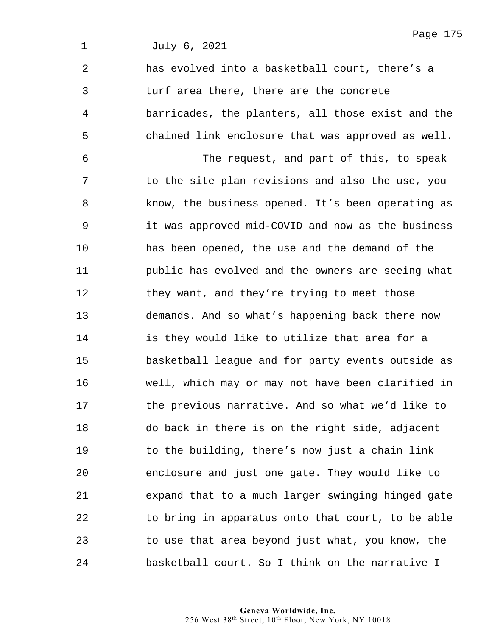1 July 6, 2021

| $\overline{2}$ | has evolved into a basketball court, there's a    |
|----------------|---------------------------------------------------|
| 3              | turf area there, there are the concrete           |
| 4              | barricades, the planters, all those exist and the |
| 5              | chained link enclosure that was approved as well. |
| 6              | The request, and part of this, to speak           |
| 7              | to the site plan revisions and also the use, you  |
| 8              | know, the business opened. It's been operating as |
| $\mathsf 9$    | it was approved mid-COVID and now as the business |
| 10             | has been opened, the use and the demand of the    |
| 11             | public has evolved and the owners are seeing what |
| 12             | they want, and they're trying to meet those       |
| 13             | demands. And so what's happening back there now   |
| 14             | is they would like to utilize that area for a     |
| 15             | basketball league and for party events outside as |
| 16             | well, which may or may not have been clarified in |
| 17             | the previous narrative. And so what we'd like to  |
| 18             | do back in there is on the right side, adjacent   |
| 19             | to the building, there's now just a chain link    |
| 20             | enclosure and just one gate. They would like to   |
| 21             | expand that to a much larger swinging hinged gate |
| 22             | to bring in apparatus onto that court, to be able |
| 23             | to use that area beyond just what, you know, the  |
| 24             | basketball court. So I think on the narrative I   |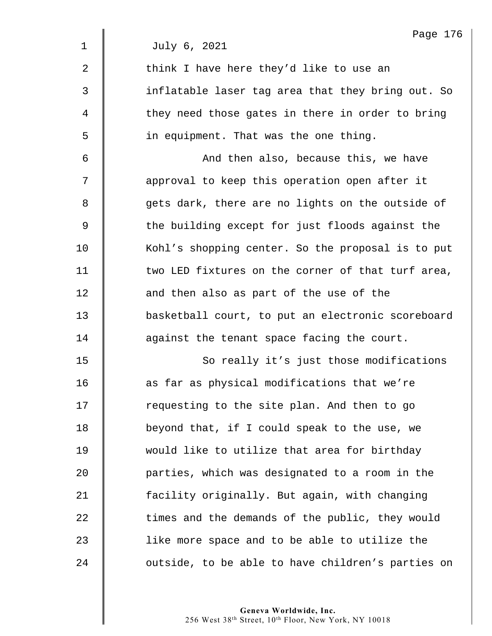|                | Page 176                                          |
|----------------|---------------------------------------------------|
| 1              | July 6, 2021                                      |
| $\overline{a}$ | think I have here they'd like to use an           |
| 3              | inflatable laser tag area that they bring out. So |
| 4              | they need those gates in there in order to bring  |
| 5              | in equipment. That was the one thing.             |
| 6              | And then also, because this, we have              |
| 7              | approval to keep this operation open after it     |
| 8              | gets dark, there are no lights on the outside of  |
| $\mathsf 9$    | the building except for just floods against the   |
| 10             | Kohl's shopping center. So the proposal is to put |
| 11             | two LED fixtures on the corner of that turf area, |
| 12             | and then also as part of the use of the           |
| 13             | basketball court, to put an electronic scoreboard |
| 14             | against the tenant space facing the court.        |
| 15             | So really it's just those modifications           |
| 16             | as far as physical modifications that we're       |
| 17             | requesting to the site plan. And then to go       |
| 18             | beyond that, if I could speak to the use, we      |
| 19             | would like to utilize that area for birthday      |
| 20             | parties, which was designated to a room in the    |
| 21             | facility originally. But again, with changing     |
| 22             | times and the demands of the public, they would   |
| 23             | like more space and to be able to utilize the     |
| 24             | outside, to be able to have children's parties on |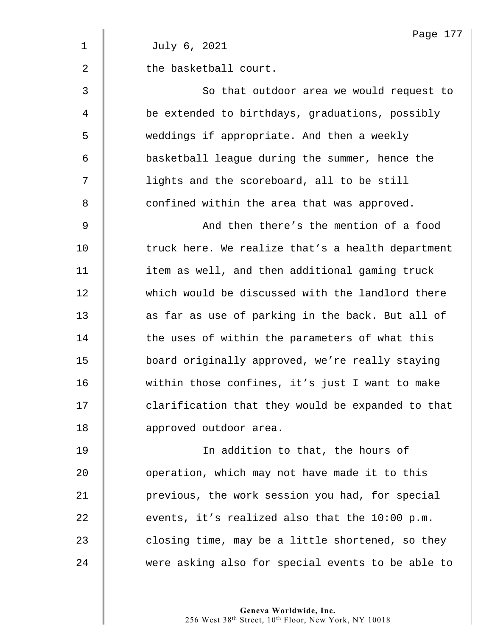|                | Page 177                                          |
|----------------|---------------------------------------------------|
| $\mathbf 1$    | July 6, 2021                                      |
| 2              | the basketball court.                             |
| 3              | So that outdoor area we would request to          |
| 4              | be extended to birthdays, graduations, possibly   |
| 5              | weddings if appropriate. And then a weekly        |
| 6              | basketball league during the summer, hence the    |
| 7              | lights and the scoreboard, all to be still        |
| 8              | confined within the area that was approved.       |
| $\overline{9}$ | And then there's the mention of a food            |
| 10             | truck here. We realize that's a health department |
| 11             | item as well, and then additional gaming truck    |
| 12             | which would be discussed with the landlord there  |
| 13             | as far as use of parking in the back. But all of  |
| 14             | the uses of within the parameters of what this    |
| 15             | board originally approved, we're really staying   |
| 16             | within those confines, it's just I want to make   |
| 17             | clarification that they would be expanded to that |
| 18             | approved outdoor area.                            |
| 19             | In addition to that, the hours of                 |
| 20             | operation, which may not have made it to this     |
| 21             | previous, the work session you had, for special   |
| 22             | events, it's realized also that the 10:00 p.m.    |
|                |                                                   |

23  $\parallel$  closing time, may be a little shortened, so they 24 were asking also for special events to be able to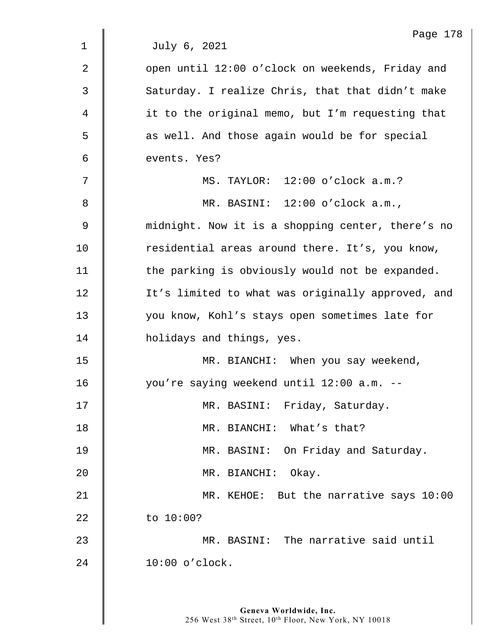|                | Page 178                                          |
|----------------|---------------------------------------------------|
| $\mathbf 1$    | July 6, 2021                                      |
| $\overline{2}$ | open until 12:00 o'clock on weekends, Friday and  |
| 3              | Saturday. I realize Chris, that that didn't make  |
| 4              | it to the original memo, but I'm requesting that  |
| 5              | as well. And those again would be for special     |
| 6              | events. Yes?                                      |
| 7              | MS. TAYLOR: 12:00 o'clock a.m.?                   |
| 8              | MR. BASINI: 12:00 o'clock a.m.,                   |
| 9              | midnight. Now it is a shopping center, there's no |
| 10             | residential areas around there. It's, you know,   |
| 11             | the parking is obviously would not be expanded.   |
| 12             | It's limited to what was originally approved, and |
| 13             | you know, Kohl's stays open sometimes late for    |
| 14             | holidays and things, yes.                         |
| 15             | MR. BIANCHI: When you say weekend,                |
| 16             | you're saying weekend until 12:00 a.m. --         |
| 17             | MR. BASINI: Friday, Saturday.                     |
| 18             | MR. BIANCHI: What's that?                         |
| 19             | MR. BASINI: On Friday and Saturday.               |
| 20             | MR. BIANCHI: Okay.                                |
| 21             | MR. KEHOE: But the narrative says 10:00           |
| 22             | to $10:00?$                                       |
| 23             | MR. BASINI: The narrative said until              |
| 24             | $10:00$ o'clock.                                  |
|                |                                                   |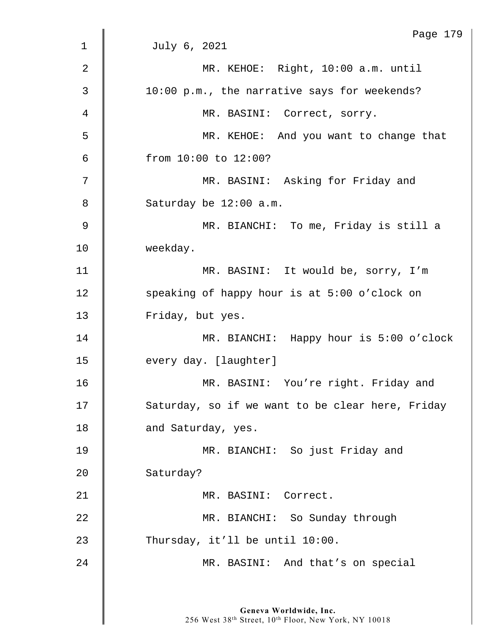|                | Page 179                                         |
|----------------|--------------------------------------------------|
| 1              | July 6, 2021                                     |
| $\overline{2}$ | MR. KEHOE: Right, 10:00 a.m. until               |
| 3              | 10:00 p.m., the narrative says for weekends?     |
| 4              | MR. BASINI: Correct, sorry.                      |
| 5              | MR. KEHOE: And you want to change that           |
| 6              | from 10:00 to 12:00?                             |
| 7              | MR. BASINI: Asking for Friday and                |
| 8              | Saturday be 12:00 a.m.                           |
| $\mathsf 9$    | MR. BIANCHI: To me, Friday is still a            |
| 10             | weekday.                                         |
| 11             | MR. BASINI: It would be, sorry, I'm              |
| 12             | speaking of happy hour is at 5:00 o'clock on     |
| 13             | Friday, but yes.                                 |
| 14             | MR. BIANCHI: Happy hour is 5:00 o'clock          |
| 15             | every day. [laughter]                            |
| 16             | MR. BASINI: You're right. Friday and             |
| 17             | Saturday, so if we want to be clear here, Friday |
| 18             | and Saturday, yes.                               |
| 19             | MR. BIANCHI: So just Friday and                  |
| 20             | Saturday?                                        |
| 21             | MR. BASINI: Correct.                             |
| 22             | MR. BIANCHI: So Sunday through                   |
| 23             | Thursday, it'll be until 10:00.                  |
| 24             | MR. BASINI: And that's on special                |
|                |                                                  |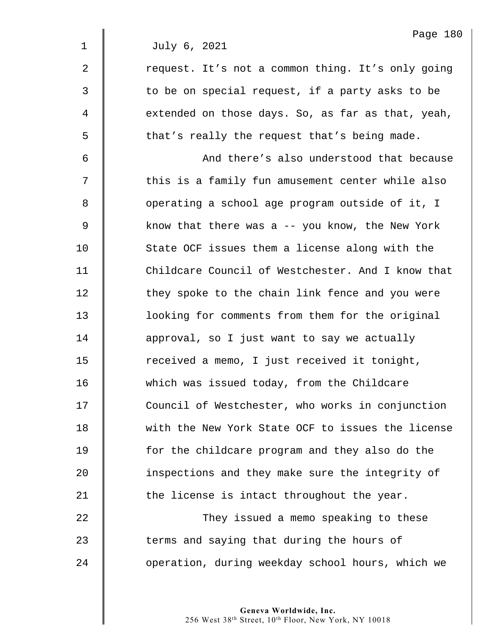|             | Page 180                                          |
|-------------|---------------------------------------------------|
| $\mathbf 1$ | July 6, 2021                                      |
| 2           | request. It's not a common thing. It's only going |
| 3           | to be on special request, if a party asks to be   |
| 4           | extended on those days. So, as far as that, yeah, |
| 5           | that's really the request that's being made.      |
| 6           | And there's also understood that because          |
| 7           | this is a family fun amusement center while also  |
| 8           | operating a school age program outside of it, I   |
| 9           | know that there was a -- you know, the New York   |
| 10          | State OCF issues them a license along with the    |
| 11          | Childcare Council of Westchester. And I know that |
| 12          | they spoke to the chain link fence and you were   |
| 13          | looking for comments from them for the original   |
| 14          | approval, so I just want to say we actually       |
| 15          | received a memo, I just received it tonight,      |
| 16          | which was issued today, from the Childcare        |
| 17          | Council of Westchester, who works in conjunction  |
| 18          | with the New York State OCF to issues the license |
| 19          | for the childcare program and they also do the    |
| 20          | inspections and they make sure the integrity of   |
| 21          | the license is intact throughout the year.        |
| 22          | They issued a memo speaking to these              |
| 23          | terms and saying that during the hours of         |
|             |                                                   |

24 | operation, during weekday school hours, which we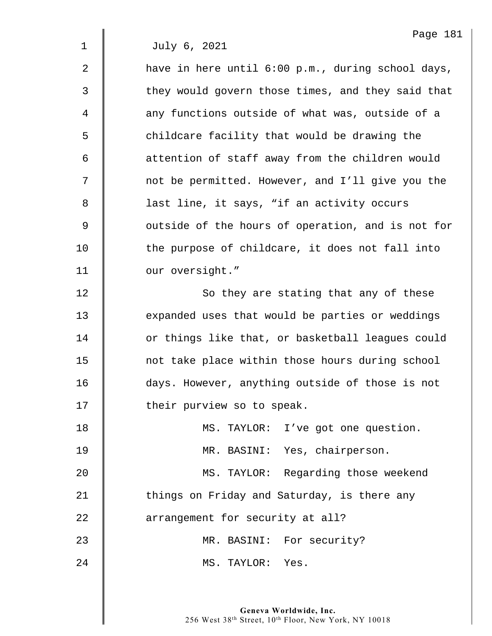$2 \parallel$  have in here until 6:00 p.m., during school days, 3 | they would govern those times, and they said that 4  $\parallel$  any functions outside of what was, outside of a  $5 \parallel$  childcare facility that would be drawing the 6 **6** attention of staff away from the children would 7 | not be permitted. However, and I'll give you the 8 | last line, it says, "if an activity occurs 9 | outside of the hours of operation, and is not for 10 the purpose of childcare, it does not fall into 11 | our oversight." 12 | So they are stating that any of these 13 **EXEC** expanded uses that would be parties or weddings 14 | or things like that, or basketball leagues could 15 | not take place within those hours during school 16 days. However, anything outside of those is not 17 | their purview so to speak. 18 | MS. TAYLOR: I've got one question. 19 | MR. BASINI: Yes, chairperson. 20 MS. TAYLOR: Regarding those weekend 21  $\parallel$  things on Friday and Saturday, is there any 22 **arrangement** for security at all? 23 MR. BASINI: For security? 24 | MS. TAYLOR: Yes.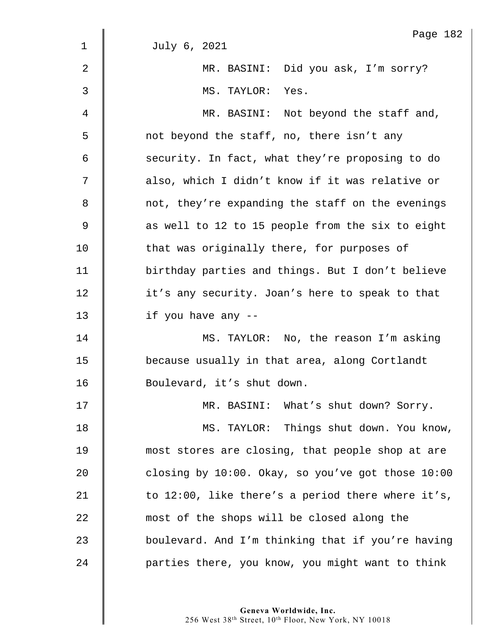|                | Page 182                                          |
|----------------|---------------------------------------------------|
| $\mathbf 1$    | July 6, 2021                                      |
| $\overline{2}$ | MR. BASINI: Did you ask, I'm sorry?               |
| 3              | MS. TAYLOR: Yes.                                  |
| 4              | MR. BASINI: Not beyond the staff and,             |
| 5              | not beyond the staff, no, there isn't any         |
| 6              | security. In fact, what they're proposing to do   |
| 7              | also, which I didn't know if it was relative or   |
| 8              | not, they're expanding the staff on the evenings  |
| $\mathsf 9$    | as well to 12 to 15 people from the six to eight  |
| 10             | that was originally there, for purposes of        |
| 11             | birthday parties and things. But I don't believe  |
| 12             | it's any security. Joan's here to speak to that   |
| 13             | if you have any --                                |
| 14             | MS. TAYLOR: No, the reason I'm asking             |
| 15             | because usually in that area, along Cortlandt     |
| 16             | Boulevard, it's shut down.                        |
| 17             | MR. BASINI: What's shut down? Sorry.              |
| 18             | MS. TAYLOR: Things shut down. You know,           |
| 19             | most stores are closing, that people shop at are  |
| 20             | closing by 10:00. Okay, so you've got those 10:00 |
| 21             | to 12:00, like there's a period there where it's, |
| 22             | most of the shops will be closed along the        |
| 23             | boulevard. And I'm thinking that if you're having |
| 24             | parties there, you know, you might want to think  |
|                |                                                   |

182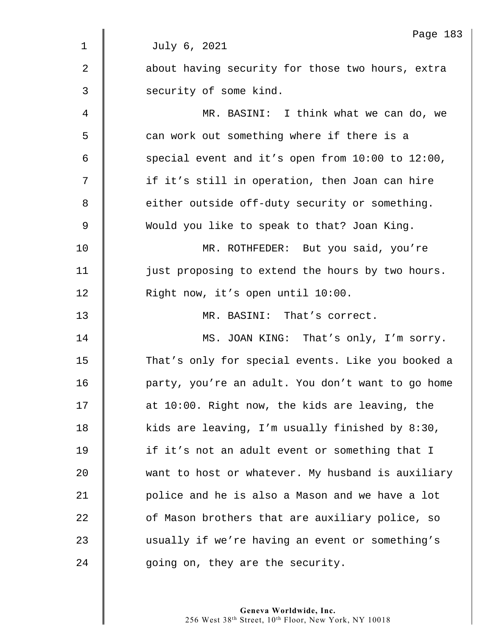|                | Page 183                                          |
|----------------|---------------------------------------------------|
| $\mathbf{1}$   | July 6, 2021                                      |
| $\overline{2}$ | about having security for those two hours, extra  |
| 3              | security of some kind.                            |
| 4              | MR. BASINI: I think what we can do, we            |
| 5              | can work out something where if there is a        |
| 6              | special event and it's open from 10:00 to 12:00,  |
| 7              | if it's still in operation, then Joan can hire    |
| 8              | either outside off-duty security or something.    |
| 9              | Would you like to speak to that? Joan King.       |
| 10             | MR. ROTHFEDER: But you said, you're               |
| 11             | just proposing to extend the hours by two hours.  |
| 12             | Right now, it's open until 10:00.                 |
| 13             | MR. BASINI: That's correct.                       |
| 14             | MS. JOAN KING: That's only, I'm sorry.            |
| 15             | That's only for special events. Like you booked a |
| 16             | party, you're an adult. You don't want to go home |
| 17             | at 10:00. Right now, the kids are leaving, the    |
| 18             | kids are leaving, I'm usually finished by 8:30,   |
| 19             | if it's not an adult event or something that I    |
| 20             | want to host or whatever. My husband is auxiliary |
| 21             | police and he is also a Mason and we have a lot   |
| 22             | of Mason brothers that are auxiliary police, so   |
| 23             | usually if we're having an event or something's   |
| 24             | going on, they are the security.                  |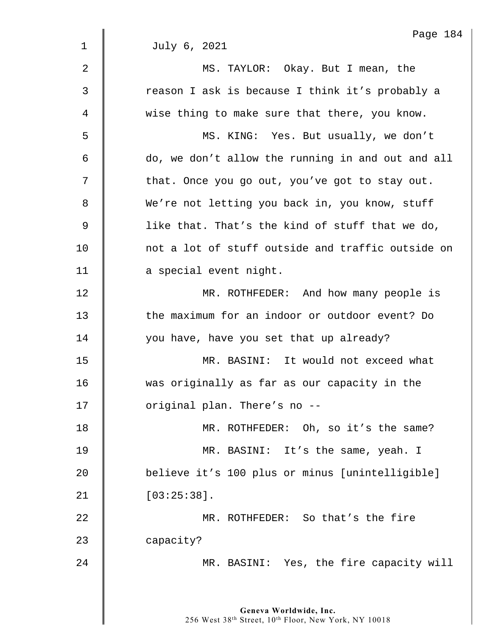|                | Page 184                                          |
|----------------|---------------------------------------------------|
| $\mathbf 1$    | July 6, 2021                                      |
| $\overline{2}$ | MS. TAYLOR: Okay. But I mean, the                 |
| 3              | reason I ask is because I think it's probably a   |
| 4              | wise thing to make sure that there, you know.     |
| 5              | MS. KING: Yes. But usually, we don't              |
| 6              | do, we don't allow the running in and out and all |
| 7              | that. Once you go out, you've got to stay out.    |
| 8              | We're not letting you back in, you know, stuff    |
| 9              | like that. That's the kind of stuff that we do,   |
| 10             | not a lot of stuff outside and traffic outside on |
| 11             | a special event night.                            |
| 12             | MR. ROTHFEDER: And how many people is             |
| 13             | the maximum for an indoor or outdoor event? Do    |
| 14             | you have, have you set that up already?           |
| 15             | MR. BASINI: It would not exceed what              |
| 16             | was originally as far as our capacity in the      |
| 17             | original plan. There's no --                      |
| 18             | MR. ROTHFEDER: Oh, so it's the same?              |
| 19             | MR. BASINI: It's the same, yeah. I                |
| 20             | believe it's 100 plus or minus [unintelligible]   |
| 21             | $[03:25:38]$ .                                    |
| 22             | MR. ROTHFEDER: So that's the fire                 |
| 23             | capacity?                                         |
| 24             | MR. BASINI: Yes, the fire capacity will           |
|                |                                                   |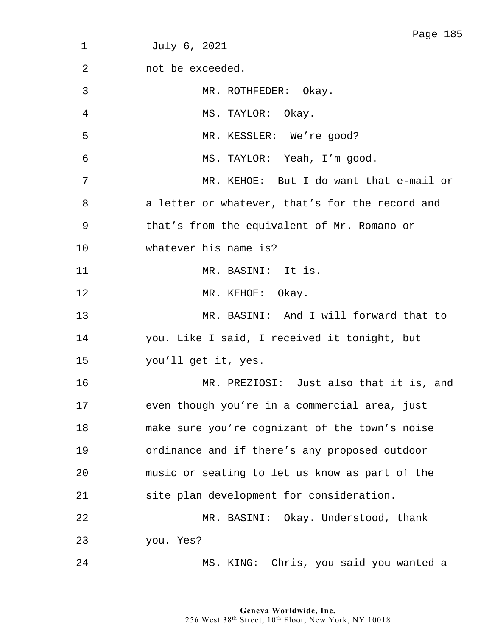|                | Page 185                                        |
|----------------|-------------------------------------------------|
| 1              | July 6, 2021                                    |
| $\overline{2}$ | not be exceeded.                                |
| 3              | MR. ROTHFEDER: Okay.                            |
| 4              | MS. TAYLOR: Okay.                               |
| 5              | MR. KESSLER: We're good?                        |
| 6              | MS. TAYLOR: Yeah, I'm good.                     |
| 7              | MR. KEHOE: But I do want that e-mail or         |
| 8              | a letter or whatever, that's for the record and |
| 9              | that's from the equivalent of Mr. Romano or     |
| 10             | whatever his name is?                           |
| 11             | MR. BASINI: It is.                              |
| 12             | MR. KEHOE: Okay.                                |
| 13             | MR. BASINI: And I will forward that to          |
| 14             | you. Like I said, I received it tonight, but    |
| 15             | you'll get it, yes.                             |
| 16             | MR. PREZIOSI: Just also that it is, and         |
| 17             | even though you're in a commercial area, just   |
| 18             | make sure you're cognizant of the town's noise  |
| 19             | ordinance and if there's any proposed outdoor   |
| 20             | music or seating to let us know as part of the  |
| 21             | site plan development for consideration.        |
| 22             | MR. BASINI: Okay. Understood, thank             |
| 23             | you. Yes?                                       |
| 24             | MS. KING: Chris, you said you wanted a          |
|                |                                                 |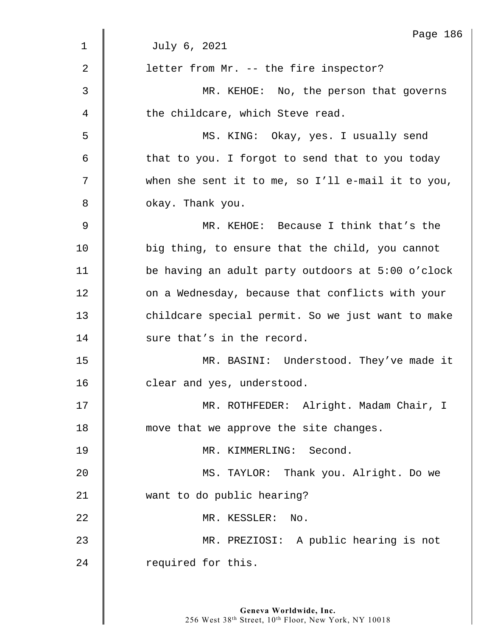|    | Page 186                                          |
|----|---------------------------------------------------|
| 1  | July 6, 2021                                      |
| 2  | letter from Mr. -- the fire inspector?            |
| 3  | MR. KEHOE: No, the person that governs            |
| 4  | the childcare, which Steve read.                  |
| 5  | MS. KING: Okay, yes. I usually send               |
| 6  | that to you. I forgot to send that to you today   |
| 7  | when she sent it to me, so I'll e-mail it to you, |
| 8  | okay. Thank you.                                  |
| 9  | MR. KEHOE: Because I think that's the             |
| 10 | big thing, to ensure that the child, you cannot   |
| 11 | be having an adult party outdoors at 5:00 o'clock |
| 12 | on a Wednesday, because that conflicts with your  |
| 13 | childcare special permit. So we just want to make |
| 14 | sure that's in the record.                        |
| 15 | MR. BASINI: Understood. They've made it           |
| 16 | clear and yes, understood.                        |
| 17 | MR. ROTHFEDER: Alright. Madam Chair, I            |
| 18 | move that we approve the site changes.            |
| 19 | MR. KIMMERLING: Second.                           |
| 20 | MS. TAYLOR: Thank you. Alright. Do we             |
| 21 | want to do public hearing?                        |
| 22 | MR. KESSLER:<br>$\mathbb N$ o.                    |
| 23 | MR. PREZIOSI: A public hearing is not             |
| 24 | required for this.                                |
|    |                                                   |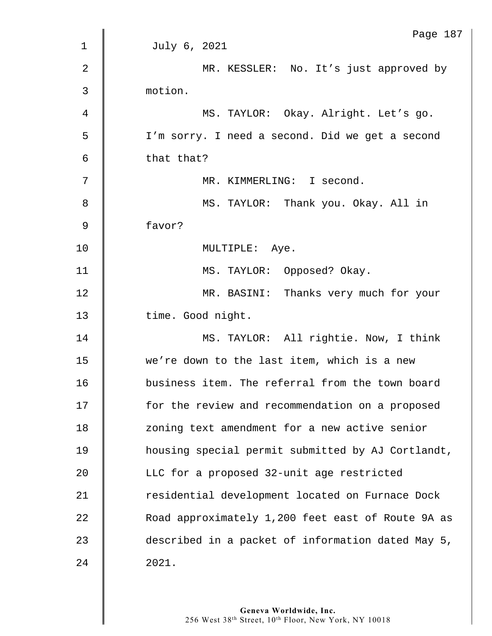|                | Page 187                                          |
|----------------|---------------------------------------------------|
| $\mathbf{1}$   | July 6, 2021                                      |
| $\overline{2}$ | MR. KESSLER: No. It's just approved by            |
| 3              | motion.                                           |
| $\overline{4}$ | MS. TAYLOR: Okay. Alright. Let's go.              |
| 5              | I'm sorry. I need a second. Did we get a second   |
| 6              | that that?                                        |
| 7              | MR. KIMMERLING: I second.                         |
| 8              | MS. TAYLOR: Thank you. Okay. All in               |
| $\mathsf 9$    | favor?                                            |
| 10             | MULTIPLE: Aye.                                    |
| 11             | MS. TAYLOR: Opposed? Okay.                        |
| 12             | MR. BASINI: Thanks very much for your             |
| 13             | time. Good night.                                 |
| 14             | MS. TAYLOR: All rightie. Now, I think             |
| 15             | we're down to the last item, which is a new       |
| 16             | business item. The referral from the town board   |
| 17             | for the review and recommendation on a proposed   |
| 18             | zoning text amendment for a new active senior     |
| 19             | housing special permit submitted by AJ Cortlandt, |
| 20             | LLC for a proposed 32-unit age restricted         |
| 21             | residential development located on Furnace Dock   |
| 22             | Road approximately 1,200 feet east of Route 9A as |
| 23             | described in a packet of information dated May 5, |
| 24             | 2021.                                             |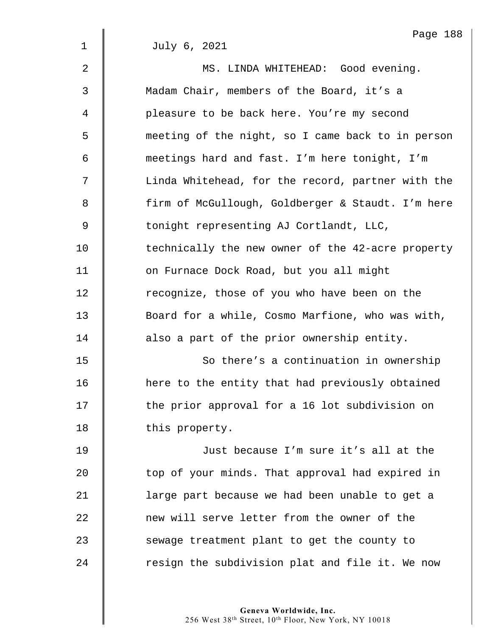|                | Page 188                                          |
|----------------|---------------------------------------------------|
| $\mathbf{1}$   | July 6, 2021                                      |
| $\overline{2}$ | MS. LINDA WHITEHEAD: Good evening.                |
| 3              | Madam Chair, members of the Board, it's a         |
| 4              | pleasure to be back here. You're my second        |
| 5              | meeting of the night, so I came back to in person |
| 6              | meetings hard and fast. I'm here tonight, I'm     |
| 7              | Linda Whitehead, for the record, partner with the |
| 8              | firm of McGullough, Goldberger & Staudt. I'm here |
| 9              | tonight representing AJ Cortlandt, LLC,           |
| 10             | technically the new owner of the 42-acre property |
| 11             | on Furnace Dock Road, but you all might           |
| 12             | recognize, those of you who have been on the      |
| 13             | Board for a while, Cosmo Marfione, who was with,  |
| 14             | also a part of the prior ownership entity.        |
| 15             | So there's a continuation in ownership            |
| 16             | here to the entity that had previously obtained   |
| 17             | the prior approval for a 16 lot subdivision on    |
| 18             | this property.                                    |
| 19             | Just because I'm sure it's all at the             |
| 20             | top of your minds. That approval had expired in   |
| 21             | large part because we had been unable to get a    |
| 22             | new will serve letter from the owner of the       |
| 23             | sewage treatment plant to get the county to       |
| 24             | resign the subdivision plat and file it. We now   |
|                |                                                   |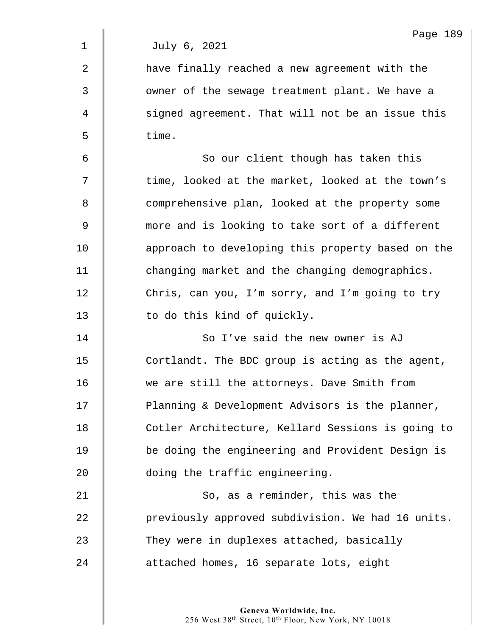1 July 6, 2021 2 | have finally reached a new agreement with the 3 || owner of the sewage treatment plant. We have a 4 | signed agreement. That will not be an issue this  $5 \parallel$  time. 6 || So our client though has taken this  $7 \parallel$  time, looked at the market, looked at the town's 8 Comprehensive plan, looked at the property some 9  $\parallel$  more and is looking to take sort of a different 10 **approach to developing this property based on the** 11 **deger** changing market and the changing demographics. 12 Chris, can you, I'm sorry, and I'm going to try 13 | to do this kind of quickly. 14 **||** So I've said the new owner is AJ 15 Cortlandt. The BDC group is acting as the agent, 16 we are still the attorneys. Dave Smith from 17 | Planning & Development Advisors is the planner, 18 | Cotler Architecture, Kellard Sessions is going to 19 | be doing the engineering and Provident Design is 20 **doing the traffic engineering.** 21 | So, as a reminder, this was the 22 previously approved subdivision. We had 16 units. 23 They were in duplexes attached, basically 24 **decived 24** attached homes, 16 separate lots, eight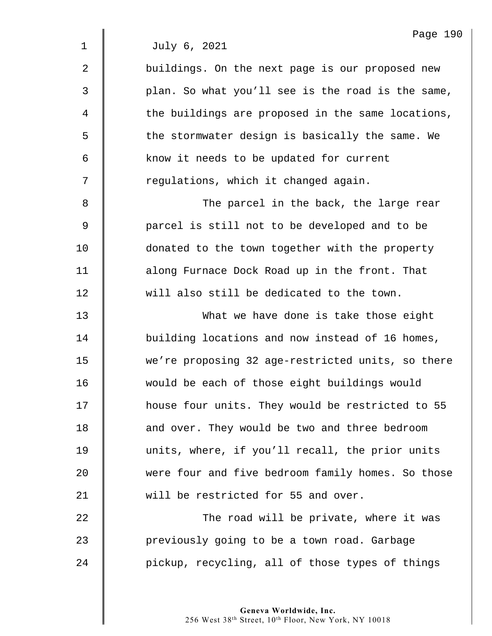2 | buildings. On the next page is our proposed new 3 | plan. So what you'll see is the road is the same,  $4 \parallel$  the buildings are proposed in the same locations,  $5 \parallel$  the stormwater design is basically the same. We 6 Know it needs to be updated for current 7 | regulations, which it changed again.

8 The parcel in the back, the large rear 9 **parcel is still not to be developed and to be** 10 **donated to the town together with the property** 11 **duar** along Furnace Dock Road up in the front. That 12 will also still be dedicated to the town.

13 What we have done is take those eight 14 **J** building locations and now instead of 16 homes, 15 we're proposing 32 age-restricted units, so there 16 would be each of those eight buildings would 17 | house four units. They would be restricted to 55 18 **d** and over. They would be two and three bedroom 19 units, where, if you'll recall, the prior units 20 were four and five bedroom family homes. So those 21 | will be restricted for 55 and over.

22 **The road will be private, where it was** 23 previously going to be a town road. Garbage 24 | pickup, recycling, all of those types of things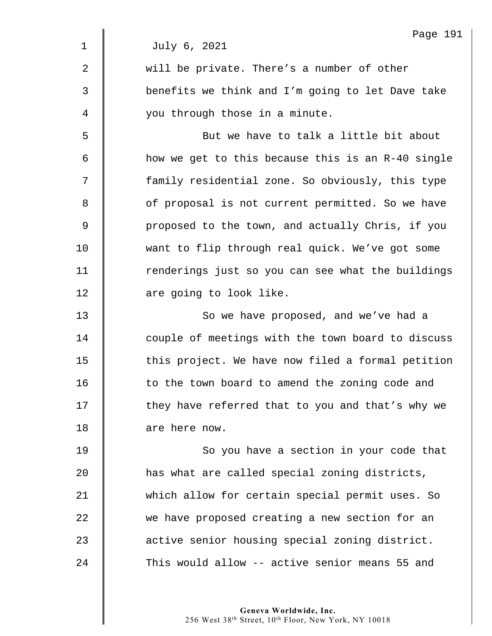|             | Page 191                                          |
|-------------|---------------------------------------------------|
| $\mathbf 1$ | July 6, 2021                                      |
| 2           | will be private. There's a number of other        |
| 3           | benefits we think and I'm going to let Dave take  |
| 4           | you through those in a minute.                    |
| 5           | But we have to talk a little bit about            |
| 6           | how we get to this because this is an R-40 single |
| 7           | family residential zone. So obviously, this type  |
| 8           | of proposal is not current permitted. So we have  |
| 9           | proposed to the town, and actually Chris, if you  |
| 10          | want to flip through real quick. We've got some   |
| 11          | renderings just so you can see what the buildings |
| 12          | are going to look like.                           |
| 13          | So we have proposed, and we've had a              |
| 14          | couple of meetings with the town board to discuss |
| 15          | this project. We have now filed a formal petition |
| 16          | to the town board to amend the zoning code and    |
| 17          | they have referred that to you and that's why we  |
| 18          | are here now.                                     |
| 19          | So you have a section in your code that           |
| 20          | has what are called special zoning districts,     |
| 21          | which allow for certain special permit uses. So   |
| 22          | we have proposed creating a new section for an    |
| 23          | active senior housing special zoning district.    |
| 24          | This would allow -- active senior means 55 and    |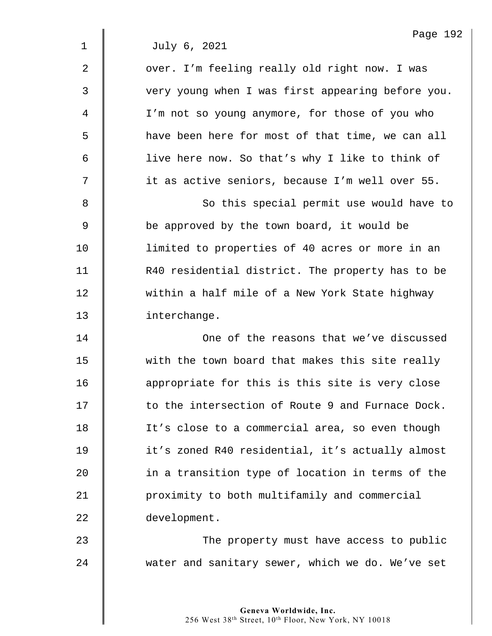2 | over. I'm feeling really old right now. I was 3  $\parallel$  very young when I was first appearing before you. 4 I'm not so young anymore, for those of you who 5 | have been here for most of that time, we can all 6 | live here now. So that's why I like to think of 7 | it as active seniors, because I'm well over 55.

8 || So this special permit use would have to 9 **be approved by the town board, it would be** 10 | limited to properties of 40 acres or more in an 11 | R40 residential district. The property has to be 12 Within a half mile of a New York State highway 13 | interchange.

14 One of the reasons that we've discussed 15 We with the town board that makes this site really 16 **dec** appropriate for this is this site is very close 17 **to the intersection of Route 9 and Furnace Dock.** 18 | It's close to a commercial area, so even though 19 it's zoned R40 residential, it's actually almost 20 **in a transition type of location in terms of the** 21 **1** proximity to both multifamily and commercial 22 development.

23 | The property must have access to public 24 water and sanitary sewer, which we do. We've set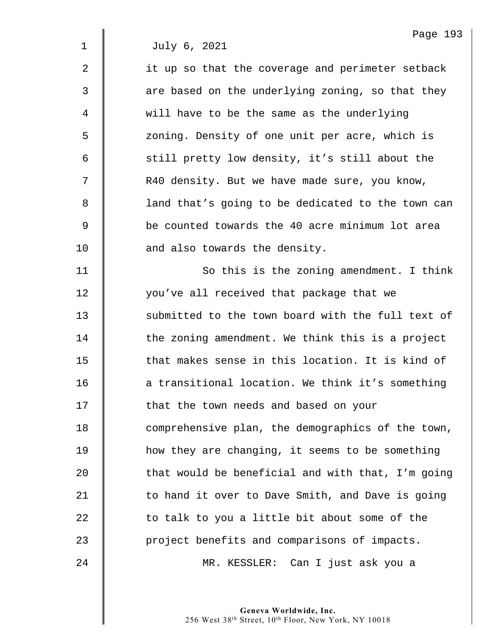| $\overline{2}$ | it up so that the coverage and perimeter setback  |
|----------------|---------------------------------------------------|
| 3              | are based on the underlying zoning, so that they  |
| 4              | will have to be the same as the underlying        |
| 5              | zoning. Density of one unit per acre, which is    |
| 6              | still pretty low density, it's still about the    |
| 7              | R40 density. But we have made sure, you know,     |
| 8              | land that's going to be dedicated to the town can |
| 9              | be counted towards the 40 acre minimum lot area   |
| 10             | and also towards the density.                     |
| 11             | So this is the zoning amendment. I think          |
| 12             | you've all received that package that we          |
| 13             | submitted to the town board with the full text of |
| 14             | the zoning amendment. We think this is a project  |
| 15             | that makes sense in this location. It is kind of  |
| 16             | a transitional location. We think it's something  |
| 17             | that the town needs and based on your             |
| 18             | comprehensive plan, the demographics of the town, |
| 19             | how they are changing, it seems to be something   |
| 20             | that would be beneficial and with that, I'm going |
| 21             | to hand it over to Dave Smith, and Dave is going  |
| 22             | to talk to you a little bit about some of the     |
| 23             | project benefits and comparisons of impacts.      |
| 24             | MR. KESSLER: Can I just ask you a                 |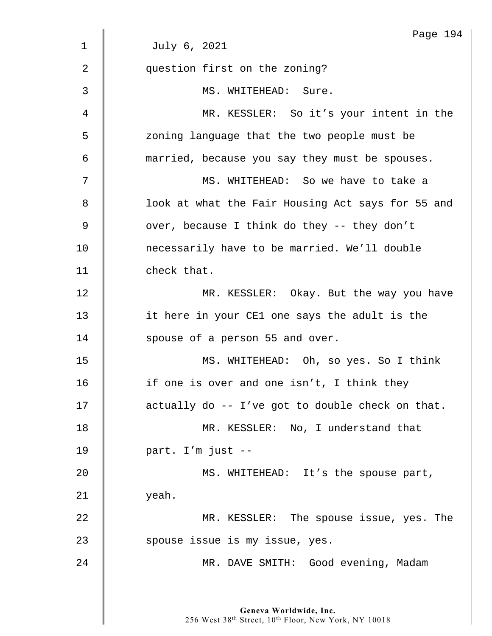|                | Page 194                                          |
|----------------|---------------------------------------------------|
| $\mathbf 1$    | July 6, 2021                                      |
| $\overline{2}$ | question first on the zoning?                     |
| 3              | MS. WHITEHEAD: Sure.                              |
| 4              | MR. KESSLER: So it's your intent in the           |
| 5              | zoning language that the two people must be       |
| 6              | married, because you say they must be spouses.    |
| 7              | MS. WHITEHEAD: So we have to take a               |
| 8              | look at what the Fair Housing Act says for 55 and |
| 9              | over, because I think do they -- they don't       |
| 10             | necessarily have to be married. We'll double      |
| 11             | check that.                                       |
| 12             | MR. KESSLER: Okay. But the way you have           |
| 13             | it here in your CE1 one says the adult is the     |
| 14             | spouse of a person 55 and over.                   |
| 15             | MS. WHITEHEAD: Oh, so yes. So I think             |
| 16             | if one is over and one isn't, I think they        |
| 17             | actually do -- I've got to double check on that.  |
| 18             | MR. KESSLER: No, I understand that                |
| 19             | part. I'm just --                                 |
| 20             | MS. WHITEHEAD: It's the spouse part,              |
| 21             | yeah.                                             |
| 22             | MR. KESSLER: The spouse issue, yes. The           |
| 23             | spouse issue is my issue, yes.                    |
| 24             | MR. DAVE SMITH: Good evening, Madam               |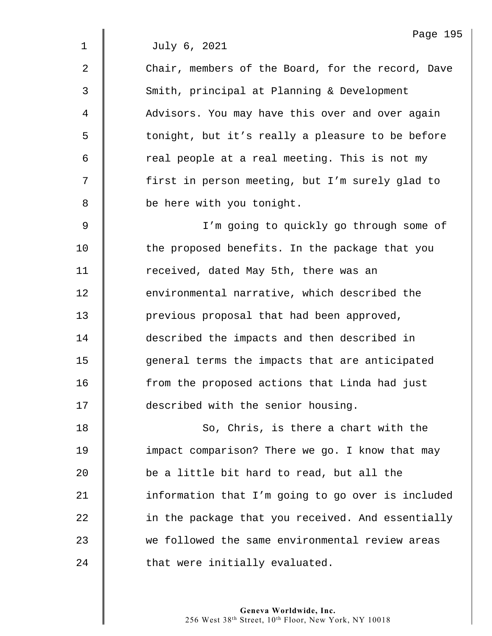2 **Chair, members of the Board, for the record, Dave** 3 Smith, principal at Planning & Development 4 | Advisors. You may have this over and over again 5 | tonight, but it's really a pleasure to be before  $6 \parallel$  real people at a real meeting. This is not my 7 | first in person meeting, but I'm surely glad to 8 **be here with you tonight.** 9 I'm going to quickly go through some of

10 the proposed benefits. In the package that you 11 | received, dated May 5th, there was an **EXEC** environmental narrative, which described the **previous proposal that had been approved, described** the impacts and then described in 15 | general terms the impacts that are anticipated **f** 10 from the proposed actions that Linda had just **described with the senior housing.** 

18 So, Chris, is there a chart with the **I** impact comparison? There we go. I know that may **be a little bit hard to read, but all the**  $\parallel$  information that I'm going to go over is included **in the package that you received. And essentially** 23 we followed the same environmental review areas **that were initially evaluated.**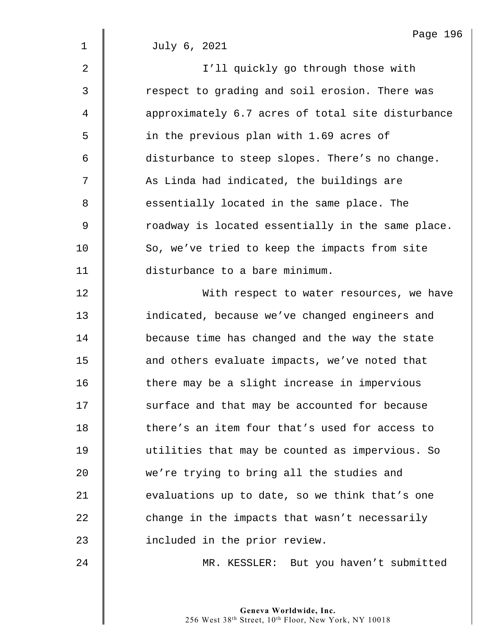1 July 6, 2021 2 || I'll quickly go through those with 3 The respect to grading and soil erosion. There was 4  $\parallel$  approximately 6.7 acres of total site disturbance 5 | in the previous plan with 1.69 acres of 6 disturbance to steep slopes. There's no change. 7 | As Linda had indicated, the buildings are 8 S essentially located in the same place. The 9 Some roadway is located essentially in the same place. 10 So, we've tried to keep the impacts from site 11 disturbance to a bare minimum. 12 | With respect to water resources, we have 13 **indicated, because we've changed engineers and** 14 **because time has changed and the way the state** 15 **deg 15** and others evaluate impacts, we've noted that 16 There may be a slight increase in impervious 17 | surface and that may be accounted for because 18 **there's an item four that's used for access to** 19 utilities that may be counted as impervious. So 20 we're trying to bring all the studies and 21  $\parallel$  evaluations up to date, so we think that's one  $22$   $\parallel$  change in the impacts that wasn't necessarily 23 **dege** included in the prior review. 24 MR. KESSLER: But you haven't submitted

Page 196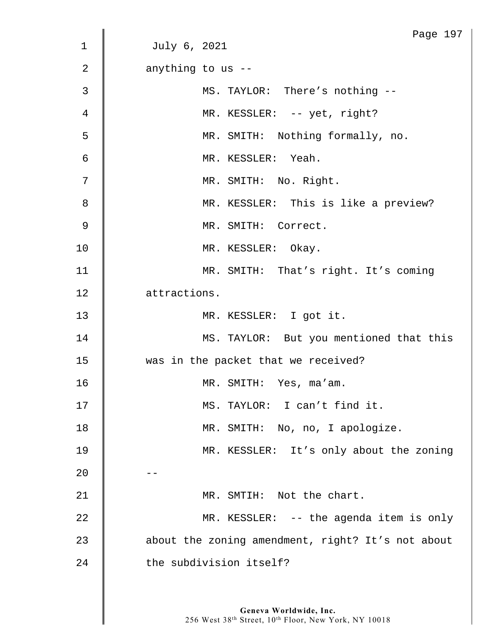|                | Page 197                                          |
|----------------|---------------------------------------------------|
| 1              | July 6, 2021                                      |
| $\overline{2}$ | anything to us --                                 |
| 3              | MS. TAYLOR: There's nothing --                    |
| 4              | MR. KESSLER: -- yet, right?                       |
| 5              | MR. SMITH: Nothing formally, no.                  |
| $\epsilon$     | MR. KESSLER: Yeah.                                |
| 7              | MR. SMITH: No. Right.                             |
| 8              | MR. KESSLER: This is like a preview?              |
| $\overline{9}$ | MR. SMITH: Correct.                               |
| 10             | MR. KESSLER: Okay.                                |
| 11             | MR. SMITH: That's right. It's coming              |
| 12             | attractions.                                      |
| 13             | MR. KESSLER: I got it.                            |
| 14             | MS. TAYLOR: But you mentioned that this           |
| 15             | was in the packet that we received?               |
| 16             | MR. SMITH: Yes, ma'am.                            |
| 17             | MS. TAYLOR: I can't find it.                      |
| 18             | MR. SMITH: No, no, I apologize.                   |
| 19             | MR. KESSLER: It's only about the zoning           |
| 20             |                                                   |
| 21             | MR. SMTIH: Not the chart.                         |
| 22             | MR. KESSLER: -- the agenda item is only           |
| 23             | about the zoning amendment, right? It's not about |
| 24             | the subdivision itself?                           |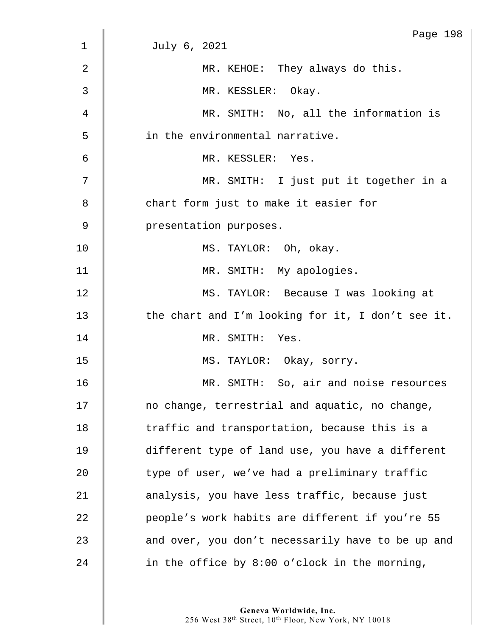|    | Page 198                                          |
|----|---------------------------------------------------|
| 1  | July 6, 2021                                      |
| 2  | MR. KEHOE: They always do this.                   |
| 3  | MR. KESSLER: Okay.                                |
| 4  | MR. SMITH: No, all the information is             |
| 5  | in the environmental narrative.                   |
| 6  | MR. KESSLER: Yes.                                 |
| 7  | MR. SMITH: I just put it together in a            |
| 8  | chart form just to make it easier for             |
| 9  | presentation purposes.                            |
| 10 | MS. TAYLOR: Oh, okay.                             |
| 11 | MR. SMITH: My apologies.                          |
| 12 | MS. TAYLOR: Because I was looking at              |
| 13 | the chart and I'm looking for it, I don't see it. |
| 14 | MR. SMITH: Yes.                                   |
| 15 | MS. TAYLOR: Okay, sorry.                          |
| 16 | MR. SMITH: So, air and noise resources            |
| 17 | no change, terrestrial and aquatic, no change,    |
| 18 | traffic and transportation, because this is a     |
| 19 | different type of land use, you have a different  |
| 20 | type of user, we've had a preliminary traffic     |
| 21 | analysis, you have less traffic, because just     |
| 22 | people's work habits are different if you're 55   |
| 23 | and over, you don't necessarily have to be up and |
| 24 | in the office by 8:00 o'clock in the morning,     |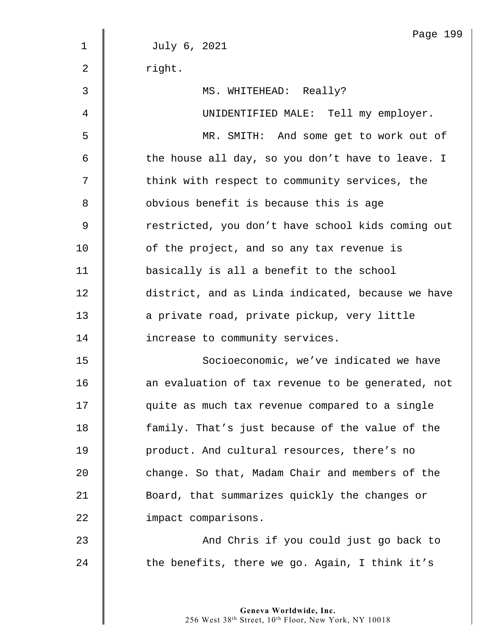|                | Page 199                                          |
|----------------|---------------------------------------------------|
| $\mathbf 1$    | July 6, 2021                                      |
| $\overline{2}$ | right.                                            |
| 3              | MS. WHITEHEAD: Really?                            |
| 4              | UNIDENTIFIED MALE: Tell my employer.              |
| 5              | MR. SMITH: And some get to work out of            |
| 6              | the house all day, so you don't have to leave. I  |
| 7              | think with respect to community services, the     |
| 8              | obvious benefit is because this is age            |
| 9              | restricted, you don't have school kids coming out |
| 10             | of the project, and so any tax revenue is         |
| 11             | basically is all a benefit to the school          |
| 12             | district, and as Linda indicated, because we have |
| 13             | a private road, private pickup, very little       |
| 14             | increase to community services.                   |
| 15             | Socioeconomic, we've indicated we have            |
| 16             | an evaluation of tax revenue to be generated, not |
| 17             | quite as much tax revenue compared to a single    |
| 18             | family. That's just because of the value of the   |
| 19             | product. And cultural resources, there's no       |
| 20             | change. So that, Madam Chair and members of the   |
| 21             | Board, that summarizes quickly the changes or     |
| 22             | impact comparisons.                               |
| 23             | And Chris if you could just go back to            |
| 24             | the benefits, there we go. Again, I think it's    |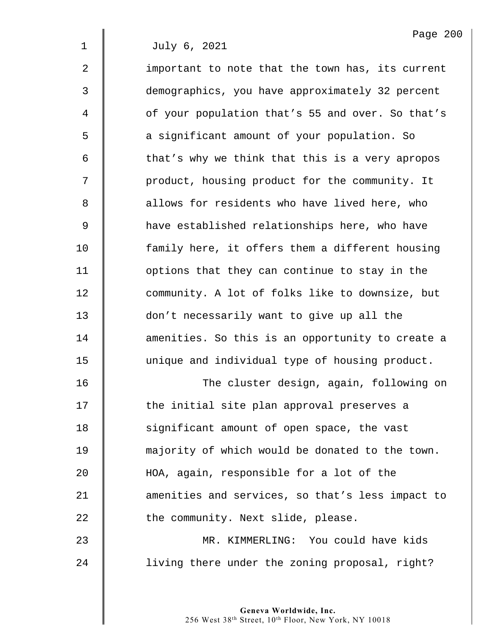2 | important to note that the town has, its current 3 demographics, you have approximately 32 percent 4 | of your population that's 55 and over. So that's 5 **6** a significant amount of your population. So  $6 \parallel$  that's why we think that this is a very apropos 7 | product, housing product for the community. It 8 **a** allows for residents who have lived here, who 9 have established relationships here, who have 10 **family here, it offers them a different housing** 11 **I** options that they can continue to stay in the 12 community. A lot of folks like to downsize, but 13 don't necessarily want to give up all the 14 **dec** amenities. So this is an opportunity to create a 15 | unique and individual type of housing product. 16 | The cluster design, again, following on 17 | the initial site plan approval preserves a 18 **S** ignificant amount of open space, the vast 19 **| majority of which would be donated to the town.** 20 HOA, again, responsible for a lot of the

21 **d** amenities and services, so that's less impact to 22 **deg 1** the community. Next slide, please.

23 MR. KIMMERLING: You could have kids 24 | living there under the zoning proposal, right?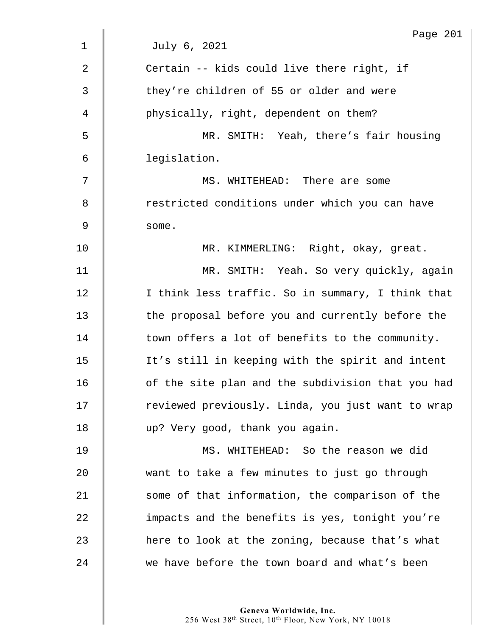|                | Page 201                                          |
|----------------|---------------------------------------------------|
| $\mathbf 1$    | July 6, 2021                                      |
| $\overline{2}$ | Certain -- kids could live there right, if        |
| 3              | they're children of 55 or older and were          |
| 4              | physically, right, dependent on them?             |
| 5              | MR. SMITH: Yeah, there's fair housing             |
| 6              | legislation.                                      |
| 7              | MS. WHITEHEAD: There are some                     |
| 8              | restricted conditions under which you can have    |
| 9              | some.                                             |
| 10             | MR. KIMMERLING: Right, okay, great.               |
| 11             | MR. SMITH: Yeah. So very quickly, again           |
| 12             | I think less traffic. So in summary, I think that |
| 13             | the proposal before you and currently before the  |
| 14             | town offers a lot of benefits to the community.   |
| 15             | It's still in keeping with the spirit and intent  |
| 16             | of the site plan and the subdivision that you had |
| 17             | reviewed previously. Linda, you just want to wrap |
| 18             | up? Very good, thank you again.                   |
| 19             | MS. WHITEHEAD: So the reason we did               |
| 20             | want to take a few minutes to just go through     |
| 21             | some of that information, the comparison of the   |
| 22             | impacts and the benefits is yes, tonight you're   |
| 23             | here to look at the zoning, because that's what   |
| 24             | we have before the town board and what's been     |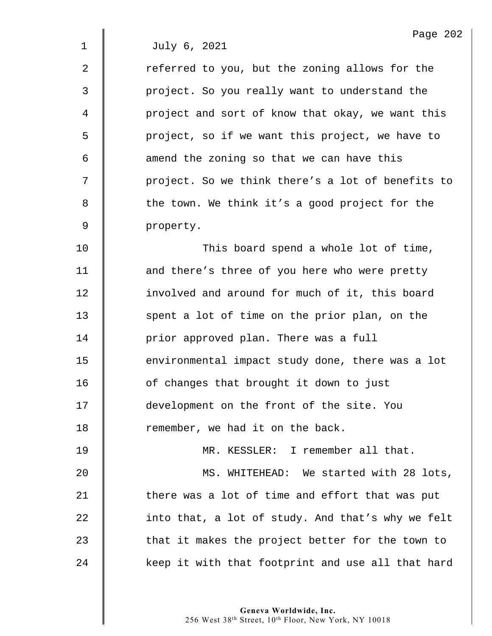$2 \parallel$  referred to you, but the zoning allows for the 3 project. So you really want to understand the 4 | project and sort of know that okay, we want this 5 | project, so if we want this project, we have to  $6 \parallel$  amend the zoning so that we can have this 7 | project. So we think there's a lot of benefits to 8 **b** the town. We think it's a good project for the 9 property.

**This board spend a whole lot of time, decia)** and there's three of you here who were pretty **involved and around for much of it, this board** 13 Spent a lot of time on the prior plan, on the **dege** prior approved plan. There was a full **environmental impact study done, there was a lot decive** 16 of changes that brought it down to just 17 | development on the front of the site. You 18 Temember, we had it on the back.

19 | MR. KESSLER: I remember all that. 20 MS. WHITEHEAD: We started with 28 lots, 21  $\parallel$  there was a lot of time and effort that was put  $22$  | into that, a lot of study. And that's why we felt  $23$   $\parallel$  that it makes the project better for the town to 24 xeep it with that footprint and use all that hard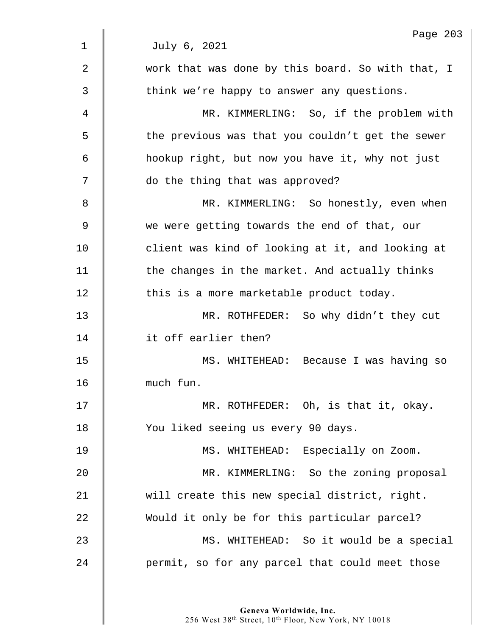|             | Page 203                                          |
|-------------|---------------------------------------------------|
| $\mathbf 1$ | July 6, 2021                                      |
| 2           | work that was done by this board. So with that, I |
| 3           | think we're happy to answer any questions.        |
| 4           | MR. KIMMERLING: So, if the problem with           |
| 5           | the previous was that you couldn't get the sewer  |
| 6           | hookup right, but now you have it, why not just   |
| 7           | do the thing that was approved?                   |
| 8           | MR. KIMMERLING: So honestly, even when            |
| 9           | we were getting towards the end of that, our      |
| 10          | client was kind of looking at it, and looking at  |
| 11          | the changes in the market. And actually thinks    |
| 12          | this is a more marketable product today.          |
| 13          | MR. ROTHFEDER: So why didn't they cut             |
| 14          | it off earlier then?                              |
| 15          | MS. WHITEHEAD: Because I was having so            |
| 16          | much fun.                                         |
| 17          | MR. ROTHFEDER: Oh, is that it, okay.              |
| 18          | You liked seeing us every 90 days.                |
| 19          | MS. WHITEHEAD: Especially on Zoom.                |
| 20          | MR. KIMMERLING: So the zoning proposal            |
| 21          | will create this new special district, right.     |
| 22          | Would it only be for this particular parcel?      |
| 23          | MS. WHITEHEAD: So it would be a special           |
| 24          | permit, so for any parcel that could meet those   |
|             |                                                   |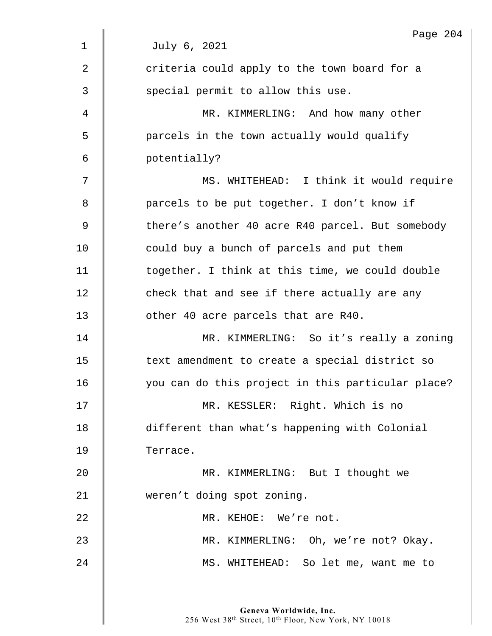|                | Page 204                                          |
|----------------|---------------------------------------------------|
| $\mathbf 1$    | July 6, 2021                                      |
| $\overline{2}$ | criteria could apply to the town board for a      |
| 3              | special permit to allow this use.                 |
| 4              | MR. KIMMERLING: And how many other                |
| 5              | parcels in the town actually would qualify        |
| 6              | potentially?                                      |
| 7              | MS. WHITEHEAD: I think it would require           |
| 8              | parcels to be put together. I don't know if       |
| 9              | there's another 40 acre R40 parcel. But somebody  |
| 10             | could buy a bunch of parcels and put them         |
| 11             | together. I think at this time, we could double   |
| 12             | check that and see if there actually are any      |
| 13             | other 40 acre parcels that are R40.               |
| 14             | MR. KIMMERLING: So it's really a zoning           |
| 15             | text amendment to create a special district so    |
| 16             | you can do this project in this particular place? |
| 17             | MR. KESSLER: Right. Which is no                   |
| 18             | different than what's happening with Colonial     |
| 19             | Terrace.                                          |
| 20             | MR. KIMMERLING: But I thought we                  |
| 21             | weren't doing spot zoning.                        |
| 22             | MR. KEHOE: We're not.                             |
| 23             | MR. KIMMERLING: Oh, we're not? Okay.              |
| 24             | MS. WHITEHEAD: So let me, want me to              |
|                |                                                   |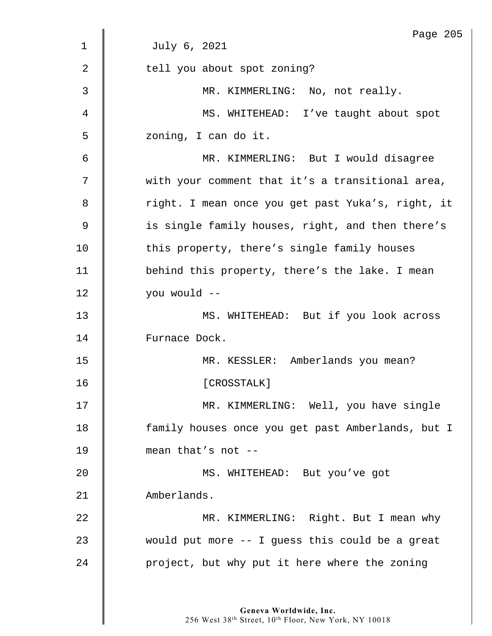|                | Page 205                                          |
|----------------|---------------------------------------------------|
| $\mathbf 1$    | July 6, 2021                                      |
| $\overline{2}$ | tell you about spot zoning?                       |
| 3              | MR. KIMMERLING: No, not really.                   |
| 4              | MS. WHITEHEAD: I've taught about spot             |
| 5              | zoning, I can do it.                              |
| 6              | MR. KIMMERLING: But I would disagree              |
| 7              | with your comment that it's a transitional area,  |
| 8              | right. I mean once you get past Yuka's, right, it |
| 9              | is single family houses, right, and then there's  |
| 10             | this property, there's single family houses       |
| 11             | behind this property, there's the lake. I mean    |
| 12             | you would --                                      |
| 13             | MS. WHITEHEAD: But if you look across             |
| 14             | Furnace Dock.                                     |
| 15             | MR. KESSLER: Amberlands you mean?                 |
| 16             | [CROSSTALK]                                       |
| 17             | MR. KIMMERLING: Well, you have single             |
| 18             | family houses once you get past Amberlands, but I |
| 19             | mean that's not --                                |
| 20             | MS. WHITEHEAD: But you've got                     |
| 21             | Amberlands.                                       |
| 22             | MR. KIMMERLING: Right. But I mean why             |
| 23             | would put more -- I guess this could be a great   |
| 24             | project, but why put it here where the zoning     |
|                |                                                   |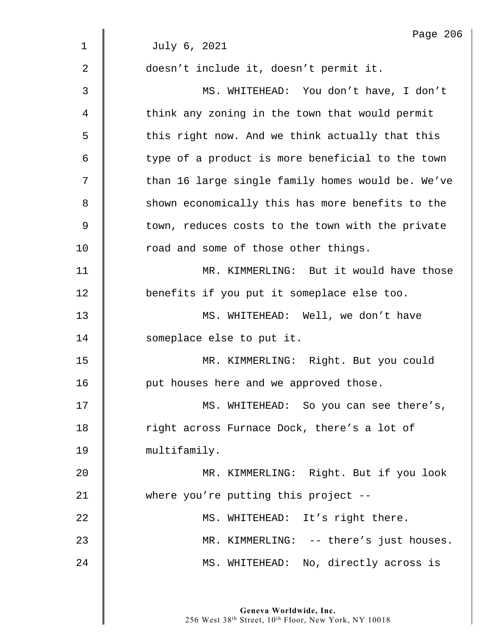|                | Page 206                                          |
|----------------|---------------------------------------------------|
| $\mathbf 1$    | July 6, 2021                                      |
| $\overline{2}$ | doesn't include it, doesn't permit it.            |
| $\mathfrak{Z}$ | MS. WHITEHEAD: You don't have, I don't            |
| 4              | think any zoning in the town that would permit    |
| 5              | this right now. And we think actually that this   |
| 6              | type of a product is more beneficial to the town  |
| 7              | than 16 large single family homes would be. We've |
| 8              | shown economically this has more benefits to the  |
| $\mathsf 9$    | town, reduces costs to the town with the private  |
| 10             | road and some of those other things.              |
| 11             | MR. KIMMERLING: But it would have those           |
| 12             | benefits if you put it someplace else too.        |
| 13             | MS. WHITEHEAD: Well, we don't have                |
| 14             | someplace else to put it.                         |
| 15             | MR. KIMMERLING: Right. But you could              |
| 16             | put houses here and we approved those.            |
| 17             | MS. WHITEHEAD: So you can see there's,            |
| 18             | right across Furnace Dock, there's a lot of       |
| 19             | multifamily.                                      |
| 20             | MR. KIMMERLING: Right. But if you look            |
| 21             | where you're putting this project $-$ -           |
| 22             | MS. WHITEHEAD: It's right there.                  |
| 23             | MR. KIMMERLING: -- there's just houses.           |
| 24             | MS. WHITEHEAD: No, directly across is             |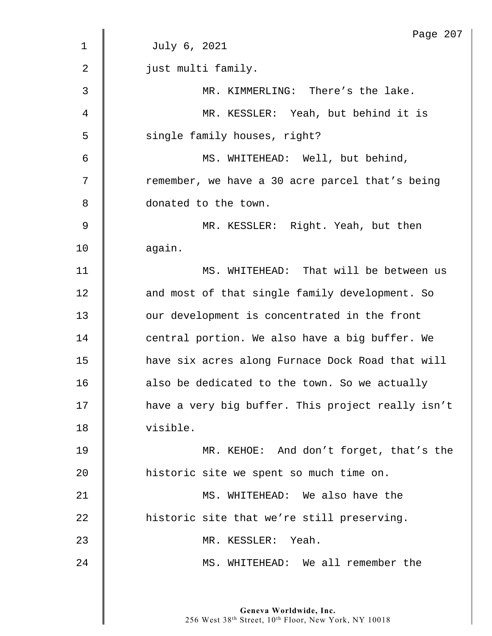|                | Page 207                                          |
|----------------|---------------------------------------------------|
| $\mathbf 1$    | July 6, 2021                                      |
| $\overline{2}$ | just multi family.                                |
| 3              | MR. KIMMERLING: There's the lake.                 |
| 4              | MR. KESSLER: Yeah, but behind it is               |
| 5              | single family houses, right?                      |
| 6              | MS. WHITEHEAD: Well, but behind,                  |
| 7              | remember, we have a 30 acre parcel that's being   |
| 8              | donated to the town.                              |
| $\overline{9}$ | MR. KESSLER: Right. Yeah, but then                |
| 10             | again.                                            |
| 11             | MS. WHITEHEAD: That will be between us            |
| 12             | and most of that single family development. So    |
| 13             | our development is concentrated in the front      |
| 14             | central portion. We also have a big buffer. We    |
| 15             | have six acres along Furnace Dock Road that will  |
| 16             | also be dedicated to the town. So we actually     |
| 17             | have a very big buffer. This project really isn't |
| 18             | visible.                                          |
| 19             | MR. KEHOE: And don't forget, that's the           |
| 20             | historic site we spent so much time on.           |
| 21             | MS. WHITEHEAD: We also have the                   |
| 22             | historic site that we're still preserving.        |
| 23             | MR. KESSLER: Yeah.                                |
| 24             | MS. WHITEHEAD: We all remember the                |
|                |                                                   |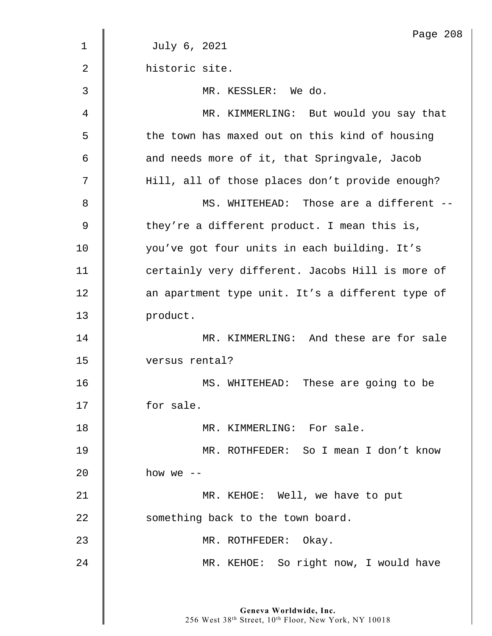|                | Page 208                                         |
|----------------|--------------------------------------------------|
| 1              | July 6, 2021                                     |
| $\overline{2}$ | historic site.                                   |
| 3              | MR. KESSLER: We do.                              |
| 4              | MR. KIMMERLING: But would you say that           |
| 5              | the town has maxed out on this kind of housing   |
| 6              | and needs more of it, that Springvale, Jacob     |
| 7              | Hill, all of those places don't provide enough?  |
| 8              | MS. WHITEHEAD: Those are a different --          |
| 9              | they're a different product. I mean this is,     |
| 10             | you've got four units in each building. It's     |
| 11             | certainly very different. Jacobs Hill is more of |
| 12             | an apartment type unit. It's a different type of |
| 13             | product.                                         |
| 14             | MR. KIMMERLING: And these are for sale           |
| 15             | versus rental?                                   |
| 16             | These are going to be<br>MS. WHITEHEAD:          |
| 17             | for sale.                                        |
| 18             | MR. KIMMERLING: For sale.                        |
| 19             | MR. ROTHFEDER: So I mean I don't know            |
| 20             | how we $--$                                      |
| 21             | MR. KEHOE: Well, we have to put                  |
| 22             | something back to the town board.                |
| 23             | MR. ROTHFEDER: Okay.                             |
| 24             | MR. KEHOE: So right now, I would have            |
|                |                                                  |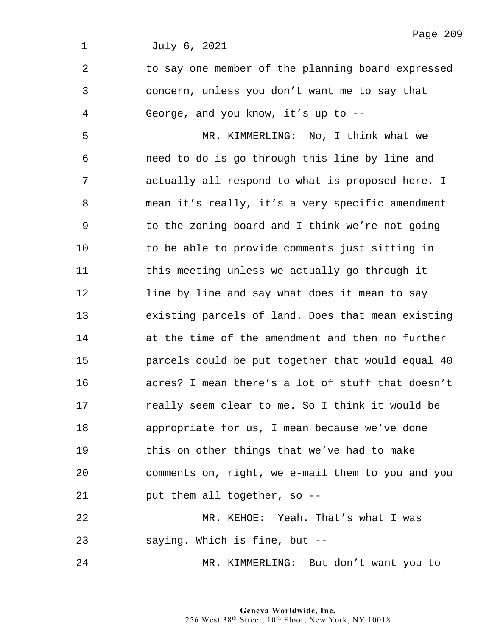|                | Page 209                                          |
|----------------|---------------------------------------------------|
| $\mathbf 1$    | July 6, 2021                                      |
| $\overline{2}$ | to say one member of the planning board expressed |
| 3              | concern, unless you don't want me to say that     |
| 4              | George, and you know, it's up to --               |
| 5              | MR. KIMMERLING: No, I think what we               |
| 6              | need to do is go through this line by line and    |
| 7              | actually all respond to what is proposed here. I  |
| 8              | mean it's really, it's a very specific amendment  |
| 9              | to the zoning board and I think we're not going   |
| 10             | to be able to provide comments just sitting in    |
| 11             | this meeting unless we actually go through it     |
| 12             | line by line and say what does it mean to say     |
| 13             | existing parcels of land. Does that mean existing |
| 14             | at the time of the amendment and then no further  |
| 15             | parcels could be put together that would equal 40 |
| 16             | acres? I mean there's a lot of stuff that doesn't |
| 17             | really seem clear to me. So I think it would be   |
| 18             | appropriate for us, I mean because we've done     |
| 19             | this on other things that we've had to make       |
| 20             | comments on, right, we e-mail them to you and you |
| 21             | put them all together, so --                      |
| 22             | MR. KEHOE: Yeah. That's what I was                |
| 23             | saying. Which is fine, but --                     |
| 24             | MR. KIMMERLING: But don't want you to             |
|                |                                                   |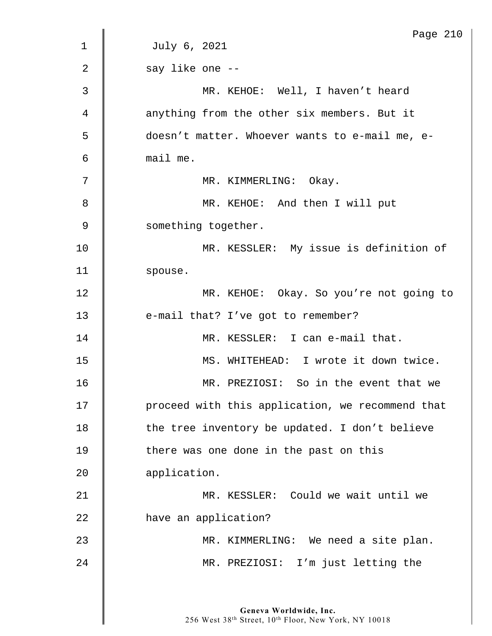|             | Page 210                                         |
|-------------|--------------------------------------------------|
| $\mathbf 1$ | July 6, 2021                                     |
| 2           | say like one --                                  |
| 3           | MR. KEHOE: Well, I haven't heard                 |
| 4           | anything from the other six members. But it      |
| 5           | doesn't matter. Whoever wants to e-mail me, e-   |
| 6           | mail me.                                         |
| 7           | MR. KIMMERLING: Okay.                            |
| 8           | MR. KEHOE: And then I will put                   |
| 9           | something together.                              |
| 10          | MR. KESSLER: My issue is definition of           |
| 11          | spouse.                                          |
| 12          | MR. KEHOE: Okay. So you're not going to          |
| 13          | e-mail that? I've got to remember?               |
| 14          | MR. KESSLER: I can e-mail that.                  |
| 15          | MS. WHITEHEAD: I wrote it down twice.            |
| 16          | MR. PREZIOSI: So in the event that we            |
| 17          | proceed with this application, we recommend that |
| 18          | the tree inventory be updated. I don't believe   |
| 19          | there was one done in the past on this           |
| 20          | application.                                     |
| 21          | MR. KESSLER: Could we wait until we              |
| 22          | have an application?                             |
| 23          | MR. KIMMERLING: We need a site plan.             |
| 24          | MR. PREZIOSI: I'm just letting the               |
|             |                                                  |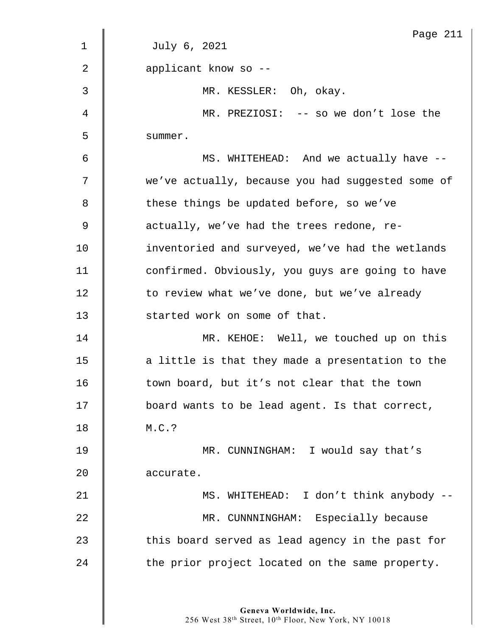|             | Page 211                                          |
|-------------|---------------------------------------------------|
| $\mathbf 1$ | July 6, 2021                                      |
| 2           | applicant know so --                              |
| 3           | MR. KESSLER: Oh, okay.                            |
| 4           | MR. PREZIOSI: -- so we don't lose the             |
| 5           | summer.                                           |
| 6           | MS. WHITEHEAD: And we actually have --            |
| 7           | we've actually, because you had suggested some of |
| 8           | these things be updated before, so we've          |
| 9           | actually, we've had the trees redone, re-         |
| 10          | inventoried and surveyed, we've had the wetlands  |
| 11          | confirmed. Obviously, you guys are going to have  |
| 12          | to review what we've done, but we've already      |
| 13          | started work on some of that.                     |
| 14          | MR. KEHOE: Well, we touched up on this            |
| 15          | a little is that they made a presentation to the  |
| 16          | town board, but it's not clear that the town      |
| 17          | board wants to be lead agent. Is that correct,    |
| 18          | M.C.?                                             |
| 19          | MR. CUNNINGHAM: I would say that's                |
| 20          | accurate.                                         |
| 21          | MS. WHITEHEAD: I don't think anybody --           |
| 22          | MR. CUNNNINGHAM: Especially because               |
| 23          | this board served as lead agency in the past for  |
| 24          | the prior project located on the same property.   |
|             |                                                   |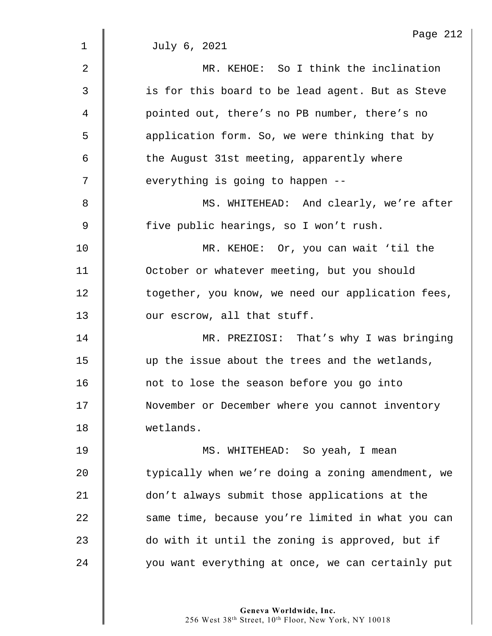|                | Page 212                                          |
|----------------|---------------------------------------------------|
| $\mathbf 1$    | July 6, 2021                                      |
| $\overline{2}$ | MR. KEHOE: So I think the inclination             |
| 3              | is for this board to be lead agent. But as Steve  |
| 4              | pointed out, there's no PB number, there's no     |
| 5              | application form. So, we were thinking that by    |
| 6              | the August 31st meeting, apparently where         |
| 7              | everything is going to happen --                  |
| 8              | MS. WHITEHEAD: And clearly, we're after           |
| $\mathsf 9$    | five public hearings, so I won't rush.            |
| 10             | MR. KEHOE: Or, you can wait 'til the              |
| 11             | October or whatever meeting, but you should       |
| 12             | together, you know, we need our application fees, |
| 13             | our escrow, all that stuff.                       |
| 14             | MR. PREZIOSI: That's why I was bringing           |
| 15             | up the issue about the trees and the wetlands,    |
| 16             | not to lose the season before you go into         |
| 17             | November or December where you cannot inventory   |
| 18             | wetlands.                                         |
| 19             | MS. WHITEHEAD: So yeah, I mean                    |
| 20             | typically when we're doing a zoning amendment, we |
| 21             | don't always submit those applications at the     |
| 22             | same time, because you're limited in what you can |
| 23             | do with it until the zoning is approved, but if   |
| 24             | you want everything at once, we can certainly put |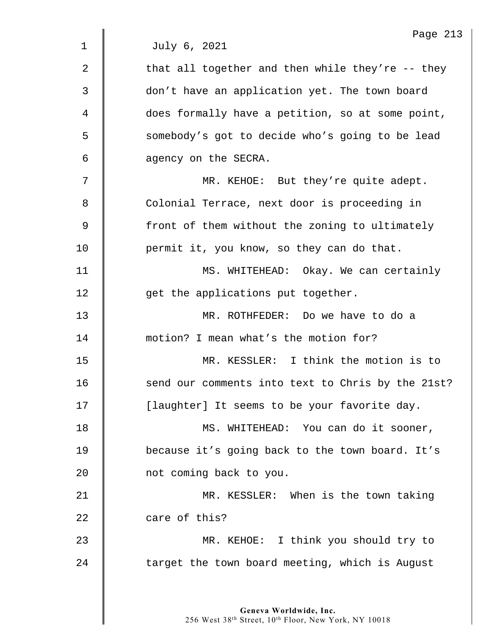|             | Page 213                                          |
|-------------|---------------------------------------------------|
| $\mathbf 1$ | July 6, 2021                                      |
| 2           | that all together and then while they're -- they  |
| 3           | don't have an application yet. The town board     |
| 4           | does formally have a petition, so at some point,  |
| 5           | somebody's got to decide who's going to be lead   |
| 6           | agency on the SECRA.                              |
| 7           | MR. KEHOE: But they're quite adept.               |
| 8           | Colonial Terrace, next door is proceeding in      |
| 9           | front of them without the zoning to ultimately    |
| 10          | permit it, you know, so they can do that.         |
| 11          | MS. WHITEHEAD: Okay. We can certainly             |
| 12          | get the applications put together.                |
| 13          | MR. ROTHFEDER: Do we have to do a                 |
| 14          | motion? I mean what's the motion for?             |
| 15          | MR. KESSLER: I think the motion is to             |
| 16          | send our comments into text to Chris by the 21st? |
| 17          | [laughter] It seems to be your favorite day.      |
| 18          | MS. WHITEHEAD: You can do it sooner,              |
| 19          | because it's going back to the town board. It's   |
| 20          | not coming back to you.                           |
| 21          | MR. KESSLER: When is the town taking              |
| 22          | care of this?                                     |
| 23          | MR. KEHOE: I think you should try to              |
| 24          | target the town board meeting, which is August    |
|             |                                                   |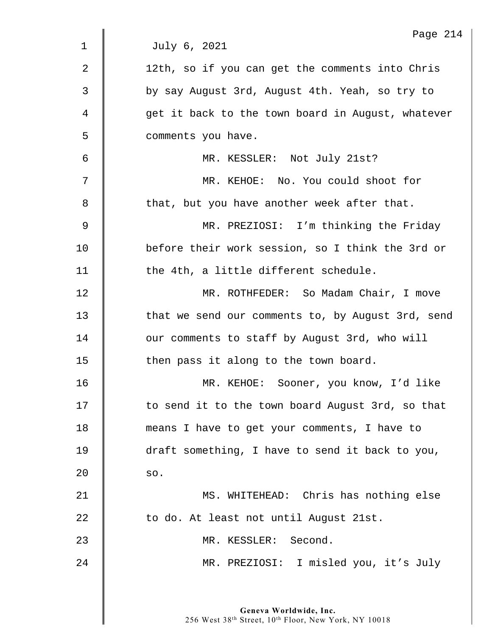|                | Page 214                                          |
|----------------|---------------------------------------------------|
| $\mathbf 1$    | July 6, 2021                                      |
| $\overline{2}$ | 12th, so if you can get the comments into Chris   |
| 3              | by say August 3rd, August 4th. Yeah, so try to    |
| 4              | get it back to the town board in August, whatever |
| 5              | comments you have.                                |
| 6              | MR. KESSLER: Not July 21st?                       |
| 7              | MR. KEHOE: No. You could shoot for                |
| 8              | that, but you have another week after that.       |
| 9              | MR. PREZIOSI: I'm thinking the Friday             |
| 10             | before their work session, so I think the 3rd or  |
| 11             | the 4th, a little different schedule.             |
| 12             | MR. ROTHFEDER: So Madam Chair, I move             |
| 13             | that we send our comments to, by August 3rd, send |
| 14             | our comments to staff by August 3rd, who will     |
| 15             | then pass it along to the town board.             |
| 16             | MR. KEHOE: Sooner, you know, I'd like             |
| 17             | to send it to the town board August 3rd, so that  |
| 18             | means I have to get your comments, I have to      |
| 19             | draft something, I have to send it back to you,   |
| 20             | SO.                                               |
| 21             | MS. WHITEHEAD: Chris has nothing else             |
| 22             | to do. At least not until August 21st.            |
| 23             | MR. KESSLER: Second.                              |
| 24             | MR. PREZIOSI: I misled you, it's July             |
|                |                                                   |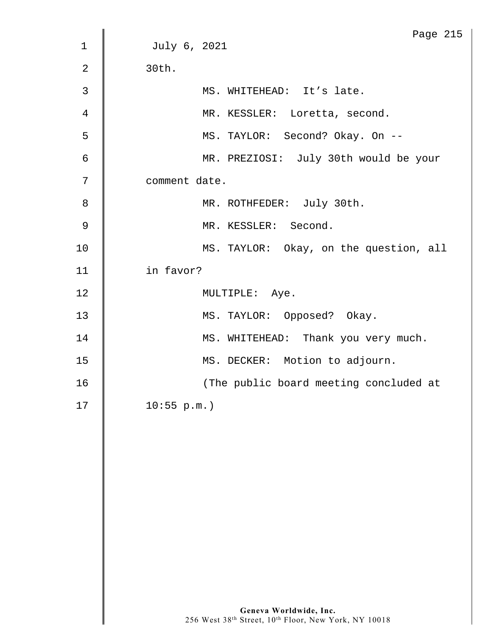|                | Page 215                               |
|----------------|----------------------------------------|
| $\mathbf{1}$   | July 6, 2021                           |
| $\overline{2}$ | 30th.                                  |
| $\mathfrak{Z}$ | MS. WHITEHEAD: It's late.              |
| $\overline{4}$ | MR. KESSLER: Loretta, second.          |
| 5              | MS. TAYLOR: Second? Okay. On --        |
| $\epsilon$     | MR. PREZIOSI: July 30th would be your  |
| $7\phantom{.}$ | comment date.                          |
| 8              | MR. ROTHFEDER: July 30th.              |
| 9              | MR. KESSLER: Second.                   |
| $10$           | MS. TAYLOR: Okay, on the question, all |
| 11             | in favor?                              |
| 12             | MULTIPLE: Aye.                         |
| 13             | MS. TAYLOR: Opposed? Okay.             |
| 14             | MS. WHITEHEAD: Thank you very much.    |
| 15             | MS. DECKER: Motion to adjourn.         |
| 16             | (The public board meeting concluded at |
| 17             | 10:55 p.m.                             |
|                |                                        |
|                |                                        |
|                |                                        |
|                |                                        |
|                |                                        |
|                |                                        |
|                |                                        |
|                |                                        |